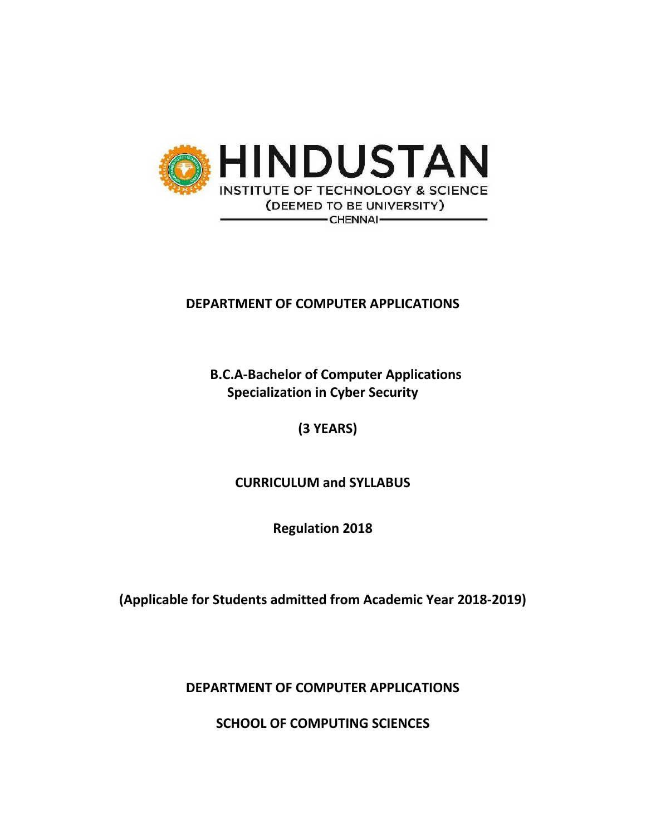

# **DEPARTMENT OF COMPUTER APPLICATIONS**

 **B.C.A-Bachelor of Computer Applications Specialization in Cyber Security** 

 **(3 YEARS)**

**CURRICULUM and SYLLABUS**

**Regulation 2018**

**(Applicable for Students admitted from Academic Year 2018-2019)**

**DEPARTMENT OF COMPUTER APPLICATIONS**

**SCHOOL OF COMPUTING SCIENCES**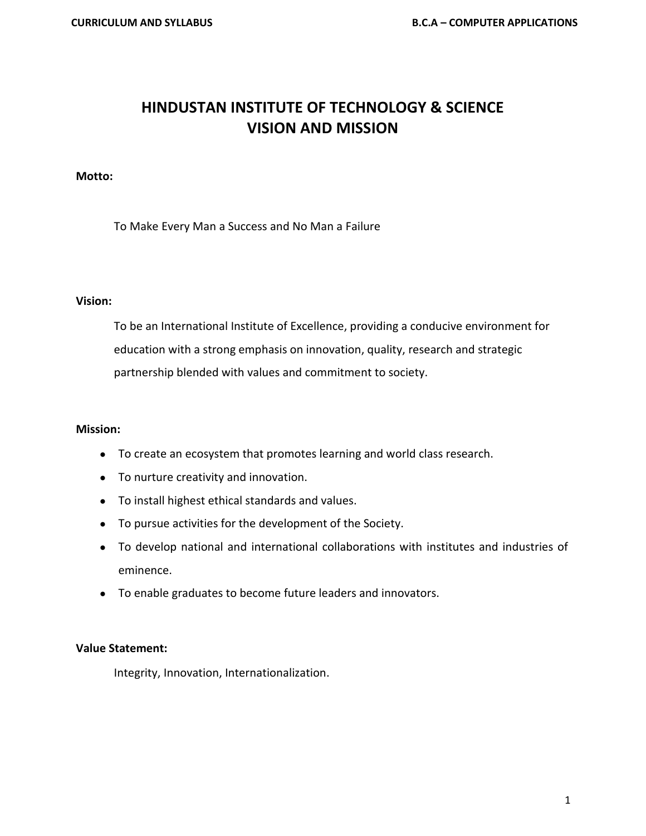# **HINDUSTAN INSTITUTE OF TECHNOLOGY & SCIENCE VISION AND MISSION**

#### **Motto:**

To Make Every Man a Success and No Man a Failure

#### **Vision:**

To be an International Institute of Excellence, providing a conducive environment for education with a strong emphasis on innovation, quality, research and strategic partnership blended with values and commitment to society.

#### **Mission:**

- To create an ecosystem that promotes learning and world class research.
- To nurture creativity and innovation.
- To install highest ethical standards and values.
- To pursue activities for the development of the Society.
- To develop national and international collaborations with institutes and industries of eminence.
- To enable graduates to become future leaders and innovators.

#### **Value Statement:**

Integrity, Innovation, Internationalization.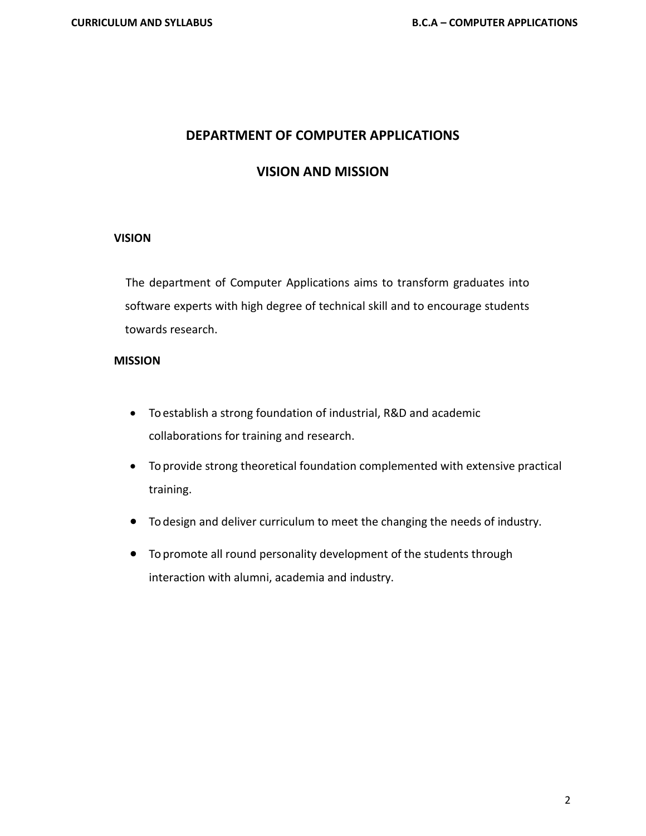## **DEPARTMENT OF COMPUTER APPLICATIONS**

## **VISION AND MISSION**

#### **VISION**

 The department of Computer Applications aims to transform graduates into software experts with high degree of technical skill and to encourage students towards research.

#### **MISSION**

- To establish a strong foundation of industrial, R&D and academic collaborations for training and research.
- To provide strong theoretical foundation complemented with extensive practical training.
- To design and deliver curriculum to meet the changing the needs of industry.
- To promote all round personality development of the students through interaction with alumni, academia and industry.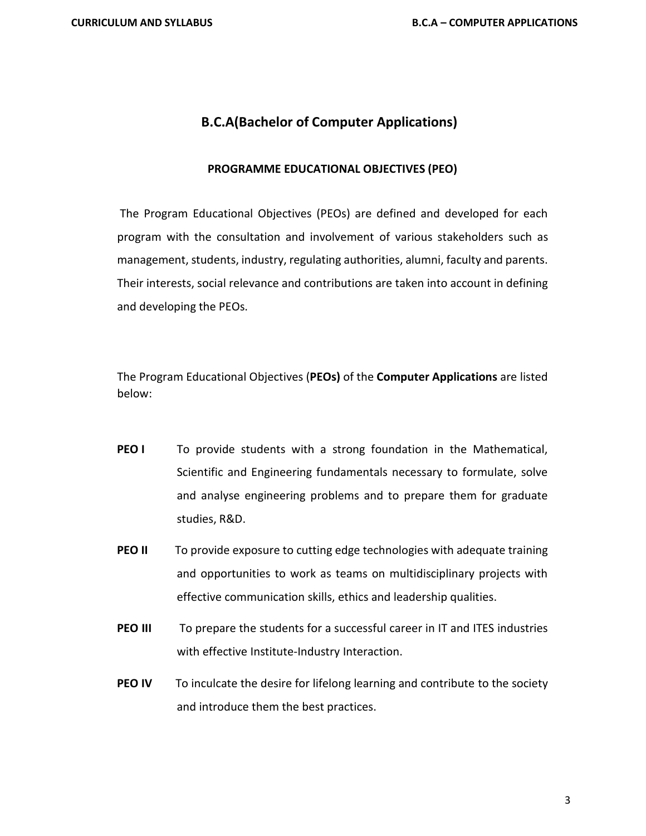# **B.C.A(Bachelor of Computer Applications)**

#### **PROGRAMME EDUCATIONAL OBJECTIVES (PEO)**

The Program Educational Objectives (PEOs) are defined and developed for each program with the consultation and involvement of various stakeholders such as management, students, industry, regulating authorities, alumni, faculty and parents. Their interests, social relevance and contributions are taken into account in defining and developing the PEOs.

The Program Educational Objectives (**PEOs)** of the **Computer Applications** are listed below:

- **PEO I** To provide students with a strong foundation in the Mathematical, Scientific and Engineering fundamentals necessary to formulate, solve and analyse engineering problems and to prepare them for graduate studies, R&D.
- **PEO II** To provide exposure to cutting edge technologies with adequate training and opportunities to work as teams on multidisciplinary projects with effective communication skills, ethics and leadership qualities.
- **PEO III** To prepare the students for a successful career in IT and ITES industries with effective Institute-Industry Interaction.
- **PEO IV** To inculcate the desire for lifelong learning and contribute to the society and introduce them the best practices.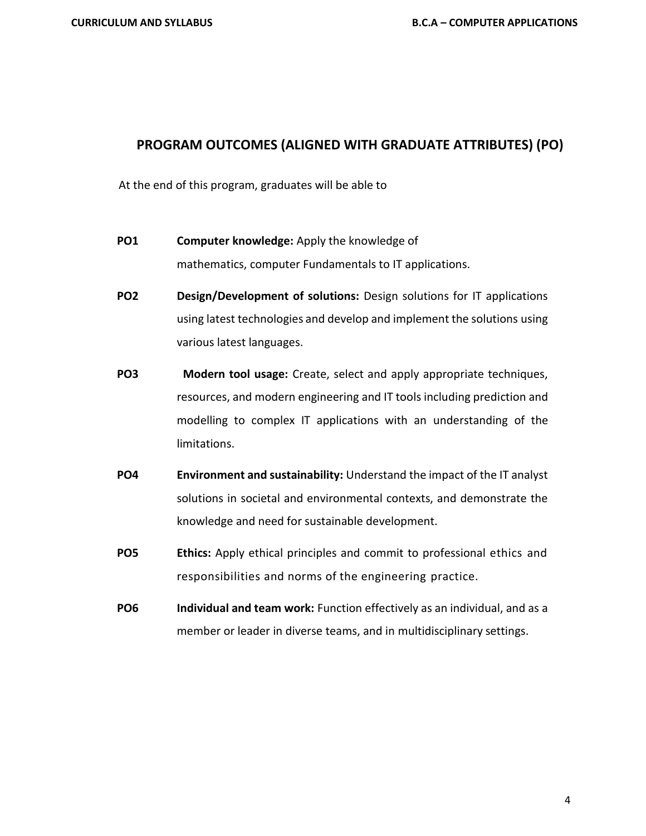### **PROGRAM OUTCOMES (ALIGNED WITH GRADUATE ATTRIBUTES) (PO)**

At the end of this program, graduates will be able to

- **PO1 Computer knowledge:** Apply the knowledge of mathematics, computer Fundamentals to IT applications.
- **PO2 Design/Development of solutions:** Design solutions for IT applications using latest technologies and develop and implement the solutions using various latest languages.
- **PO3 Modern tool usage:** Create, select and apply appropriate techniques, resources, and modern engineering and IT tools including prediction and modelling to complex IT applications with an understanding of the limitations.
- **PO4 Environment and sustainability:** Understand the impact of the IT analyst solutions in societal and environmental contexts, and demonstrate the knowledge and need for sustainable development.
- **PO5 Ethics:** Apply ethical principles and commit to professional ethics and responsibilities and norms of the engineering practice.
- **PO6 Individual and team work:** Function effectively as an individual, and as a member or leader in diverse teams, and in multidisciplinary settings.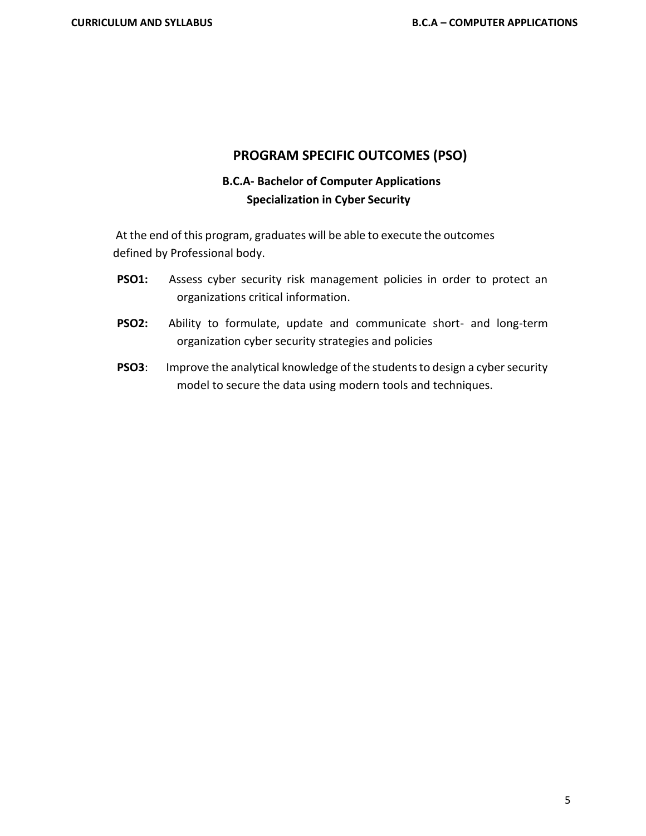### **PROGRAM SPECIFIC OUTCOMES (PSO)**

# **B.C.A- Bachelor of Computer Applications Specialization in Cyber Security**

At the end of this program, graduates will be able to execute the outcomes defined by Professional body.

- **PSO1:** Assess cyber security risk management policies in order to protect an organizations critical information.
- **PSO2:** Ability to formulate, update and communicate short- and long-term organization cyber security strategies and policies
- **PSO3**: Improve the analytical knowledge of the students to design a cyber security model to secure the data using modern tools and techniques.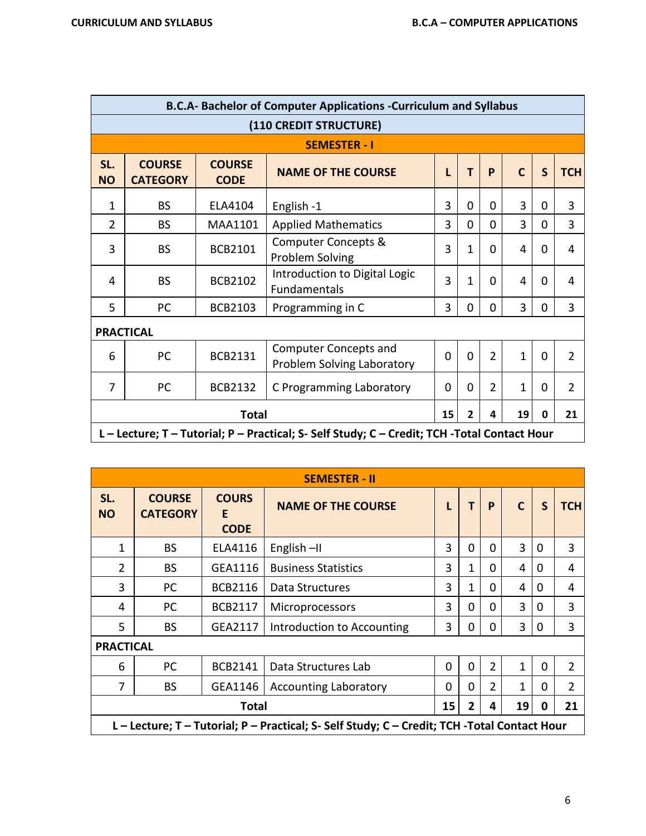|                  | <b>B.C.A- Bachelor of Computer Applications -Curriculum and Syllabus</b> |                              |                                                                                    |                |          |                |              |              |                |  |  |  |
|------------------|--------------------------------------------------------------------------|------------------------------|------------------------------------------------------------------------------------|----------------|----------|----------------|--------------|--------------|----------------|--|--|--|
|                  |                                                                          |                              | (110 CREDIT STRUCTURE)                                                             |                |          |                |              |              |                |  |  |  |
|                  | <b>SEMESTER - I</b>                                                      |                              |                                                                                    |                |          |                |              |              |                |  |  |  |
| SL.<br><b>NO</b> | <b>COURSE</b><br><b>CATEGORY</b>                                         | <b>COURSE</b><br><b>CODE</b> | <b>NAME OF THE COURSE</b>                                                          | L              | т        | P              | $\mathsf{C}$ | $\mathsf{S}$ | <b>TCH</b>     |  |  |  |
| 1                | <b>BS</b>                                                                | ELA4104                      | English-1                                                                          | 3              | 0        | 0              | 3            | 0            | 3              |  |  |  |
| $\overline{2}$   | <b>BS</b>                                                                | MAA1101                      | <b>Applied Mathematics</b>                                                         | 3              | $\Omega$ | 0              | 3            | $\Omega$     | 3              |  |  |  |
| 3                | <b>BS</b>                                                                | <b>BCB2101</b>               | <b>Computer Concepts &amp;</b><br>Problem Solving                                  | 3              | 1        | 0              | 4            | 0            | 4              |  |  |  |
| 4                | <b>BS</b>                                                                | <b>BCB2102</b>               | Introduction to Digital Logic<br>Fundamentals                                      |                |          | 0              | 4            | $\Omega$     | 4              |  |  |  |
| 5                | PC                                                                       | <b>BCB2103</b>               | Programming in C                                                                   | 3              | 0        | 0              | 3            | $\Omega$     | 3              |  |  |  |
|                  | <b>PRACTICAL</b>                                                         |                              |                                                                                    |                |          |                |              |              |                |  |  |  |
| 6                | <b>PC</b>                                                                | <b>BCB2131</b>               | <b>Computer Concepts and</b><br>Problem Solving Laboratory                         | $\overline{0}$ | $\Omega$ | $\overline{2}$ | 1            | $\mathbf 0$  | $\overline{2}$ |  |  |  |
| $\overline{7}$   | PC                                                                       | <b>BCB2132</b>               | C Programming Laboratory                                                           | 0              | 0        | $\overline{2}$ | 1            | 0            | $\overline{2}$ |  |  |  |
|                  | 15<br><b>Total</b><br>19<br>21<br>$\overline{2}$<br>0<br>4               |                              |                                                                                    |                |          |                |              |              |                |  |  |  |
|                  |                                                                          |                              | L-Lecture; T-Tutorial; P-Practical; S-Self Study; C-Credit; TCH-Total Contact Hour |                |          |                |              |              |                |  |  |  |

|                  |                                                                                              |                                  | <b>SEMESTER - II</b>       |   |             |                |             |   |                |  |  |
|------------------|----------------------------------------------------------------------------------------------|----------------------------------|----------------------------|---|-------------|----------------|-------------|---|----------------|--|--|
| SL.<br><b>NO</b> | <b>COURSE</b><br><b>CATEGORY</b>                                                             | <b>COURS</b><br>E<br><b>CODE</b> | <b>NAME OF THE COURSE</b>  |   | т           | P              | $\mathbf C$ | S | <b>TCH</b>     |  |  |
| 1                | <b>BS</b>                                                                                    | ELA4116                          | English-II                 | 3 | $\Omega$    | $\Omega$       | 3           | 0 | 3              |  |  |
| $\overline{2}$   | <b>BS</b>                                                                                    | GEA1116                          | <b>Business Statistics</b> | 3 | 1           | $\Omega$       | 4           | 0 | 4              |  |  |
| 3                | PC.                                                                                          | <b>BCB2116</b>                   | Data Structures            | 3 | 1           | $\Omega$       | 4           | 0 | 4              |  |  |
| 4                | PC.                                                                                          | <b>BCB2117</b>                   | Microprocessors            | 3 | 0           | $\Omega$       | 3           | 0 | 3              |  |  |
| 5                | <b>BS</b>                                                                                    | GEA2117                          | Introduction to Accounting | 3 | 0           | 0              | 3           | 0 | 3              |  |  |
| <b>PRACTICAL</b> |                                                                                              |                                  |                            |   |             |                |             |   |                |  |  |
| 6                | PC                                                                                           | <b>BCB2141</b>                   | Data Structures Lab        | 0 | $\mathbf 0$ | $\overline{2}$ | 1           | 0 | $\overline{2}$ |  |  |
| 7                | <b>BS</b><br>GEA1146<br><b>Accounting Laboratory</b>                                         |                                  |                            |   |             |                | 1           | 0 | $\overline{2}$ |  |  |
|                  | 21<br>15<br>2<br>19<br><b>Total</b><br>0<br>4                                                |                                  |                            |   |             |                |             |   |                |  |  |
|                  | L - Lecture; T - Tutorial; P - Practical; S- Self Study; C - Credit; TCH -Total Contact Hour |                                  |                            |   |             |                |             |   |                |  |  |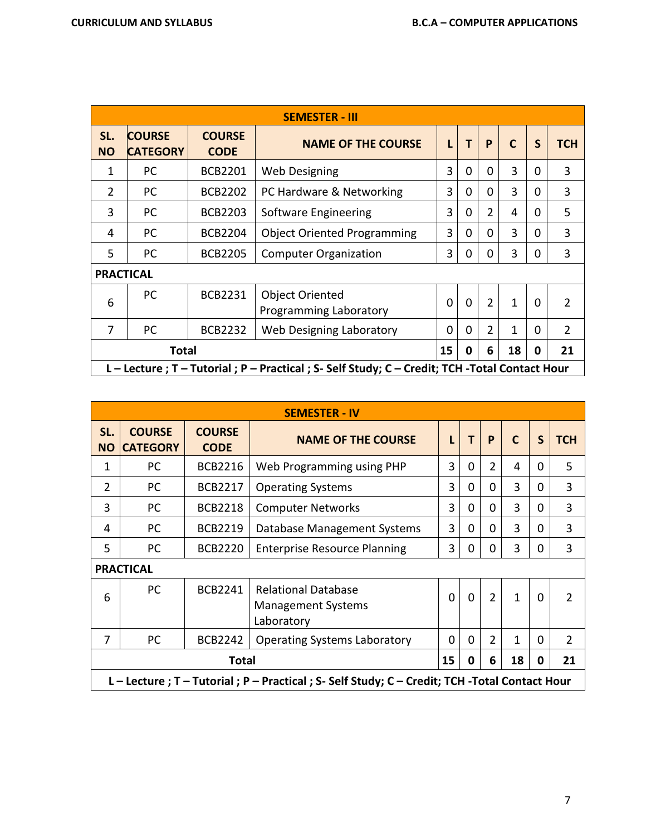|                  |                                               |                              | <b>SEMESTER - III</b>                                                                           |             |          |                |              |          |                |  |
|------------------|-----------------------------------------------|------------------------------|-------------------------------------------------------------------------------------------------|-------------|----------|----------------|--------------|----------|----------------|--|
| SL.<br><b>NO</b> | <b>COURSE</b><br><b>CATEGORY</b>              | <b>COURSE</b><br><b>CODE</b> | <b>NAME OF THE COURSE</b>                                                                       | L           | T        | P              | $\mathsf{C}$ | S        | <b>TCH</b>     |  |
| 1                | PC.                                           | <b>BCB2201</b>               | <b>Web Designing</b>                                                                            | 3           | $\Omega$ | $\Omega$       | 3            | $\Omega$ | 3              |  |
| 2                | PC.                                           | <b>BCB2202</b>               | PC Hardware & Networking                                                                        | 3           | $\Omega$ | $\Omega$       | 3            | 0        | 3              |  |
| 3                | PC.                                           | <b>BCB2203</b>               | Software Engineering                                                                            | 3           | 0        | $\overline{2}$ | 4            | 0        | 5              |  |
| 4                | PC.                                           | <b>BCB2204</b>               | <b>Object Oriented Programming</b>                                                              | 3           | 0        | 0              | 3            | 0        | 3              |  |
| 5                | <sub>PC</sub>                                 | <b>BCB2205</b>               | <b>Computer Organization</b>                                                                    | 3           | 0        | 0              | 3            | 0        | 3              |  |
|                  | <b>PRACTICAL</b>                              |                              |                                                                                                 |             |          |                |              |          |                |  |
| 6                | PC.                                           | <b>BCB2231</b>               | <b>Object Oriented</b><br>Programming Laboratory                                                | $\mathbf 0$ | $\Omega$ | $\overline{2}$ | $\mathbf{1}$ | $\Omega$ | $\mathcal{P}$  |  |
| 7                | <b>PC</b>                                     | <b>BCB2232</b>               | Web Designing Laboratory                                                                        | 0           | 0        | $\overline{2}$ | 1            | 0        | $\overline{2}$ |  |
|                  | 15<br>6<br>18<br><b>Total</b><br>21<br>0<br>0 |                              |                                                                                                 |             |          |                |              |          |                |  |
|                  |                                               |                              | L - Lecture ; T - Tutorial ; P - Practical ; S- Self Study; C - Credit; TCH -Total Contact Hour |             |          |                |              |          |                |  |

|                  | <b>SEMESTER - IV</b>                   |                              |                                                                                                 |             |          |                |              |          |                |  |  |  |  |
|------------------|----------------------------------------|------------------------------|-------------------------------------------------------------------------------------------------|-------------|----------|----------------|--------------|----------|----------------|--|--|--|--|
| SL.<br><b>NO</b> | <b>COURSE</b><br><b>CATEGORY</b>       | <b>COURSE</b><br><b>CODE</b> | <b>NAME OF THE COURSE</b>                                                                       | L           | T        | P              | $\mathsf{C}$ | S        | <b>TCH</b>     |  |  |  |  |
| 1                | PC.                                    | <b>BCB2216</b>               | Web Programming using PHP                                                                       | 3           | $\Omega$ | $\overline{2}$ | 4            | 0        | 5              |  |  |  |  |
| $\overline{2}$   | PC                                     | 3                            | $\Omega$                                                                                        | $\Omega$    | 3        | $\Omega$       | 3            |          |                |  |  |  |  |
| 3                | <b>PC</b>                              | <b>Computer Networks</b>     | 3                                                                                               | 0           | 0        | 3              | 0            | 3        |                |  |  |  |  |
| 4                | PC                                     | <b>BCB2219</b>               | Database Management Systems                                                                     | 3           | 0        | $\Omega$       | 3            | 0        | 3              |  |  |  |  |
| 5                | PC                                     | <b>BCB2220</b>               | <b>Enterprise Resource Planning</b>                                                             | 3           | 0        | 0              | 3            | $\Omega$ | 3              |  |  |  |  |
|                  | <b>PRACTICAL</b>                       |                              |                                                                                                 |             |          |                |              |          |                |  |  |  |  |
| 6                | <b>PC</b>                              | BCB2241                      | <b>Relational Database</b><br><b>Management Systems</b><br>Laboratory                           | $\mathbf 0$ | $\Omega$ | $\overline{2}$ | $\mathbf{1}$ | $\Omega$ | $\mathfrak{D}$ |  |  |  |  |
| $\overline{7}$   | PC                                     | <b>BCB2242</b>               | <b>Operating Systems Laboratory</b>                                                             | 0           | 0        | $\overline{2}$ | 1            | 0        | $\overline{2}$ |  |  |  |  |
|                  | 18<br>21<br>15<br>Total<br>6<br>0<br>0 |                              |                                                                                                 |             |          |                |              |          |                |  |  |  |  |
|                  |                                        |                              | L - Lecture ; T - Tutorial ; P - Practical ; S- Self Study; C - Credit; TCH -Total Contact Hour |             |          |                |              |          |                |  |  |  |  |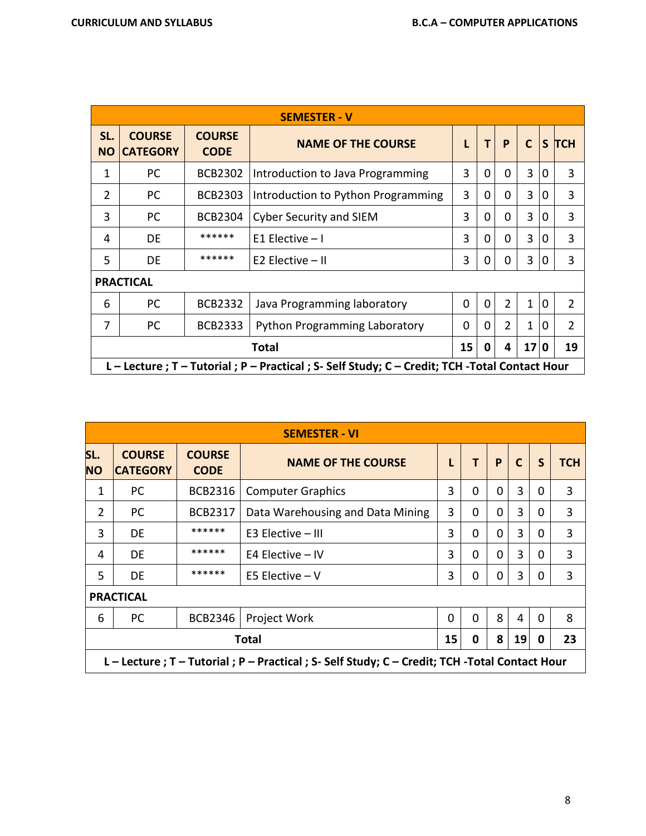|                  |                                                             |                              | <b>SEMESTER - V</b>                                                                             |          |          |                |              |   |                |  |
|------------------|-------------------------------------------------------------|------------------------------|-------------------------------------------------------------------------------------------------|----------|----------|----------------|--------------|---|----------------|--|
| SL.<br><b>NO</b> | <b>COURSE</b><br><b>CATEGORY</b>                            | <b>COURSE</b><br><b>CODE</b> | <b>NAME OF THE COURSE</b>                                                                       |          | T        | P              | $\mathsf{C}$ |   | S TCH          |  |
| 1                | PC                                                          | <b>BCB2302</b>               | Introduction to Java Programming                                                                | 3        | $\Omega$ | 0              | 3            | 0 | 3              |  |
| $\mathcal{P}$    | PC.<br><b>BCB2303</b><br>Introduction to Python Programming |                              |                                                                                                 |          |          | $\Omega$       | 3            | 0 | 3              |  |
| 3                | PC.                                                         | <b>BCB2304</b>               | <b>Cyber Security and SIEM</b>                                                                  | 3        | $\Omega$ | $\Omega$       | 3            | 0 | 3              |  |
| 4                | <b>DE</b>                                                   | ******                       | $E1$ Elective $-1$                                                                              | 3        | $\Omega$ | 0              | 3            | 0 | 3              |  |
| 5                | DE                                                          | ******                       | E2 Elective $-$ II                                                                              | 3        | 0        | 0              | 3            | 0 | 3              |  |
|                  | <b>PRACTICAL</b>                                            |                              |                                                                                                 |          |          |                |              |   |                |  |
| 6                | <b>PC</b>                                                   | <b>BCB2332</b>               | Java Programming laboratory                                                                     | $\Omega$ | $\Omega$ | $\overline{2}$ | $\mathbf{1}$ | 0 | $\overline{2}$ |  |
| 7                | PC.                                                         | <b>BCB2333</b>               | <b>Python Programming Laboratory</b>                                                            | $\Omega$ | 0        | $\overline{2}$ | 1            | 0 | $\overline{2}$ |  |
|                  | 17 0<br>15<br>19<br>Total<br>4<br>0                         |                              |                                                                                                 |          |          |                |              |   |                |  |
|                  |                                                             |                              | L - Lecture ; T - Tutorial ; P - Practical ; S- Self Study; C - Credit; TCH -Total Contact Hour |          |          |                |              |   |                |  |

|                  | <b>SEMESTER - VI</b>                                                                            |                              |                                  |   |          |          |              |          |            |  |  |  |
|------------------|-------------------------------------------------------------------------------------------------|------------------------------|----------------------------------|---|----------|----------|--------------|----------|------------|--|--|--|
| SL.<br><b>NO</b> | <b>COURSE</b><br><b>CATEGORY</b>                                                                | <b>COURSE</b><br><b>CODE</b> | <b>NAME OF THE COURSE</b>        |   | т        | P        | $\mathsf{C}$ | S        | <b>TCH</b> |  |  |  |
| 1                | PC.                                                                                             | BCB2316                      | <b>Computer Graphics</b>         | 3 | 0        | $\Omega$ | 3            | $\Omega$ | 3          |  |  |  |
| $\overline{2}$   | PC.                                                                                             | <b>BCB2317</b>               | Data Warehousing and Data Mining | 3 | 0        | $\Omega$ | 3            | 0        | 3          |  |  |  |
| 3                | <b>DE</b>                                                                                       | ******                       | $E3$ Elective $-$ III            | 3 | 0        | $\Omega$ | 3            | 0        | 3          |  |  |  |
| 4                | <b>DE</b>                                                                                       | ******                       | E4 Elective $-$ IV               | 3 | 0        | $\Omega$ | 3            | 0        | 3          |  |  |  |
| 5                | DE                                                                                              | ******                       | E5 Elective $-V$                 | 3 | 0        | $\Omega$ | 3            | 0        | 3          |  |  |  |
|                  | <b>PRACTICAL</b>                                                                                |                              |                                  |   |          |          |              |          |            |  |  |  |
| 6                | PC.                                                                                             | <b>BCB2346</b>               | Project Work                     | 0 | $\Omega$ | 8        | 4            | $\Omega$ | 8          |  |  |  |
|                  | 23<br>15<br>8<br>19<br><b>Total</b><br>0<br>0                                                   |                              |                                  |   |          |          |              |          |            |  |  |  |
|                  | L - Lecture ; T - Tutorial ; P - Practical ; S- Self Study; C - Credit; TCH -Total Contact Hour |                              |                                  |   |          |          |              |          |            |  |  |  |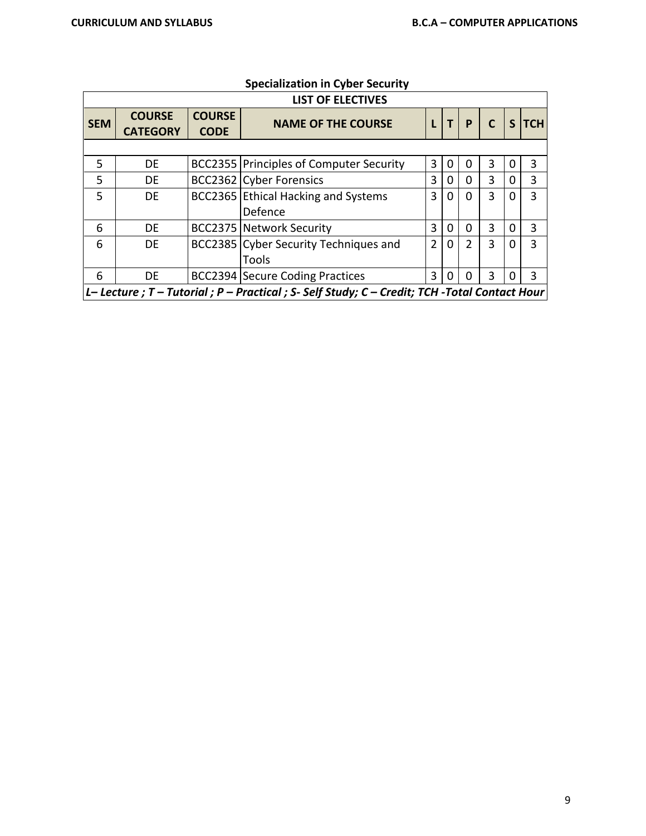|            |                                  |                              | <b>LIST OF ELECTIVES</b>                                                                       |                |   |                |              |   |              |
|------------|----------------------------------|------------------------------|------------------------------------------------------------------------------------------------|----------------|---|----------------|--------------|---|--------------|
| <b>SEM</b> | <b>COURSE</b><br><b>CATEGORY</b> | <b>COURSE</b><br><b>CODE</b> | <b>NAME OF THE COURSE</b>                                                                      |                |   | P              | $\mathsf{C}$ | S | <b>TCH</b>   |
|            |                                  |                              |                                                                                                |                |   |                |              |   |              |
| 5          | DE                               |                              | <b>BCC2355 Principles of Computer Security</b>                                                 | 3              | 0 | 0              | 3            |   | 3            |
| 5          | DE                               |                              | <b>BCC2362 Cyber Forensics</b>                                                                 | 3              | 0 | 0              | 3            | ი | 3            |
| 5          | <b>DE</b>                        |                              | BCC2365 Ethical Hacking and Systems                                                            | 3              | 0 | 0              | 3            |   | $\mathbf{R}$ |
|            |                                  |                              | Defence                                                                                        |                |   |                |              |   |              |
| 6          | DE                               |                              | <b>BCC2375 Network Security</b>                                                                | 3              | 0 | 0              | 3            |   | 3            |
| 6          | <b>DE</b>                        |                              | BCC2385 Cyber Security Techniques and                                                          | $\mathfrak{D}$ | 0 | $\overline{2}$ | 3            |   | 3            |
|            |                                  |                              | Tools                                                                                          |                |   |                |              |   |              |
| 6          | <b>DE</b>                        |                              | <b>BCC2394 Secure Coding Practices</b>                                                         | 3              | O | 0              | 3            |   | 3            |
|            |                                  |                              | L- Lecture ; T - Tutorial ; P - Practical ; S- Self Study; C - Credit; TCH -Total Contact Hour |                |   |                |              |   |              |

# **Specialization in Cyber Security**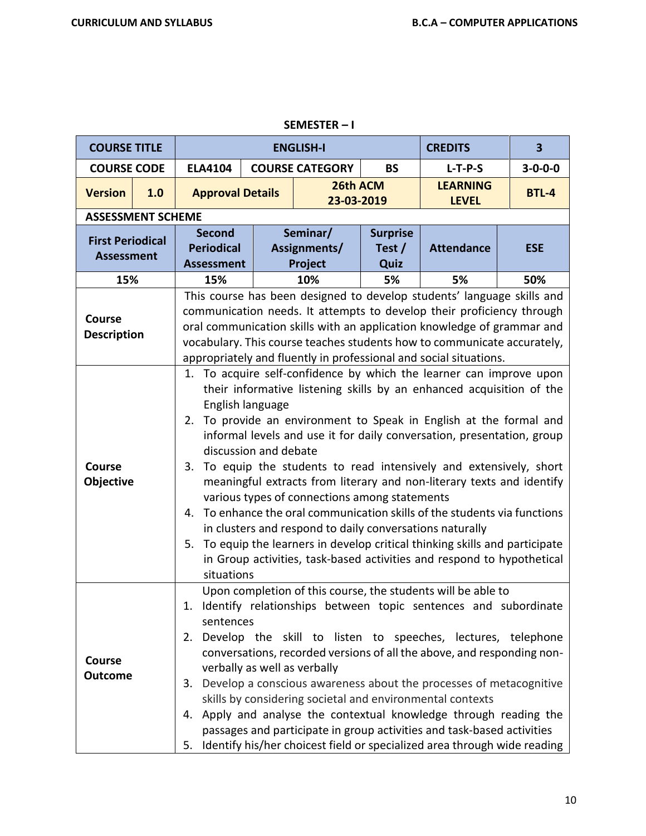| <b>COURSE TITLE</b>                          |     |                                                               |                                                                                                                                                                                                                                                                                                                                                                           | <b>ENGLISH-I</b>                              |                                     | <b>CREDITS</b>                                                                                                                                                                                                                                                                                                                                                                                                                                                                                                                                                                                                                                                                                                                              | $\overline{\mathbf{3}}$ |  |  |  |
|----------------------------------------------|-----|---------------------------------------------------------------|---------------------------------------------------------------------------------------------------------------------------------------------------------------------------------------------------------------------------------------------------------------------------------------------------------------------------------------------------------------------------|-----------------------------------------------|-------------------------------------|---------------------------------------------------------------------------------------------------------------------------------------------------------------------------------------------------------------------------------------------------------------------------------------------------------------------------------------------------------------------------------------------------------------------------------------------------------------------------------------------------------------------------------------------------------------------------------------------------------------------------------------------------------------------------------------------------------------------------------------------|-------------------------|--|--|--|
| <b>COURSE CODE</b>                           |     | <b>ELA4104</b>                                                |                                                                                                                                                                                                                                                                                                                                                                           | <b>COURSE CATEGORY</b>                        | <b>BS</b>                           | $L-T-P-S$                                                                                                                                                                                                                                                                                                                                                                                                                                                                                                                                                                                                                                                                                                                                   | $3 - 0 - 0 - 0$         |  |  |  |
| <b>Version</b>                               | 1.0 | <b>Approval Details</b>                                       |                                                                                                                                                                                                                                                                                                                                                                           | 26th ACM<br>23-03-2019                        |                                     | <b>LEARNING</b><br><b>LEVEL</b>                                                                                                                                                                                                                                                                                                                                                                                                                                                                                                                                                                                                                                                                                                             | <b>BTL-4</b>            |  |  |  |
| <b>ASSESSMENT SCHEME</b>                     |     |                                                               |                                                                                                                                                                                                                                                                                                                                                                           |                                               |                                     |                                                                                                                                                                                                                                                                                                                                                                                                                                                                                                                                                                                                                                                                                                                                             |                         |  |  |  |
| <b>First Periodical</b><br><b>Assessment</b> |     | <b>Second</b><br><b>Periodical</b><br><b>Assessment</b>       |                                                                                                                                                                                                                                                                                                                                                                           | Seminar/<br>Assignments/<br>Project           | <b>Surprise</b><br>Test $/$<br>Quiz | <b>Attendance</b>                                                                                                                                                                                                                                                                                                                                                                                                                                                                                                                                                                                                                                                                                                                           | <b>ESE</b>              |  |  |  |
| 15%                                          |     | 15%                                                           | 10%<br>50%<br>5%<br>5%                                                                                                                                                                                                                                                                                                                                                    |                                               |                                     |                                                                                                                                                                                                                                                                                                                                                                                                                                                                                                                                                                                                                                                                                                                                             |                         |  |  |  |
| <b>Course</b><br><b>Description</b>          |     |                                                               | This course has been designed to develop students' language skills and<br>communication needs. It attempts to develop their proficiency through<br>oral communication skills with an application knowledge of grammar and<br>vocabulary. This course teaches students how to communicate accurately,<br>appropriately and fluently in professional and social situations. |                                               |                                     |                                                                                                                                                                                                                                                                                                                                                                                                                                                                                                                                                                                                                                                                                                                                             |                         |  |  |  |
| Course<br>Objective                          |     | English language<br>discussion and debate<br>4.<br>situations |                                                                                                                                                                                                                                                                                                                                                                           | various types of connections among statements |                                     | 1. To acquire self-confidence by which the learner can improve upon<br>their informative listening skills by an enhanced acquisition of the<br>2. To provide an environment to Speak in English at the formal and<br>informal levels and use it for daily conversation, presentation, group<br>3. To equip the students to read intensively and extensively, short<br>meaningful extracts from literary and non-literary texts and identify<br>To enhance the oral communication skills of the students via functions<br>in clusters and respond to daily conversations naturally<br>5. To equip the learners in develop critical thinking skills and participate<br>in Group activities, task-based activities and respond to hypothetical |                         |  |  |  |
| Course<br><b>Outcome</b>                     |     | sentences<br>3.                                               |                                                                                                                                                                                                                                                                                                                                                                           | verbally as well as verbally                  |                                     | Upon completion of this course, the students will be able to<br>1. Identify relationships between topic sentences and subordinate<br>2. Develop the skill to listen to speeches, lectures, telephone<br>conversations, recorded versions of all the above, and responding non-<br>Develop a conscious awareness about the processes of metacognitive<br>skills by considering societal and environmental contexts<br>4. Apply and analyse the contextual knowledge through reading the<br>passages and participate in group activities and task-based activities<br>5. Identify his/her choicest field or specialized area through wide reading                                                                                             |                         |  |  |  |

### **SEMESTER – I**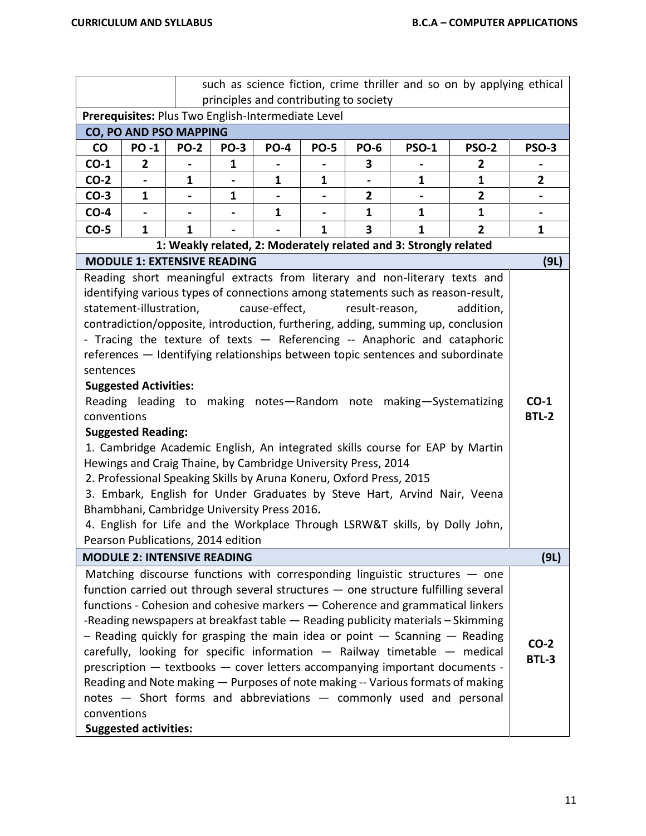| such as science fiction, crime thriller and so on by applying ethical<br>principles and contributing to society |                              |                                    |             |                                                                     |                |                |                                                                                    |                |                |  |  |
|-----------------------------------------------------------------------------------------------------------------|------------------------------|------------------------------------|-------------|---------------------------------------------------------------------|----------------|----------------|------------------------------------------------------------------------------------|----------------|----------------|--|--|
|                                                                                                                 |                              |                                    |             | Prerequisites: Plus Two English-Intermediate Level                  |                |                |                                                                                    |                |                |  |  |
|                                                                                                                 |                              | CO, PO AND PSO MAPPING             |             |                                                                     |                |                |                                                                                    |                |                |  |  |
| CO                                                                                                              | <b>PO-1</b>                  | <b>PO-2</b>                        | <b>PO-3</b> | <b>PO-4</b>                                                         | <b>PO-5</b>    | <b>PO-6</b>    | <b>PSO-1</b>                                                                       | <b>PSO-2</b>   | <b>PSO-3</b>   |  |  |
| $CO-1$                                                                                                          | $\mathbf{2}$                 | $\blacksquare$                     | 1           | $\blacksquare$                                                      | $\blacksquare$ | 3              | $\blacksquare$                                                                     | 2              |                |  |  |
| $CO-2$                                                                                                          |                              | 1                                  |             | 1                                                                   | 1              |                | 1                                                                                  | 1              | 2              |  |  |
| $CO-3$                                                                                                          | 1                            | $\qquad \qquad \blacksquare$       | 1           | $\blacksquare$                                                      |                | 2              |                                                                                    | $\overline{2}$ |                |  |  |
| $CO-4$                                                                                                          |                              |                                    |             | 1                                                                   |                | $\mathbf{1}$   | $\mathbf{1}$                                                                       | $\mathbf{1}$   | $\blacksquare$ |  |  |
| $CO-5$                                                                                                          | $\mathbf{1}$                 | $\mathbf{1}$                       |             |                                                                     | $\mathbf{1}$   | 3              | $\mathbf{1}$                                                                       | $\overline{2}$ | $\mathbf{1}$   |  |  |
|                                                                                                                 |                              |                                    |             |                                                                     |                |                | 1: Weakly related, 2: Moderately related and 3: Strongly related                   |                |                |  |  |
|                                                                                                                 |                              | <b>MODULE 1: EXTENSIVE READING</b> |             |                                                                     |                |                |                                                                                    |                | (9L)           |  |  |
|                                                                                                                 |                              |                                    |             |                                                                     |                |                | Reading short meaningful extracts from literary and non-literary texts and         |                |                |  |  |
|                                                                                                                 | statement-illustration,      |                                    |             | cause-effect,                                                       |                | result-reason, | identifying various types of connections among statements such as reason-result,   |                |                |  |  |
|                                                                                                                 |                              |                                    |             |                                                                     |                |                | contradiction/opposite, introduction, furthering, adding, summing up, conclusion   | addition,      |                |  |  |
|                                                                                                                 |                              |                                    |             |                                                                     |                |                |                                                                                    |                |                |  |  |
| - Tracing the texture of texts - Referencing -- Anaphoric and cataphoric                                        |                              |                                    |             |                                                                     |                |                |                                                                                    |                |                |  |  |
| references - Identifying relationships between topic sentences and subordinate<br>sentences                     |                              |                                    |             |                                                                     |                |                |                                                                                    |                |                |  |  |
|                                                                                                                 | <b>Suggested Activities:</b> |                                    |             |                                                                     |                |                |                                                                                    |                |                |  |  |
|                                                                                                                 |                              |                                    |             |                                                                     |                |                | Reading leading to making notes-Random note making-Systematizing                   |                | $CO-1$         |  |  |
| conventions                                                                                                     |                              |                                    |             |                                                                     |                |                |                                                                                    |                | <b>BTL-2</b>   |  |  |
|                                                                                                                 | <b>Suggested Reading:</b>    |                                    |             |                                                                     |                |                |                                                                                    |                |                |  |  |
|                                                                                                                 |                              |                                    |             |                                                                     |                |                | 1. Cambridge Academic English, An integrated skills course for EAP by Martin       |                |                |  |  |
|                                                                                                                 |                              |                                    |             | Hewings and Craig Thaine, by Cambridge University Press, 2014       |                |                |                                                                                    |                |                |  |  |
|                                                                                                                 |                              |                                    |             | 2. Professional Speaking Skills by Aruna Koneru, Oxford Press, 2015 |                |                |                                                                                    |                |                |  |  |
|                                                                                                                 |                              |                                    |             |                                                                     |                |                | 3. Embark, English for Under Graduates by Steve Hart, Arvind Nair, Veena           |                |                |  |  |
|                                                                                                                 |                              |                                    |             | Bhambhani, Cambridge University Press 2016.                         |                |                |                                                                                    |                |                |  |  |
|                                                                                                                 |                              |                                    |             |                                                                     |                |                | 4. English for Life and the Workplace Through LSRW&T skills, by Dolly John,        |                |                |  |  |
|                                                                                                                 |                              | Pearson Publications, 2014 edition |             |                                                                     |                |                |                                                                                    |                |                |  |  |
|                                                                                                                 |                              | <b>MODULE 2: INTENSIVE READING</b> |             |                                                                     |                |                |                                                                                    |                | (9L)           |  |  |
|                                                                                                                 |                              |                                    |             |                                                                     |                |                | Matching discourse functions with corresponding linguistic structures $-$ one      |                |                |  |  |
|                                                                                                                 |                              |                                    |             |                                                                     |                |                | function carried out through several structures - one structure fulfilling several |                |                |  |  |
|                                                                                                                 |                              |                                    |             |                                                                     |                |                | functions - Cohesion and cohesive markers - Coherence and grammatical linkers      |                |                |  |  |
|                                                                                                                 |                              |                                    |             |                                                                     |                |                | -Reading newspapers at breakfast table - Reading publicity materials - Skimming    |                |                |  |  |
|                                                                                                                 |                              |                                    |             |                                                                     |                |                | - Reading quickly for grasping the main idea or point $-$ Scanning $-$ Reading     |                | $CO-2$         |  |  |
|                                                                                                                 |                              |                                    |             |                                                                     |                |                | carefully, looking for specific information $-$ Railway timetable $-$ medical      |                | <b>BTL-3</b>   |  |  |
|                                                                                                                 |                              |                                    |             |                                                                     |                |                | prescription - textbooks - cover letters accompanying important documents -        |                |                |  |  |
|                                                                                                                 |                              |                                    |             |                                                                     |                |                | Reading and Note making - Purposes of note making -- Various formats of making     |                |                |  |  |
|                                                                                                                 |                              |                                    |             |                                                                     |                |                | notes - Short forms and abbreviations - commonly used and personal                 |                |                |  |  |
| conventions                                                                                                     |                              |                                    |             |                                                                     |                |                |                                                                                    |                |                |  |  |
|                                                                                                                 | <b>Suggested activities:</b> |                                    |             |                                                                     |                |                |                                                                                    |                |                |  |  |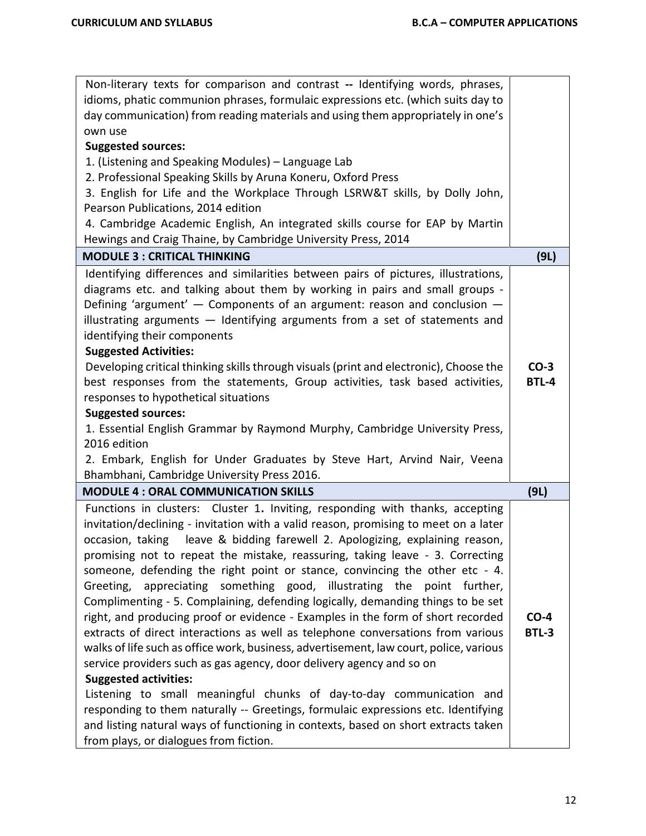| Non-literary texts for comparison and contrast -- Identifying words, phrases,                                                                            |              |
|----------------------------------------------------------------------------------------------------------------------------------------------------------|--------------|
| idioms, phatic communion phrases, formulaic expressions etc. (which suits day to                                                                         |              |
| day communication) from reading materials and using them appropriately in one's                                                                          |              |
| own use                                                                                                                                                  |              |
| <b>Suggested sources:</b>                                                                                                                                |              |
| 1. (Listening and Speaking Modules) - Language Lab                                                                                                       |              |
| 2. Professional Speaking Skills by Aruna Koneru, Oxford Press                                                                                            |              |
| 3. English for Life and the Workplace Through LSRW&T skills, by Dolly John,                                                                              |              |
| Pearson Publications, 2014 edition                                                                                                                       |              |
| 4. Cambridge Academic English, An integrated skills course for EAP by Martin                                                                             |              |
| Hewings and Craig Thaine, by Cambridge University Press, 2014                                                                                            |              |
| <b>MODULE 3 : CRITICAL THINKING</b>                                                                                                                      | (9L)         |
| Identifying differences and similarities between pairs of pictures, illustrations,                                                                       |              |
| diagrams etc. and talking about them by working in pairs and small groups -                                                                              |              |
| Defining 'argument' - Components of an argument: reason and conclusion -                                                                                 |              |
| illustrating arguments - Identifying arguments from a set of statements and                                                                              |              |
| identifying their components                                                                                                                             |              |
| <b>Suggested Activities:</b>                                                                                                                             |              |
| Developing critical thinking skills through visuals (print and electronic), Choose the                                                                   | $CO-3$       |
| best responses from the statements, Group activities, task based activities,                                                                             | <b>BTL-4</b> |
| responses to hypothetical situations                                                                                                                     |              |
| <b>Suggested sources:</b>                                                                                                                                |              |
| 1. Essential English Grammar by Raymond Murphy, Cambridge University Press,                                                                              |              |
| 2016 edition                                                                                                                                             |              |
| 2. Embark, English for Under Graduates by Steve Hart, Arvind Nair, Veena                                                                                 |              |
| Bhambhani, Cambridge University Press 2016.                                                                                                              |              |
| <b>MODULE 4: ORAL COMMUNICATION SKILLS</b>                                                                                                               | (9L)         |
| Functions in clusters: Cluster 1. Inviting, responding with thanks, accepting                                                                            |              |
| invitation/declining - invitation with a valid reason, promising to meet on a later                                                                      |              |
| leave & bidding farewell 2. Apologizing, explaining reason,<br>occasion, taking                                                                          |              |
| promising not to repeat the mistake, reassuring, taking leave - 3. Correcting                                                                            |              |
| someone, defending the right point or stance, convincing the other etc - 4.<br>appreciating something good, illustrating the point further,<br>Greeting, |              |
| Complimenting - 5. Complaining, defending logically, demanding things to be set                                                                          |              |
| right, and producing proof or evidence - Examples in the form of short recorded                                                                          | $CO-4$       |
| extracts of direct interactions as well as telephone conversations from various                                                                          | <b>BTL-3</b> |
| walks of life such as office work, business, advertisement, law court, police, various                                                                   |              |
| service providers such as gas agency, door delivery agency and so on                                                                                     |              |
| <b>Suggested activities:</b>                                                                                                                             |              |
| Listening to small meaningful chunks of day-to-day communication and                                                                                     |              |
| responding to them naturally -- Greetings, formulaic expressions etc. Identifying                                                                        |              |
| and listing natural ways of functioning in contexts, based on short extracts taken                                                                       |              |
| from plays, or dialogues from fiction.                                                                                                                   |              |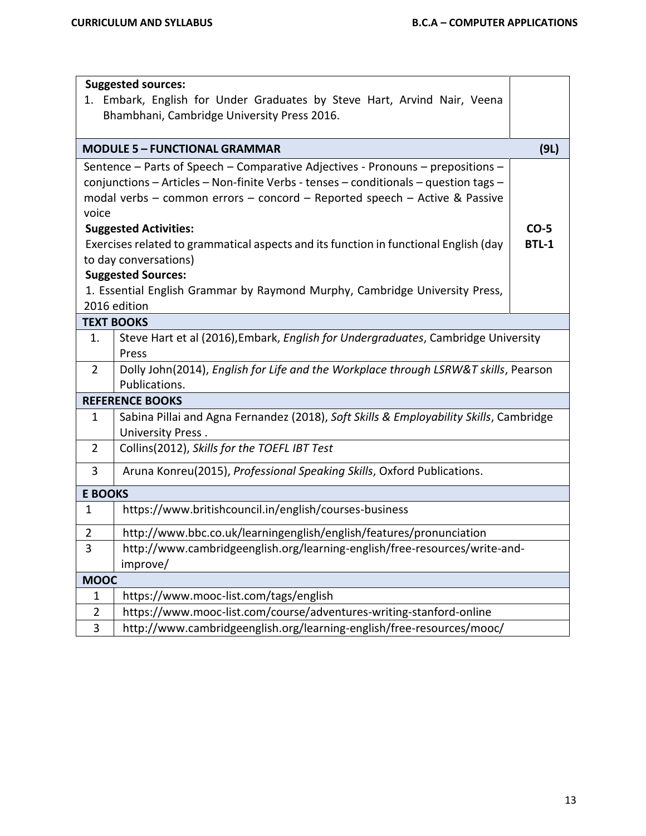$\overline{\phantom{0}}$ 

|                                                                                      | <b>Suggested sources:</b><br>1. Embark, English for Under Graduates by Steve Hart, Arvind Nair, Veena<br>Bhambhani, Cambridge University Press 2016. |              |  |  |  |  |  |  |  |
|--------------------------------------------------------------------------------------|------------------------------------------------------------------------------------------------------------------------------------------------------|--------------|--|--|--|--|--|--|--|
|                                                                                      | <b>MODULE 5 - FUNCTIONAL GRAMMAR</b>                                                                                                                 | (9L)         |  |  |  |  |  |  |  |
|                                                                                      | Sentence - Parts of Speech - Comparative Adjectives - Pronouns - prepositions -                                                                      |              |  |  |  |  |  |  |  |
|                                                                                      | conjunctions - Articles - Non-finite Verbs - tenses - conditionals - question tags -                                                                 |              |  |  |  |  |  |  |  |
| modal verbs - common errors - concord - Reported speech - Active & Passive<br>voice  |                                                                                                                                                      |              |  |  |  |  |  |  |  |
| <b>Suggested Activities:</b>                                                         |                                                                                                                                                      |              |  |  |  |  |  |  |  |
| Exercises related to grammatical aspects and its function in functional English (day |                                                                                                                                                      |              |  |  |  |  |  |  |  |
|                                                                                      | to day conversations)                                                                                                                                | <b>BTL-1</b> |  |  |  |  |  |  |  |
|                                                                                      | <b>Suggested Sources:</b>                                                                                                                            |              |  |  |  |  |  |  |  |
|                                                                                      | 1. Essential English Grammar by Raymond Murphy, Cambridge University Press,                                                                          |              |  |  |  |  |  |  |  |
|                                                                                      | 2016 edition                                                                                                                                         |              |  |  |  |  |  |  |  |
|                                                                                      | <b>TEXT BOOKS</b>                                                                                                                                    |              |  |  |  |  |  |  |  |
| 1.                                                                                   | Steve Hart et al (2016), Embark, English for Undergraduates, Cambridge University                                                                    |              |  |  |  |  |  |  |  |
| $\overline{2}$                                                                       | Press<br>Dolly John(2014), English for Life and the Workplace through LSRW&T skills, Pearson                                                         |              |  |  |  |  |  |  |  |
|                                                                                      | Publications.                                                                                                                                        |              |  |  |  |  |  |  |  |
|                                                                                      | <b>REFERENCE BOOKS</b>                                                                                                                               |              |  |  |  |  |  |  |  |
| $\mathbf{1}$                                                                         | Sabina Pillai and Agna Fernandez (2018), Soft Skills & Employability Skills, Cambridge                                                               |              |  |  |  |  |  |  |  |
|                                                                                      | University Press.                                                                                                                                    |              |  |  |  |  |  |  |  |
| $\overline{2}$                                                                       | Collins(2012), Skills for the TOEFL IBT Test                                                                                                         |              |  |  |  |  |  |  |  |
| 3                                                                                    | Aruna Konreu(2015), Professional Speaking Skills, Oxford Publications.                                                                               |              |  |  |  |  |  |  |  |
| <b>E BOOKS</b>                                                                       |                                                                                                                                                      |              |  |  |  |  |  |  |  |
| $\mathbf{1}$                                                                         | https://www.britishcouncil.in/english/courses-business                                                                                               |              |  |  |  |  |  |  |  |
| $\overline{2}$                                                                       | http://www.bbc.co.uk/learningenglish/english/features/pronunciation                                                                                  |              |  |  |  |  |  |  |  |
| 3                                                                                    | http://www.cambridgeenglish.org/learning-english/free-resources/write-and-                                                                           |              |  |  |  |  |  |  |  |
|                                                                                      | improve/                                                                                                                                             |              |  |  |  |  |  |  |  |
| <b>MOOC</b>                                                                          |                                                                                                                                                      |              |  |  |  |  |  |  |  |
| 1                                                                                    | https://www.mooc-list.com/tags/english                                                                                                               |              |  |  |  |  |  |  |  |
| $\overline{2}$                                                                       | https://www.mooc-list.com/course/adventures-writing-stanford-online                                                                                  |              |  |  |  |  |  |  |  |
| 3                                                                                    | http://www.cambridgeenglish.org/learning-english/free-resources/mooc/                                                                                |              |  |  |  |  |  |  |  |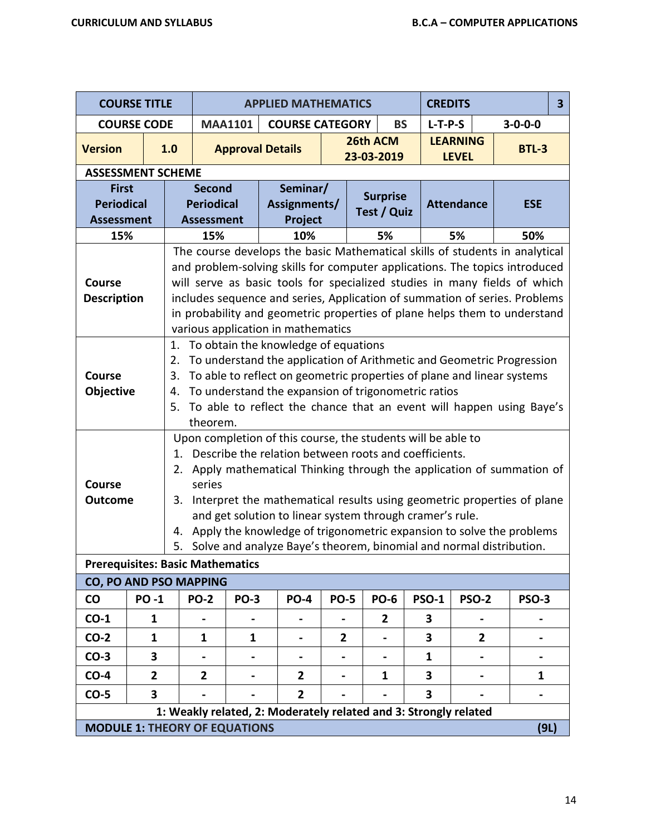|                                                        | <b>COURSE TITLE</b>                                                                                              |                            |                                                                                                                                                                                                                                                                                                                                    |                | <b>APPLIED MATHEMATICS</b>                                                                                                                                                                                                                                                                                                                                                                                                                                                        |             |                                | <b>CREDITS</b> |                                 |                 | 3 |
|--------------------------------------------------------|------------------------------------------------------------------------------------------------------------------|----------------------------|------------------------------------------------------------------------------------------------------------------------------------------------------------------------------------------------------------------------------------------------------------------------------------------------------------------------------------|----------------|-----------------------------------------------------------------------------------------------------------------------------------------------------------------------------------------------------------------------------------------------------------------------------------------------------------------------------------------------------------------------------------------------------------------------------------------------------------------------------------|-------------|--------------------------------|----------------|---------------------------------|-----------------|---|
|                                                        | <b>COURSE CODE</b>                                                                                               |                            |                                                                                                                                                                                                                                                                                                                                    | <b>MAA1101</b> | <b>COURSE CATEGORY</b>                                                                                                                                                                                                                                                                                                                                                                                                                                                            |             | <b>BS</b>                      | $L-T-P-S$      |                                 | $3 - 0 - 0 - 0$ |   |
| <b>Version</b>                                         |                                                                                                                  | 1.0                        |                                                                                                                                                                                                                                                                                                                                    |                | <b>Approval Details</b>                                                                                                                                                                                                                                                                                                                                                                                                                                                           |             | 26th ACM<br>23-03-2019         |                | <b>LEARNING</b><br><b>LEVEL</b> | <b>BTL-3</b>    |   |
| <b>ASSESSMENT SCHEME</b>                               |                                                                                                                  |                            |                                                                                                                                                                                                                                                                                                                                    |                |                                                                                                                                                                                                                                                                                                                                                                                                                                                                                   |             |                                |                |                                 |                 |   |
| <b>First</b><br><b>Periodical</b><br><b>Assessment</b> |                                                                                                                  |                            | Second<br><b>Periodical</b><br><b>Assessment</b>                                                                                                                                                                                                                                                                                   |                | Seminar/<br>Assignments/<br>Project                                                                                                                                                                                                                                                                                                                                                                                                                                               |             | <b>Surprise</b><br>Test / Quiz |                | <b>Attendance</b>               | <b>ESE</b>      |   |
| 15%                                                    |                                                                                                                  |                            | 15%                                                                                                                                                                                                                                                                                                                                |                | 10%                                                                                                                                                                                                                                                                                                                                                                                                                                                                               |             | 5%                             |                | 5%                              | 50%             |   |
| <b>Course</b><br><b>Description</b>                    |                                                                                                                  |                            |                                                                                                                                                                                                                                                                                                                                    |                | The course develops the basic Mathematical skills of students in analytical<br>and problem-solving skills for computer applications. The topics introduced<br>will serve as basic tools for specialized studies in many fields of which<br>includes sequence and series, Application of summation of series. Problems<br>in probability and geometric properties of plane helps them to understand<br>various application in mathematics                                          |             |                                |                |                                 |                 |   |
| Course<br><b>Objective</b>                             |                                                                                                                  | 1.<br>2.<br>3.<br>4.<br>5. | To obtain the knowledge of equations<br>To understand the application of Arithmetic and Geometric Progression<br>To able to reflect on geometric properties of plane and linear systems<br>To understand the expansion of trigonometric ratios<br>To able to reflect the chance that an event will happen using Baye's<br>theorem. |                |                                                                                                                                                                                                                                                                                                                                                                                                                                                                                   |             |                                |                |                                 |                 |   |
| <b>Course</b><br><b>Outcome</b>                        |                                                                                                                  | 1.<br>2.<br>3.<br>4.<br>5. | series                                                                                                                                                                                                                                                                                                                             |                | Upon completion of this course, the students will be able to<br>Describe the relation between roots and coefficients.<br>Apply mathematical Thinking through the application of summation of<br>Interpret the mathematical results using geometric properties of plane<br>and get solution to linear system through cramer's rule.<br>Apply the knowledge of trigonometric expansion to solve the problems<br>Solve and analyze Baye's theorem, binomial and normal distribution. |             |                                |                |                                 |                 |   |
| <b>Prerequisites: Basic Mathematics</b>                |                                                                                                                  |                            |                                                                                                                                                                                                                                                                                                                                    |                |                                                                                                                                                                                                                                                                                                                                                                                                                                                                                   |             |                                |                |                                 |                 |   |
| <b>CO, PO AND PSO MAPPING</b>                          |                                                                                                                  |                            |                                                                                                                                                                                                                                                                                                                                    |                |                                                                                                                                                                                                                                                                                                                                                                                                                                                                                   |             |                                |                |                                 |                 |   |
| $\mathbf{C}\mathbf{O}$                                 | <b>PO-1</b>                                                                                                      |                            | <b>PO-2</b>                                                                                                                                                                                                                                                                                                                        | <b>PO-3</b>    | <b>PO-4</b>                                                                                                                                                                                                                                                                                                                                                                                                                                                                       | <b>PO-5</b> | <b>PO-6</b>                    | <b>PSO-1</b>   | <b>PSO-2</b>                    | <b>PSO-3</b>    |   |
| $CO-1$                                                 | $\mathbf{1}$                                                                                                     |                            |                                                                                                                                                                                                                                                                                                                                    |                |                                                                                                                                                                                                                                                                                                                                                                                                                                                                                   |             | $\overline{2}$                 | 3              |                                 |                 |   |
| $CO-2$                                                 | $\mathbf{1}$                                                                                                     |                            | $\mathbf{1}$                                                                                                                                                                                                                                                                                                                       | $\mathbf{1}$   | ۰                                                                                                                                                                                                                                                                                                                                                                                                                                                                                 | 2           |                                | 3              | $\mathbf{2}$                    |                 |   |
| $CO-3$                                                 | 3                                                                                                                |                            |                                                                                                                                                                                                                                                                                                                                    |                | -                                                                                                                                                                                                                                                                                                                                                                                                                                                                                 |             |                                | $\mathbf{1}$   |                                 |                 |   |
| $CO-4$                                                 | $\overline{2}$                                                                                                   |                            | $\overline{2}$                                                                                                                                                                                                                                                                                                                     |                | $\mathbf{2}$                                                                                                                                                                                                                                                                                                                                                                                                                                                                      |             | 1                              | 3              |                                 | 1               |   |
| $CO-5$                                                 | 3                                                                                                                |                            |                                                                                                                                                                                                                                                                                                                                    |                | $\overline{2}$                                                                                                                                                                                                                                                                                                                                                                                                                                                                    |             |                                | 3              |                                 |                 |   |
|                                                        | 1: Weakly related, 2: Moderately related and 3: Strongly related<br><b>MODULE 1: THEORY OF EQUATIONS</b><br>(9L) |                            |                                                                                                                                                                                                                                                                                                                                    |                |                                                                                                                                                                                                                                                                                                                                                                                                                                                                                   |             |                                |                |                                 |                 |   |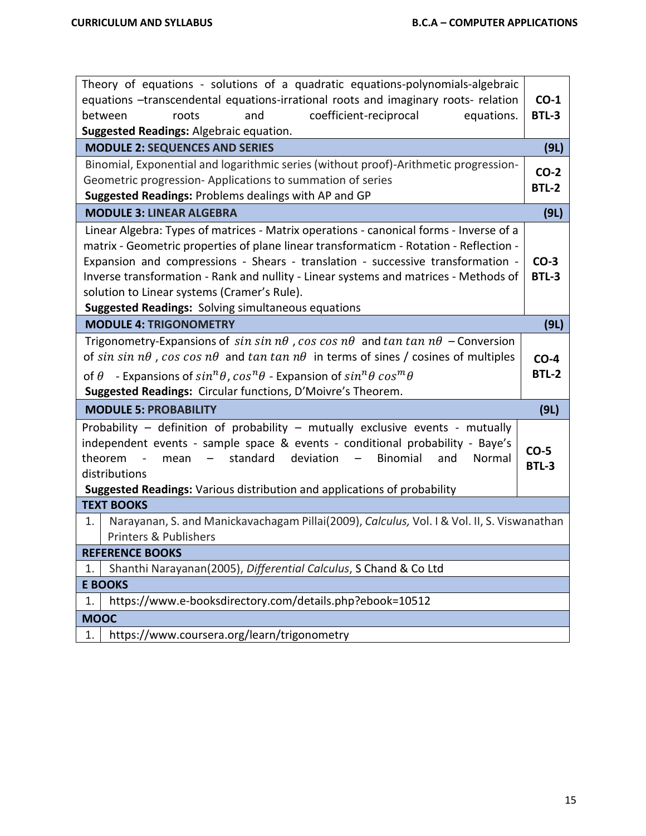| Theory of equations - solutions of a quadratic equations-polynomials-algebraic<br>equations -transcendental equations-irrational roots and imaginary roots- relation<br>coefficient-reciprocal<br>between<br>and<br>equations.<br>roots<br><b>Suggested Readings: Algebraic equation.</b>                                                                                                                                                                               | $CO-1$<br><b>BTL-3</b> |
|-------------------------------------------------------------------------------------------------------------------------------------------------------------------------------------------------------------------------------------------------------------------------------------------------------------------------------------------------------------------------------------------------------------------------------------------------------------------------|------------------------|
| <b>MODULE 2: SEQUENCES AND SERIES</b>                                                                                                                                                                                                                                                                                                                                                                                                                                   | (9L)                   |
| Binomial, Exponential and logarithmic series (without proof)-Arithmetic progression-<br>Geometric progression-Applications to summation of series<br>Suggested Readings: Problems dealings with AP and GP                                                                                                                                                                                                                                                               | $CO-2$<br><b>BTL-2</b> |
| <b>MODULE 3: LINEAR ALGEBRA</b>                                                                                                                                                                                                                                                                                                                                                                                                                                         | (9L)                   |
| Linear Algebra: Types of matrices - Matrix operations - canonical forms - Inverse of a<br>matrix - Geometric properties of plane linear transformaticm - Rotation - Reflection -<br>Expansion and compressions - Shears - translation - successive transformation -<br>Inverse transformation - Rank and nullity - Linear systems and matrices - Methods of<br>solution to Linear systems (Cramer's Rule).<br><b>Suggested Readings: Solving simultaneous equations</b> | $CO-3$<br><b>BTL-3</b> |
| <b>MODULE 4: TRIGONOMETRY</b>                                                                                                                                                                                                                                                                                                                                                                                                                                           | (9L)                   |
| Trigonometry-Expansions of $sin sin n\theta$ , cos cos $n\theta$ and $tan tan n\theta$ – Conversion<br>of sin sin $n\theta$ , cos cos $n\theta$ and tan tan $n\theta$ in terms of sines / cosines of multiples<br>of $\theta$ - Expansions of $sin^n\theta$ , $cos^n\theta$ - Expansion of $sin^n\theta cos^m\theta$<br>Suggested Readings: Circular functions, D'Moivre's Theorem.                                                                                     | $CO-4$<br><b>BTL-2</b> |
| <b>MODULE 5: PROBABILITY</b>                                                                                                                                                                                                                                                                                                                                                                                                                                            | (9L)                   |
| Probability - definition of probability - mutually exclusive events - mutually<br>independent events - sample space & events - conditional probability - Baye's<br>standard<br>deviation<br>theorem<br>Binomial<br>and<br>Normal<br>$\sim$ $-$<br>mean<br>$  \,$<br>distributions<br>Suggested Readings: Various distribution and applications of probability                                                                                                           | $CO-5$<br><b>BTL-3</b> |
| <b>TEXT BOOKS</b>                                                                                                                                                                                                                                                                                                                                                                                                                                                       |                        |
| Narayanan, S. and Manickavachagam Pillai(2009), Calculus, Vol. I & Vol. II, S. Viswanathan<br>1.<br><b>Printers &amp; Publishers</b>                                                                                                                                                                                                                                                                                                                                    |                        |
| <b>REFERENCE BOOKS</b>                                                                                                                                                                                                                                                                                                                                                                                                                                                  |                        |
| Shanthi Narayanan(2005), Differential Calculus, S Chand & Co Ltd<br>1.                                                                                                                                                                                                                                                                                                                                                                                                  |                        |
| <b>E BOOKS</b>                                                                                                                                                                                                                                                                                                                                                                                                                                                          |                        |
| https://www.e-booksdirectory.com/details.php?ebook=10512<br>1.                                                                                                                                                                                                                                                                                                                                                                                                          |                        |
| <b>MOOC</b>                                                                                                                                                                                                                                                                                                                                                                                                                                                             |                        |
| https://www.coursera.org/learn/trigonometry<br>1.                                                                                                                                                                                                                                                                                                                                                                                                                       |                        |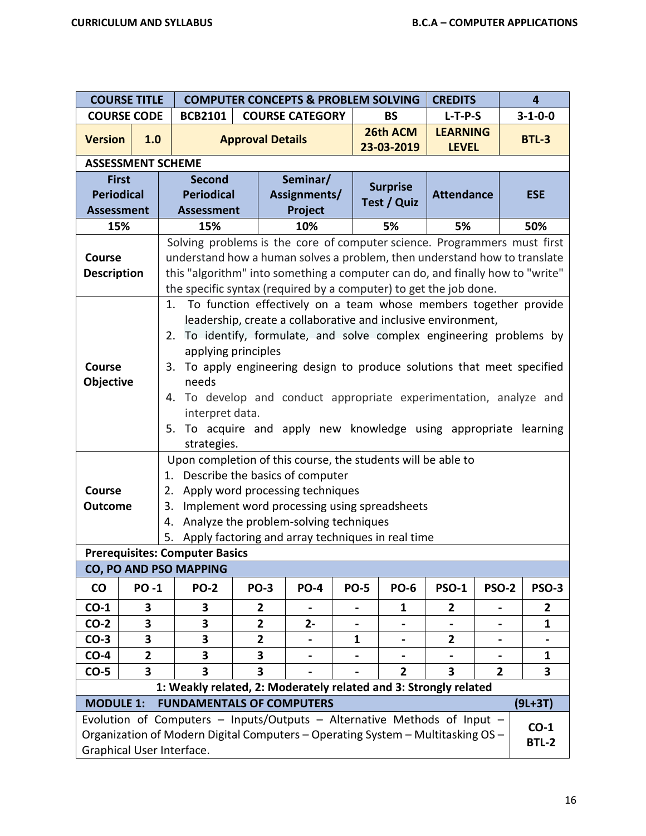|                                                        | <b>COURSE TITLE</b>                                                                                                                                                                                                                                    |                                                                                                                                                                                                                                                                                                                                                                                                                                                                                                                                                                                                                                                      | <b>COMPUTER CONCEPTS &amp; PROBLEM SOLVING</b> |                                                                                  |             |                                |                                 |                   |              | 4               |
|--------------------------------------------------------|--------------------------------------------------------------------------------------------------------------------------------------------------------------------------------------------------------------------------------------------------------|------------------------------------------------------------------------------------------------------------------------------------------------------------------------------------------------------------------------------------------------------------------------------------------------------------------------------------------------------------------------------------------------------------------------------------------------------------------------------------------------------------------------------------------------------------------------------------------------------------------------------------------------------|------------------------------------------------|----------------------------------------------------------------------------------|-------------|--------------------------------|---------------------------------|-------------------|--------------|-----------------|
|                                                        | <b>COURSE CODE</b>                                                                                                                                                                                                                                     | <b>BCB2101</b>                                                                                                                                                                                                                                                                                                                                                                                                                                                                                                                                                                                                                                       |                                                | <b>COURSE CATEGORY</b>                                                           |             | <b>BS</b>                      |                                 | $L-T-P-S$         |              | $3 - 1 - 0 - 0$ |
| <b>Version</b>                                         | 1.0                                                                                                                                                                                                                                                    |                                                                                                                                                                                                                                                                                                                                                                                                                                                                                                                                                                                                                                                      |                                                | 26th ACM<br><b>Approval Details</b><br>23-03-2019                                |             |                                | <b>LEARNING</b><br><b>LEVEL</b> |                   | <b>BTL-3</b> |                 |
|                                                        | <b>ASSESSMENT SCHEME</b>                                                                                                                                                                                                                               |                                                                                                                                                                                                                                                                                                                                                                                                                                                                                                                                                                                                                                                      |                                                |                                                                                  |             |                                |                                 |                   |              |                 |
| <b>First</b><br><b>Periodical</b><br><b>Assessment</b> |                                                                                                                                                                                                                                                        | <b>Second</b><br><b>Periodical</b><br><b>Assessment</b>                                                                                                                                                                                                                                                                                                                                                                                                                                                                                                                                                                                              |                                                | Seminar/<br>Assignments/<br>Project                                              |             | <b>Surprise</b><br>Test / Quiz |                                 | <b>Attendance</b> |              | <b>ESE</b>      |
| 15%                                                    |                                                                                                                                                                                                                                                        | 15%                                                                                                                                                                                                                                                                                                                                                                                                                                                                                                                                                                                                                                                  |                                                | 10%                                                                              |             | 5%                             |                                 | 5%                |              | 50%             |
|                                                        |                                                                                                                                                                                                                                                        | Solving problems is the core of computer science. Programmers must first                                                                                                                                                                                                                                                                                                                                                                                                                                                                                                                                                                             |                                                |                                                                                  |             |                                |                                 |                   |              |                 |
| <b>Course</b><br><b>Description</b>                    |                                                                                                                                                                                                                                                        | understand how a human solves a problem, then understand how to translate<br>this "algorithm" into something a computer can do, and finally how to "write"                                                                                                                                                                                                                                                                                                                                                                                                                                                                                           |                                                |                                                                                  |             |                                |                                 |                   |              |                 |
| <b>Course</b><br>Objective                             |                                                                                                                                                                                                                                                        | the specific syntax (required by a computer) to get the job done.<br>To function effectively on a team whose members together provide<br>1.<br>leadership, create a collaborative and inclusive environment,<br>To identify, formulate, and solve complex engineering problems by<br>2.<br>applying principles<br>3. To apply engineering design to produce solutions that meet specified<br>needs<br>To develop and conduct appropriate experimentation, analyze and<br>4.<br>interpret data.<br>To acquire and apply new knowledge using appropriate learning<br>5.<br>strategies.<br>Upon completion of this course, the students will be able to |                                                |                                                                                  |             |                                |                                 |                   |              |                 |
|                                                        |                                                                                                                                                                                                                                                        | 1. Describe the basics of computer                                                                                                                                                                                                                                                                                                                                                                                                                                                                                                                                                                                                                   |                                                |                                                                                  |             |                                |                                 |                   |              |                 |
| <b>Course</b><br><b>Outcome</b>                        |                                                                                                                                                                                                                                                        | 2.<br>3.                                                                                                                                                                                                                                                                                                                                                                                                                                                                                                                                                                                                                                             |                                                | Apply word processing techniques<br>Implement word processing using spreadsheets |             |                                |                                 |                   |              |                 |
|                                                        |                                                                                                                                                                                                                                                        | 4.                                                                                                                                                                                                                                                                                                                                                                                                                                                                                                                                                                                                                                                   |                                                | Analyze the problem-solving techniques                                           |             |                                |                                 |                   |              |                 |
|                                                        |                                                                                                                                                                                                                                                        | 5. Apply factoring and array techniques in real time                                                                                                                                                                                                                                                                                                                                                                                                                                                                                                                                                                                                 |                                                |                                                                                  |             |                                |                                 |                   |              |                 |
|                                                        |                                                                                                                                                                                                                                                        | <b>Prerequisites: Computer Basics</b>                                                                                                                                                                                                                                                                                                                                                                                                                                                                                                                                                                                                                |                                                |                                                                                  |             |                                |                                 |                   |              |                 |
|                                                        |                                                                                                                                                                                                                                                        | <b>CO, PO AND PSO MAPPING</b>                                                                                                                                                                                                                                                                                                                                                                                                                                                                                                                                                                                                                        |                                                |                                                                                  |             |                                |                                 |                   |              |                 |
| <b>CO</b>                                              | <b>PO-1</b>                                                                                                                                                                                                                                            | <b>PO-2</b>                                                                                                                                                                                                                                                                                                                                                                                                                                                                                                                                                                                                                                          | <b>PO-3</b>                                    | <b>PO-4</b>                                                                      | <b>PO-5</b> |                                | <b>PO-6</b>                     | <b>PSO-1</b>      | <b>PSO-2</b> | <b>PSO-3</b>    |
| $CO-1$                                                 | 3                                                                                                                                                                                                                                                      | 3                                                                                                                                                                                                                                                                                                                                                                                                                                                                                                                                                                                                                                                    | 2                                              |                                                                                  |             |                                | 1                               | 2                 |              | 2               |
| $CO-2$                                                 | 3                                                                                                                                                                                                                                                      | 3                                                                                                                                                                                                                                                                                                                                                                                                                                                                                                                                                                                                                                                    | $\overline{2}$                                 | $2-$                                                                             |             |                                |                                 |                   |              | $\mathbf{1}$    |
| $CO-3$                                                 | 3                                                                                                                                                                                                                                                      | 3                                                                                                                                                                                                                                                                                                                                                                                                                                                                                                                                                                                                                                                    | $\mathbf{2}$                                   | $\blacksquare$                                                                   | 1           |                                | $\blacksquare$                  | $\mathbf{2}$      |              |                 |
| $CO-4$                                                 | $\overline{\mathbf{2}}$                                                                                                                                                                                                                                | 3                                                                                                                                                                                                                                                                                                                                                                                                                                                                                                                                                                                                                                                    | 3                                              |                                                                                  |             |                                |                                 |                   |              | $\mathbf{1}$    |
| $CO-5$                                                 | $\overline{\mathbf{3}}$                                                                                                                                                                                                                                | 3                                                                                                                                                                                                                                                                                                                                                                                                                                                                                                                                                                                                                                                    | 3                                              |                                                                                  |             |                                | $\overline{2}$                  | 3                 | $\mathbf{2}$ | 3               |
|                                                        |                                                                                                                                                                                                                                                        | 1: Weakly related, 2: Moderately related and 3: Strongly related                                                                                                                                                                                                                                                                                                                                                                                                                                                                                                                                                                                     |                                                |                                                                                  |             |                                |                                 |                   |              |                 |
| <b>MODULE 1:</b>                                       |                                                                                                                                                                                                                                                        |                                                                                                                                                                                                                                                                                                                                                                                                                                                                                                                                                                                                                                                      |                                                |                                                                                  |             |                                |                                 |                   |              | $(9L+3T)$       |
|                                                        | <b>FUNDAMENTALS OF COMPUTERS</b><br>Evolution of Computers - Inputs/Outputs - Alternative Methods of Input -<br>$CO-1$<br>Organization of Modern Digital Computers - Operating System - Multitasking OS -<br><b>BTL-2</b><br>Graphical User Interface. |                                                                                                                                                                                                                                                                                                                                                                                                                                                                                                                                                                                                                                                      |                                                |                                                                                  |             |                                |                                 |                   |              |                 |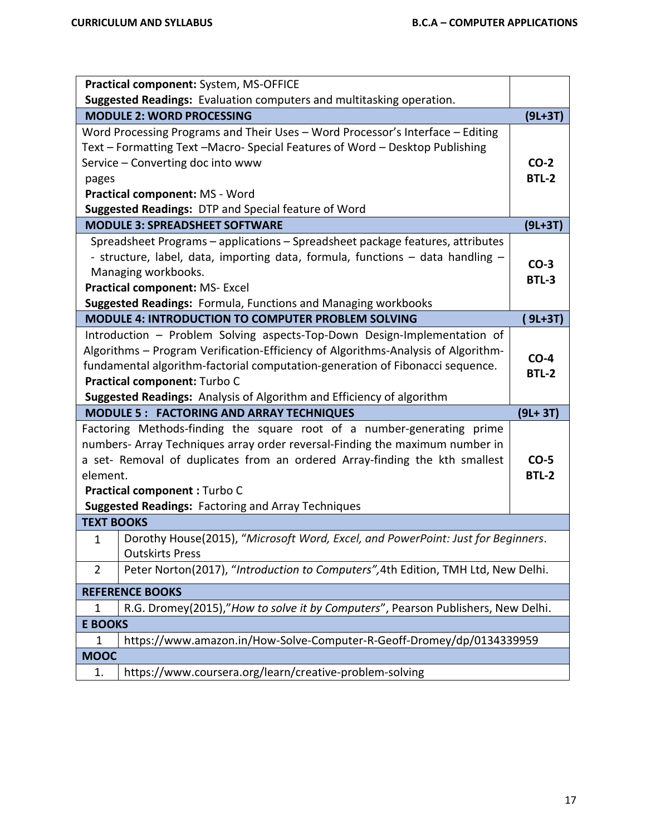|                                                                                                                          | Practical component: System, MS-OFFICE                                            |              |  |  |  |  |  |
|--------------------------------------------------------------------------------------------------------------------------|-----------------------------------------------------------------------------------|--------------|--|--|--|--|--|
|                                                                                                                          | Suggested Readings: Evaluation computers and multitasking operation.              |              |  |  |  |  |  |
|                                                                                                                          | <b>MODULE 2: WORD PROCESSING</b>                                                  | $(9L+3T)$    |  |  |  |  |  |
|                                                                                                                          | Word Processing Programs and Their Uses - Word Processor's Interface - Editing    |              |  |  |  |  |  |
|                                                                                                                          | Text - Formatting Text -Macro- Special Features of Word - Desktop Publishing      |              |  |  |  |  |  |
| Service - Converting doc into www                                                                                        |                                                                                   |              |  |  |  |  |  |
| pages                                                                                                                    |                                                                                   | <b>BTL-2</b> |  |  |  |  |  |
|                                                                                                                          | Practical component: MS - Word                                                    |              |  |  |  |  |  |
|                                                                                                                          | Suggested Readings: DTP and Special feature of Word                               |              |  |  |  |  |  |
|                                                                                                                          | <b>MODULE 3: SPREADSHEET SOFTWARE</b>                                             | $(9L+3T)$    |  |  |  |  |  |
|                                                                                                                          | Spreadsheet Programs - applications - Spreadsheet package features, attributes    |              |  |  |  |  |  |
|                                                                                                                          | - structure, label, data, importing data, formula, functions - data handling -    | $CO-3$       |  |  |  |  |  |
|                                                                                                                          | Managing workbooks.                                                               | <b>BTL-3</b> |  |  |  |  |  |
|                                                                                                                          | <b>Practical component: MS-Excel</b>                                              |              |  |  |  |  |  |
|                                                                                                                          | <b>Suggested Readings: Formula, Functions and Managing workbooks</b>              |              |  |  |  |  |  |
|                                                                                                                          | <b>MODULE 4: INTRODUCTION TO COMPUTER PROBLEM SOLVING</b>                         | 9L+3T)       |  |  |  |  |  |
|                                                                                                                          | Introduction - Problem Solving aspects-Top-Down Design-Implementation of          |              |  |  |  |  |  |
|                                                                                                                          | Algorithms - Program Verification-Efficiency of Algorithms-Analysis of Algorithm- | $CO-4$       |  |  |  |  |  |
|                                                                                                                          | fundamental algorithm-factorial computation-generation of Fibonacci sequence.     | <b>BTL-2</b> |  |  |  |  |  |
| Practical component: Turbo C                                                                                             |                                                                                   |              |  |  |  |  |  |
| Suggested Readings: Analysis of Algorithm and Efficiency of algorithm<br><b>MODULE 5: FACTORING AND ARRAY TECHNIQUES</b> |                                                                                   |              |  |  |  |  |  |
|                                                                                                                          | Factoring Methods-finding the square root of a number-generating prime            | $(9L + 3T)$  |  |  |  |  |  |
|                                                                                                                          | numbers- Array Techniques array order reversal-Finding the maximum number in      |              |  |  |  |  |  |
|                                                                                                                          | a set- Removal of duplicates from an ordered Array-finding the kth smallest       | $CO-5$       |  |  |  |  |  |
| element.                                                                                                                 |                                                                                   | <b>BTL-2</b> |  |  |  |  |  |
|                                                                                                                          | Practical component : Turbo C                                                     |              |  |  |  |  |  |
|                                                                                                                          | <b>Suggested Readings: Factoring and Array Techniques</b>                         |              |  |  |  |  |  |
| <b>TEXT BOOKS</b>                                                                                                        |                                                                                   |              |  |  |  |  |  |
| $\mathbf 1$                                                                                                              | Dorothy House(2015), "Microsoft Word, Excel, and PowerPoint: Just for Beginners.  |              |  |  |  |  |  |
|                                                                                                                          | <b>Outskirts Press</b>                                                            |              |  |  |  |  |  |
| $\overline{2}$                                                                                                           | Peter Norton(2017), "Introduction to Computers", 4th Edition, TMH Ltd, New Delhi. |              |  |  |  |  |  |
|                                                                                                                          | <b>REFERENCE BOOKS</b>                                                            |              |  |  |  |  |  |
| 1                                                                                                                        | R.G. Dromey(2015),"How to solve it by Computers", Pearson Publishers, New Delhi.  |              |  |  |  |  |  |
| <b>E BOOKS</b>                                                                                                           |                                                                                   |              |  |  |  |  |  |
| 1                                                                                                                        | https://www.amazon.in/How-Solve-Computer-R-Geoff-Dromey/dp/0134339959             |              |  |  |  |  |  |
| <b>MOOC</b>                                                                                                              |                                                                                   |              |  |  |  |  |  |
|                                                                                                                          |                                                                                   |              |  |  |  |  |  |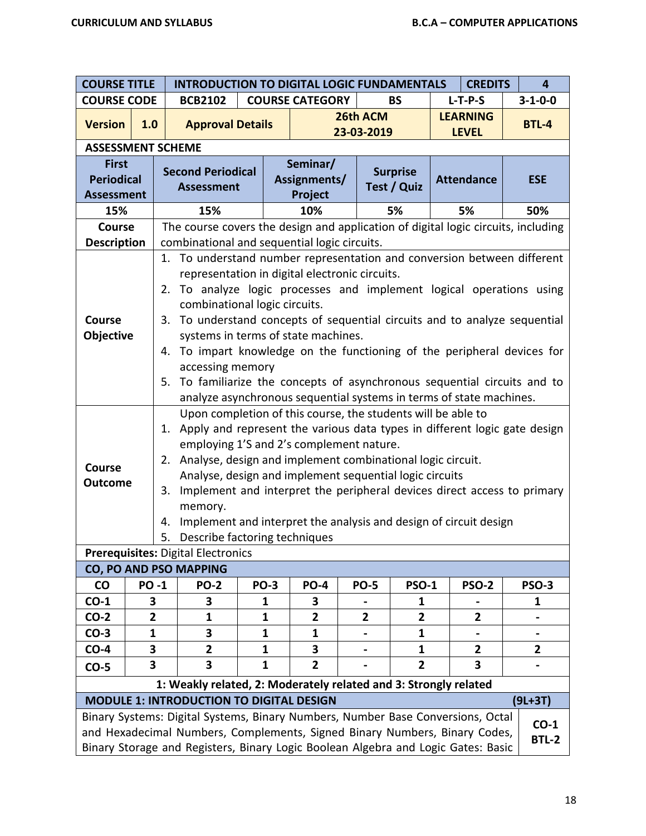| <b>COURSE TITLE</b>                                                  |                                                                                                                                                                                                                                                                              |                                  | <b>INTRODUCTION TO DIGITAL LOGIC FUNDAMENTALS</b><br><b>CREDITS</b><br>$\overline{\mathbf{4}}$                                                                                                                                     |             |                                     |                        |                                                                                                                                                                                                                                                                                                                                                                                                                                                                                                                                                                                                                                                                                                                                                                                                                                                                                 |                                 |                |                 |  |  |
|----------------------------------------------------------------------|------------------------------------------------------------------------------------------------------------------------------------------------------------------------------------------------------------------------------------------------------------------------------|----------------------------------|------------------------------------------------------------------------------------------------------------------------------------------------------------------------------------------------------------------------------------|-------------|-------------------------------------|------------------------|---------------------------------------------------------------------------------------------------------------------------------------------------------------------------------------------------------------------------------------------------------------------------------------------------------------------------------------------------------------------------------------------------------------------------------------------------------------------------------------------------------------------------------------------------------------------------------------------------------------------------------------------------------------------------------------------------------------------------------------------------------------------------------------------------------------------------------------------------------------------------------|---------------------------------|----------------|-----------------|--|--|
| <b>COURSE CODE</b>                                                   |                                                                                                                                                                                                                                                                              |                                  | <b>BCB2102</b>                                                                                                                                                                                                                     |             | <b>COURSE CATEGORY</b><br><b>BS</b> |                        |                                                                                                                                                                                                                                                                                                                                                                                                                                                                                                                                                                                                                                                                                                                                                                                                                                                                                 |                                 | $L-T-P-S$      | $3 - 1 - 0 - 0$ |  |  |
| <b>Version</b>                                                       | 1.0                                                                                                                                                                                                                                                                          |                                  | <b>Approval Details</b>                                                                                                                                                                                                            |             |                                     | 26th ACM<br>23-03-2019 |                                                                                                                                                                                                                                                                                                                                                                                                                                                                                                                                                                                                                                                                                                                                                                                                                                                                                 | <b>LEARNING</b><br><b>LEVEL</b> |                | <b>BTL-4</b>    |  |  |
| <b>ASSESSMENT SCHEME</b>                                             |                                                                                                                                                                                                                                                                              |                                  |                                                                                                                                                                                                                                    |             |                                     |                        |                                                                                                                                                                                                                                                                                                                                                                                                                                                                                                                                                                                                                                                                                                                                                                                                                                                                                 |                                 |                |                 |  |  |
| <b>First</b><br><b>Periodical</b><br><b>Assessment</b>               |                                                                                                                                                                                                                                                                              |                                  | <b>Second Periodical</b><br><b>Assessment</b>                                                                                                                                                                                      |             | Seminar/<br>Assignments/<br>Project |                        | <b>Surprise</b><br><b>Test / Quiz</b>                                                                                                                                                                                                                                                                                                                                                                                                                                                                                                                                                                                                                                                                                                                                                                                                                                           | <b>Attendance</b>               |                | <b>ESE</b>      |  |  |
| 15%                                                                  |                                                                                                                                                                                                                                                                              |                                  | 15%                                                                                                                                                                                                                                |             | 10%                                 |                        | 5%                                                                                                                                                                                                                                                                                                                                                                                                                                                                                                                                                                                                                                                                                                                                                                                                                                                                              | 5%                              |                | 50%             |  |  |
| <b>Course</b>                                                        |                                                                                                                                                                                                                                                                              |                                  |                                                                                                                                                                                                                                    |             |                                     |                        | The course covers the design and application of digital logic circuits, including                                                                                                                                                                                                                                                                                                                                                                                                                                                                                                                                                                                                                                                                                                                                                                                               |                                 |                |                 |  |  |
| <b>Description</b>                                                   |                                                                                                                                                                                                                                                                              |                                  | combinational and sequential logic circuits.                                                                                                                                                                                       |             |                                     |                        |                                                                                                                                                                                                                                                                                                                                                                                                                                                                                                                                                                                                                                                                                                                                                                                                                                                                                 |                                 |                |                 |  |  |
| <b>Course</b><br><b>Objective</b><br><b>Course</b><br><b>Outcome</b> |                                                                                                                                                                                                                                                                              | 5.<br>1.<br>2.<br>3.<br>4.<br>5. | representation in digital electronic circuits.<br>combinational logic circuits.<br>systems in terms of state machines.<br>accessing memory<br>employing 1'S and 2's complement nature.<br>memory.<br>Describe factoring techniques |             |                                     |                        | 1. To understand number representation and conversion between different<br>2. To analyze logic processes and implement logical operations using<br>3. To understand concepts of sequential circuits and to analyze sequential<br>4. To impart knowledge on the functioning of the peripheral devices for<br>To familiarize the concepts of asynchronous sequential circuits and to<br>analyze asynchronous sequential systems in terms of state machines.<br>Upon completion of this course, the students will be able to<br>Apply and represent the various data types in different logic gate design<br>Analyse, design and implement combinational logic circuit.<br>Analyse, design and implement sequential logic circuits<br>Implement and interpret the peripheral devices direct access to primary<br>Implement and interpret the analysis and design of circuit design |                                 |                |                 |  |  |
|                                                                      |                                                                                                                                                                                                                                                                              |                                  | <b>Prerequisites: Digital Electronics</b>                                                                                                                                                                                          |             |                                     |                        |                                                                                                                                                                                                                                                                                                                                                                                                                                                                                                                                                                                                                                                                                                                                                                                                                                                                                 |                                 |                |                 |  |  |
|                                                                      |                                                                                                                                                                                                                                                                              |                                  | CO, PO AND PSO MAPPING                                                                                                                                                                                                             |             |                                     |                        |                                                                                                                                                                                                                                                                                                                                                                                                                                                                                                                                                                                                                                                                                                                                                                                                                                                                                 |                                 |                |                 |  |  |
| co                                                                   | <b>PO-1</b>                                                                                                                                                                                                                                                                  |                                  | <b>PO-2</b>                                                                                                                                                                                                                        | <b>PO-3</b> | <b>PO-4</b>                         | <b>PO-5</b>            | <b>PSO-1</b>                                                                                                                                                                                                                                                                                                                                                                                                                                                                                                                                                                                                                                                                                                                                                                                                                                                                    |                                 | <b>PSO-2</b>   | <b>PSO-3</b>    |  |  |
| $CO-1$                                                               | 3                                                                                                                                                                                                                                                                            |                                  | 3                                                                                                                                                                                                                                  | 1           | 3                                   |                        | 1                                                                                                                                                                                                                                                                                                                                                                                                                                                                                                                                                                                                                                                                                                                                                                                                                                                                               |                                 |                | 1               |  |  |
| $CO-2$                                                               | $\overline{\mathbf{2}}$                                                                                                                                                                                                                                                      |                                  | 1                                                                                                                                                                                                                                  | 1           | 2                                   | $\mathbf{2}$           | 2                                                                                                                                                                                                                                                                                                                                                                                                                                                                                                                                                                                                                                                                                                                                                                                                                                                                               |                                 | $\mathbf{2}$   |                 |  |  |
| $CO-3$                                                               | 1                                                                                                                                                                                                                                                                            |                                  | 3                                                                                                                                                                                                                                  | 1           | 1                                   |                        | 1                                                                                                                                                                                                                                                                                                                                                                                                                                                                                                                                                                                                                                                                                                                                                                                                                                                                               |                                 |                |                 |  |  |
| $CO-4$                                                               | 3                                                                                                                                                                                                                                                                            |                                  | $\overline{2}$                                                                                                                                                                                                                     | 1           | 3                                   |                        | 1                                                                                                                                                                                                                                                                                                                                                                                                                                                                                                                                                                                                                                                                                                                                                                                                                                                                               |                                 | $\overline{2}$ | 2               |  |  |
| $CO-5$                                                               | 3                                                                                                                                                                                                                                                                            |                                  | 3                                                                                                                                                                                                                                  | 1           | $\overline{2}$                      |                        | $\overline{2}$                                                                                                                                                                                                                                                                                                                                                                                                                                                                                                                                                                                                                                                                                                                                                                                                                                                                  |                                 | 3              |                 |  |  |
|                                                                      |                                                                                                                                                                                                                                                                              |                                  |                                                                                                                                                                                                                                    |             |                                     |                        | 1: Weakly related, 2: Moderately related and 3: Strongly related                                                                                                                                                                                                                                                                                                                                                                                                                                                                                                                                                                                                                                                                                                                                                                                                                |                                 |                |                 |  |  |
|                                                                      |                                                                                                                                                                                                                                                                              |                                  | <b>MODULE 1: INTRODUCTION TO DIGITAL DESIGN</b>                                                                                                                                                                                    |             |                                     |                        |                                                                                                                                                                                                                                                                                                                                                                                                                                                                                                                                                                                                                                                                                                                                                                                                                                                                                 |                                 |                | $(9L+3T)$       |  |  |
|                                                                      | Binary Systems: Digital Systems, Binary Numbers, Number Base Conversions, Octal<br>$CO-1$<br>and Hexadecimal Numbers, Complements, Signed Binary Numbers, Binary Codes,<br><b>BTL-2</b><br>Binary Storage and Registers, Binary Logic Boolean Algebra and Logic Gates: Basic |                                  |                                                                                                                                                                                                                                    |             |                                     |                        |                                                                                                                                                                                                                                                                                                                                                                                                                                                                                                                                                                                                                                                                                                                                                                                                                                                                                 |                                 |                |                 |  |  |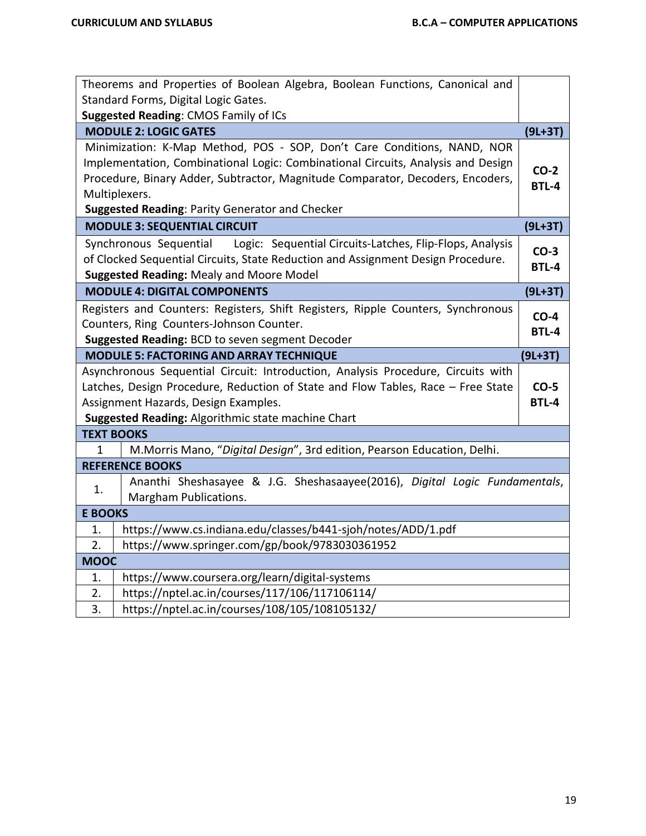|                                                                                                                                                                                                                                                                                                                   | Theorems and Properties of Boolean Algebra, Boolean Functions, Canonical and                        |              |  |  |  |  |
|-------------------------------------------------------------------------------------------------------------------------------------------------------------------------------------------------------------------------------------------------------------------------------------------------------------------|-----------------------------------------------------------------------------------------------------|--------------|--|--|--|--|
| Standard Forms, Digital Logic Gates.                                                                                                                                                                                                                                                                              |                                                                                                     |              |  |  |  |  |
| Suggested Reading: CMOS Family of ICs                                                                                                                                                                                                                                                                             |                                                                                                     |              |  |  |  |  |
|                                                                                                                                                                                                                                                                                                                   | <b>MODULE 2: LOGIC GATES</b>                                                                        | $(9L+3T)$    |  |  |  |  |
| Minimization: K-Map Method, POS - SOP, Don't Care Conditions, NAND, NOR<br>Implementation, Combinational Logic: Combinational Circuits, Analysis and Design<br>Procedure, Binary Adder, Subtractor, Magnitude Comparator, Decoders, Encoders,<br>Multiplexers.<br>Suggested Reading: Parity Generator and Checker |                                                                                                     |              |  |  |  |  |
|                                                                                                                                                                                                                                                                                                                   | <b>MODULE 3: SEQUENTIAL CIRCUIT</b>                                                                 | $(9L+3T)$    |  |  |  |  |
| Logic: Sequential Circuits-Latches, Flip-Flops, Analysis<br>Synchronous Sequential<br>$CO-3$<br>of Clocked Sequential Circuits, State Reduction and Assignment Design Procedure.<br><b>BTL-4</b><br>Suggested Reading: Mealy and Moore Model                                                                      |                                                                                                     |              |  |  |  |  |
|                                                                                                                                                                                                                                                                                                                   | <b>MODULE 4: DIGITAL COMPONENTS</b>                                                                 | $(9L+3T)$    |  |  |  |  |
| Registers and Counters: Registers, Shift Registers, Ripple Counters, Synchronous<br>$CO-4$<br>Counters, Ring Counters-Johnson Counter.<br><b>BTL-4</b><br>Suggested Reading: BCD to seven segment Decoder                                                                                                         |                                                                                                     |              |  |  |  |  |
| <b>MODULE 5: FACTORING AND ARRAY TECHNIQUE</b>                                                                                                                                                                                                                                                                    |                                                                                                     |              |  |  |  |  |
|                                                                                                                                                                                                                                                                                                                   |                                                                                                     | $(9L+3T)$    |  |  |  |  |
|                                                                                                                                                                                                                                                                                                                   | Asynchronous Sequential Circuit: Introduction, Analysis Procedure, Circuits with                    |              |  |  |  |  |
|                                                                                                                                                                                                                                                                                                                   | Latches, Design Procedure, Reduction of State and Flow Tables, Race - Free State                    | $CO-5$       |  |  |  |  |
|                                                                                                                                                                                                                                                                                                                   | Assignment Hazards, Design Examples.                                                                | <b>BTL-4</b> |  |  |  |  |
|                                                                                                                                                                                                                                                                                                                   | Suggested Reading: Algorithmic state machine Chart                                                  |              |  |  |  |  |
|                                                                                                                                                                                                                                                                                                                   | <b>TEXT BOOKS</b>                                                                                   |              |  |  |  |  |
| $\mathbf{1}$                                                                                                                                                                                                                                                                                                      | M.Morris Mano, "Digital Design", 3rd edition, Pearson Education, Delhi.                             |              |  |  |  |  |
|                                                                                                                                                                                                                                                                                                                   | <b>REFERENCE BOOKS</b>                                                                              |              |  |  |  |  |
| 1.                                                                                                                                                                                                                                                                                                                | Ananthi Sheshasayee & J.G. Sheshasaayee(2016), Digital Logic Fundamentals,<br>Margham Publications. |              |  |  |  |  |
| <b>E BOOKS</b>                                                                                                                                                                                                                                                                                                    |                                                                                                     |              |  |  |  |  |
| 1.                                                                                                                                                                                                                                                                                                                | https://www.cs.indiana.edu/classes/b441-sjoh/notes/ADD/1.pdf                                        |              |  |  |  |  |
| 2.                                                                                                                                                                                                                                                                                                                | https://www.springer.com/gp/book/9783030361952                                                      |              |  |  |  |  |
| <b>MOOC</b>                                                                                                                                                                                                                                                                                                       |                                                                                                     |              |  |  |  |  |
| 1.                                                                                                                                                                                                                                                                                                                | https://www.coursera.org/learn/digital-systems                                                      |              |  |  |  |  |
| 2.                                                                                                                                                                                                                                                                                                                | https://nptel.ac.in/courses/117/106/117106114/                                                      |              |  |  |  |  |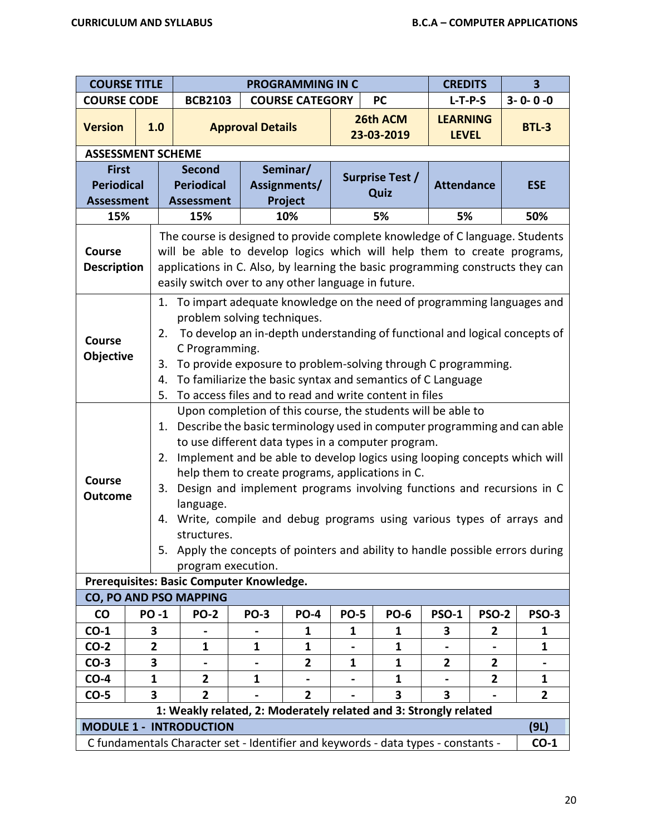| <b>COURSE TITLE</b>                 |                                                                                             | <b>PROGRAMMING IN C</b>                                                                                                                                                                                                                                                                                                                                                                                                                                                                                                                                                                                                                                                                   |                                                                                                                                                                                                                                                                                                                                                                                                |                         |                        |             |                        | <b>CREDITS</b>                  |                         | 3                                                                                                                                                                                                                                         |  |
|-------------------------------------|---------------------------------------------------------------------------------------------|-------------------------------------------------------------------------------------------------------------------------------------------------------------------------------------------------------------------------------------------------------------------------------------------------------------------------------------------------------------------------------------------------------------------------------------------------------------------------------------------------------------------------------------------------------------------------------------------------------------------------------------------------------------------------------------------|------------------------------------------------------------------------------------------------------------------------------------------------------------------------------------------------------------------------------------------------------------------------------------------------------------------------------------------------------------------------------------------------|-------------------------|------------------------|-------------|------------------------|---------------------------------|-------------------------|-------------------------------------------------------------------------------------------------------------------------------------------------------------------------------------------------------------------------------------------|--|
| <b>COURSE CODE</b>                  |                                                                                             |                                                                                                                                                                                                                                                                                                                                                                                                                                                                                                                                                                                                                                                                                           | <b>BCB2103</b>                                                                                                                                                                                                                                                                                                                                                                                 |                         | <b>COURSE CATEGORY</b> |             | <b>PC</b>              | $L-T-P-S$                       |                         | $3 - 0 - 0 - 0$                                                                                                                                                                                                                           |  |
| <b>Version</b>                      |                                                                                             | 1.0                                                                                                                                                                                                                                                                                                                                                                                                                                                                                                                                                                                                                                                                                       |                                                                                                                                                                                                                                                                                                                                                                                                | <b>Approval Details</b> |                        |             | 26th ACM<br>23-03-2019 | <b>LEARNING</b><br><b>LEVEL</b> |                         | <b>BTL-3</b>                                                                                                                                                                                                                              |  |
|                                     |                                                                                             |                                                                                                                                                                                                                                                                                                                                                                                                                                                                                                                                                                                                                                                                                           | <b>ASSESSMENT SCHEME</b>                                                                                                                                                                                                                                                                                                                                                                       |                         |                        |             |                        |                                 |                         |                                                                                                                                                                                                                                           |  |
| <b>First</b>                        |                                                                                             |                                                                                                                                                                                                                                                                                                                                                                                                                                                                                                                                                                                                                                                                                           | <b>Second</b>                                                                                                                                                                                                                                                                                                                                                                                  |                         | Seminar/               |             | Surprise Test /        |                                 |                         |                                                                                                                                                                                                                                           |  |
| <b>Periodical</b>                   |                                                                                             |                                                                                                                                                                                                                                                                                                                                                                                                                                                                                                                                                                                                                                                                                           | <b>Periodical</b>                                                                                                                                                                                                                                                                                                                                                                              |                         | Assignments/           |             | Quiz                   | <b>Attendance</b>               |                         | <b>ESE</b>                                                                                                                                                                                                                                |  |
| <b>Assessment</b>                   |                                                                                             |                                                                                                                                                                                                                                                                                                                                                                                                                                                                                                                                                                                                                                                                                           | <b>Assessment</b>                                                                                                                                                                                                                                                                                                                                                                              |                         | Project                |             |                        |                                 |                         |                                                                                                                                                                                                                                           |  |
| 15%                                 |                                                                                             |                                                                                                                                                                                                                                                                                                                                                                                                                                                                                                                                                                                                                                                                                           | 15%                                                                                                                                                                                                                                                                                                                                                                                            |                         | 10%                    |             | 5%                     | 5%                              |                         | 50%                                                                                                                                                                                                                                       |  |
| <b>Course</b><br><b>Description</b> |                                                                                             |                                                                                                                                                                                                                                                                                                                                                                                                                                                                                                                                                                                                                                                                                           |                                                                                                                                                                                                                                                                                                                                                                                                |                         |                        |             |                        |                                 |                         | The course is designed to provide complete knowledge of C language. Students<br>will be able to develop logics which will help them to create programs,<br>applications in C. Also, by learning the basic programming constructs they can |  |
| <b>Course</b><br>Objective          |                                                                                             | 2.<br>3.<br>4.<br>5.                                                                                                                                                                                                                                                                                                                                                                                                                                                                                                                                                                                                                                                                      | easily switch over to any other language in future.<br>1. To impart adequate knowledge on the need of programming languages and<br>problem solving techniques.<br>To develop an in-depth understanding of functional and logical concepts of<br>C Programming.<br>To provide exposure to problem-solving through C programming.<br>To familiarize the basic syntax and semantics of C Language |                         |                        |             |                        |                                 |                         |                                                                                                                                                                                                                                           |  |
| Course<br><b>Outcome</b>            |                                                                                             | To access files and to read and write content in files<br>Upon completion of this course, the students will be able to<br>1. Describe the basic terminology used in computer programming and can able<br>to use different data types in a computer program.<br>2. Implement and be able to develop logics using looping concepts which will<br>help them to create programs, applications in C.<br>3. Design and implement programs involving functions and recursions in C<br>language.<br>4. Write, compile and debug programs using various types of arrays and<br>structures.<br>5. Apply the concepts of pointers and ability to handle possible errors during<br>program execution. |                                                                                                                                                                                                                                                                                                                                                                                                |                         |                        |             |                        |                                 |                         |                                                                                                                                                                                                                                           |  |
|                                     |                                                                                             |                                                                                                                                                                                                                                                                                                                                                                                                                                                                                                                                                                                                                                                                                           | Prerequisites: Basic Computer Knowledge.<br><b>CO, PO AND PSO MAPPING</b>                                                                                                                                                                                                                                                                                                                      |                         |                        |             |                        |                                 |                         |                                                                                                                                                                                                                                           |  |
| <b>CO</b>                           |                                                                                             | <b>PO-1</b>                                                                                                                                                                                                                                                                                                                                                                                                                                                                                                                                                                                                                                                                               | <b>PO-2</b>                                                                                                                                                                                                                                                                                                                                                                                    | <b>PO-3</b>             | <b>PO-4</b>            | <b>PO-5</b> | <b>PO-6</b>            | <b>PSO-1</b>                    | <b>PSO-2</b>            | <b>PSO-3</b>                                                                                                                                                                                                                              |  |
| $CO-1$                              |                                                                                             | 3                                                                                                                                                                                                                                                                                                                                                                                                                                                                                                                                                                                                                                                                                         |                                                                                                                                                                                                                                                                                                                                                                                                |                         | 1                      | 1           | 1                      | 3                               | $\mathbf{2}$            | 1                                                                                                                                                                                                                                         |  |
| $CO-2$                              |                                                                                             | $\mathbf{2}$                                                                                                                                                                                                                                                                                                                                                                                                                                                                                                                                                                                                                                                                              | 1                                                                                                                                                                                                                                                                                                                                                                                              | $\mathbf{1}$            | 1                      |             | $\mathbf{1}$           |                                 |                         | 1                                                                                                                                                                                                                                         |  |
| $CO-3$                              |                                                                                             | 3                                                                                                                                                                                                                                                                                                                                                                                                                                                                                                                                                                                                                                                                                         |                                                                                                                                                                                                                                                                                                                                                                                                |                         | $\overline{2}$         | 1           | $\mathbf{1}$           | $\overline{2}$                  | $\mathbf{2}$            |                                                                                                                                                                                                                                           |  |
| $CO-4$                              |                                                                                             | 1                                                                                                                                                                                                                                                                                                                                                                                                                                                                                                                                                                                                                                                                                         | $\overline{2}$                                                                                                                                                                                                                                                                                                                                                                                 | $\mathbf{1}$            |                        |             | 1                      |                                 | $\overline{\mathbf{2}}$ | 1                                                                                                                                                                                                                                         |  |
| $CO-5$                              |                                                                                             | 3                                                                                                                                                                                                                                                                                                                                                                                                                                                                                                                                                                                                                                                                                         | $\overline{2}$                                                                                                                                                                                                                                                                                                                                                                                 |                         | $\overline{2}$         |             | 3                      | 3                               |                         | $\overline{2}$                                                                                                                                                                                                                            |  |
|                                     |                                                                                             |                                                                                                                                                                                                                                                                                                                                                                                                                                                                                                                                                                                                                                                                                           | 1: Weakly related, 2: Moderately related and 3: Strongly related                                                                                                                                                                                                                                                                                                                               |                         |                        |             |                        |                                 |                         |                                                                                                                                                                                                                                           |  |
|                                     |                                                                                             |                                                                                                                                                                                                                                                                                                                                                                                                                                                                                                                                                                                                                                                                                           | <b>MODULE 1 - INTRODUCTION</b>                                                                                                                                                                                                                                                                                                                                                                 |                         |                        |             |                        |                                 |                         | (9L)                                                                                                                                                                                                                                      |  |
|                                     | C fundamentals Character set - Identifier and keywords - data types - constants -<br>$CO-1$ |                                                                                                                                                                                                                                                                                                                                                                                                                                                                                                                                                                                                                                                                                           |                                                                                                                                                                                                                                                                                                                                                                                                |                         |                        |             |                        |                                 |                         |                                                                                                                                                                                                                                           |  |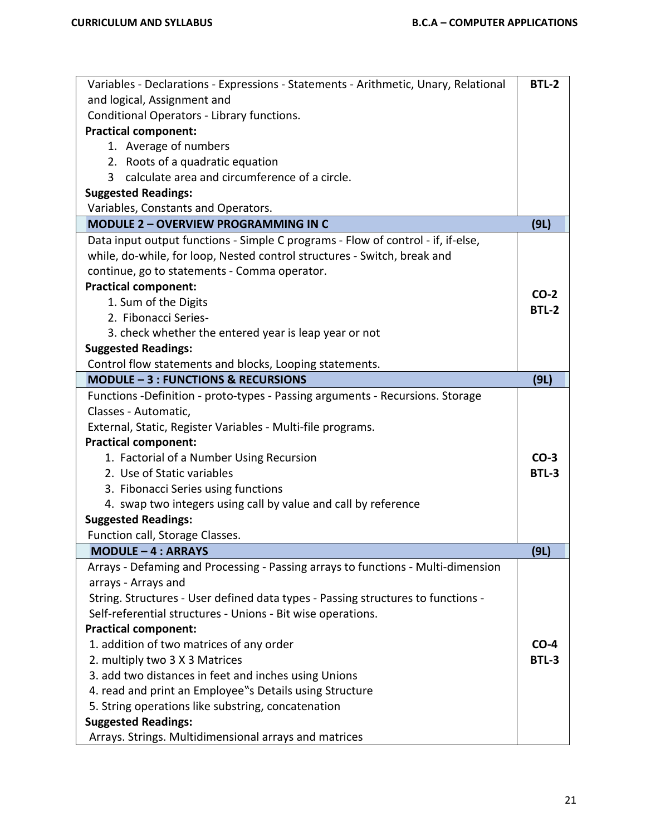| Variables - Declarations - Expressions - Statements - Arithmetic, Unary, Relational | <b>BTL-2</b> |
|-------------------------------------------------------------------------------------|--------------|
| and logical, Assignment and                                                         |              |
| Conditional Operators - Library functions.                                          |              |
| <b>Practical component:</b>                                                         |              |
| 1. Average of numbers                                                               |              |
| 2. Roots of a quadratic equation                                                    |              |
| calculate area and circumference of a circle.<br>$\mathbf{3}$                       |              |
| <b>Suggested Readings:</b>                                                          |              |
| Variables, Constants and Operators.                                                 |              |
| <b>MODULE 2 - OVERVIEW PROGRAMMING IN C</b>                                         | (9L)         |
| Data input output functions - Simple C programs - Flow of control - if, if-else,    |              |
| while, do-while, for loop, Nested control structures - Switch, break and            |              |
| continue, go to statements - Comma operator.                                        |              |
| <b>Practical component:</b>                                                         |              |
| 1. Sum of the Digits                                                                | $CO-2$       |
| 2. Fibonacci Series-                                                                | <b>BTL-2</b> |
| 3. check whether the entered year is leap year or not                               |              |
| <b>Suggested Readings:</b>                                                          |              |
| Control flow statements and blocks, Looping statements.                             |              |
| <b>MODULE - 3 : FUNCTIONS &amp; RECURSIONS</b>                                      | (9L)         |
| Functions -Definition - proto-types - Passing arguments - Recursions. Storage       |              |
| Classes - Automatic,                                                                |              |
| External, Static, Register Variables - Multi-file programs.                         |              |
| <b>Practical component:</b>                                                         |              |
| 1. Factorial of a Number Using Recursion                                            | $CO-3$       |
| 2. Use of Static variables                                                          | BTL-3        |
| 3. Fibonacci Series using functions                                                 |              |
| 4. swap two integers using call by value and call by reference                      |              |
| <b>Suggested Readings:</b>                                                          |              |
| Function call, Storage Classes.                                                     |              |
| <b>MODULE - 4 : ARRAYS</b>                                                          | (9L)         |
| Arrays - Defaming and Processing - Passing arrays to functions - Multi-dimension    |              |
| arrays - Arrays and                                                                 |              |
| String. Structures - User defined data types - Passing structures to functions -    |              |
| Self-referential structures - Unions - Bit wise operations.                         |              |
| <b>Practical component:</b>                                                         |              |
| 1. addition of two matrices of any order                                            | $CO-4$       |
| 2. multiply two 3 X 3 Matrices                                                      | <b>BTL-3</b> |
| 3. add two distances in feet and inches using Unions                                |              |
| 4. read and print an Employee"s Details using Structure                             |              |
| 5. String operations like substring, concatenation                                  |              |
| <b>Suggested Readings:</b>                                                          |              |
| Arrays. Strings. Multidimensional arrays and matrices                               |              |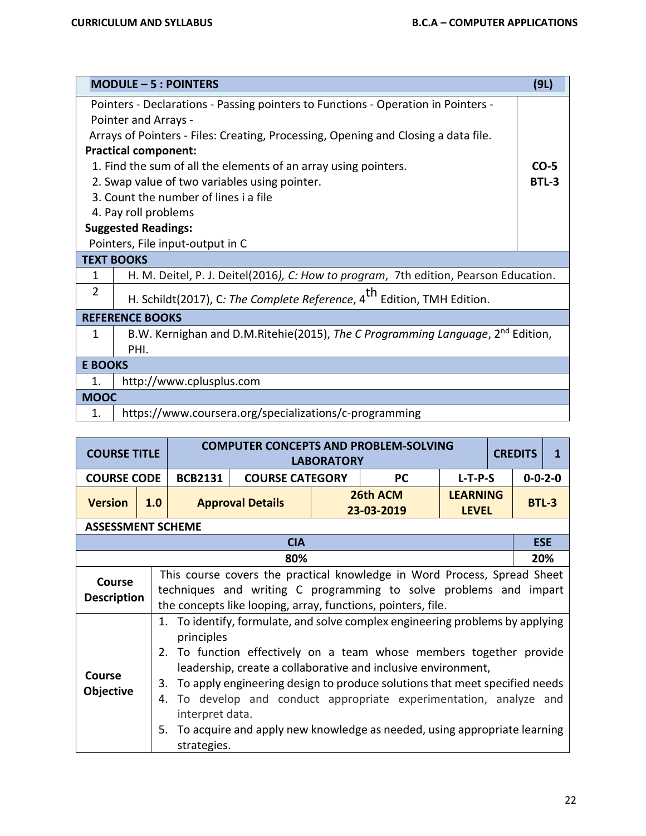|                | $MODULE - 5: POINTERS$                                                                     | (9L)   |  |  |  |  |  |  |  |
|----------------|--------------------------------------------------------------------------------------------|--------|--|--|--|--|--|--|--|
|                | Pointers - Declarations - Passing pointers to Functions - Operation in Pointers -          |        |  |  |  |  |  |  |  |
|                | Pointer and Arrays -                                                                       |        |  |  |  |  |  |  |  |
|                | Arrays of Pointers - Files: Creating, Processing, Opening and Closing a data file.         |        |  |  |  |  |  |  |  |
|                | <b>Practical component:</b>                                                                |        |  |  |  |  |  |  |  |
|                | 1. Find the sum of all the elements of an array using pointers.                            | $CO-5$ |  |  |  |  |  |  |  |
|                | 2. Swap value of two variables using pointer.                                              | BTL-3  |  |  |  |  |  |  |  |
|                | 3. Count the number of lines i a file                                                      |        |  |  |  |  |  |  |  |
|                | 4. Pay roll problems                                                                       |        |  |  |  |  |  |  |  |
|                | <b>Suggested Readings:</b>                                                                 |        |  |  |  |  |  |  |  |
|                | Pointers, File input-output in C                                                           |        |  |  |  |  |  |  |  |
|                | <b>TEXT BOOKS</b>                                                                          |        |  |  |  |  |  |  |  |
| 1              | H. M. Deitel, P. J. Deitel(2016), C: How to program, 7th edition, Pearson Education.       |        |  |  |  |  |  |  |  |
| 2              | H. Schildt(2017), C: The Complete Reference, 4 <sup>th</sup> Edition, TMH Edition.         |        |  |  |  |  |  |  |  |
|                | <b>REFERENCE BOOKS</b>                                                                     |        |  |  |  |  |  |  |  |
| 1              | B.W. Kernighan and D.M.Ritehie(2015), The C Programming Language, 2 <sup>nd</sup> Edition, |        |  |  |  |  |  |  |  |
|                | PHI.                                                                                       |        |  |  |  |  |  |  |  |
| <b>E BOOKS</b> |                                                                                            |        |  |  |  |  |  |  |  |
| 1.             | http://www.cplusplus.com                                                                   |        |  |  |  |  |  |  |  |
| <b>MOOC</b>    |                                                                                            |        |  |  |  |  |  |  |  |
| 1.             | https://www.coursera.org/specializations/c-programming                                     |        |  |  |  |  |  |  |  |

| <b>COURSE TITLE</b>               |                                                                                                                                               | <b>COMPUTER CONCEPTS AND PROBLEM-SOLVING</b><br><b>CREDITS</b><br><b>LABORATORY</b>                                                                                                                                                                                                                                                                                                                                                                                                                                                                                |                         |  |                        |                                 |  |                 | 1          |
|-----------------------------------|-----------------------------------------------------------------------------------------------------------------------------------------------|--------------------------------------------------------------------------------------------------------------------------------------------------------------------------------------------------------------------------------------------------------------------------------------------------------------------------------------------------------------------------------------------------------------------------------------------------------------------------------------------------------------------------------------------------------------------|-------------------------|--|------------------------|---------------------------------|--|-----------------|------------|
| <b>COURSE CODE</b>                |                                                                                                                                               | <b>BCB2131</b>                                                                                                                                                                                                                                                                                                                                                                                                                                                                                                                                                     | <b>COURSE CATEGORY</b>  |  | <b>PC</b>              | $L-T-P-S$                       |  | $0 - 0 - 2 - 0$ |            |
| <b>Version</b>                    | 1.0                                                                                                                                           |                                                                                                                                                                                                                                                                                                                                                                                                                                                                                                                                                                    | <b>Approval Details</b> |  | 26th ACM<br>23-03-2019 | <b>LEARNING</b><br><b>LEVEL</b> |  | <b>BTL-3</b>    |            |
| <b>ASSESSMENT SCHEME</b>          |                                                                                                                                               |                                                                                                                                                                                                                                                                                                                                                                                                                                                                                                                                                                    |                         |  |                        |                                 |  |                 |            |
|                                   |                                                                                                                                               |                                                                                                                                                                                                                                                                                                                                                                                                                                                                                                                                                                    | <b>CIA</b>              |  |                        |                                 |  |                 | <b>ESE</b> |
|                                   |                                                                                                                                               |                                                                                                                                                                                                                                                                                                                                                                                                                                                                                                                                                                    | 80%                     |  |                        |                                 |  |                 | 20%        |
| Course<br><b>Description</b>      | This course covers the practical knowledge in Word Process, Spread Sheet<br>techniques and writing C programming to solve problems and impart |                                                                                                                                                                                                                                                                                                                                                                                                                                                                                                                                                                    |                         |  |                        |                                 |  |                 |            |
| <b>Course</b><br><b>Objective</b> |                                                                                                                                               | the concepts like looping, array, functions, pointers, file.<br>1. To identify, formulate, and solve complex engineering problems by applying<br>principles<br>2. To function effectively on a team whose members together provide<br>leadership, create a collaborative and inclusive environment,<br>To apply engineering design to produce solutions that meet specified needs<br>3.<br>To develop and conduct appropriate experimentation, analyze and<br>4.<br>interpret data.<br>5. To acquire and apply new knowledge as needed, using appropriate learning |                         |  |                        |                                 |  |                 |            |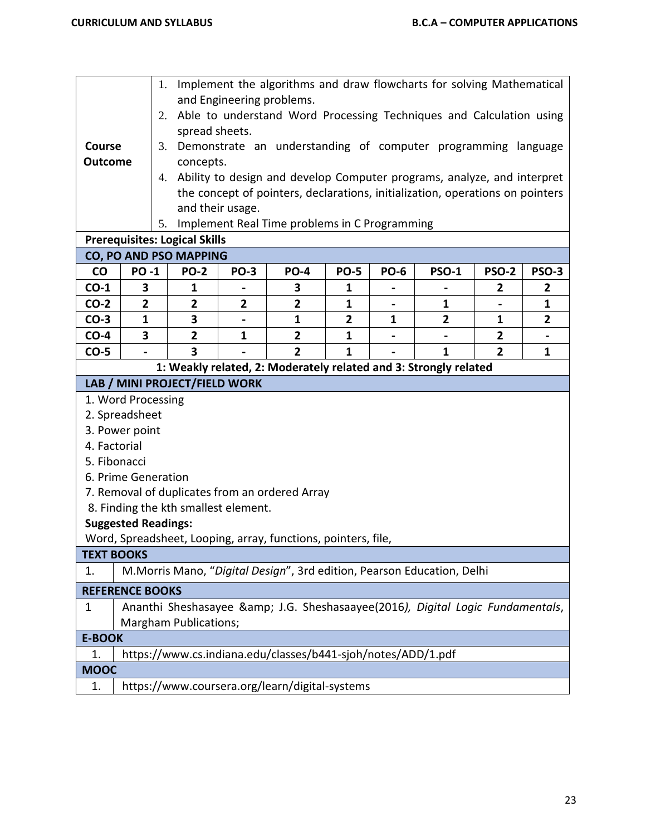|                        |                                  |                                                                                                                                                             |                                                                                                     |                                                               |                                                               |                |             | 1. Implement the algorithms and draw flowcharts for solving Mathematical   |                |                |
|------------------------|----------------------------------|-------------------------------------------------------------------------------------------------------------------------------------------------------------|-----------------------------------------------------------------------------------------------------|---------------------------------------------------------------|---------------------------------------------------------------|----------------|-------------|----------------------------------------------------------------------------|----------------|----------------|
|                        |                                  |                                                                                                                                                             | and Engineering problems.<br>2. Able to understand Word Processing Techniques and Calculation using |                                                               |                                                               |                |             |                                                                            |                |                |
|                        |                                  |                                                                                                                                                             | spread sheets.                                                                                      |                                                               |                                                               |                |             |                                                                            |                |                |
| Course                 |                                  | 3.                                                                                                                                                          |                                                                                                     | Demonstrate an understanding of computer programming language |                                                               |                |             |                                                                            |                |                |
| <b>Outcome</b>         |                                  |                                                                                                                                                             | concepts.                                                                                           |                                                               |                                                               |                |             |                                                                            |                |                |
|                        |                                  |                                                                                                                                                             |                                                                                                     |                                                               |                                                               |                |             |                                                                            |                |                |
|                        |                                  | 4. Ability to design and develop Computer programs, analyze, and interpret<br>the concept of pointers, declarations, initialization, operations on pointers |                                                                                                     |                                                               |                                                               |                |             |                                                                            |                |                |
|                        | and their usage.                 |                                                                                                                                                             |                                                                                                     |                                                               |                                                               |                |             |                                                                            |                |                |
|                        |                                  |                                                                                                                                                             |                                                                                                     |                                                               | 5. Implement Real Time problems in C Programming              |                |             |                                                                            |                |                |
|                        |                                  |                                                                                                                                                             | <b>Prerequisites: Logical Skills</b>                                                                |                                                               |                                                               |                |             |                                                                            |                |                |
|                        |                                  |                                                                                                                                                             | CO, PO AND PSO MAPPING                                                                              |                                                               |                                                               |                |             |                                                                            |                |                |
| co                     | <b>PO-1</b>                      |                                                                                                                                                             | <b>PO-2</b>                                                                                         | <b>PO-3</b>                                                   | <b>PO-4</b>                                                   | <b>PO-5</b>    | <b>PO-6</b> | <b>PSO-1</b>                                                               | <b>PSO-2</b>   | <b>PSO-3</b>   |
| $CO-1$                 | 3                                |                                                                                                                                                             | 1                                                                                                   |                                                               | 3                                                             | 1              |             |                                                                            | 2              | 2              |
| $CO-2$                 | $\overline{2}$                   |                                                                                                                                                             | $\overline{\mathbf{2}}$                                                                             | $\overline{2}$                                                | $\overline{2}$                                                | $\mathbf{1}$   |             | 1                                                                          |                | $\mathbf{1}$   |
| $CO-3$                 | 1                                |                                                                                                                                                             | 3                                                                                                   |                                                               | 1                                                             | $\overline{2}$ | 1           | 2                                                                          | 1              | $\overline{2}$ |
| $CO-4$                 | 3                                |                                                                                                                                                             | $\mathbf{2}$                                                                                        | 1                                                             | $\overline{2}$                                                | 1              |             |                                                                            | 2              |                |
| $CO-5$                 |                                  |                                                                                                                                                             | 3                                                                                                   |                                                               | $\overline{2}$                                                | $\mathbf{1}$   |             | $\mathbf{1}$                                                               | $\overline{2}$ | $\mathbf{1}$   |
|                        |                                  |                                                                                                                                                             |                                                                                                     |                                                               |                                                               |                |             | 1: Weakly related, 2: Moderately related and 3: Strongly related           |                |                |
|                        | LAB / MINI PROJECT/FIELD WORK    |                                                                                                                                                             |                                                                                                     |                                                               |                                                               |                |             |                                                                            |                |                |
|                        | 1. Word Processing               |                                                                                                                                                             |                                                                                                     |                                                               |                                                               |                |             |                                                                            |                |                |
|                        | 2. Spreadsheet<br>3. Power point |                                                                                                                                                             |                                                                                                     |                                                               |                                                               |                |             |                                                                            |                |                |
| 4. Factorial           |                                  |                                                                                                                                                             |                                                                                                     |                                                               |                                                               |                |             |                                                                            |                |                |
| 5. Fibonacci           |                                  |                                                                                                                                                             |                                                                                                     |                                                               |                                                               |                |             |                                                                            |                |                |
|                        | 6. Prime Generation              |                                                                                                                                                             |                                                                                                     |                                                               |                                                               |                |             |                                                                            |                |                |
|                        |                                  |                                                                                                                                                             |                                                                                                     |                                                               | 7. Removal of duplicates from an ordered Array                |                |             |                                                                            |                |                |
|                        |                                  |                                                                                                                                                             |                                                                                                     | 8. Finding the kth smallest element.                          |                                                               |                |             |                                                                            |                |                |
|                        | <b>Suggested Readings:</b>       |                                                                                                                                                             |                                                                                                     |                                                               |                                                               |                |             |                                                                            |                |                |
|                        |                                  |                                                                                                                                                             |                                                                                                     |                                                               | Word, Spreadsheet, Looping, array, functions, pointers, file, |                |             |                                                                            |                |                |
| <b>TEXT BOOKS</b>      |                                  |                                                                                                                                                             |                                                                                                     |                                                               |                                                               |                |             |                                                                            |                |                |
| 1.                     |                                  |                                                                                                                                                             |                                                                                                     |                                                               |                                                               |                |             | M.Morris Mano, "Digital Design", 3rd edition, Pearson Education, Delhi     |                |                |
| <b>REFERENCE BOOKS</b> |                                  |                                                                                                                                                             |                                                                                                     |                                                               |                                                               |                |             |                                                                            |                |                |
| 1                      |                                  |                                                                                                                                                             |                                                                                                     |                                                               |                                                               |                |             | Ananthi Sheshasayee & J.G. Sheshasaayee(2016), Digital Logic Fundamentals, |                |                |
|                        |                                  |                                                                                                                                                             | Margham Publications;                                                                               |                                                               |                                                               |                |             |                                                                            |                |                |
| <b>E-BOOK</b>          |                                  |                                                                                                                                                             |                                                                                                     |                                                               |                                                               |                |             |                                                                            |                |                |
| 1.                     |                                  |                                                                                                                                                             |                                                                                                     |                                                               | https://www.cs.indiana.edu/classes/b441-sjoh/notes/ADD/1.pdf  |                |             |                                                                            |                |                |
| <b>MOOC</b>            |                                  |                                                                                                                                                             |                                                                                                     |                                                               |                                                               |                |             |                                                                            |                |                |
| 1.                     |                                  |                                                                                                                                                             |                                                                                                     |                                                               | https://www.coursera.org/learn/digital-systems                |                |             |                                                                            |                |                |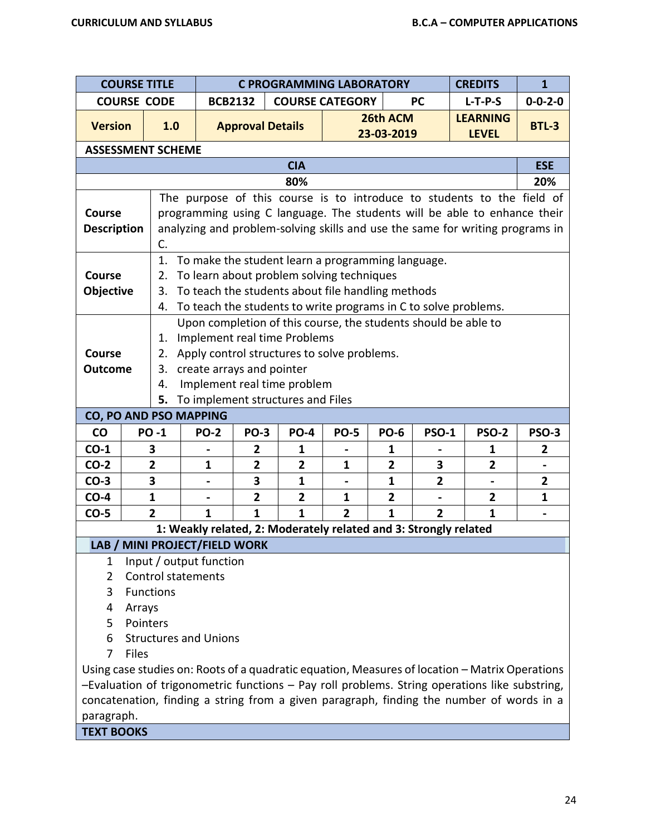|                    | <b>COURSE TITLE</b> |                               |                               |                         | <b>C PROGRAMMING LABORATORY</b>                                  |                |                |                         | <b>CREDITS</b>                                                                                 | $\mathbf{1}$                 |
|--------------------|---------------------|-------------------------------|-------------------------------|-------------------------|------------------------------------------------------------------|----------------|----------------|-------------------------|------------------------------------------------------------------------------------------------|------------------------------|
|                    | <b>COURSE CODE</b>  |                               | <b>BCB2132</b>                |                         | <b>COURSE CATEGORY</b>                                           |                | <b>PC</b>      | $L-T-P-S$               | $0 - 0 - 2 - 0$                                                                                |                              |
|                    |                     |                               |                               |                         |                                                                  |                | 26th ACM       |                         | <b>LEARNING</b>                                                                                |                              |
| <b>Version</b>     |                     | 1.0                           |                               | <b>Approval Details</b> |                                                                  |                | 23-03-2019     |                         | <b>LEVEL</b>                                                                                   | <b>BTL-3</b>                 |
|                    |                     | <b>ASSESSMENT SCHEME</b>      |                               |                         |                                                                  |                |                |                         |                                                                                                |                              |
|                    |                     |                               |                               |                         | <b>CIA</b>                                                       |                |                |                         |                                                                                                | <b>ESE</b>                   |
|                    |                     |                               |                               |                         | 80%                                                              |                |                |                         |                                                                                                | 20%                          |
|                    |                     |                               |                               |                         |                                                                  |                |                |                         | The purpose of this course is to introduce to students to the field of                         |                              |
| <b>Course</b>      |                     |                               |                               |                         |                                                                  |                |                |                         | programming using C language. The students will be able to enhance their                       |                              |
| <b>Description</b> |                     |                               |                               |                         |                                                                  |                |                |                         | analyzing and problem-solving skills and use the same for writing programs in                  |                              |
|                    |                     | C.                            |                               |                         |                                                                  |                |                |                         |                                                                                                |                              |
|                    |                     | 1.                            |                               |                         | To make the student learn a programming language.                |                |                |                         |                                                                                                |                              |
| <b>Course</b>      |                     | 2.                            |                               |                         | To learn about problem solving techniques                        |                |                |                         |                                                                                                |                              |
| <b>Objective</b>   |                     | 3.                            |                               |                         | To teach the students about file handling methods                |                |                |                         |                                                                                                |                              |
|                    |                     | 4.                            |                               |                         |                                                                  |                |                |                         | To teach the students to write programs in C to solve problems.                                |                              |
|                    |                     |                               |                               |                         |                                                                  |                |                |                         | Upon completion of this course, the students should be able to                                 |                              |
|                    |                     | 1.                            |                               |                         | Implement real time Problems                                     |                |                |                         |                                                                                                |                              |
| <b>Course</b>      |                     |                               |                               |                         | 2. Apply control structures to solve problems.                   |                |                |                         |                                                                                                |                              |
| <b>Outcome</b>     |                     | 3.                            | create arrays and pointer     |                         |                                                                  |                |                |                         |                                                                                                |                              |
|                    |                     | 4.                            |                               |                         | Implement real time problem                                      |                |                |                         |                                                                                                |                              |
|                    |                     | 5.                            |                               |                         | To implement structures and Files                                |                |                |                         |                                                                                                |                              |
|                    |                     | <b>CO, PO AND PSO MAPPING</b> |                               |                         |                                                                  |                |                |                         |                                                                                                |                              |
| CO                 |                     | <b>PO-1</b>                   | <b>PO-2</b>                   | <b>PO-3</b>             | <b>PO-4</b>                                                      | <b>PO-5</b>    | <b>PO-6</b>    | <b>PSO-1</b>            | <b>PSO-2</b>                                                                                   | <b>PSO-3</b>                 |
| $CO-1$             |                     | 3                             |                               | 2                       | 1                                                                |                | 1              |                         | 1                                                                                              | $\overline{2}$               |
| $CO-2$             |                     | $\overline{2}$                | $\mathbf{1}$                  | $\overline{2}$          | $\overline{2}$                                                   | $\mathbf{1}$   | $\overline{2}$ | 3                       | $\overline{2}$                                                                                 |                              |
| $CO-3$             |                     | 3                             |                               | 3                       | $\mathbf{1}$                                                     |                | 1              | $\overline{\mathbf{2}}$ |                                                                                                | $\overline{2}$               |
| $CO-4$             |                     | $\mathbf{1}$                  |                               | $\overline{2}$          | $\overline{2}$                                                   | $\mathbf{1}$   | $\overline{2}$ |                         | $\overline{2}$                                                                                 | $\mathbf{1}$                 |
| $CO-5$             |                     | $\overline{2}$                | $\mathbf{1}$                  | 1                       | $\mathbf{1}$                                                     | $\overline{2}$ | $\mathbf{1}$   | $\overline{2}$          | $\mathbf{1}$                                                                                   | $\qquad \qquad \blacksquare$ |
|                    |                     |                               |                               |                         | 1: Weakly related, 2: Moderately related and 3: Strongly related |                |                |                         |                                                                                                |                              |
|                    |                     |                               | LAB / MINI PROJECT/FIELD WORK |                         |                                                                  |                |                |                         |                                                                                                |                              |
| 1                  |                     |                               | Input / output function       |                         |                                                                  |                |                |                         |                                                                                                |                              |
| $\overline{2}$     |                     | <b>Control statements</b>     |                               |                         |                                                                  |                |                |                         |                                                                                                |                              |
| 3                  |                     | Functions                     |                               |                         |                                                                  |                |                |                         |                                                                                                |                              |
| 4                  | Arrays              |                               |                               |                         |                                                                  |                |                |                         |                                                                                                |                              |
| 5                  | Pointers            |                               |                               |                         |                                                                  |                |                |                         |                                                                                                |                              |
| 6                  |                     |                               | <b>Structures and Unions</b>  |                         |                                                                  |                |                |                         |                                                                                                |                              |
| 7                  | <b>Files</b>        |                               |                               |                         |                                                                  |                |                |                         |                                                                                                |                              |
|                    |                     |                               |                               |                         |                                                                  |                |                |                         | Using case studies on: Roots of a quadratic equation, Measures of location – Matrix Operations |                              |
|                    |                     |                               |                               |                         |                                                                  |                |                |                         | -Evaluation of trigonometric functions - Pay roll problems. String operations like substring,  |                              |
|                    |                     |                               |                               |                         |                                                                  |                |                |                         | concatenation, finding a string from a given paragraph, finding the number of words in a       |                              |
| paragraph.         |                     |                               |                               |                         |                                                                  |                |                |                         |                                                                                                |                              |

**TEXT BOOKS**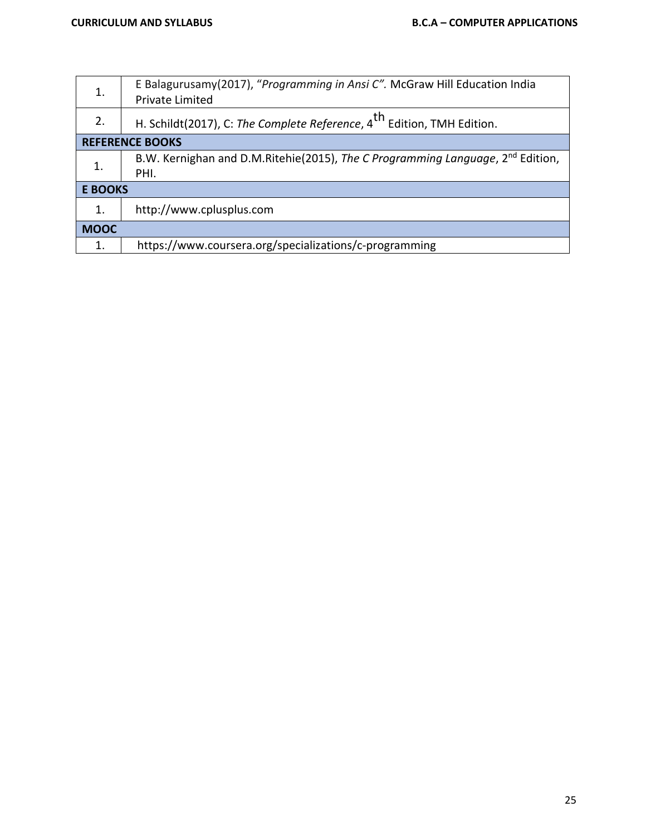| 1.             | E Balagurusamy(2017), "Programming in Ansi C". McGraw Hill Education India<br>Private Limited |
|----------------|-----------------------------------------------------------------------------------------------|
| 2.             | H. Schildt(2017), C: The Complete Reference, 4 <sup>th</sup> Edition, TMH Edition.            |
|                | <b>REFERENCE BOOKS</b>                                                                        |
| $\mathbf{1}$ . | B.W. Kernighan and D.M.Ritehie(2015), The C Programming Language, 2 <sup>nd</sup> Edition,    |
|                | PHI.                                                                                          |
| <b>E BOOKS</b> |                                                                                               |
| $\mathbf{1}$ . | http://www.cplusplus.com                                                                      |
| <b>MOOC</b>    |                                                                                               |
| 1.             | https://www.coursera.org/specializations/c-programming                                        |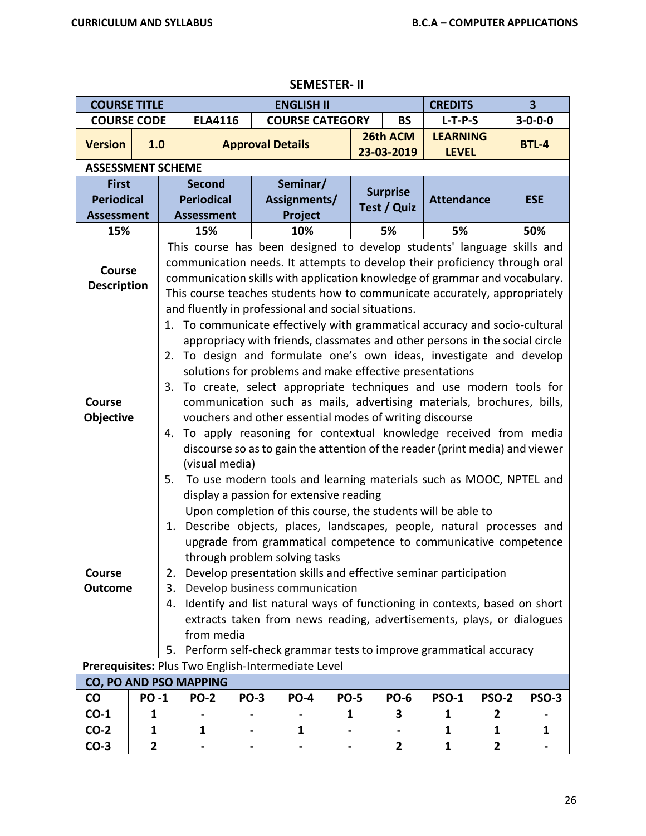| <b>COURSE TITLE</b>                                                                                                                                                                                                                                                                                                                                                                                           |             |                                                                                                                                                                                                                                                                                                                                                                                                                                                                                                                                                                                                                                                                                                                                                                                                                 |                                                                                                                                                                                                                                                                                                                                                                                                                                                                                                                                                                                                                                                                    | <b>ENGLISH II</b> |                         |             |                        |                                 |              | $\overline{\mathbf{3}}$ |  |  |
|---------------------------------------------------------------------------------------------------------------------------------------------------------------------------------------------------------------------------------------------------------------------------------------------------------------------------------------------------------------------------------------------------------------|-------------|-----------------------------------------------------------------------------------------------------------------------------------------------------------------------------------------------------------------------------------------------------------------------------------------------------------------------------------------------------------------------------------------------------------------------------------------------------------------------------------------------------------------------------------------------------------------------------------------------------------------------------------------------------------------------------------------------------------------------------------------------------------------------------------------------------------------|--------------------------------------------------------------------------------------------------------------------------------------------------------------------------------------------------------------------------------------------------------------------------------------------------------------------------------------------------------------------------------------------------------------------------------------------------------------------------------------------------------------------------------------------------------------------------------------------------------------------------------------------------------------------|-------------------|-------------------------|-------------|------------------------|---------------------------------|--------------|-------------------------|--|--|
| <b>COURSE CODE</b>                                                                                                                                                                                                                                                                                                                                                                                            |             |                                                                                                                                                                                                                                                                                                                                                                                                                                                                                                                                                                                                                                                                                                                                                                                                                 | <b>ELA4116</b>                                                                                                                                                                                                                                                                                                                                                                                                                                                                                                                                                                                                                                                     |                   | <b>COURSE CATEGORY</b>  |             | <b>BS</b>              | $L-T-P-S$                       |              | $3 - 0 - 0 - 0$         |  |  |
| <b>Version</b>                                                                                                                                                                                                                                                                                                                                                                                                | 1.0         |                                                                                                                                                                                                                                                                                                                                                                                                                                                                                                                                                                                                                                                                                                                                                                                                                 |                                                                                                                                                                                                                                                                                                                                                                                                                                                                                                                                                                                                                                                                    |                   | <b>Approval Details</b> |             | 26th ACM<br>23-03-2019 | <b>LEARNING</b><br><b>LEVEL</b> |              | <b>BTL-4</b>            |  |  |
| <b>ASSESSMENT SCHEME</b>                                                                                                                                                                                                                                                                                                                                                                                      |             |                                                                                                                                                                                                                                                                                                                                                                                                                                                                                                                                                                                                                                                                                                                                                                                                                 |                                                                                                                                                                                                                                                                                                                                                                                                                                                                                                                                                                                                                                                                    |                   |                         |             |                        |                                 |              |                         |  |  |
| <b>First</b>                                                                                                                                                                                                                                                                                                                                                                                                  |             |                                                                                                                                                                                                                                                                                                                                                                                                                                                                                                                                                                                                                                                                                                                                                                                                                 | <b>Second</b>                                                                                                                                                                                                                                                                                                                                                                                                                                                                                                                                                                                                                                                      |                   | Seminar/                |             | <b>Surprise</b>        |                                 |              |                         |  |  |
| <b>Periodical</b>                                                                                                                                                                                                                                                                                                                                                                                             |             |                                                                                                                                                                                                                                                                                                                                                                                                                                                                                                                                                                                                                                                                                                                                                                                                                 | <b>Periodical</b>                                                                                                                                                                                                                                                                                                                                                                                                                                                                                                                                                                                                                                                  |                   | Assignments/            |             | Test / Quiz            | <b>Attendance</b>               |              | <b>ESE</b>              |  |  |
| <b>Assessment</b>                                                                                                                                                                                                                                                                                                                                                                                             |             |                                                                                                                                                                                                                                                                                                                                                                                                                                                                                                                                                                                                                                                                                                                                                                                                                 | <b>Assessment</b>                                                                                                                                                                                                                                                                                                                                                                                                                                                                                                                                                                                                                                                  |                   | Project                 |             |                        |                                 |              |                         |  |  |
| 15%                                                                                                                                                                                                                                                                                                                                                                                                           |             |                                                                                                                                                                                                                                                                                                                                                                                                                                                                                                                                                                                                                                                                                                                                                                                                                 | 15%                                                                                                                                                                                                                                                                                                                                                                                                                                                                                                                                                                                                                                                                | 10%<br>5%         |                         |             |                        |                                 | 50%<br>5%    |                         |  |  |
| This course has been designed to develop students' language skills and<br>communication needs. It attempts to develop their proficiency through oral<br><b>Course</b><br>communication skills with application knowledge of grammar and vocabulary.<br><b>Description</b><br>This course teaches students how to communicate accurately, appropriately<br>and fluently in professional and social situations. |             |                                                                                                                                                                                                                                                                                                                                                                                                                                                                                                                                                                                                                                                                                                                                                                                                                 |                                                                                                                                                                                                                                                                                                                                                                                                                                                                                                                                                                                                                                                                    |                   |                         |             |                        |                                 |              |                         |  |  |
| <b>Course</b><br>Objective                                                                                                                                                                                                                                                                                                                                                                                    |             | To communicate effectively with grammatical accuracy and socio-cultural<br>1.<br>appropriacy with friends, classmates and other persons in the social circle<br>To design and formulate one's own ideas, investigate and develop<br>2.<br>solutions for problems and make effective presentations<br>3. To create, select appropriate techniques and use modern tools for<br>communication such as mails, advertising materials, brochures, bills,<br>vouchers and other essential modes of writing discourse<br>To apply reasoning for contextual knowledge received from media<br>4.<br>discourse so as to gain the attention of the reader (print media) and viewer<br>(visual media)<br>To use modern tools and learning materials such as MOOC, NPTEL and<br>5.<br>display a passion for extensive reading |                                                                                                                                                                                                                                                                                                                                                                                                                                                                                                                                                                                                                                                                    |                   |                         |             |                        |                                 |              |                         |  |  |
| Course<br><b>Outcome</b>                                                                                                                                                                                                                                                                                                                                                                                      |             | 3.                                                                                                                                                                                                                                                                                                                                                                                                                                                                                                                                                                                                                                                                                                                                                                                                              | Upon completion of this course, the students will be able to<br>Describe objects, places, landscapes, people, natural processes and<br>1.<br>upgrade from grammatical competence to communicative competence<br>through problem solving tasks<br>Develop presentation skills and effective seminar participation<br>2.<br>Develop business communication<br>Identify and list natural ways of functioning in contexts, based on short<br>4.<br>extracts taken from news reading, advertisements, plays, or dialogues<br>from media<br>Perform self-check grammar tests to improve grammatical accuracy<br>5.<br>Prerequisites: Plus Two English-Intermediate Level |                   |                         |             |                        |                                 |              |                         |  |  |
|                                                                                                                                                                                                                                                                                                                                                                                                               |             |                                                                                                                                                                                                                                                                                                                                                                                                                                                                                                                                                                                                                                                                                                                                                                                                                 | CO, PO AND PSO MAPPING                                                                                                                                                                                                                                                                                                                                                                                                                                                                                                                                                                                                                                             |                   |                         |             |                        |                                 |              |                         |  |  |
| <b>CO</b>                                                                                                                                                                                                                                                                                                                                                                                                     | <b>PO-1</b> |                                                                                                                                                                                                                                                                                                                                                                                                                                                                                                                                                                                                                                                                                                                                                                                                                 | <b>PO-2</b>                                                                                                                                                                                                                                                                                                                                                                                                                                                                                                                                                                                                                                                        | <b>PO-3</b>       | <b>PO-4</b>             | <b>PO-5</b> | <b>PO-6</b>            | <b>PSO-1</b>                    | <b>PSO-2</b> | PSO-3                   |  |  |
| $CO-1$                                                                                                                                                                                                                                                                                                                                                                                                        | 1           |                                                                                                                                                                                                                                                                                                                                                                                                                                                                                                                                                                                                                                                                                                                                                                                                                 |                                                                                                                                                                                                                                                                                                                                                                                                                                                                                                                                                                                                                                                                    |                   |                         | 1           | 3                      | 1                               | 2            |                         |  |  |
| $CO-2$                                                                                                                                                                                                                                                                                                                                                                                                        | 1           |                                                                                                                                                                                                                                                                                                                                                                                                                                                                                                                                                                                                                                                                                                                                                                                                                 | 1                                                                                                                                                                                                                                                                                                                                                                                                                                                                                                                                                                                                                                                                  |                   | 1                       |             |                        | 1                               | 1            | 1                       |  |  |
| $CO-3$                                                                                                                                                                                                                                                                                                                                                                                                        | 2           |                                                                                                                                                                                                                                                                                                                                                                                                                                                                                                                                                                                                                                                                                                                                                                                                                 |                                                                                                                                                                                                                                                                                                                                                                                                                                                                                                                                                                                                                                                                    |                   | ٠                       |             | $\overline{2}$         | $\mathbf{1}$                    | 2            |                         |  |  |

### **SEMESTER- II**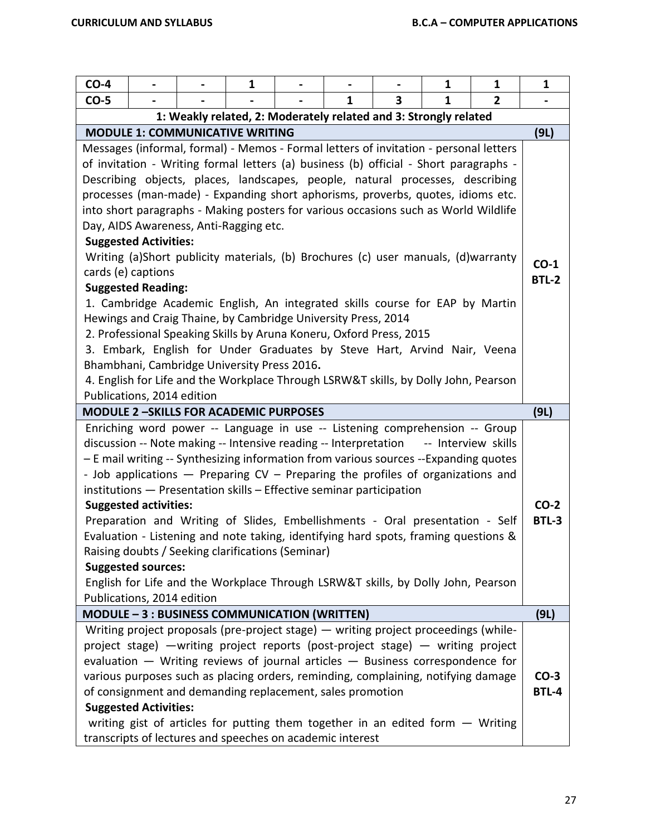| $CO-4$                                                                                                                                                                |                              |                                                                                       | $\mathbf{1}$ |  |   |        | 1           | $\mathbf{1}$        | $\mathbf{1}$ |
|-----------------------------------------------------------------------------------------------------------------------------------------------------------------------|------------------------------|---------------------------------------------------------------------------------------|--------------|--|---|--------|-------------|---------------------|--------------|
| $CO-5$                                                                                                                                                                |                              |                                                                                       |              |  | 1 | 3      | $\mathbf 1$ | 2                   |              |
|                                                                                                                                                                       |                              | 1: Weakly related, 2: Moderately related and 3: Strongly related                      |              |  |   |        |             |                     |              |
|                                                                                                                                                                       |                              | <b>MODULE 1: COMMUNICATIVE WRITING</b>                                                |              |  |   |        |             |                     | (9L)         |
|                                                                                                                                                                       |                              | Messages (informal, formal) - Memos - Formal letters of invitation - personal letters |              |  |   |        |             |                     |              |
|                                                                                                                                                                       |                              | of invitation - Writing formal letters (a) business (b) official - Short paragraphs - |              |  |   |        |             |                     |              |
|                                                                                                                                                                       |                              | Describing objects, places, landscapes, people, natural processes, describing         |              |  |   |        |             |                     |              |
|                                                                                                                                                                       |                              | processes (man-made) - Expanding short aphorisms, proverbs, quotes, idioms etc.       |              |  |   |        |             |                     |              |
|                                                                                                                                                                       |                              | into short paragraphs - Making posters for various occasions such as World Wildlife   |              |  |   |        |             |                     |              |
|                                                                                                                                                                       |                              | Day, AIDS Awareness, Anti-Ragging etc.                                                |              |  |   |        |             |                     |              |
| <b>Suggested Activities:</b><br>Writing (a)Short publicity materials, (b) Brochures (c) user manuals, (d)warranty                                                     |                              |                                                                                       |              |  |   |        |             |                     |              |
|                                                                                                                                                                       |                              |                                                                                       |              |  |   |        |             |                     | $CO-1$       |
|                                                                                                                                                                       | cards (e) captions           |                                                                                       |              |  |   |        |             |                     | <b>BTL-2</b> |
|                                                                                                                                                                       | <b>Suggested Reading:</b>    | 1. Cambridge Academic English, An integrated skills course for EAP by Martin          |              |  |   |        |             |                     |              |
|                                                                                                                                                                       |                              | Hewings and Craig Thaine, by Cambridge University Press, 2014                         |              |  |   |        |             |                     |              |
|                                                                                                                                                                       |                              | 2. Professional Speaking Skills by Aruna Koneru, Oxford Press, 2015                   |              |  |   |        |             |                     |              |
|                                                                                                                                                                       |                              | 3. Embark, English for Under Graduates by Steve Hart, Arvind Nair, Veena              |              |  |   |        |             |                     |              |
|                                                                                                                                                                       |                              | Bhambhani, Cambridge University Press 2016.                                           |              |  |   |        |             |                     |              |
|                                                                                                                                                                       |                              | 4. English for Life and the Workplace Through LSRW&T skills, by Dolly John, Pearson   |              |  |   |        |             |                     |              |
|                                                                                                                                                                       | Publications, 2014 edition   |                                                                                       |              |  |   |        |             |                     |              |
|                                                                                                                                                                       |                              | <b>MODULE 2-SKILLS FOR ACADEMIC PURPOSES</b>                                          |              |  |   |        |             |                     | (9L)         |
|                                                                                                                                                                       |                              | Enriching word power -- Language in use -- Listening comprehension -- Group           |              |  |   |        |             |                     |              |
|                                                                                                                                                                       |                              | discussion -- Note making -- Intensive reading -- Interpretation                      |              |  |   |        |             | -- Interview skills |              |
|                                                                                                                                                                       |                              | - E mail writing -- Synthesizing information from various sources --Expanding quotes  |              |  |   |        |             |                     |              |
|                                                                                                                                                                       |                              | - Job applications - Preparing CV - Preparing the profiles of organizations and       |              |  |   |        |             |                     |              |
|                                                                                                                                                                       |                              | institutions - Presentation skills - Effective seminar participation                  |              |  |   |        |             |                     |              |
|                                                                                                                                                                       | <b>Suggested activities:</b> |                                                                                       |              |  |   |        |             |                     | $CO-2$       |
|                                                                                                                                                                       |                              | Preparation and Writing of Slides, Embellishments - Oral presentation - Self          |              |  |   |        |             |                     | <b>BTL-3</b> |
|                                                                                                                                                                       |                              | Evaluation - Listening and note taking, identifying hard spots, framing questions &   |              |  |   |        |             |                     |              |
|                                                                                                                                                                       |                              | Raising doubts / Seeking clarifications (Seminar)                                     |              |  |   |        |             |                     |              |
|                                                                                                                                                                       | <b>Suggested sources:</b>    |                                                                                       |              |  |   |        |             |                     |              |
|                                                                                                                                                                       | Publications, 2014 edition   | English for Life and the Workplace Through LSRW&T skills, by Dolly John, Pearson      |              |  |   |        |             |                     |              |
|                                                                                                                                                                       |                              | MODULE - 3 : BUSINESS COMMUNICATION (WRITTEN)                                         |              |  |   |        |             |                     | (9L)         |
|                                                                                                                                                                       |                              | Writing project proposals (pre-project stage) – writing project proceedings (while-   |              |  |   |        |             |                     |              |
|                                                                                                                                                                       |                              |                                                                                       |              |  |   |        |             |                     |              |
| project stage) - writing project reports (post-project stage) - writing project<br>evaluation $-$ Writing reviews of journal articles $-$ Business correspondence for |                              |                                                                                       |              |  |   |        |             |                     |              |
| various purposes such as placing orders, reminding, complaining, notifying damage                                                                                     |                              |                                                                                       |              |  |   | $CO-3$ |             |                     |              |
|                                                                                                                                                                       |                              | of consignment and demanding replacement, sales promotion                             |              |  |   |        |             |                     | <b>BTL-4</b> |
|                                                                                                                                                                       | <b>Suggested Activities:</b> |                                                                                       |              |  |   |        |             |                     |              |
|                                                                                                                                                                       |                              | writing gist of articles for putting them together in an edited form $-$ Writing      |              |  |   |        |             |                     |              |
|                                                                                                                                                                       |                              | transcripts of lectures and speeches on academic interest                             |              |  |   |        |             |                     |              |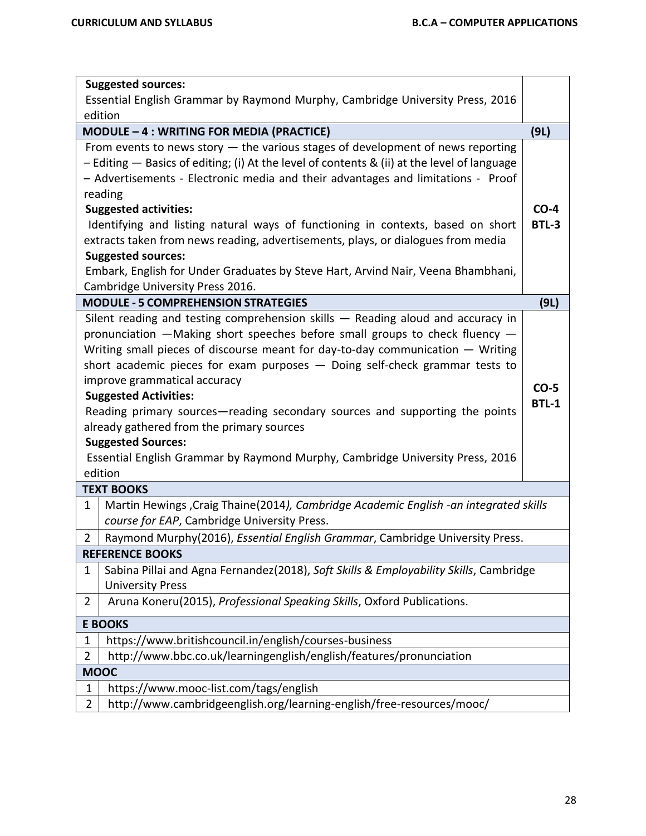|                | <b>Suggested sources:</b><br>Essential English Grammar by Raymond Murphy, Cambridge University Press, 2016 |              |
|----------------|------------------------------------------------------------------------------------------------------------|--------------|
|                | edition                                                                                                    |              |
|                | MODULE - 4 : WRITING FOR MEDIA (PRACTICE)                                                                  | (9L)         |
|                | From events to news story $-$ the various stages of development of news reporting                          |              |
|                | - Editing - Basics of editing; (i) At the level of contents & (ii) at the level of language                |              |
|                | - Advertisements - Electronic media and their advantages and limitations - Proof                           |              |
|                | reading                                                                                                    |              |
|                | <b>Suggested activities:</b>                                                                               | $CO-4$       |
|                | Identifying and listing natural ways of functioning in contexts, based on short                            | <b>BTL-3</b> |
|                | extracts taken from news reading, advertisements, plays, or dialogues from media                           |              |
|                | <b>Suggested sources:</b>                                                                                  |              |
|                | Embark, English for Under Graduates by Steve Hart, Arvind Nair, Veena Bhambhani,                           |              |
|                | Cambridge University Press 2016.                                                                           |              |
|                | <b>MODULE - 5 COMPREHENSION STRATEGIES</b>                                                                 | (9L)         |
|                | Silent reading and testing comprehension skills - Reading aloud and accuracy in                            |              |
|                | pronunciation $-Making$ short speeches before small groups to check fluency $-$                            |              |
|                | Writing small pieces of discourse meant for day-to-day communication - Writing                             |              |
|                | short academic pieces for exam purposes - Doing self-check grammar tests to                                |              |
|                | improve grammatical accuracy                                                                               | $CO-5$       |
|                | <b>Suggested Activities:</b>                                                                               | <b>BTL-1</b> |
|                | Reading primary sources—reading secondary sources and supporting the points                                |              |
|                | already gathered from the primary sources                                                                  |              |
|                | <b>Suggested Sources:</b>                                                                                  |              |
|                | Essential English Grammar by Raymond Murphy, Cambridge University Press, 2016                              |              |
|                | edition                                                                                                    |              |
|                | <b>TEXT BOOKS</b>                                                                                          |              |
| 1              | Martin Hewings , Craig Thaine (2014), Cambridge Academic English -an integrated skills                     |              |
|                | course for EAP, Cambridge University Press.                                                                |              |
| $\overline{2}$ | Raymond Murphy(2016), Essential English Grammar, Cambridge University Press.                               |              |
|                | <b>REFERENCE BOOKS</b>                                                                                     |              |
| 1              | Sabina Pillai and Agna Fernandez(2018), Soft Skills & Employability Skills, Cambridge                      |              |
|                | <b>University Press</b>                                                                                    |              |
| $\overline{2}$ | Aruna Koneru(2015), Professional Speaking Skills, Oxford Publications.                                     |              |
|                | <b>E BOOKS</b>                                                                                             |              |
| $\mathbf 1$    | https://www.britishcouncil.in/english/courses-business                                                     |              |
| $\overline{2}$ | http://www.bbc.co.uk/learningenglish/english/features/pronunciation                                        |              |
|                | <b>MOOC</b>                                                                                                |              |
| 1              | https://www.mooc-list.com/tags/english                                                                     |              |
| $\overline{2}$ | http://www.cambridgeenglish.org/learning-english/free-resources/mooc/                                      |              |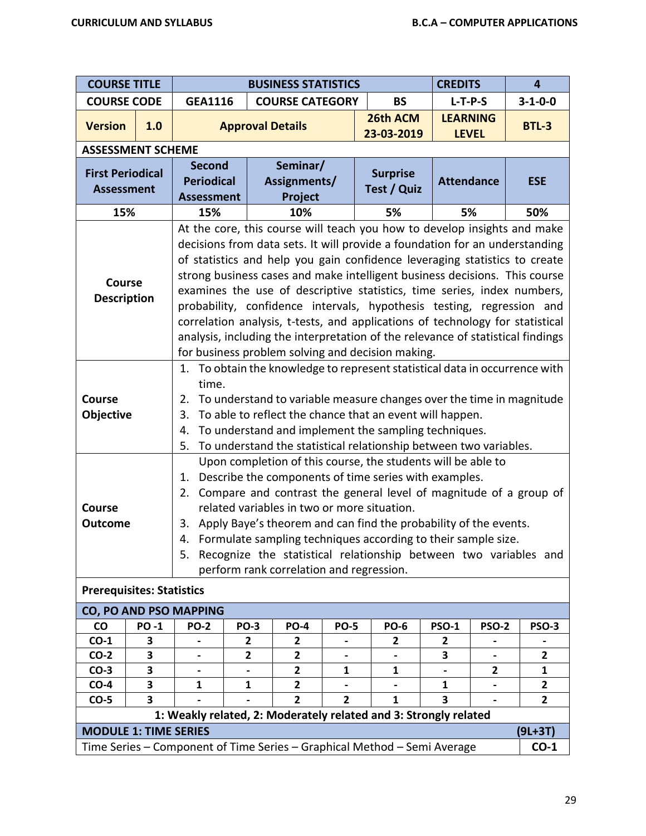| <b>COURSE TITLE</b>                          |                                           |                                                                                                                                                                                                                                                                                                                                                                                                                                                                                                                                                                                                                                                                                                  |                          | <b>BUSINESS STATISTICS</b>          |                |                                                                          | <b>CREDITS</b>                  |              | $\overline{\mathbf{4}}$ |
|----------------------------------------------|-------------------------------------------|--------------------------------------------------------------------------------------------------------------------------------------------------------------------------------------------------------------------------------------------------------------------------------------------------------------------------------------------------------------------------------------------------------------------------------------------------------------------------------------------------------------------------------------------------------------------------------------------------------------------------------------------------------------------------------------------------|--------------------------|-------------------------------------|----------------|--------------------------------------------------------------------------|---------------------------------|--------------|-------------------------|
| <b>COURSE CODE</b>                           |                                           | <b>GEA1116</b>                                                                                                                                                                                                                                                                                                                                                                                                                                                                                                                                                                                                                                                                                   |                          | <b>COURSE CATEGORY</b>              |                | <b>BS</b>                                                                | $L-T-P-S$                       |              | $3 - 1 - 0 - 0$         |
| <b>Version</b>                               | 1.0                                       |                                                                                                                                                                                                                                                                                                                                                                                                                                                                                                                                                                                                                                                                                                  | <b>Approval Details</b>  |                                     |                | 26th ACM<br>23-03-2019                                                   | <b>LEARNING</b><br><b>LEVEL</b> |              | <b>BTL-3</b>            |
| <b>ASSESSMENT SCHEME</b>                     |                                           |                                                                                                                                                                                                                                                                                                                                                                                                                                                                                                                                                                                                                                                                                                  |                          |                                     |                |                                                                          |                                 |              |                         |
| <b>First Periodical</b><br><b>Assessment</b> |                                           | <b>Second</b><br><b>Periodical</b><br><b>Assessment</b>                                                                                                                                                                                                                                                                                                                                                                                                                                                                                                                                                                                                                                          |                          | Seminar/<br>Assignments/<br>Project |                | <b>Surprise</b><br>Test / Quiz                                           | <b>Attendance</b>               |              | <b>ESE</b>              |
| 15%                                          |                                           | 15%                                                                                                                                                                                                                                                                                                                                                                                                                                                                                                                                                                                                                                                                                              |                          | 10%                                 |                | 5%                                                                       | 5%                              |              | 50%                     |
| Course<br><b>Description</b>                 |                                           | At the core, this course will teach you how to develop insights and make<br>decisions from data sets. It will provide a foundation for an understanding<br>of statistics and help you gain confidence leveraging statistics to create<br>strong business cases and make intelligent business decisions. This course<br>examines the use of descriptive statistics, time series, index numbers,<br>probability, confidence intervals, hypothesis testing, regression and<br>correlation analysis, t-tests, and applications of technology for statistical<br>analysis, including the interpretation of the relevance of statistical findings<br>for business problem solving and decision making. |                          |                                     |                |                                                                          |                                 |              |                         |
| <b>Course</b><br><b>Objective</b>            |                                           | 1. To obtain the knowledge to represent statistical data in occurrence with<br>time.<br>To understand to variable measure changes over the time in magnitude<br>2.<br>To able to reflect the chance that an event will happen.<br>3.<br>To understand and implement the sampling techniques.<br>4.                                                                                                                                                                                                                                                                                                                                                                                               |                          |                                     |                |                                                                          |                                 |              |                         |
| Course<br><b>Outcome</b>                     |                                           | To understand the statistical relationship between two variables.<br>5.<br>Upon completion of this course, the students will be able to<br>Describe the components of time series with examples.<br>1.<br>Compare and contrast the general level of magnitude of a group of<br>2.<br>related variables in two or more situation.<br>Apply Baye's theorem and can find the probability of the events.<br>3.<br>4. Formulate sampling techniques according to their sample size.<br>Recognize the statistical relationship between two variables and<br>5.<br>perform rank correlation and regression.                                                                                             |                          |                                     |                |                                                                          |                                 |              |                         |
| <b>Prerequisites: Statistics</b>             |                                           |                                                                                                                                                                                                                                                                                                                                                                                                                                                                                                                                                                                                                                                                                                  |                          |                                     |                |                                                                          |                                 |              |                         |
|                                              |                                           | <b>CO, PO AND PSO MAPPING</b>                                                                                                                                                                                                                                                                                                                                                                                                                                                                                                                                                                                                                                                                    |                          |                                     |                |                                                                          |                                 |              |                         |
| $\mathsf{co}\,$<br>$CO-1$                    | <b>PO-1</b><br>3                          | <b>PO-2</b>                                                                                                                                                                                                                                                                                                                                                                                                                                                                                                                                                                                                                                                                                      | <b>PO-3</b><br>2         | <b>PO-4</b><br>$\mathbf{2}$         | <b>PO-5</b>    | <b>PO-6</b>                                                              | <b>PSO-1</b><br>$\mathbf{2}$    | <b>PSO-2</b> | <b>PSO-3</b>            |
| $CO-2$                                       | 3                                         |                                                                                                                                                                                                                                                                                                                                                                                                                                                                                                                                                                                                                                                                                                  | $\mathbf{2}$             | $\mathbf{2}$                        |                | 2                                                                        | 3                               |              | $\mathbf{2}$            |
| $CO-3$                                       | 3                                         |                                                                                                                                                                                                                                                                                                                                                                                                                                                                                                                                                                                                                                                                                                  | $\overline{\phantom{a}}$ | $\overline{2}$                      | $\mathbf{1}$   | $\mathbf{1}$                                                             | $\blacksquare$                  | $\mathbf{2}$ | 1                       |
| $CO-4$                                       | 3                                         | 1                                                                                                                                                                                                                                                                                                                                                                                                                                                                                                                                                                                                                                                                                                | 1                        | 2                                   |                |                                                                          | 1                               |              | $\mathbf{2}$            |
| $CO-5$                                       | 3                                         |                                                                                                                                                                                                                                                                                                                                                                                                                                                                                                                                                                                                                                                                                                  |                          | $\overline{2}$                      | $\overline{2}$ | $\mathbf{1}$                                                             | 3                               |              | $\overline{2}$          |
|                                              |                                           |                                                                                                                                                                                                                                                                                                                                                                                                                                                                                                                                                                                                                                                                                                  |                          |                                     |                | 1: Weakly related, 2: Moderately related and 3: Strongly related         |                                 |              |                         |
|                                              | <b>MODULE 1: TIME SERIES</b><br>$(9L+3T)$ |                                                                                                                                                                                                                                                                                                                                                                                                                                                                                                                                                                                                                                                                                                  |                          |                                     |                |                                                                          |                                 |              |                         |
|                                              |                                           |                                                                                                                                                                                                                                                                                                                                                                                                                                                                                                                                                                                                                                                                                                  |                          |                                     |                | Time Series - Component of Time Series - Graphical Method - Semi Average |                                 |              | $CO-1$                  |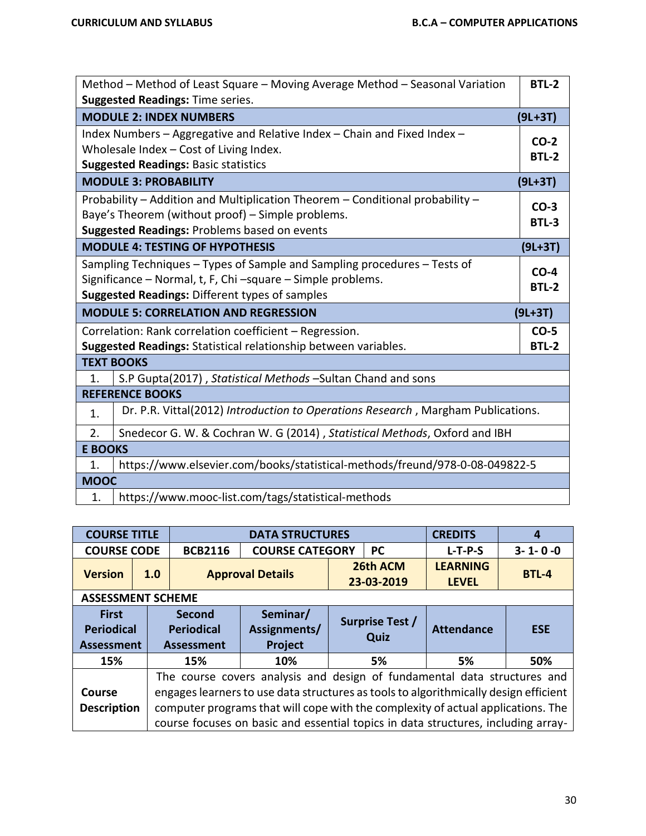| Method - Method of Least Square - Moving Average Method - Seasonal Variation                                                                                                                                        |                                                                                                                                                                                    |                        |  |  |  |  |  |
|---------------------------------------------------------------------------------------------------------------------------------------------------------------------------------------------------------------------|------------------------------------------------------------------------------------------------------------------------------------------------------------------------------------|------------------------|--|--|--|--|--|
|                                                                                                                                                                                                                     | <b>Suggested Readings: Time series.</b>                                                                                                                                            |                        |  |  |  |  |  |
|                                                                                                                                                                                                                     | <b>MODULE 2: INDEX NUMBERS</b>                                                                                                                                                     | $(9L+3T)$              |  |  |  |  |  |
|                                                                                                                                                                                                                     | Index Numbers - Aggregative and Relative Index - Chain and Fixed Index -<br>Wholesale Index - Cost of Living Index.<br><b>Suggested Readings: Basic statistics</b>                 | $CO-2$<br><b>BTL-2</b> |  |  |  |  |  |
|                                                                                                                                                                                                                     | <b>MODULE 3: PROBABILITY</b>                                                                                                                                                       | $(9L+3T)$              |  |  |  |  |  |
|                                                                                                                                                                                                                     | Probability - Addition and Multiplication Theorem - Conditional probability -<br>Baye's Theorem (without proof) - Simple problems.<br>Suggested Readings: Problems based on events | $CO-3$<br><b>BTL-3</b> |  |  |  |  |  |
|                                                                                                                                                                                                                     | <b>MODULE 4: TESTING OF HYPOTHESIS</b>                                                                                                                                             | $(9L+3T)$              |  |  |  |  |  |
| Sampling Techniques - Types of Sample and Sampling procedures - Tests of<br>$CO-4$<br>Significance - Normal, t, F, Chi -square - Simple problems.<br><b>BTL-2</b><br>Suggested Readings: Different types of samples |                                                                                                                                                                                    |                        |  |  |  |  |  |
| <b>MODULE 5: CORRELATION AND REGRESSION</b>                                                                                                                                                                         |                                                                                                                                                                                    |                        |  |  |  |  |  |
|                                                                                                                                                                                                                     |                                                                                                                                                                                    | $(9L+3T)$              |  |  |  |  |  |
|                                                                                                                                                                                                                     | Correlation: Rank correlation coefficient - Regression.                                                                                                                            | $CO-5$                 |  |  |  |  |  |
|                                                                                                                                                                                                                     | Suggested Readings: Statistical relationship between variables.                                                                                                                    | <b>BTL-2</b>           |  |  |  |  |  |
|                                                                                                                                                                                                                     | <b>TEXT BOOKS</b>                                                                                                                                                                  |                        |  |  |  |  |  |
| 1.                                                                                                                                                                                                                  | S.P Gupta(2017), Statistical Methods -Sultan Chand and sons                                                                                                                        |                        |  |  |  |  |  |
|                                                                                                                                                                                                                     | <b>REFERENCE BOOKS</b>                                                                                                                                                             |                        |  |  |  |  |  |
| 1.                                                                                                                                                                                                                  | Dr. P.R. Vittal(2012) Introduction to Operations Research, Margham Publications.                                                                                                   |                        |  |  |  |  |  |
| 2.                                                                                                                                                                                                                  | Snedecor G. W. & Cochran W. G (2014) , Statistical Methods, Oxford and IBH                                                                                                         |                        |  |  |  |  |  |
| <b>E BOOKS</b>                                                                                                                                                                                                      |                                                                                                                                                                                    |                        |  |  |  |  |  |
| 1.                                                                                                                                                                                                                  | https://www.elsevier.com/books/statistical-methods/freund/978-0-08-049822-5                                                                                                        |                        |  |  |  |  |  |
| <b>MOOC</b>                                                                                                                                                                                                         |                                                                                                                                                                                    |                        |  |  |  |  |  |

| <b>COURSE TITLE</b>                                    |                          |                                                                                                                                                                                                                                                                                                                                           | <b>DATA STRUCTURES</b>                     |                         |                        | <b>CREDITS</b>                  | 4               |  |  |  |
|--------------------------------------------------------|--------------------------|-------------------------------------------------------------------------------------------------------------------------------------------------------------------------------------------------------------------------------------------------------------------------------------------------------------------------------------------|--------------------------------------------|-------------------------|------------------------|---------------------------------|-----------------|--|--|--|
| <b>COURSE CODE</b>                                     |                          | <b>BCB2116</b>                                                                                                                                                                                                                                                                                                                            | <b>COURSE CATEGORY</b>                     |                         | <b>PC</b>              | $L-T-P-S$                       | $3 - 1 - 0 - 0$ |  |  |  |
| <b>Version</b>                                         | 1.0                      |                                                                                                                                                                                                                                                                                                                                           | <b>Approval Details</b>                    |                         | 26th ACM<br>23-03-2019 | <b>LEARNING</b><br><b>LEVEL</b> | BTL-4           |  |  |  |
|                                                        | <b>ASSESSMENT SCHEME</b> |                                                                                                                                                                                                                                                                                                                                           |                                            |                         |                        |                                 |                 |  |  |  |
| <b>First</b><br><b>Periodical</b><br><b>Assessment</b> |                          | Second<br><b>Periodical</b><br><b>Assessment</b>                                                                                                                                                                                                                                                                                          | Seminar/<br>Assignments/<br><b>Project</b> | Surprise Test /<br>Quiz |                        | <b>Attendance</b>               | <b>ESE</b>      |  |  |  |
| 15%                                                    |                          | 15%                                                                                                                                                                                                                                                                                                                                       | 10%                                        |                         | 5%<br>5%               |                                 | 50%             |  |  |  |
| Course<br><b>Description</b>                           |                          | The course covers analysis and design of fundamental data structures and<br>engages learners to use data structures as tools to algorithmically design efficient<br>computer programs that will cope with the complexity of actual applications. The<br>course focuses on basic and essential topics in data structures, including array- |                                            |                         |                        |                                 |                 |  |  |  |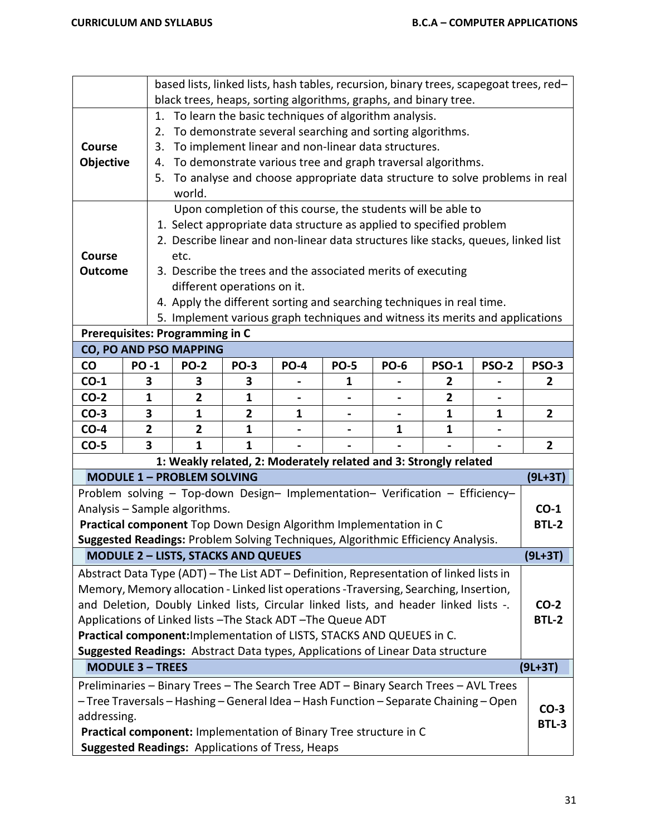|                 |                                                                               | based lists, linked lists, hash tables, recursion, binary trees, scapegoat trees, red-<br>black trees, heaps, sorting algorithms, graphs, and binary tree. |              |                                                         |                                                              |              |              |              |                |
|-----------------|-------------------------------------------------------------------------------|------------------------------------------------------------------------------------------------------------------------------------------------------------|--------------|---------------------------------------------------------|--------------------------------------------------------------|--------------|--------------|--------------|----------------|
|                 | 1.                                                                            | To learn the basic techniques of algorithm analysis.                                                                                                       |              |                                                         |                                                              |              |              |              |                |
|                 | 2.                                                                            | To demonstrate several searching and sorting algorithms.                                                                                                   |              |                                                         |                                                              |              |              |              |                |
| Course          | 3.                                                                            |                                                                                                                                                            |              |                                                         | To implement linear and non-linear data structures.          |              |              |              |                |
| Objective       | 4.                                                                            | To demonstrate various tree and graph traversal algorithms.                                                                                                |              |                                                         |                                                              |              |              |              |                |
|                 |                                                                               | 5. To analyse and choose appropriate data structure to solve problems in real                                                                              |              |                                                         |                                                              |              |              |              |                |
|                 |                                                                               | world.                                                                                                                                                     |              |                                                         |                                                              |              |              |              |                |
|                 |                                                                               |                                                                                                                                                            |              |                                                         | Upon completion of this course, the students will be able to |              |              |              |                |
|                 |                                                                               | 1. Select appropriate data structure as applied to specified problem                                                                                       |              |                                                         |                                                              |              |              |              |                |
|                 |                                                                               | 2. Describe linear and non-linear data structures like stacks, queues, linked list                                                                         |              |                                                         |                                                              |              |              |              |                |
| Course          |                                                                               | etc.                                                                                                                                                       |              |                                                         |                                                              |              |              |              |                |
| <b>Outcome</b>  |                                                                               | 3. Describe the trees and the associated merits of executing                                                                                               |              |                                                         |                                                              |              |              |              |                |
|                 |                                                                               | different operations on it.                                                                                                                                |              |                                                         |                                                              |              |              |              |                |
|                 | 4. Apply the different sorting and searching techniques in real time.         |                                                                                                                                                            |              |                                                         |                                                              |              |              |              |                |
|                 | 5. Implement various graph techniques and witness its merits and applications |                                                                                                                                                            |              |                                                         |                                                              |              |              |              |                |
|                 |                                                                               | Prerequisites: Programming in C                                                                                                                            |              |                                                         |                                                              |              |              |              |                |
| $\mathsf{co}\,$ | <b>PO-1</b>                                                                   | CO, PO AND PSO MAPPING<br><b>PO-2</b>                                                                                                                      | <b>PO-3</b>  | <b>PO-4</b>                                             | <b>PO-5</b>                                                  | <b>PO-6</b>  | <b>PSO-1</b> | <b>PSO-2</b> | <b>PSO-3</b>   |
| $CO-1$          | 3                                                                             | 3                                                                                                                                                          | 3            |                                                         | $\mathbf{1}$                                                 |              | 2            |              | $\mathbf{2}$   |
| $CO-2$          | $\mathbf{1}$                                                                  | 2                                                                                                                                                          | 1            |                                                         |                                                              |              | 2            |              |                |
| $CO-3$          | 3                                                                             | 1                                                                                                                                                          | $\mathbf{2}$ | $\mathbf{1}$                                            |                                                              |              | 1            | 1            | $\overline{2}$ |
| $CO-4$          | $\overline{2}$                                                                | $\overline{2}$                                                                                                                                             | $\mathbf{1}$ |                                                         |                                                              | $\mathbf{1}$ | 1            |              |                |
| $CO-5$          | 3                                                                             | $\mathbf{1}$                                                                                                                                               | $\mathbf{1}$ |                                                         |                                                              |              |              |              | $\overline{2}$ |
|                 |                                                                               | 1: Weakly related, 2: Moderately related and 3: Strongly related                                                                                           |              |                                                         |                                                              |              |              |              |                |
|                 |                                                                               | <b>MODULE 1 - PROBLEM SOLVING</b>                                                                                                                          |              |                                                         |                                                              |              |              |              | $(9L+3T)$      |
|                 |                                                                               | Problem solving - Top-down Design- Implementation- Verification - Efficiency-                                                                              |              |                                                         |                                                              |              |              |              |                |
|                 |                                                                               | Analysis - Sample algorithms.                                                                                                                              |              |                                                         |                                                              |              |              |              | $CO-1$         |
|                 |                                                                               | Practical component Top Down Design Algorithm Implementation in C                                                                                          |              |                                                         |                                                              |              |              |              | <b>BTL-2</b>   |
|                 |                                                                               | Suggested Readings: Problem Solving Techniques, Algorithmic Efficiency Analysis.                                                                           |              |                                                         |                                                              |              |              |              |                |
|                 |                                                                               | <b>MODULE 2 - LISTS, STACKS AND QUEUES</b>                                                                                                                 |              |                                                         |                                                              |              |              |              | $(9L+3T)$      |
|                 |                                                                               | Abstract Data Type (ADT) - The List ADT - Definition, Representation of linked lists in                                                                    |              |                                                         |                                                              |              |              |              |                |
|                 |                                                                               | Memory, Memory allocation - Linked list operations -Traversing, Searching, Insertion,                                                                      |              |                                                         |                                                              |              |              |              |                |
|                 |                                                                               | and Deletion, Doubly Linked lists, Circular linked lists, and header linked lists -.                                                                       |              |                                                         |                                                              |              |              |              | $CO-2$         |
|                 |                                                                               | Applications of Linked lists - The Stack ADT - The Queue ADT                                                                                               |              |                                                         |                                                              |              |              |              | <b>BTL-2</b>   |
|                 |                                                                               | Practical component: Implementation of LISTS, STACKS AND QUEUES in C.                                                                                      |              |                                                         |                                                              |              |              |              |                |
|                 |                                                                               | Suggested Readings: Abstract Data types, Applications of Linear Data structure                                                                             |              |                                                         |                                                              |              |              |              |                |
|                 | <b>MODULE 3 - TREES</b>                                                       |                                                                                                                                                            |              |                                                         |                                                              |              |              |              | $(9L+3T)$      |
|                 |                                                                               | Preliminaries - Binary Trees - The Search Tree ADT - Binary Search Trees - AVL Trees                                                                       |              |                                                         |                                                              |              |              |              |                |
|                 |                                                                               | - Tree Traversals - Hashing - General Idea - Hash Function - Separate Chaining - Open                                                                      |              |                                                         |                                                              |              |              |              | $CO-3$         |
| addressing.     |                                                                               |                                                                                                                                                            |              |                                                         |                                                              |              |              |              | <b>BTL-3</b>   |
|                 |                                                                               | Practical component: Implementation of Binary Tree structure in C                                                                                          |              |                                                         |                                                              |              |              |              |                |
|                 |                                                                               |                                                                                                                                                            |              | <b>Suggested Readings: Applications of Tress, Heaps</b> |                                                              |              |              |              |                |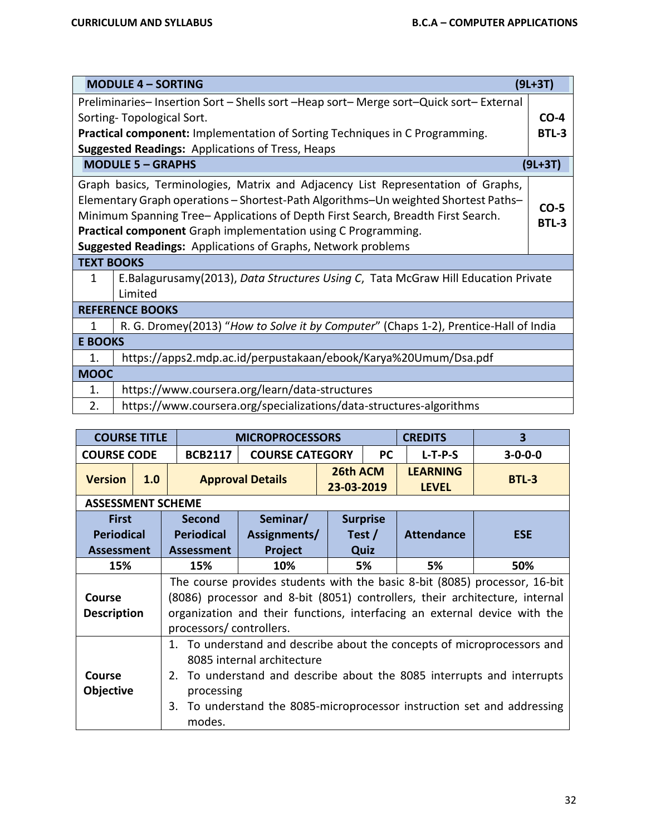|                                                                                              | <b>MODULE 4 - SORTING</b>                                                              | $(9L+3T)$    |  |  |  |  |
|----------------------------------------------------------------------------------------------|----------------------------------------------------------------------------------------|--------------|--|--|--|--|
|                                                                                              | Preliminaries-Insertion Sort - Shells sort - Heap sort- Merge sort-Quick sort-External |              |  |  |  |  |
|                                                                                              | Sorting-Topological Sort.                                                              | $CO-4$       |  |  |  |  |
|                                                                                              | <b>Practical component:</b> Implementation of Sorting Techniques in C Programming.     | <b>BTL-3</b> |  |  |  |  |
|                                                                                              | <b>Suggested Readings: Applications of Tress, Heaps</b>                                |              |  |  |  |  |
| <b>MODULE 5 - GRAPHS</b><br>$(9L+3T)$                                                        |                                                                                        |              |  |  |  |  |
|                                                                                              | Graph basics, Terminologies, Matrix and Adjacency List Representation of Graphs,       |              |  |  |  |  |
| Elementary Graph operations - Shortest-Path Algorithms-Un weighted Shortest Paths-<br>$CO-5$ |                                                                                        |              |  |  |  |  |
| Minimum Spanning Tree- Applications of Depth First Search, Breadth First Search.             |                                                                                        |              |  |  |  |  |
| <b>BTL-3</b><br><b>Practical component</b> Graph implementation using C Programming.         |                                                                                        |              |  |  |  |  |
|                                                                                              | <b>Suggested Readings:</b> Applications of Graphs, Network problems                    |              |  |  |  |  |
| <b>TEXT BOOKS</b>                                                                            |                                                                                        |              |  |  |  |  |
| 1                                                                                            | E.Balagurusamy(2013), Data Structures Using C, Tata McGraw Hill Education Private      |              |  |  |  |  |
|                                                                                              | Limited                                                                                |              |  |  |  |  |
|                                                                                              | <b>REFERENCE BOOKS</b>                                                                 |              |  |  |  |  |
| 1                                                                                            | R. G. Dromey(2013) "How to Solve it by Computer" (Chaps 1-2), Prentice-Hall of India   |              |  |  |  |  |
| <b>E BOOKS</b>                                                                               |                                                                                        |              |  |  |  |  |
| $\mathbf{1}$ .                                                                               | https://apps2.mdp.ac.id/perpustakaan/ebook/Karya%20Umum/Dsa.pdf                        |              |  |  |  |  |
| <b>MOOC</b>                                                                                  |                                                                                        |              |  |  |  |  |
| 1.                                                                                           | https://www.coursera.org/learn/data-structures                                         |              |  |  |  |  |
| 2.                                                                                           | https://www.coursera.org/specializations/data-structures-algorithms                    |              |  |  |  |  |

|                                     | <b>COURSE TITLE</b>      |                                                                                                                                                                                                                                                                                       | <b>MICROPROCESSORS</b>  |                        |                 | <b>CREDITS</b>                  | 3               |  |  |  |
|-------------------------------------|--------------------------|---------------------------------------------------------------------------------------------------------------------------------------------------------------------------------------------------------------------------------------------------------------------------------------|-------------------------|------------------------|-----------------|---------------------------------|-----------------|--|--|--|
| <b>COURSE CODE</b>                  |                          | <b>BCB2117</b>                                                                                                                                                                                                                                                                        | <b>COURSE CATEGORY</b>  |                        | <b>PC</b>       | $L-T-P-S$                       | $3 - 0 - 0 - 0$ |  |  |  |
| <b>Version</b>                      | 1.0                      |                                                                                                                                                                                                                                                                                       | <b>Approval Details</b> | 26th ACM<br>23-03-2019 |                 | <b>LEARNING</b><br><b>LEVEL</b> | <b>BTL-3</b>    |  |  |  |
|                                     | <b>ASSESSMENT SCHEME</b> |                                                                                                                                                                                                                                                                                       |                         |                        |                 |                                 |                 |  |  |  |
| <b>First</b>                        |                          | <b>Second</b>                                                                                                                                                                                                                                                                         | Seminar/                |                        | <b>Surprise</b> |                                 |                 |  |  |  |
| <b>Periodical</b>                   |                          | <b>Periodical</b>                                                                                                                                                                                                                                                                     | Assignments/            |                        | Test $/$        | <b>Attendance</b>               | <b>ESE</b>      |  |  |  |
| <b>Assessment</b>                   |                          | <b>Assessment</b>                                                                                                                                                                                                                                                                     | <b>Project</b>          |                        | Quiz            |                                 |                 |  |  |  |
| 15%                                 |                          | 15%                                                                                                                                                                                                                                                                                   | 10%                     |                        | 5%              | 5%                              | 50%             |  |  |  |
| <b>Course</b><br><b>Description</b> |                          | The course provides students with the basic 8-bit (8085) processor, 16-bit<br>(8086) processor and 8-bit (8051) controllers, their architecture, internal<br>organization and their functions, interfacing an external device with the<br>processors/controllers.                     |                         |                        |                 |                                 |                 |  |  |  |
| Course<br><b>Objective</b>          |                          | 1. To understand and describe about the concepts of microprocessors and<br>8085 internal architecture<br>2. To understand and describe about the 8085 interrupts and interrupts<br>processing<br>To understand the 8085-microprocessor instruction set and addressing<br>3.<br>modes. |                         |                        |                 |                                 |                 |  |  |  |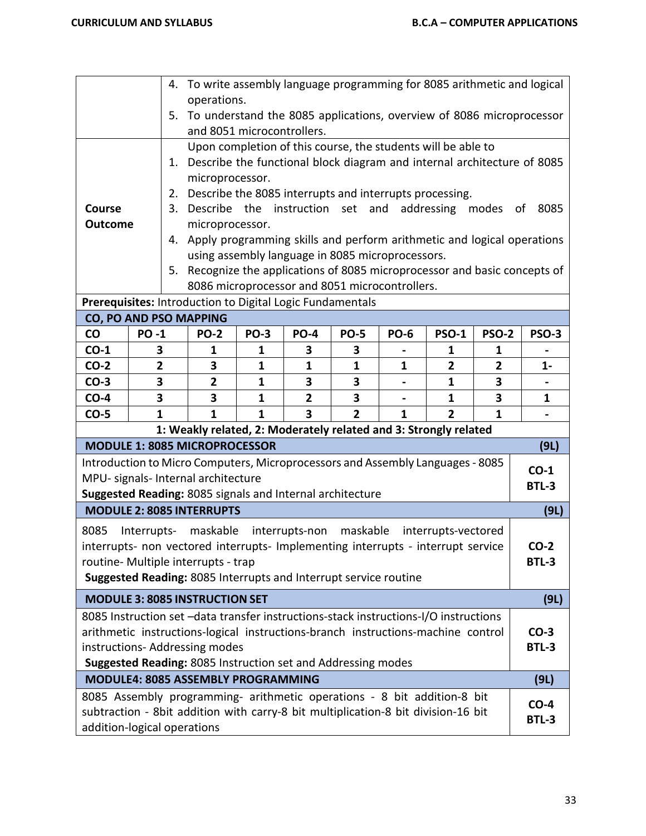|                |                                                                                                                                                                        | 4. To write assembly language programming for 8085 arithmetic and logical<br>operations. |              |                         |                |              |                |              |              |
|----------------|------------------------------------------------------------------------------------------------------------------------------------------------------------------------|------------------------------------------------------------------------------------------|--------------|-------------------------|----------------|--------------|----------------|--------------|--------------|
|                | 5.                                                                                                                                                                     | To understand the 8085 applications, overview of 8086 microprocessor                     |              |                         |                |              |                |              |              |
|                |                                                                                                                                                                        | and 8051 microcontrollers.                                                               |              |                         |                |              |                |              |              |
|                |                                                                                                                                                                        | Upon completion of this course, the students will be able to                             |              |                         |                |              |                |              |              |
|                |                                                                                                                                                                        | 1. Describe the functional block diagram and internal architecture of 8085               |              |                         |                |              |                |              |              |
|                |                                                                                                                                                                        | microprocessor.                                                                          |              |                         |                |              |                |              |              |
|                | 2.                                                                                                                                                                     | Describe the 8085 interrupts and interrupts processing.                                  |              |                         |                |              |                |              |              |
| <b>Course</b>  | Describe the instruction set and addressing modes of<br>3.<br>8085<br>microprocessor.                                                                                  |                                                                                          |              |                         |                |              |                |              |              |
| <b>Outcome</b> |                                                                                                                                                                        | 4. Apply programming skills and perform arithmetic and logical operations                |              |                         |                |              |                |              |              |
|                |                                                                                                                                                                        |                                                                                          |              |                         |                |              |                |              |              |
|                | using assembly language in 8085 microprocessors.<br>Recognize the applications of 8085 microprocessor and basic concepts of<br>5.                                      |                                                                                          |              |                         |                |              |                |              |              |
|                | 8086 microprocessor and 8051 microcontrollers.                                                                                                                         |                                                                                          |              |                         |                |              |                |              |              |
|                | Prerequisites: Introduction to Digital Logic Fundamentals                                                                                                              |                                                                                          |              |                         |                |              |                |              |              |
|                | <b>CO, PO AND PSO MAPPING</b>                                                                                                                                          |                                                                                          |              |                         |                |              |                |              |              |
| <b>CO</b>      | <b>PO-1</b>                                                                                                                                                            | <b>PO-2</b>                                                                              | <b>PO-3</b>  | <b>PO-4</b>             | <b>PO-5</b>    | <b>PO-6</b>  | <b>PSO-1</b>   | <b>PSO-2</b> | PSO-3        |
| $CO-1$         | 3                                                                                                                                                                      | 1                                                                                        | 1            | 3                       | 3              |              | 1              | 1            |              |
| $CO-2$         | 2                                                                                                                                                                      | 3                                                                                        | 1            | 1                       | 1              | 1            | $\overline{2}$ | $\mathbf{2}$ | 1-           |
| $CO-3$         | 3                                                                                                                                                                      | $\overline{2}$                                                                           | 1            | 3                       | 3              |              | 1              | 3            |              |
| $CO-4$         | 3                                                                                                                                                                      | 3                                                                                        | $\mathbf{1}$ | $\overline{2}$          | 3              |              | 1              | 3            | 1            |
| $CO-5$         | $\mathbf{1}$                                                                                                                                                           | $\mathbf{1}$                                                                             | $\mathbf{1}$ | $\overline{\mathbf{3}}$ | $\overline{2}$ | $\mathbf{1}$ | $\overline{2}$ | $\mathbf{1}$ |              |
|                | <b>MODULE 1: 8085 MICROPROCESSOR</b>                                                                                                                                   | 1: Weakly related, 2: Moderately related and 3: Strongly related                         |              |                         |                |              |                |              |              |
|                | Introduction to Micro Computers, Microprocessors and Assembly Languages - 8085                                                                                         |                                                                                          |              |                         |                |              |                |              | (9L)         |
|                | MPU- signals- Internal architecture                                                                                                                                    |                                                                                          |              |                         |                |              |                |              | $CO-1$       |
|                | Suggested Reading: 8085 signals and Internal architecture                                                                                                              |                                                                                          |              |                         |                |              |                |              | <b>BTL-3</b> |
|                | <b>MODULE 2: 8085 INTERRUPTS</b>                                                                                                                                       |                                                                                          |              |                         |                |              |                |              | (9L)         |
| 8085           | Interrupts- maskable interrupts-non maskable interrupts-vectored                                                                                                       |                                                                                          |              |                         |                |              |                |              |              |
|                | interrupts- non vectored interrupts- Implementing interrupts - interrupt service                                                                                       |                                                                                          |              |                         |                |              |                |              | $CO-2$       |
|                | routine- Multiple interrupts - trap                                                                                                                                    |                                                                                          |              |                         |                |              |                |              | <b>BTL-3</b> |
|                | Suggested Reading: 8085 Interrupts and Interrupt service routine                                                                                                       |                                                                                          |              |                         |                |              |                |              |              |
|                | <b>MODULE 3: 8085 INSTRUCTION SET</b>                                                                                                                                  |                                                                                          |              |                         |                |              |                |              | (9L)         |
|                | 8085 Instruction set -data transfer instructions-stack instructions-I/O instructions                                                                                   |                                                                                          |              |                         |                |              |                |              |              |
|                |                                                                                                                                                                        |                                                                                          |              |                         |                |              |                |              | $CO-3$       |
|                | arithmetic instructions-logical instructions-branch instructions-machine control<br>instructions-Addressing modes                                                      |                                                                                          |              |                         |                |              | <b>BTL-3</b>   |              |              |
|                | Suggested Reading: 8085 Instruction set and Addressing modes                                                                                                           |                                                                                          |              |                         |                |              |                |              |              |
|                | <b>MODULE4: 8085 ASSEMBLY PROGRAMMING</b><br>(9L)                                                                                                                      |                                                                                          |              |                         |                |              |                |              |              |
|                |                                                                                                                                                                        |                                                                                          |              |                         |                |              |                |              |              |
|                | 8085 Assembly programming- arithmetic operations - 8 bit addition-8 bit<br>$CO-4$<br>subtraction - 8bit addition with carry-8 bit multiplication-8 bit division-16 bit |                                                                                          |              |                         |                |              |                |              |              |
|                | <b>BTL-3</b><br>addition-logical operations                                                                                                                            |                                                                                          |              |                         |                |              |                |              |              |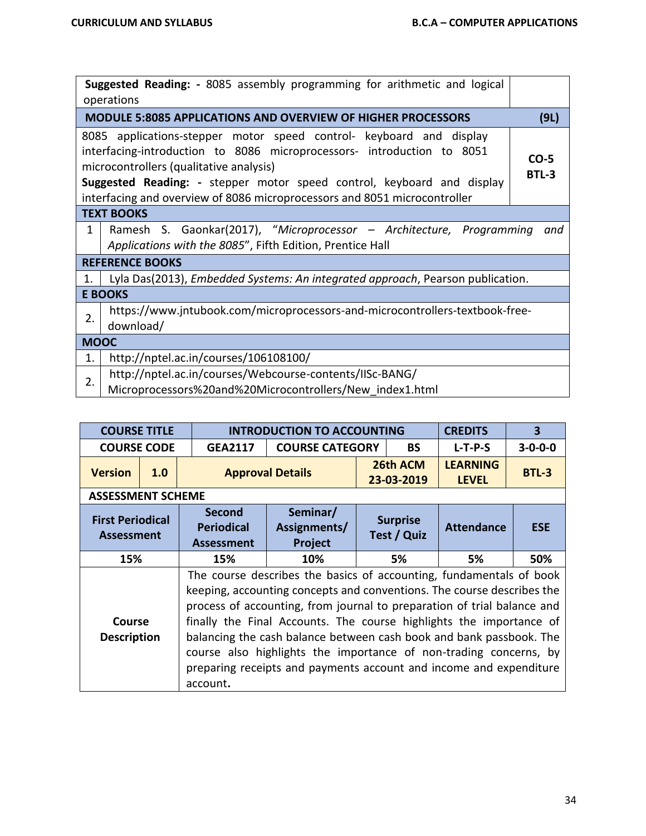| Suggested Reading: - 8085 assembly programming for arithmetic and logical<br>operations |                                                                                                                                                                                                                                                                                                                                                 |                        |  |  |  |  |  |
|-----------------------------------------------------------------------------------------|-------------------------------------------------------------------------------------------------------------------------------------------------------------------------------------------------------------------------------------------------------------------------------------------------------------------------------------------------|------------------------|--|--|--|--|--|
|                                                                                         | <b>MODULE 5:8085 APPLICATIONS AND OVERVIEW OF HIGHER PROCESSORS</b>                                                                                                                                                                                                                                                                             | (9L)                   |  |  |  |  |  |
|                                                                                         | 8085 applications-stepper motor speed control- keyboard and display<br>interfacing-introduction to 8086 microprocessors- introduction to 8051<br>microcontrollers (qualitative analysis)<br>Suggested Reading: - stepper motor speed control, keyboard and display<br>interfacing and overview of 8086 microprocessors and 8051 microcontroller | $CO-5$<br><b>BTL-3</b> |  |  |  |  |  |
|                                                                                         | <b>TEXT BOOKS</b>                                                                                                                                                                                                                                                                                                                               |                        |  |  |  |  |  |
| $\mathbf{1}$                                                                            | Ramesh S. Gaonkar(2017), "Microprocessor - Architecture, Programming<br>and<br>Applications with the 8085", Fifth Edition, Prentice Hall                                                                                                                                                                                                        |                        |  |  |  |  |  |
|                                                                                         | <b>REFERENCE BOOKS</b>                                                                                                                                                                                                                                                                                                                          |                        |  |  |  |  |  |
| 1.                                                                                      | Lyla Das(2013), <i>Embedded Systems: An integrated approach</i> , Pearson publication.                                                                                                                                                                                                                                                          |                        |  |  |  |  |  |
|                                                                                         | <b>E BOOKS</b>                                                                                                                                                                                                                                                                                                                                  |                        |  |  |  |  |  |
| 2.                                                                                      | https://www.jntubook.com/microprocessors-and-microcontrollers-textbook-free-<br>download/                                                                                                                                                                                                                                                       |                        |  |  |  |  |  |
| <b>MOOC</b>                                                                             |                                                                                                                                                                                                                                                                                                                                                 |                        |  |  |  |  |  |
| 1.                                                                                      | http://nptel.ac.in/courses/106108100/                                                                                                                                                                                                                                                                                                           |                        |  |  |  |  |  |
| 2.                                                                                      | http://nptel.ac.in/courses/Webcourse-contents/IISc-BANG/                                                                                                                                                                                                                                                                                        |                        |  |  |  |  |  |
|                                                                                         | Microprocessors%20and%20Microcontrollers/New index1.html                                                                                                                                                                                                                                                                                        |                        |  |  |  |  |  |

| <b>COURSE TITLE</b>                          |     |                                                                                                                                                                                                                                                                                                                                                                                                                                                                                                                   | <b>INTRODUCTION TO ACCOUNTING</b>   |    |                                | <b>CREDITS</b>                  | $\overline{\mathbf{3}}$ |  |  |
|----------------------------------------------|-----|-------------------------------------------------------------------------------------------------------------------------------------------------------------------------------------------------------------------------------------------------------------------------------------------------------------------------------------------------------------------------------------------------------------------------------------------------------------------------------------------------------------------|-------------------------------------|----|--------------------------------|---------------------------------|-------------------------|--|--|
| <b>COURSE CODE</b>                           |     | <b>GEA2117</b>                                                                                                                                                                                                                                                                                                                                                                                                                                                                                                    | <b>COURSE CATEGORY</b>              |    | <b>BS</b>                      | $L-T-P-S$                       | $3 - 0 - 0 - 0$         |  |  |
| <b>Version</b>                               | 1.0 |                                                                                                                                                                                                                                                                                                                                                                                                                                                                                                                   | <b>Approval Details</b>             |    | 26th ACM<br>23-03-2019         | <b>LEARNING</b><br><b>LEVEL</b> | <b>BTL-3</b>            |  |  |
| <b>ASSESSMENT SCHEME</b>                     |     |                                                                                                                                                                                                                                                                                                                                                                                                                                                                                                                   |                                     |    |                                |                                 |                         |  |  |
| <b>First Periodical</b><br><b>Assessment</b> |     | <b>Second</b><br><b>Periodical</b><br><b>Assessment</b>                                                                                                                                                                                                                                                                                                                                                                                                                                                           | Seminar/<br>Assignments/<br>Project |    | <b>Surprise</b><br>Test / Quiz | <b>Attendance</b>               | <b>ESE</b>              |  |  |
| 15%                                          |     | 15%                                                                                                                                                                                                                                                                                                                                                                                                                                                                                                               | 10%                                 | 5% |                                | 5%                              | 50%                     |  |  |
| Course<br><b>Description</b>                 |     | The course describes the basics of accounting, fundamentals of book<br>keeping, accounting concepts and conventions. The course describes the<br>process of accounting, from journal to preparation of trial balance and<br>finally the Final Accounts. The course highlights the importance of<br>balancing the cash balance between cash book and bank passbook. The<br>course also highlights the importance of non-trading concerns, by<br>preparing receipts and payments account and income and expenditure |                                     |    |                                |                                 |                         |  |  |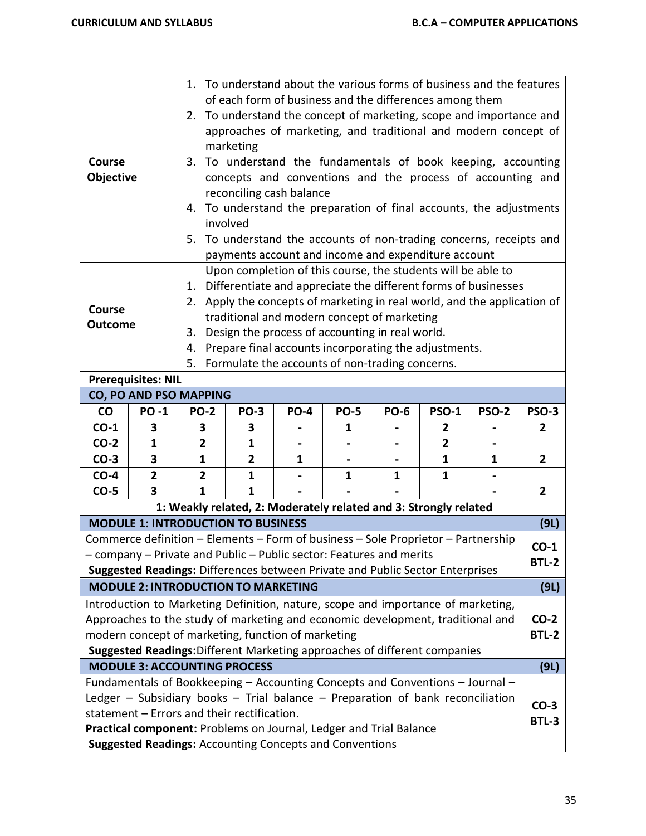| Course<br>Objective                                                                                                                                                                                                                                                                                                                                          |                | 1. To understand about the various forms of business and the features<br>of each form of business and the differences among them<br>2. To understand the concept of marketing, scope and importance and<br>approaches of marketing, and traditional and modern concept of<br>marketing<br>3. To understand the fundamentals of book keeping, accounting<br>concepts and conventions and the process of accounting and<br>reconciling cash balance<br>To understand the preparation of final accounts, the adjustments<br>4.<br>involved<br>5. To understand the accounts of non-trading concerns, receipts and |              |             |             |             |                |              |                        |
|--------------------------------------------------------------------------------------------------------------------------------------------------------------------------------------------------------------------------------------------------------------------------------------------------------------------------------------------------------------|----------------|----------------------------------------------------------------------------------------------------------------------------------------------------------------------------------------------------------------------------------------------------------------------------------------------------------------------------------------------------------------------------------------------------------------------------------------------------------------------------------------------------------------------------------------------------------------------------------------------------------------|--------------|-------------|-------------|-------------|----------------|--------------|------------------------|
| Course<br><b>Outcome</b>                                                                                                                                                                                                                                                                                                                                     |                | payments account and income and expenditure account<br>Upon completion of this course, the students will be able to<br>Differentiate and appreciate the different forms of businesses<br>1.<br>2. Apply the concepts of marketing in real world, and the application of<br>traditional and modern concept of marketing<br>Design the process of accounting in real world.<br>3.<br>Prepare final accounts incorporating the adjustments.<br>4.<br>Formulate the accounts of non-trading concerns.<br>5.                                                                                                        |              |             |             |             |                |              |                        |
| <b>Prerequisites: NIL</b>                                                                                                                                                                                                                                                                                                                                    |                |                                                                                                                                                                                                                                                                                                                                                                                                                                                                                                                                                                                                                |              |             |             |             |                |              |                        |
| CO, PO AND PSO MAPPING                                                                                                                                                                                                                                                                                                                                       |                |                                                                                                                                                                                                                                                                                                                                                                                                                                                                                                                                                                                                                |              |             |             |             |                |              |                        |
| <b>CO</b>                                                                                                                                                                                                                                                                                                                                                    | <b>PO-1</b>    | <b>PO-2</b>                                                                                                                                                                                                                                                                                                                                                                                                                                                                                                                                                                                                    | <b>PO-3</b>  | <b>PO-4</b> | <b>PO-5</b> | <b>PO-6</b> | <b>PSO-1</b>   | <b>PSO-2</b> | <b>PSO-3</b>           |
| $CO-1$                                                                                                                                                                                                                                                                                                                                                       | 3              | 3                                                                                                                                                                                                                                                                                                                                                                                                                                                                                                                                                                                                              | 3            |             | 1           |             | $\mathbf{2}$   |              | $\mathbf{2}$           |
| $CO-2$                                                                                                                                                                                                                                                                                                                                                       | $\mathbf{1}$   | $\overline{2}$                                                                                                                                                                                                                                                                                                                                                                                                                                                                                                                                                                                                 | $\mathbf{1}$ |             |             |             | $\overline{2}$ |              |                        |
| $CO-3$                                                                                                                                                                                                                                                                                                                                                       | 3              | 1                                                                                                                                                                                                                                                                                                                                                                                                                                                                                                                                                                                                              | 2            | 1           |             |             | 1              | 1            | $\overline{2}$         |
| $CO-4$                                                                                                                                                                                                                                                                                                                                                       | $\overline{2}$ | 2                                                                                                                                                                                                                                                                                                                                                                                                                                                                                                                                                                                                              | 1            |             | 1           | 1           | 1              |              |                        |
| $CO-5$                                                                                                                                                                                                                                                                                                                                                       | 3              | 1                                                                                                                                                                                                                                                                                                                                                                                                                                                                                                                                                                                                              | $\mathbf{1}$ |             |             |             |                |              | $\overline{2}$         |
| 1: Weakly related, 2: Moderately related and 3: Strongly related                                                                                                                                                                                                                                                                                             |                |                                                                                                                                                                                                                                                                                                                                                                                                                                                                                                                                                                                                                |              |             |             |             |                |              |                        |
| <b>MODULE 1: INTRODUCTION TO BUSINESS</b><br>(9L)                                                                                                                                                                                                                                                                                                            |                |                                                                                                                                                                                                                                                                                                                                                                                                                                                                                                                                                                                                                |              |             |             |             |                |              |                        |
| Commerce definition - Elements - Form of business - Sole Proprietor - Partnership<br>- company - Private and Public - Public sector: Features and merits<br>Suggested Readings: Differences between Private and Public Sector Enterprises                                                                                                                    |                |                                                                                                                                                                                                                                                                                                                                                                                                                                                                                                                                                                                                                |              |             |             |             |                |              | $CO-1$<br><b>BTL-2</b> |
| <b>MODULE 2: INTRODUCTION TO MARKETING</b><br>(9L)                                                                                                                                                                                                                                                                                                           |                |                                                                                                                                                                                                                                                                                                                                                                                                                                                                                                                                                                                                                |              |             |             |             |                |              |                        |
| Introduction to Marketing Definition, nature, scope and importance of marketing,<br>Approaches to the study of marketing and economic development, traditional and<br>modern concept of marketing, function of marketing<br>Suggested Readings: Different Marketing approaches of different companies                                                        |                |                                                                                                                                                                                                                                                                                                                                                                                                                                                                                                                                                                                                                |              |             |             |             |                |              | $CO-2$<br><b>BTL-2</b> |
| <b>MODULE 3: ACCOUNTING PROCESS</b>                                                                                                                                                                                                                                                                                                                          |                |                                                                                                                                                                                                                                                                                                                                                                                                                                                                                                                                                                                                                |              |             |             |             |                |              | (9L)                   |
| Fundamentals of Bookkeeping - Accounting Concepts and Conventions - Journal -<br>Ledger $-$ Subsidiary books $-$ Trial balance $-$ Preparation of bank reconciliation<br>statement - Errors and their rectification.<br>Practical component: Problems on Journal, Ledger and Trial Balance<br><b>Suggested Readings: Accounting Concepts and Conventions</b> |                |                                                                                                                                                                                                                                                                                                                                                                                                                                                                                                                                                                                                                |              |             |             |             |                |              | $CO-3$<br><b>BTL-3</b> |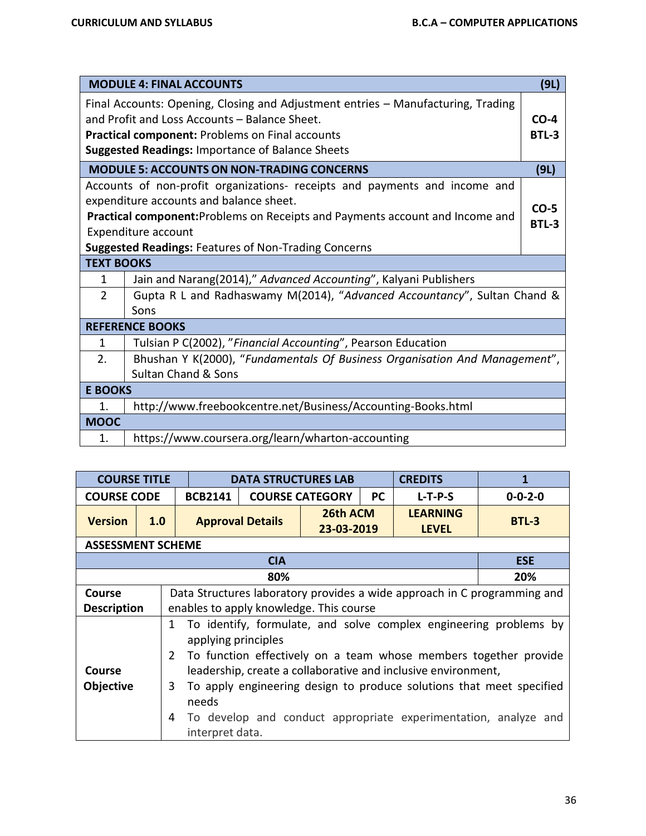|                                                         | <b>MODULE 4: FINAL ACCOUNTS</b>                                                  | (9L)   |  |  |  |  |
|---------------------------------------------------------|----------------------------------------------------------------------------------|--------|--|--|--|--|
|                                                         | Final Accounts: Opening, Closing and Adjustment entries - Manufacturing, Trading |        |  |  |  |  |
|                                                         | and Profit and Loss Accounts - Balance Sheet.                                    | $CO-4$ |  |  |  |  |
|                                                         | <b>Practical component: Problems on Final accounts</b>                           | BTL-3  |  |  |  |  |
| <b>Suggested Readings: Importance of Balance Sheets</b> |                                                                                  |        |  |  |  |  |
|                                                         | <b>MODULE 5: ACCOUNTS ON NON-TRADING CONCERNS</b>                                | (9L)   |  |  |  |  |
|                                                         | Accounts of non-profit organizations- receipts and payments and income and       |        |  |  |  |  |
|                                                         | expenditure accounts and balance sheet.                                          | $CO-5$ |  |  |  |  |
|                                                         | Practical component: Problems on Receipts and Payments account and Income and    | BTL-3  |  |  |  |  |
|                                                         | Expenditure account                                                              |        |  |  |  |  |
|                                                         | <b>Suggested Readings: Features of Non-Trading Concerns</b>                      |        |  |  |  |  |
| <b>TEXT BOOKS</b>                                       |                                                                                  |        |  |  |  |  |
| 1                                                       | Jain and Narang(2014)," Advanced Accounting", Kalyani Publishers                 |        |  |  |  |  |
| $\overline{2}$                                          | Gupta R L and Radhaswamy M(2014), "Advanced Accountancy", Sultan Chand &         |        |  |  |  |  |
|                                                         | Sons                                                                             |        |  |  |  |  |
|                                                         | <b>REFERENCE BOOKS</b>                                                           |        |  |  |  |  |
| 1                                                       | Tulsian P C(2002), "Financial Accounting", Pearson Education                     |        |  |  |  |  |
| 2 <sub>1</sub>                                          | Bhushan Y K(2000), "Fundamentals Of Business Organisation And Management",       |        |  |  |  |  |
|                                                         | <b>Sultan Chand &amp; Sons</b>                                                   |        |  |  |  |  |
| <b>E BOOKS</b>                                          |                                                                                  |        |  |  |  |  |
| $\mathbf{1}$ .                                          | http://www.freebookcentre.net/Business/Accounting-Books.html                     |        |  |  |  |  |
| <b>MOOC</b>                                             |                                                                                  |        |  |  |  |  |
| $\mathbf{1}$ .                                          | https://www.coursera.org/learn/wharton-accounting                                |        |  |  |  |  |

| <b>COURSE TITLE</b>      |     | <b>DATA STRUCTURES LAB</b>                                                                                                                                                          |                         |                                                                          |           | <b>CREDITS</b>                  |                                                                 |  |  |  |  |  |
|--------------------------|-----|-------------------------------------------------------------------------------------------------------------------------------------------------------------------------------------|-------------------------|--------------------------------------------------------------------------|-----------|---------------------------------|-----------------------------------------------------------------|--|--|--|--|--|
| <b>COURSE CODE</b>       |     | <b>BCB2141</b>                                                                                                                                                                      |                         | <b>COURSE CATEGORY</b>                                                   | <b>PC</b> | $L-T-P-S$                       | $0 - 0 - 2 - 0$                                                 |  |  |  |  |  |
| <b>Version</b>           | 1.0 |                                                                                                                                                                                     | <b>Approval Details</b> | 26th ACM<br>23-03-2019                                                   |           | <b>LEARNING</b><br><b>LEVEL</b> | $BTL-3$                                                         |  |  |  |  |  |
| <b>ASSESSMENT SCHEME</b> |     |                                                                                                                                                                                     |                         |                                                                          |           |                                 |                                                                 |  |  |  |  |  |
| <b>CIA</b><br><b>ESE</b> |     |                                                                                                                                                                                     |                         |                                                                          |           |                                 |                                                                 |  |  |  |  |  |
|                          | 20% |                                                                                                                                                                                     |                         |                                                                          |           |                                 |                                                                 |  |  |  |  |  |
| <b>Course</b>            |     |                                                                                                                                                                                     |                         | Data Structures laboratory provides a wide approach in C programming and |           |                                 |                                                                 |  |  |  |  |  |
| <b>Description</b>       |     | enables to apply knowledge. This course                                                                                                                                             |                         |                                                                          |           |                                 |                                                                 |  |  |  |  |  |
|                          |     | To identify, formulate, and solve complex engineering problems by<br>1<br>applying principles<br>$\overline{2}$<br>To function effectively on a team whose members together provide |                         |                                                                          |           |                                 |                                                                 |  |  |  |  |  |
| <b>Course</b>            |     | leadership, create a collaborative and inclusive environment,                                                                                                                       |                         |                                                                          |           |                                 |                                                                 |  |  |  |  |  |
| Objective                |     | 3<br>To apply engineering design to produce solutions that meet specified<br>needs                                                                                                  |                         |                                                                          |           |                                 |                                                                 |  |  |  |  |  |
|                          | 4   | interpret data.                                                                                                                                                                     |                         |                                                                          |           |                                 | To develop and conduct appropriate experimentation, analyze and |  |  |  |  |  |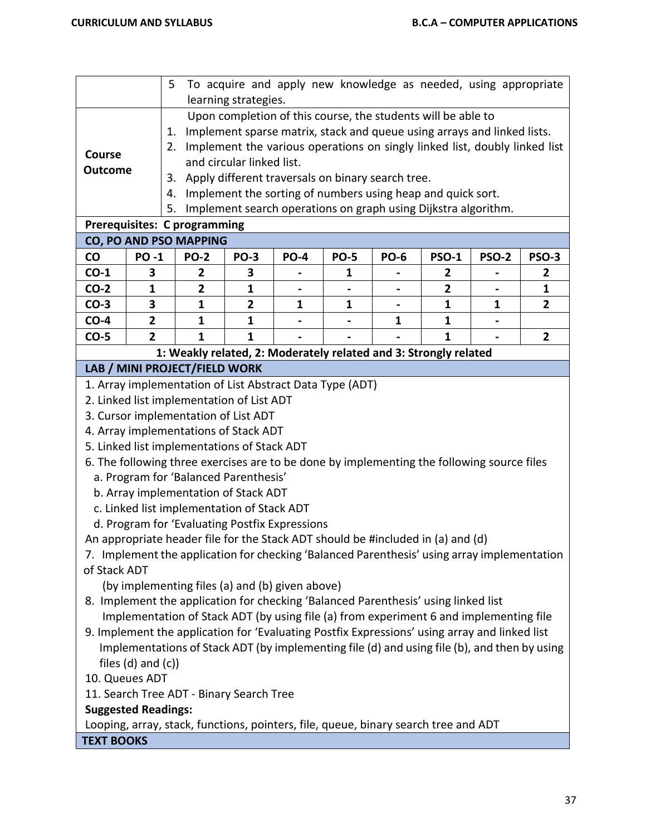|                                                                                                                                                                              |                                                                                                                                                                  | 5                                                                                          |                           |                                                   |   |   | To acquire and apply new knowledge as needed, using appropriate                                                                         |   |                |  |  |
|------------------------------------------------------------------------------------------------------------------------------------------------------------------------------|------------------------------------------------------------------------------------------------------------------------------------------------------------------|--------------------------------------------------------------------------------------------|---------------------------|---------------------------------------------------|---|---|-----------------------------------------------------------------------------------------------------------------------------------------|---|----------------|--|--|
|                                                                                                                                                                              |                                                                                                                                                                  |                                                                                            | learning strategies.      |                                                   |   |   |                                                                                                                                         |   |                |  |  |
|                                                                                                                                                                              |                                                                                                                                                                  |                                                                                            |                           |                                                   |   |   | Upon completion of this course, the students will be able to<br>Implement sparse matrix, stack and queue using arrays and linked lists. |   |                |  |  |
|                                                                                                                                                                              |                                                                                                                                                                  | 1.                                                                                         |                           |                                                   |   |   |                                                                                                                                         |   |                |  |  |
| <b>Course</b>                                                                                                                                                                |                                                                                                                                                                  | 2.                                                                                         | and circular linked list. |                                                   |   |   | Implement the various operations on singly linked list, doubly linked list                                                              |   |                |  |  |
| <b>Outcome</b>                                                                                                                                                               |                                                                                                                                                                  |                                                                                            |                           |                                                   |   |   |                                                                                                                                         |   |                |  |  |
|                                                                                                                                                                              |                                                                                                                                                                  | 3.                                                                                         |                           | Apply different traversals on binary search tree. |   |   |                                                                                                                                         |   |                |  |  |
|                                                                                                                                                                              |                                                                                                                                                                  | 4.<br>5.                                                                                   |                           |                                                   |   |   | Implement the sorting of numbers using heap and quick sort.                                                                             |   |                |  |  |
| Implement search operations on graph using Dijkstra algorithm.<br>Prerequisites: C programming                                                                               |                                                                                                                                                                  |                                                                                            |                           |                                                   |   |   |                                                                                                                                         |   |                |  |  |
|                                                                                                                                                                              |                                                                                                                                                                  |                                                                                            |                           |                                                   |   |   |                                                                                                                                         |   |                |  |  |
| $\mathsf{co}\,$                                                                                                                                                              | CO, PO AND PSO MAPPING<br><b>PO-1</b><br><b>PO-2</b><br><b>PO-3</b><br><b>PO-5</b><br><b>PO-6</b><br><b>PSO-1</b><br><b>PSO-2</b><br><b>PSO-3</b><br><b>PO-4</b> |                                                                                            |                           |                                                   |   |   |                                                                                                                                         |   |                |  |  |
| $CO-1$                                                                                                                                                                       | 3                                                                                                                                                                | 2                                                                                          | 3                         |                                                   | 1 |   | 2                                                                                                                                       |   | 2              |  |  |
| $CO-2$                                                                                                                                                                       | $\mathbf{1}$                                                                                                                                                     | $\overline{2}$                                                                             | $\mathbf{1}$              |                                                   |   |   | $\overline{2}$                                                                                                                          |   | $\mathbf{1}$   |  |  |
| $CO-3$                                                                                                                                                                       | 3                                                                                                                                                                | 1                                                                                          | $\mathbf{2}$              | 1                                                 | 1 |   | 1                                                                                                                                       | 1 | $\overline{2}$ |  |  |
| $CO-4$                                                                                                                                                                       | $\overline{2}$                                                                                                                                                   | 1                                                                                          | $\mathbf{1}$              |                                                   |   | 1 | $\mathbf{1}$                                                                                                                            |   |                |  |  |
| $CO-5$                                                                                                                                                                       | $\overline{2}$                                                                                                                                                   | $\mathbf{1}$<br>$\mathbf{1}$<br>$\overline{2}$<br>$\mathbf{1}$                             |                           |                                                   |   |   |                                                                                                                                         |   |                |  |  |
| 1: Weakly related, 2: Moderately related and 3: Strongly related                                                                                                             |                                                                                                                                                                  |                                                                                            |                           |                                                   |   |   |                                                                                                                                         |   |                |  |  |
|                                                                                                                                                                              |                                                                                                                                                                  | LAB / MINI PROJECT/FIELD WORK                                                              |                           |                                                   |   |   |                                                                                                                                         |   |                |  |  |
|                                                                                                                                                                              | 1. Array implementation of List Abstract Data Type (ADT)                                                                                                         |                                                                                            |                           |                                                   |   |   |                                                                                                                                         |   |                |  |  |
|                                                                                                                                                                              | 2. Linked list implementation of List ADT                                                                                                                        |                                                                                            |                           |                                                   |   |   |                                                                                                                                         |   |                |  |  |
|                                                                                                                                                                              |                                                                                                                                                                  | 3. Cursor implementation of List ADT                                                       |                           |                                                   |   |   |                                                                                                                                         |   |                |  |  |
|                                                                                                                                                                              |                                                                                                                                                                  | 4. Array implementations of Stack ADT                                                      |                           |                                                   |   |   |                                                                                                                                         |   |                |  |  |
|                                                                                                                                                                              |                                                                                                                                                                  | 5. Linked list implementations of Stack ADT                                                |                           |                                                   |   |   |                                                                                                                                         |   |                |  |  |
|                                                                                                                                                                              |                                                                                                                                                                  | 6. The following three exercises are to be done by implementing the following source files |                           |                                                   |   |   |                                                                                                                                         |   |                |  |  |
|                                                                                                                                                                              |                                                                                                                                                                  | a. Program for 'Balanced Parenthesis'                                                      |                           |                                                   |   |   |                                                                                                                                         |   |                |  |  |
|                                                                                                                                                                              |                                                                                                                                                                  | b. Array implementation of Stack ADT                                                       |                           |                                                   |   |   |                                                                                                                                         |   |                |  |  |
| c. Linked list implementation of Stack ADT                                                                                                                                   |                                                                                                                                                                  |                                                                                            |                           |                                                   |   |   |                                                                                                                                         |   |                |  |  |
| d. Program for 'Evaluating Postfix Expressions                                                                                                                               |                                                                                                                                                                  |                                                                                            |                           |                                                   |   |   |                                                                                                                                         |   |                |  |  |
| An appropriate header file for the Stack ADT should be #included in (a) and (d)                                                                                              |                                                                                                                                                                  |                                                                                            |                           |                                                   |   |   |                                                                                                                                         |   |                |  |  |
| 7. Implement the application for checking 'Balanced Parenthesis' using array implementation                                                                                  |                                                                                                                                                                  |                                                                                            |                           |                                                   |   |   |                                                                                                                                         |   |                |  |  |
| of Stack ADT                                                                                                                                                                 |                                                                                                                                                                  |                                                                                            |                           |                                                   |   |   |                                                                                                                                         |   |                |  |  |
|                                                                                                                                                                              | (by implementing files (a) and (b) given above)                                                                                                                  |                                                                                            |                           |                                                   |   |   |                                                                                                                                         |   |                |  |  |
| 8. Implement the application for checking 'Balanced Parenthesis' using linked list<br>Implementation of Stack ADT (by using file (a) from experiment 6 and implementing file |                                                                                                                                                                  |                                                                                            |                           |                                                   |   |   |                                                                                                                                         |   |                |  |  |
| 9. Implement the application for 'Evaluating Postfix Expressions' using array and linked list                                                                                |                                                                                                                                                                  |                                                                                            |                           |                                                   |   |   |                                                                                                                                         |   |                |  |  |
| Implementations of Stack ADT (by implementing file (d) and using file (b), and then by using                                                                                 |                                                                                                                                                                  |                                                                                            |                           |                                                   |   |   |                                                                                                                                         |   |                |  |  |
|                                                                                                                                                                              | files $(d)$ and $(c)$ )                                                                                                                                          |                                                                                            |                           |                                                   |   |   |                                                                                                                                         |   |                |  |  |
| 10. Queues ADT                                                                                                                                                               |                                                                                                                                                                  |                                                                                            |                           |                                                   |   |   |                                                                                                                                         |   |                |  |  |
|                                                                                                                                                                              |                                                                                                                                                                  | 11. Search Tree ADT - Binary Search Tree                                                   |                           |                                                   |   |   |                                                                                                                                         |   |                |  |  |
| <b>Suggested Readings:</b>                                                                                                                                                   |                                                                                                                                                                  |                                                                                            |                           |                                                   |   |   |                                                                                                                                         |   |                |  |  |
|                                                                                                                                                                              |                                                                                                                                                                  | Looping, array, stack, functions, pointers, file, queue, binary search tree and ADT        |                           |                                                   |   |   |                                                                                                                                         |   |                |  |  |
| <b>TEXT BOOKS</b>                                                                                                                                                            |                                                                                                                                                                  |                                                                                            |                           |                                                   |   |   |                                                                                                                                         |   |                |  |  |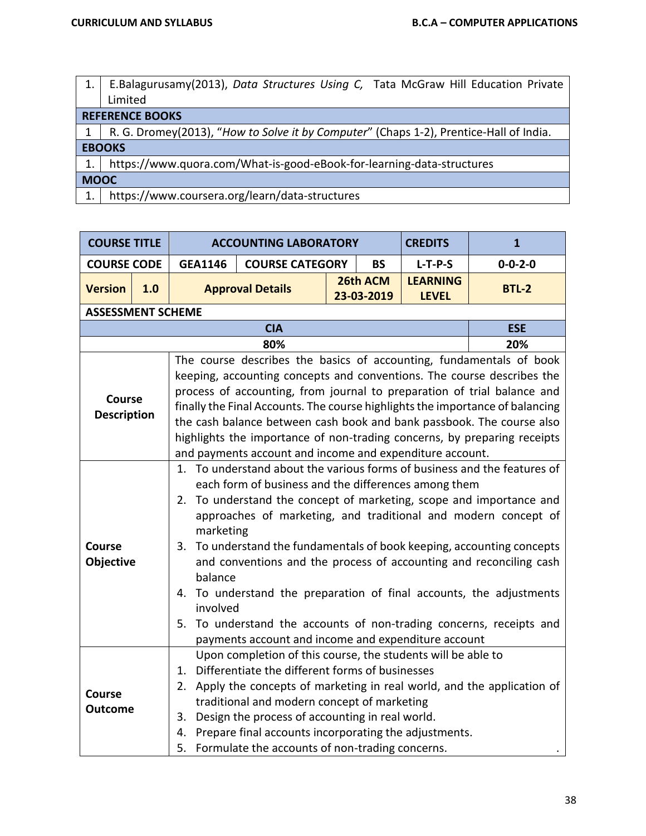- 1. E.Balagurusamy(2013), *Data Structures Using C,* Tata McGraw Hill Education Private Limited **REFERENCE BOOKS** 1 | R. G. Dromey(2013), "*How to Solve it by Computer*" (Chaps 1-2), Prentice-Hall of India. **EBOOKS** 1. https://www.quora.com/What-is-good-eBook-for-learning-data-structures **MOOC**
- 1. https://www.coursera.org/learn/data-structures

| <b>COURSE TITLE</b><br><b>CREDITS</b><br><b>ACCOUNTING LABORATORY</b> |            |                                                                                                                                                                                                                                                                                                                                                                                                                                                                                                                                                                                                                      |                                                                                                                                                                                                                                                                                                                                                                                      |  |                        | $\mathbf{1}$                    |                                                                                                                                                                                                                                                                                                                                                                                                                                                                |  |  |  |
|-----------------------------------------------------------------------|------------|----------------------------------------------------------------------------------------------------------------------------------------------------------------------------------------------------------------------------------------------------------------------------------------------------------------------------------------------------------------------------------------------------------------------------------------------------------------------------------------------------------------------------------------------------------------------------------------------------------------------|--------------------------------------------------------------------------------------------------------------------------------------------------------------------------------------------------------------------------------------------------------------------------------------------------------------------------------------------------------------------------------------|--|------------------------|---------------------------------|----------------------------------------------------------------------------------------------------------------------------------------------------------------------------------------------------------------------------------------------------------------------------------------------------------------------------------------------------------------------------------------------------------------------------------------------------------------|--|--|--|
| <b>COURSE CODE</b>                                                    |            | <b>GEA1146</b>                                                                                                                                                                                                                                                                                                                                                                                                                                                                                                                                                                                                       | <b>COURSE CATEGORY</b>                                                                                                                                                                                                                                                                                                                                                               |  | <b>BS</b>              | $L-T-P-S$                       | $0 - 0 - 2 - 0$                                                                                                                                                                                                                                                                                                                                                                                                                                                |  |  |  |
| <b>Version</b>                                                        | 1.0        |                                                                                                                                                                                                                                                                                                                                                                                                                                                                                                                                                                                                                      | <b>Approval Details</b>                                                                                                                                                                                                                                                                                                                                                              |  | 26th ACM<br>23-03-2019 | <b>LEARNING</b><br><b>LEVEL</b> | <b>BTL-2</b>                                                                                                                                                                                                                                                                                                                                                                                                                                                   |  |  |  |
| <b>ASSESSMENT SCHEME</b>                                              |            |                                                                                                                                                                                                                                                                                                                                                                                                                                                                                                                                                                                                                      |                                                                                                                                                                                                                                                                                                                                                                                      |  |                        |                                 |                                                                                                                                                                                                                                                                                                                                                                                                                                                                |  |  |  |
|                                                                       | <b>ESE</b> |                                                                                                                                                                                                                                                                                                                                                                                                                                                                                                                                                                                                                      |                                                                                                                                                                                                                                                                                                                                                                                      |  |                        |                                 |                                                                                                                                                                                                                                                                                                                                                                                                                                                                |  |  |  |
|                                                                       |            |                                                                                                                                                                                                                                                                                                                                                                                                                                                                                                                                                                                                                      | 80%                                                                                                                                                                                                                                                                                                                                                                                  |  |                        |                                 | 20%                                                                                                                                                                                                                                                                                                                                                                                                                                                            |  |  |  |
| <b>Course</b><br><b>Description</b>                                   |            |                                                                                                                                                                                                                                                                                                                                                                                                                                                                                                                                                                                                                      | and payments account and income and expenditure account.                                                                                                                                                                                                                                                                                                                             |  |                        |                                 | The course describes the basics of accounting, fundamentals of book<br>keeping, accounting concepts and conventions. The course describes the<br>process of accounting, from journal to preparation of trial balance and<br>finally the Final Accounts. The course highlights the importance of balancing<br>the cash balance between cash book and bank passbook. The course also<br>highlights the importance of non-trading concerns, by preparing receipts |  |  |  |
| <b>Course</b><br>Objective                                            |            | 1. To understand about the various forms of business and the features of<br>each form of business and the differences among them<br>2. To understand the concept of marketing, scope and importance and<br>approaches of marketing, and traditional and modern concept of<br>marketing<br>To understand the fundamentals of book keeping, accounting concepts<br>3.<br>and conventions and the process of accounting and reconciling cash<br>balance<br>To understand the preparation of final accounts, the adjustments<br>4.<br>involved<br>To understand the accounts of non-trading concerns, receipts and<br>5. |                                                                                                                                                                                                                                                                                                                                                                                      |  |                        |                                 |                                                                                                                                                                                                                                                                                                                                                                                                                                                                |  |  |  |
| <b>Course</b><br><b>Outcome</b>                                       |            | 1.<br>2.<br>3.<br>4.<br>5.                                                                                                                                                                                                                                                                                                                                                                                                                                                                                                                                                                                           | payments account and income and expenditure account<br>Upon completion of this course, the students will be able to<br>Differentiate the different forms of businesses<br>traditional and modern concept of marketing<br>Design the process of accounting in real world.<br>Prepare final accounts incorporating the adjustments.<br>Formulate the accounts of non-trading concerns. |  |                        |                                 | Apply the concepts of marketing in real world, and the application of                                                                                                                                                                                                                                                                                                                                                                                          |  |  |  |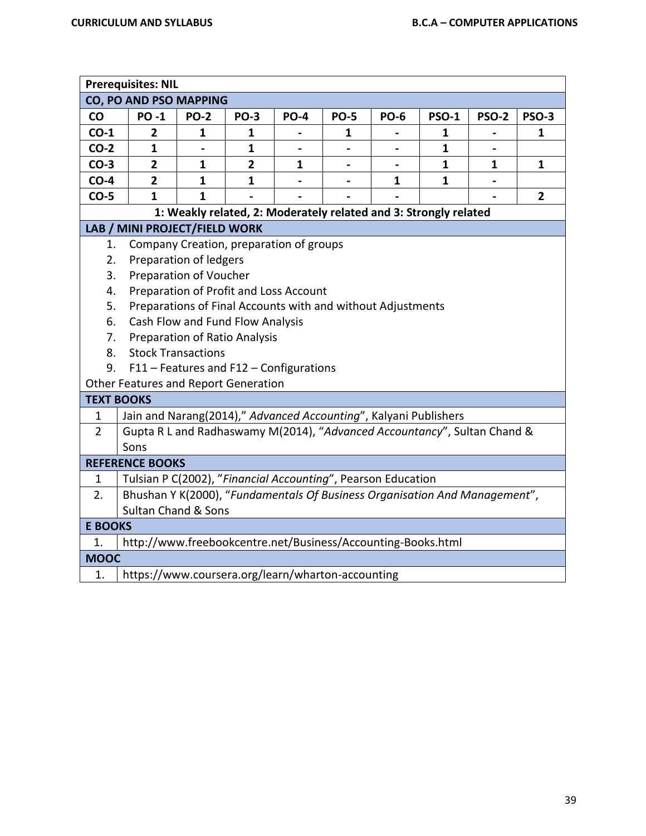|                                              | <b>Prerequisites: NIL</b>                                                  |                                         |                |                          |                                                                  |             |              |              |              |
|----------------------------------------------|----------------------------------------------------------------------------|-----------------------------------------|----------------|--------------------------|------------------------------------------------------------------|-------------|--------------|--------------|--------------|
|                                              | CO, PO AND PSO MAPPING                                                     |                                         |                |                          |                                                                  |             |              |              |              |
| CO                                           | <b>PO-1</b>                                                                | <b>PO-2</b>                             | <b>PO-3</b>    | <b>PO-4</b>              | <b>PO-5</b>                                                      | <b>PO-6</b> | <b>PSO-1</b> | <b>PSO-2</b> | <b>PSO-3</b> |
| $CO-1$                                       | 2                                                                          | 1                                       | 1              |                          | 1                                                                |             | 1            |              | 1            |
| $CO-2$                                       | $\mathbf{1}$                                                               |                                         | 1              |                          |                                                                  |             | 1            |              |              |
| $CO-3$                                       | $\overline{2}$                                                             | $\mathbf{1}$                            | $\overline{2}$ | 1                        |                                                                  |             | $\mathbf{1}$ | 1            | $\mathbf{1}$ |
| $CO-4$                                       | $\overline{2}$                                                             | $\mathbf{1}$                            | 1              | $\overline{\phantom{0}}$ |                                                                  | 1           | $\mathbf{1}$ |              |              |
| $CO-5$                                       | $\mathbf{1}$                                                               | $\mathbf{1}$                            |                |                          |                                                                  |             |              |              | $\mathbf{2}$ |
|                                              |                                                                            |                                         |                |                          | 1: Weakly related, 2: Moderately related and 3: Strongly related |             |              |              |              |
|                                              | LAB / MINI PROJECT/FIELD WORK                                              |                                         |                |                          |                                                                  |             |              |              |              |
| 1.                                           |                                                                            | Company Creation, preparation of groups |                |                          |                                                                  |             |              |              |              |
| 2.                                           |                                                                            | Preparation of ledgers                  |                |                          |                                                                  |             |              |              |              |
| 3.                                           |                                                                            | Preparation of Voucher                  |                |                          |                                                                  |             |              |              |              |
| Preparation of Profit and Loss Account<br>4. |                                                                            |                                         |                |                          |                                                                  |             |              |              |              |
| 5.                                           | Preparations of Final Accounts with and without Adjustments                |                                         |                |                          |                                                                  |             |              |              |              |
| 6.                                           | Cash Flow and Fund Flow Analysis                                           |                                         |                |                          |                                                                  |             |              |              |              |
| 7.                                           | Preparation of Ratio Analysis                                              |                                         |                |                          |                                                                  |             |              |              |              |
| 8.                                           |                                                                            | <b>Stock Transactions</b>               |                |                          |                                                                  |             |              |              |              |
| 9.                                           |                                                                            | F11 - Features and F12 - Configurations |                |                          |                                                                  |             |              |              |              |
|                                              | Other Features and Report Generation                                       |                                         |                |                          |                                                                  |             |              |              |              |
| <b>TEXT BOOKS</b>                            |                                                                            |                                         |                |                          |                                                                  |             |              |              |              |
| $\mathbf{1}$                                 | Jain and Narang(2014)," Advanced Accounting", Kalyani Publishers           |                                         |                |                          |                                                                  |             |              |              |              |
| $\overline{2}$                               | Gupta R L and Radhaswamy M(2014), "Advanced Accountancy", Sultan Chand &   |                                         |                |                          |                                                                  |             |              |              |              |
|                                              | Sons                                                                       |                                         |                |                          |                                                                  |             |              |              |              |
|                                              | <b>REFERENCE BOOKS</b>                                                     |                                         |                |                          |                                                                  |             |              |              |              |
| $\mathbf{1}$                                 | Tulsian P C(2002), "Financial Accounting", Pearson Education               |                                         |                |                          |                                                                  |             |              |              |              |
| 2.                                           | Bhushan Y K(2000), "Fundamentals Of Business Organisation And Management", |                                         |                |                          |                                                                  |             |              |              |              |
|                                              | <b>Sultan Chand &amp; Sons</b>                                             |                                         |                |                          |                                                                  |             |              |              |              |
| <b>E BOOKS</b>                               |                                                                            |                                         |                |                          |                                                                  |             |              |              |              |
| 1.                                           | http://www.freebookcentre.net/Business/Accounting-Books.html               |                                         |                |                          |                                                                  |             |              |              |              |
| <b>MOOC</b>                                  |                                                                            |                                         |                |                          |                                                                  |             |              |              |              |
| 1.                                           | https://www.coursera.org/learn/wharton-accounting                          |                                         |                |                          |                                                                  |             |              |              |              |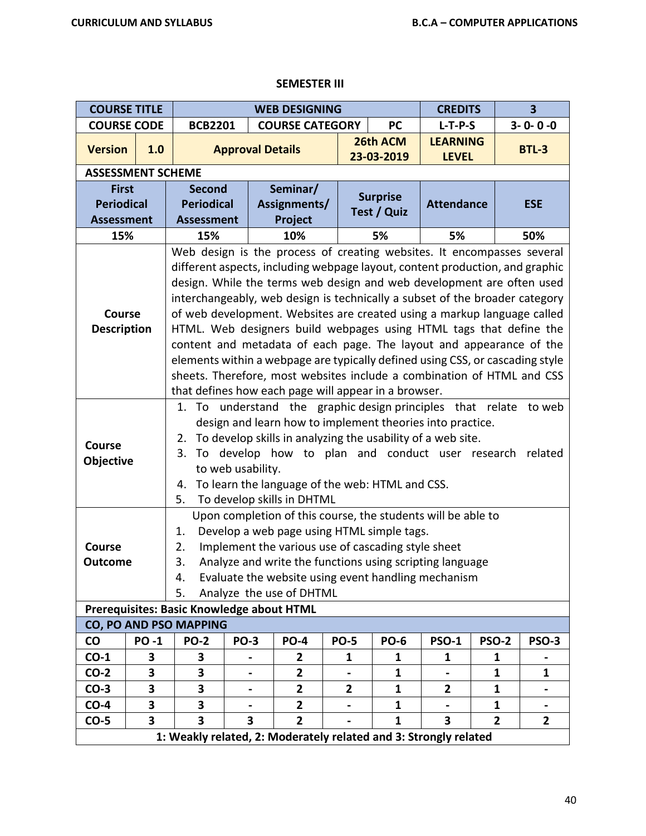## **SEMESTER III**

| <b>COURSE TITLE</b>                                    |                         |                                                                                                                                                                                                                                                                                                                                                                                                                                                                                                                                                                                                                                                                                                                                                           |                         | <b>WEB DESIGNING</b>                |              |                                | 3<br><b>CREDITS</b>             |                |                 |  |  |
|--------------------------------------------------------|-------------------------|-----------------------------------------------------------------------------------------------------------------------------------------------------------------------------------------------------------------------------------------------------------------------------------------------------------------------------------------------------------------------------------------------------------------------------------------------------------------------------------------------------------------------------------------------------------------------------------------------------------------------------------------------------------------------------------------------------------------------------------------------------------|-------------------------|-------------------------------------|--------------|--------------------------------|---------------------------------|----------------|-----------------|--|--|
| <b>COURSE CODE</b>                                     |                         | <b>BCB2201</b>                                                                                                                                                                                                                                                                                                                                                                                                                                                                                                                                                                                                                                                                                                                                            |                         | <b>COURSE CATEGORY</b>              |              | <b>PC</b>                      | $L-T-P-S$                       |                | $3 - 0 - 0 - 0$ |  |  |
| <b>Version</b>                                         | 1.0                     |                                                                                                                                                                                                                                                                                                                                                                                                                                                                                                                                                                                                                                                                                                                                                           | <b>Approval Details</b> |                                     |              | 26th ACM<br>23-03-2019         | <b>LEARNING</b><br><b>LEVEL</b> |                | <b>BTL-3</b>    |  |  |
| <b>ASSESSMENT SCHEME</b>                               |                         |                                                                                                                                                                                                                                                                                                                                                                                                                                                                                                                                                                                                                                                                                                                                                           |                         |                                     |              |                                |                                 |                |                 |  |  |
| <b>First</b><br><b>Periodical</b><br><b>Assessment</b> |                         | <b>Second</b><br><b>Periodical</b><br><b>Assessment</b>                                                                                                                                                                                                                                                                                                                                                                                                                                                                                                                                                                                                                                                                                                   |                         | Seminar/<br>Assignments/<br>Project |              | <b>Surprise</b><br>Test / Quiz | <b>Attendance</b>               |                | <b>ESE</b>      |  |  |
| 15%                                                    |                         | 15%                                                                                                                                                                                                                                                                                                                                                                                                                                                                                                                                                                                                                                                                                                                                                       |                         | 10%                                 |              | 5%                             | 5%                              |                | 50%             |  |  |
| <b>Course</b><br><b>Description</b>                    |                         | Web design is the process of creating websites. It encompasses several<br>different aspects, including webpage layout, content production, and graphic<br>design. While the terms web design and web development are often used<br>interchangeably, web design is technically a subset of the broader category<br>of web development. Websites are created using a markup language called<br>HTML. Web designers build webpages using HTML tags that define the<br>content and metadata of each page. The layout and appearance of the<br>elements within a webpage are typically defined using CSS, or cascading style<br>sheets. Therefore, most websites include a combination of HTML and CSS<br>that defines how each page will appear in a browser. |                         |                                     |              |                                |                                 |                |                 |  |  |
| Course<br>Objective                                    |                         | understand the graphic design principles that relate<br>To<br>1.<br>to web<br>design and learn how to implement theories into practice.<br>To develop skills in analyzing the usability of a web site.<br>2.<br>To develop how to plan and conduct user research<br>3.<br>related<br>to web usability.<br>To learn the language of the web: HTML and CSS.<br>4.<br>To develop skills in DHTML<br>5.                                                                                                                                                                                                                                                                                                                                                       |                         |                                     |              |                                |                                 |                |                 |  |  |
| <b>Course</b><br><b>Outcome</b>                        |                         | Upon completion of this course, the students will be able to<br>Develop a web page using HTML simple tags.<br>1.<br>Implement the various use of cascading style sheet<br>2.<br>Analyze and write the functions using scripting language<br>3.<br>Evaluate the website using event handling mechanism<br>4.<br>5.<br>Analyze the use of DHTML                                                                                                                                                                                                                                                                                                                                                                                                             |                         |                                     |              |                                |                                 |                |                 |  |  |
|                                                        |                         | Prerequisites: Basic Knowledge about HTML                                                                                                                                                                                                                                                                                                                                                                                                                                                                                                                                                                                                                                                                                                                 |                         |                                     |              |                                |                                 |                |                 |  |  |
|                                                        |                         | CO, PO AND PSO MAPPING                                                                                                                                                                                                                                                                                                                                                                                                                                                                                                                                                                                                                                                                                                                                    |                         |                                     |              |                                |                                 |                |                 |  |  |
| <b>CO</b>                                              | <b>PO-1</b>             | <b>PO-2</b>                                                                                                                                                                                                                                                                                                                                                                                                                                                                                                                                                                                                                                                                                                                                               | <b>PO-3</b>             | <b>PO-4</b>                         | <b>PO-5</b>  | <b>PO-6</b>                    | <b>PSO-1</b>                    | <b>PSO-2</b>   | PSO-3           |  |  |
| $CO-1$                                                 | 3                       | 3                                                                                                                                                                                                                                                                                                                                                                                                                                                                                                                                                                                                                                                                                                                                                         |                         | 2                                   | 1            | 1                              | 1                               | 1              |                 |  |  |
| $CO-2$                                                 | 3                       | 3                                                                                                                                                                                                                                                                                                                                                                                                                                                                                                                                                                                                                                                                                                                                                         |                         | $\overline{2}$                      |              | 1                              |                                 | 1              | 1               |  |  |
| $CO-3$                                                 | 3                       | 3                                                                                                                                                                                                                                                                                                                                                                                                                                                                                                                                                                                                                                                                                                                                                         | ٠                       | $\mathbf{2}$                        | $\mathbf{2}$ | 1                              | $\mathbf{2}$                    | 1              |                 |  |  |
| $CO-4$                                                 | 3                       | 3                                                                                                                                                                                                                                                                                                                                                                                                                                                                                                                                                                                                                                                                                                                                                         |                         | $\mathbf{2}$                        |              | 1                              |                                 | 1              |                 |  |  |
| $CO-5$                                                 | $\overline{\mathbf{3}}$ | 3                                                                                                                                                                                                                                                                                                                                                                                                                                                                                                                                                                                                                                                                                                                                                         | 3                       | $\overline{2}$                      |              | $\mathbf{1}$                   | 3                               | $\overline{2}$ | $\overline{2}$  |  |  |
|                                                        |                         | 1: Weakly related, 2: Moderately related and 3: Strongly related                                                                                                                                                                                                                                                                                                                                                                                                                                                                                                                                                                                                                                                                                          |                         |                                     |              |                                |                                 |                |                 |  |  |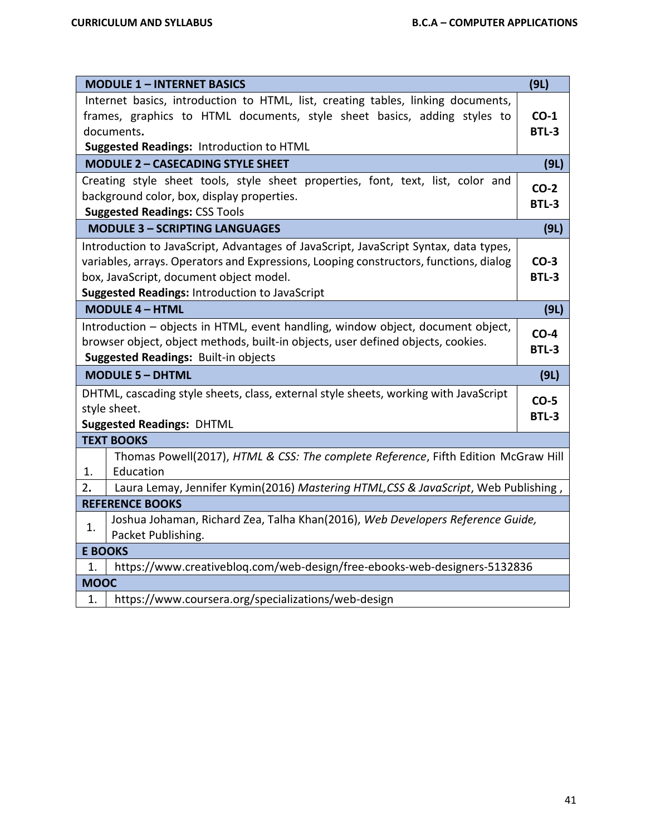|             | <b>MODULE 1 - INTERNET BASICS</b>                                                                                                                                                                                                                                                 | (9L)                   |
|-------------|-----------------------------------------------------------------------------------------------------------------------------------------------------------------------------------------------------------------------------------------------------------------------------------|------------------------|
|             | Internet basics, introduction to HTML, list, creating tables, linking documents,<br>frames, graphics to HTML documents, style sheet basics, adding styles to<br>documents.<br>Suggested Readings: Introduction to HTML                                                            | $CO-1$<br><b>BTL-3</b> |
|             | <b>MODULE 2 - CASECADING STYLE SHEET</b>                                                                                                                                                                                                                                          | (9L)                   |
|             | Creating style sheet tools, style sheet properties, font, text, list, color and<br>background color, box, display properties.<br><b>Suggested Readings: CSS Tools</b>                                                                                                             | $CO-2$<br><b>BTL-3</b> |
|             | <b>MODULE 3 - SCRIPTING LANGUAGES</b>                                                                                                                                                                                                                                             | (9L)                   |
|             | Introduction to JavaScript, Advantages of JavaScript, JavaScript Syntax, data types,<br>variables, arrays. Operators and Expressions, Looping constructors, functions, dialog<br>box, JavaScript, document object model.<br><b>Suggested Readings: Introduction to JavaScript</b> | $CO-3$<br><b>BTL-3</b> |
|             | <b>MODULE 4 - HTML</b>                                                                                                                                                                                                                                                            | (9L)                   |
|             | Introduction - objects in HTML, event handling, window object, document object,<br>browser object, object methods, built-in objects, user defined objects, cookies.<br><b>Suggested Readings: Built-in objects</b>                                                                | $CO-4$<br><b>BTL-3</b> |
|             | <b>MODULE 5 - DHTML</b>                                                                                                                                                                                                                                                           | (9L)                   |
|             | DHTML, cascading style sheets, class, external style sheets, working with JavaScript<br>style sheet.<br><b>Suggested Readings: DHTML</b>                                                                                                                                          | $CO-5$<br>BTL-3        |
|             | <b>TEXT BOOKS</b>                                                                                                                                                                                                                                                                 |                        |
| 1.          | Thomas Powell(2017), HTML & CSS: The complete Reference, Fifth Edition McGraw Hill<br>Education                                                                                                                                                                                   |                        |
| 2.          | Laura Lemay, Jennifer Kymin(2016) Mastering HTML, CSS & JavaScript, Web Publishing,                                                                                                                                                                                               |                        |
|             | <b>REFERENCE BOOKS</b>                                                                                                                                                                                                                                                            |                        |
| 1.          | Joshua Johaman, Richard Zea, Talha Khan(2016), Web Developers Reference Guide,<br>Packet Publishing.                                                                                                                                                                              |                        |
|             | <b>E BOOKS</b>                                                                                                                                                                                                                                                                    |                        |
| 1.          | https://www.creativebloq.com/web-design/free-ebooks-web-designers-5132836                                                                                                                                                                                                         |                        |
| <b>MOOC</b> |                                                                                                                                                                                                                                                                                   |                        |
| 1.          | https://www.coursera.org/specializations/web-design                                                                                                                                                                                                                               |                        |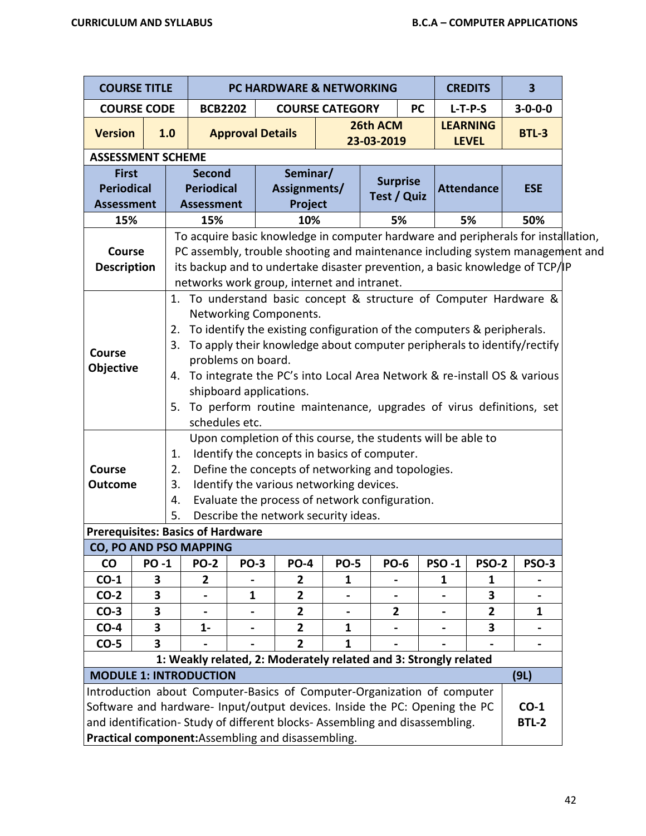| <b>COURSE TITLE</b>                                                                                                                                                                                                                                                                       |                                                                                                                                                                                                                                                                                                                                                                                                                                                                                                                                                                                                                                                                                                                                                                                                                                                                          |                   |                                                                                                                                                                                                              |                                                                                   |  |                | <b>PC HARDWARE &amp; NETWORKING</b>                              |                        |                |           |              | <b>CREDITS</b>                  | $\overline{\mathbf{3}}$ |                   |  |            |
|-------------------------------------------------------------------------------------------------------------------------------------------------------------------------------------------------------------------------------------------------------------------------------------------|--------------------------------------------------------------------------------------------------------------------------------------------------------------------------------------------------------------------------------------------------------------------------------------------------------------------------------------------------------------------------------------------------------------------------------------------------------------------------------------------------------------------------------------------------------------------------------------------------------------------------------------------------------------------------------------------------------------------------------------------------------------------------------------------------------------------------------------------------------------------------|-------------------|--------------------------------------------------------------------------------------------------------------------------------------------------------------------------------------------------------------|-----------------------------------------------------------------------------------|--|----------------|------------------------------------------------------------------|------------------------|----------------|-----------|--------------|---------------------------------|-------------------------|-------------------|--|------------|
| <b>COURSE CODE</b>                                                                                                                                                                                                                                                                        |                                                                                                                                                                                                                                                                                                                                                                                                                                                                                                                                                                                                                                                                                                                                                                                                                                                                          |                   | <b>BCB2202</b>                                                                                                                                                                                               |                                                                                   |  |                | <b>COURSE CATEGORY</b>                                           |                        |                | <b>PC</b> |              | $L-T-P-S$                       |                         | $3 - 0 - 0 - 0$   |  |            |
| <b>Version</b>                                                                                                                                                                                                                                                                            |                                                                                                                                                                                                                                                                                                                                                                                                                                                                                                                                                                                                                                                                                                                                                                                                                                                                          | 1.0               |                                                                                                                                                                                                              | <b>Approval Details</b>                                                           |  |                |                                                                  | 26th ACM<br>23-03-2019 |                |           |              | <b>LEARNING</b><br><b>LEVEL</b> |                         | <b>BTL-3</b>      |  |            |
| <b>ASSESSMENT SCHEME</b>                                                                                                                                                                                                                                                                  |                                                                                                                                                                                                                                                                                                                                                                                                                                                                                                                                                                                                                                                                                                                                                                                                                                                                          |                   |                                                                                                                                                                                                              |                                                                                   |  |                |                                                                  |                        |                |           |              |                                 |                         |                   |  |            |
| <b>First</b>                                                                                                                                                                                                                                                                              |                                                                                                                                                                                                                                                                                                                                                                                                                                                                                                                                                                                                                                                                                                                                                                                                                                                                          |                   | <b>Second</b>                                                                                                                                                                                                | Seminar/                                                                          |  |                | <b>Surprise</b>                                                  |                        |                |           |              |                                 |                         |                   |  |            |
| <b>Periodical</b>                                                                                                                                                                                                                                                                         |                                                                                                                                                                                                                                                                                                                                                                                                                                                                                                                                                                                                                                                                                                                                                                                                                                                                          | <b>Periodical</b> |                                                                                                                                                                                                              |                                                                                   |  |                |                                                                  |                        | Assignments/   |           | Test / Quiz  |                                 |                         | <b>Attendance</b> |  | <b>ESE</b> |
| <b>Assessment</b>                                                                                                                                                                                                                                                                         |                                                                                                                                                                                                                                                                                                                                                                                                                                                                                                                                                                                                                                                                                                                                                                                                                                                                          |                   | <b>Assessment</b>                                                                                                                                                                                            |                                                                                   |  | Project        |                                                                  |                        |                |           |              |                                 |                         |                   |  |            |
| 15%                                                                                                                                                                                                                                                                                       |                                                                                                                                                                                                                                                                                                                                                                                                                                                                                                                                                                                                                                                                                                                                                                                                                                                                          |                   |                                                                                                                                                                                                              | 10%<br>15%<br>5%<br>5%<br>50%                                                     |  |                |                                                                  |                        |                |           |              |                                 |                         |                   |  |            |
|                                                                                                                                                                                                                                                                                           |                                                                                                                                                                                                                                                                                                                                                                                                                                                                                                                                                                                                                                                                                                                                                                                                                                                                          |                   |                                                                                                                                                                                                              | To acquire basic knowledge in computer hardware and peripherals for installation, |  |                |                                                                  |                        |                |           |              |                                 |                         |                   |  |            |
| <b>Course</b><br><b>Description</b>                                                                                                                                                                                                                                                       |                                                                                                                                                                                                                                                                                                                                                                                                                                                                                                                                                                                                                                                                                                                                                                                                                                                                          |                   | PC assembly, trouble shooting and maintenance including system management and<br>its backup and to undertake disaster prevention, a basic knowledge of TCP/IP<br>networks work group, internet and intranet. |                                                                                   |  |                |                                                                  |                        |                |           |              |                                 |                         |                   |  |            |
| Course<br><b>Course</b>                                                                                                                                                                                                                                                                   | 1. To understand basic concept & structure of Computer Hardware &<br>Networking Components.<br>To identify the existing configuration of the computers & peripherals.<br>2.<br>To apply their knowledge about computer peripherals to identify/rectify<br>3.<br>problems on board.<br><b>Objective</b><br>To integrate the PC's into Local Area Network & re-install OS & various<br>4.<br>shipboard applications.<br>5. To perform routine maintenance, upgrades of virus definitions, set<br>schedules etc.<br>Upon completion of this course, the students will be able to<br>Identify the concepts in basics of computer.<br>1.<br>Define the concepts of networking and topologies.<br>2.<br>Identify the various networking devices.<br><b>Outcome</b><br>3.<br>Evaluate the process of network configuration.<br>4.<br>Describe the network security ideas.<br>5. |                   |                                                                                                                                                                                                              |                                                                                   |  |                |                                                                  |                        |                |           |              |                                 |                         |                   |  |            |
| <b>Prerequisites: Basics of Hardware</b><br>CO, PO AND PSO MAPPING                                                                                                                                                                                                                        |                                                                                                                                                                                                                                                                                                                                                                                                                                                                                                                                                                                                                                                                                                                                                                                                                                                                          |                   |                                                                                                                                                                                                              |                                                                                   |  |                |                                                                  |                        |                |           |              |                                 |                         |                   |  |            |
| $\mathsf{co}$                                                                                                                                                                                                                                                                             | <b>PO-1</b>                                                                                                                                                                                                                                                                                                                                                                                                                                                                                                                                                                                                                                                                                                                                                                                                                                                              |                   | <b>PO-2</b>                                                                                                                                                                                                  | <b>PO-3</b>                                                                       |  | <b>PO-4</b>    | <b>PO-5</b>                                                      |                        | <b>PO-6</b>    |           | <b>PSO-1</b> | <b>PSO-2</b>                    |                         | <b>PSO-3</b>      |  |            |
| $CO-1$                                                                                                                                                                                                                                                                                    | 3                                                                                                                                                                                                                                                                                                                                                                                                                                                                                                                                                                                                                                                                                                                                                                                                                                                                        |                   | $\overline{2}$                                                                                                                                                                                               |                                                                                   |  | 2              | 1                                                                |                        |                |           | 1            | 1                               |                         |                   |  |            |
| $CO-2$                                                                                                                                                                                                                                                                                    | 3                                                                                                                                                                                                                                                                                                                                                                                                                                                                                                                                                                                                                                                                                                                                                                                                                                                                        |                   |                                                                                                                                                                                                              | $\mathbf{1}$                                                                      |  | $\overline{2}$ |                                                                  |                        |                |           |              | 3                               |                         |                   |  |            |
| $CO-3$                                                                                                                                                                                                                                                                                    | 3                                                                                                                                                                                                                                                                                                                                                                                                                                                                                                                                                                                                                                                                                                                                                                                                                                                                        |                   |                                                                                                                                                                                                              |                                                                                   |  | $\overline{2}$ |                                                                  |                        | $\overline{2}$ |           |              | $\overline{2}$                  |                         | 1                 |  |            |
| $CO-4$                                                                                                                                                                                                                                                                                    | 3                                                                                                                                                                                                                                                                                                                                                                                                                                                                                                                                                                                                                                                                                                                                                                                                                                                                        |                   | $1 -$                                                                                                                                                                                                        | $\blacksquare$                                                                    |  | $\overline{2}$ | 1                                                                |                        |                |           |              | 3                               |                         |                   |  |            |
| $CO-5$                                                                                                                                                                                                                                                                                    | 3                                                                                                                                                                                                                                                                                                                                                                                                                                                                                                                                                                                                                                                                                                                                                                                                                                                                        |                   |                                                                                                                                                                                                              |                                                                                   |  | $\overline{2}$ | 1                                                                |                        |                |           |              |                                 |                         |                   |  |            |
|                                                                                                                                                                                                                                                                                           |                                                                                                                                                                                                                                                                                                                                                                                                                                                                                                                                                                                                                                                                                                                                                                                                                                                                          |                   |                                                                                                                                                                                                              |                                                                                   |  |                | 1: Weakly related, 2: Moderately related and 3: Strongly related |                        |                |           |              |                                 |                         |                   |  |            |
| <b>MODULE 1: INTRODUCTION</b>                                                                                                                                                                                                                                                             |                                                                                                                                                                                                                                                                                                                                                                                                                                                                                                                                                                                                                                                                                                                                                                                                                                                                          |                   |                                                                                                                                                                                                              |                                                                                   |  |                |                                                                  |                        |                |           |              |                                 | (9L)                    |                   |  |            |
| Introduction about Computer-Basics of Computer-Organization of computer<br>Software and hardware- Input/output devices. Inside the PC: Opening the PC<br>and identification-Study of different blocks-Assembling and disassembling.<br>Practical component: Assembling and disassembling. |                                                                                                                                                                                                                                                                                                                                                                                                                                                                                                                                                                                                                                                                                                                                                                                                                                                                          |                   |                                                                                                                                                                                                              |                                                                                   |  |                |                                                                  |                        |                |           |              |                                 | $CO-1$<br><b>BTL-2</b>  |                   |  |            |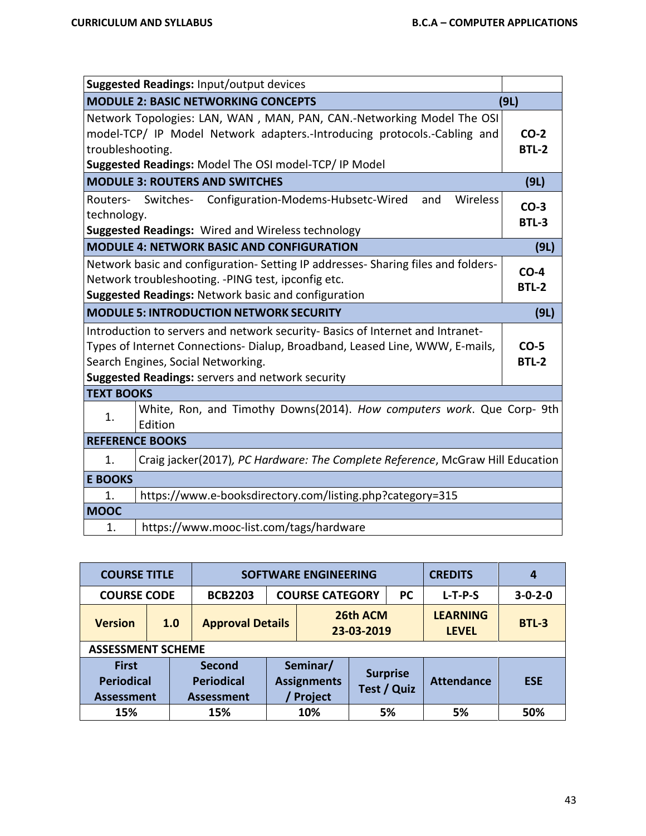|                   | Suggested Readings: Input/output devices                                        |              |
|-------------------|---------------------------------------------------------------------------------|--------------|
|                   | <b>MODULE 2: BASIC NETWORKING CONCEPTS</b>                                      | (9L)         |
|                   | Network Topologies: LAN, WAN, MAN, PAN, CAN.-Networking Model The OSI           |              |
|                   | model-TCP/ IP Model Network adapters.-Introducing protocols.-Cabling and        | $CO-2$       |
| troubleshooting.  |                                                                                 | <b>BTL-2</b> |
|                   | Suggested Readings: Model The OSI model-TCP/ IP Model                           |              |
|                   | <b>MODULE 3: ROUTERS AND SWITCHES</b>                                           | (9L)         |
|                   | Routers- Switches- Configuration-Modems-Hubsetc-Wired<br>Wireless<br>and        | $CO-3$       |
| technology.       |                                                                                 | <b>BTL-3</b> |
|                   | Suggested Readings: Wired and Wireless technology                               |              |
|                   | <b>MODULE 4: NETWORK BASIC AND CONFIGURATION</b>                                | (9L)         |
|                   | Network basic and configuration-Setting IP addresses-Sharing files and folders- | $CO-4$       |
|                   | Network troubleshooting. - PING test, ipconfig etc.                             | <b>BTL-2</b> |
|                   | Suggested Readings: Network basic and configuration                             |              |
|                   |                                                                                 |              |
|                   | <b>MODULE 5: INTRODUCTION NETWORK SECURITY</b>                                  | (9L)         |
|                   | Introduction to servers and network security- Basics of Internet and Intranet-  |              |
|                   | Types of Internet Connections- Dialup, Broadband, Leased Line, WWW, E-mails,    | $CO-5$       |
|                   | Search Engines, Social Networking.                                              | <b>BTL-2</b> |
|                   | Suggested Readings: servers and network security                                |              |
| <b>TEXT BOOKS</b> |                                                                                 |              |
|                   | White, Ron, and Timothy Downs(2014). How computers work. Que Corp- 9th          |              |
| 1.                | Edition                                                                         |              |
|                   | <b>REFERENCE BOOKS</b>                                                          |              |
| 1.                | Craig jacker(2017), PC Hardware: The Complete Reference, McGraw Hill Education  |              |
| <b>E BOOKS</b>    |                                                                                 |              |
| 1.                | https://www.e-booksdirectory.com/listing.php?category=315                       |              |
| <b>MOOC</b>       |                                                                                 |              |

| <b>COURSE TITLE</b>                                    |     |                                                  | <b>SOFTWARE ENGINEERING</b>               |                                     |                                |                                 | <b>CREDITS</b>    | 4               |
|--------------------------------------------------------|-----|--------------------------------------------------|-------------------------------------------|-------------------------------------|--------------------------------|---------------------------------|-------------------|-----------------|
| <b>COURSE CODE</b>                                     |     | <b>BCB2203</b>                                   |                                           | <b>COURSE CATEGORY</b><br><b>PC</b> |                                |                                 | $L-T-P-S$         | $3 - 0 - 2 - 0$ |
| <b>Version</b>                                         | 1.0 | <b>Approval Details</b>                          | 26th ACM<br>23-03-2019                    |                                     |                                | <b>LEARNING</b><br><b>LEVEL</b> | <b>BTL-3</b>      |                 |
| <b>ASSESSMENT SCHEME</b>                               |     |                                                  |                                           |                                     |                                |                                 |                   |                 |
| <b>First</b><br><b>Periodical</b><br><b>Assessment</b> |     | Second<br><b>Periodical</b><br><b>Assessment</b> | Seminar/<br><b>Assignments</b><br>Project |                                     | <b>Surprise</b><br>Test / Quiz |                                 | <b>Attendance</b> | <b>ESE</b>      |
| 15%                                                    |     | 15%                                              |                                           | 10%                                 | 5%                             |                                 | 5%                | 50%             |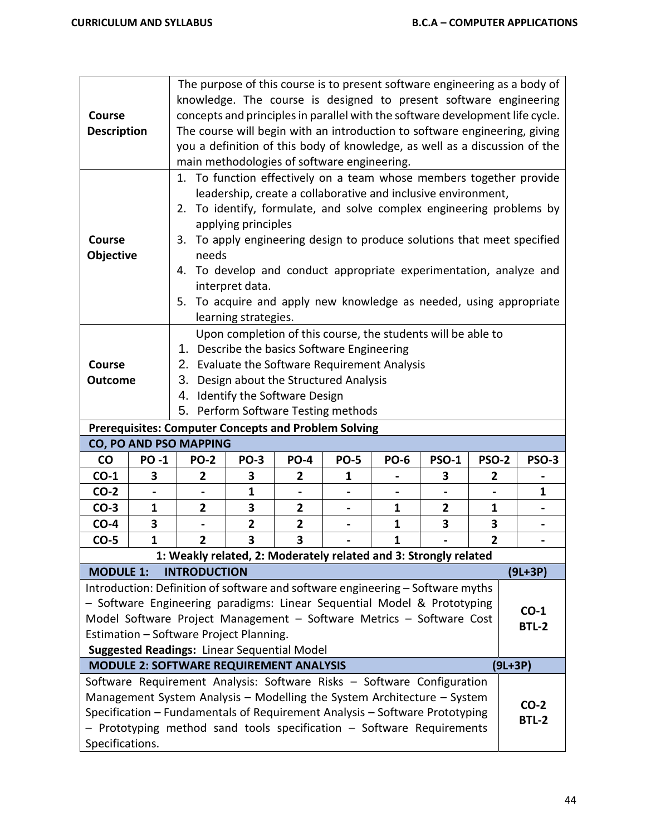| <b>Course</b><br><b>Description</b>                                                                                                                                                                                                                                                                                                                   |                |                                                                                                                                                                                                                                                                                                           | The purpose of this course is to present software engineering as a body of<br>knowledge. The course is designed to present software engineering<br>concepts and principles in parallel with the software development life cycle.<br>The course will begin with an introduction to software engineering, giving<br>you a definition of this body of knowledge, as well as a discussion of the<br>main methodologies of software engineering.                                                                 |                |             |              |              |                         |                        |  |
|-------------------------------------------------------------------------------------------------------------------------------------------------------------------------------------------------------------------------------------------------------------------------------------------------------------------------------------------------------|----------------|-----------------------------------------------------------------------------------------------------------------------------------------------------------------------------------------------------------------------------------------------------------------------------------------------------------|-------------------------------------------------------------------------------------------------------------------------------------------------------------------------------------------------------------------------------------------------------------------------------------------------------------------------------------------------------------------------------------------------------------------------------------------------------------------------------------------------------------|----------------|-------------|--------------|--------------|-------------------------|------------------------|--|
| <b>Course</b><br>Objective                                                                                                                                                                                                                                                                                                                            |                | 2.                                                                                                                                                                                                                                                                                                        | 1. To function effectively on a team whose members together provide<br>leadership, create a collaborative and inclusive environment,<br>To identify, formulate, and solve complex engineering problems by<br>applying principles<br>3. To apply engineering design to produce solutions that meet specified<br>needs<br>4. To develop and conduct appropriate experimentation, analyze and<br>interpret data.<br>5. To acquire and apply new knowledge as needed, using appropriate<br>learning strategies. |                |             |              |              |                         |                        |  |
| Upon completion of this course, the students will be able to<br>1. Describe the basics Software Engineering<br>2. Evaluate the Software Requirement Analysis<br>Course<br>3.<br>Design about the Structured Analysis<br><b>Outcome</b><br>4. Identify the Software Design<br>5. Perform Software Testing methods                                      |                |                                                                                                                                                                                                                                                                                                           |                                                                                                                                                                                                                                                                                                                                                                                                                                                                                                             |                |             |              |              |                         |                        |  |
| <b>Prerequisites: Computer Concepts and Problem Solving</b><br>CO, PO AND PSO MAPPING                                                                                                                                                                                                                                                                 |                |                                                                                                                                                                                                                                                                                                           |                                                                                                                                                                                                                                                                                                                                                                                                                                                                                                             |                |             |              |              |                         |                        |  |
| co                                                                                                                                                                                                                                                                                                                                                    | <b>PO-1</b>    | <b>PO-2</b>                                                                                                                                                                                                                                                                                               | <b>PO-3</b>                                                                                                                                                                                                                                                                                                                                                                                                                                                                                                 | <b>PO-4</b>    | <b>PO-5</b> | <b>PO-6</b>  | <b>PSO-1</b> | <b>PSO-2</b>            | <b>PSO-3</b>           |  |
| $CO-1$                                                                                                                                                                                                                                                                                                                                                | 3              | $\overline{2}$                                                                                                                                                                                                                                                                                            | 3                                                                                                                                                                                                                                                                                                                                                                                                                                                                                                           | $\mathbf{2}$   | 1           |              | 3            | $\mathbf{2}$            |                        |  |
| $CO-2$                                                                                                                                                                                                                                                                                                                                                | $\overline{a}$ |                                                                                                                                                                                                                                                                                                           | 1                                                                                                                                                                                                                                                                                                                                                                                                                                                                                                           |                |             |              |              |                         | $\mathbf{1}$           |  |
| $CO-3$                                                                                                                                                                                                                                                                                                                                                | $\mathbf{1}$   | $\mathbf{2}$                                                                                                                                                                                                                                                                                              | 3                                                                                                                                                                                                                                                                                                                                                                                                                                                                                                           | $\overline{2}$ | ۰           | 1            | 2            | 1                       |                        |  |
| $CO-4$                                                                                                                                                                                                                                                                                                                                                | 3              |                                                                                                                                                                                                                                                                                                           | $\mathbf{2}$                                                                                                                                                                                                                                                                                                                                                                                                                                                                                                | $\mathbf{2}$   |             | $\mathbf{1}$ | 3            | 3                       |                        |  |
| $CO-5$                                                                                                                                                                                                                                                                                                                                                | $\mathbf{1}$   | $\overline{2}$                                                                                                                                                                                                                                                                                            | 3                                                                                                                                                                                                                                                                                                                                                                                                                                                                                                           | 3              |             | $\mathbf{1}$ |              | $\overline{\mathbf{2}}$ |                        |  |
|                                                                                                                                                                                                                                                                                                                                                       |                | 1: Weakly related, 2: Moderately related and 3: Strongly related                                                                                                                                                                                                                                          |                                                                                                                                                                                                                                                                                                                                                                                                                                                                                                             |                |             |              |              |                         |                        |  |
| <b>INTRODUCTION</b><br>$(9L+3P)$<br><b>MODULE 1:</b>                                                                                                                                                                                                                                                                                                  |                |                                                                                                                                                                                                                                                                                                           |                                                                                                                                                                                                                                                                                                                                                                                                                                                                                                             |                |             |              |              |                         |                        |  |
| Introduction: Definition of software and software engineering - Software myths<br>- Software Engineering paradigms: Linear Sequential Model & Prototyping<br>$CO-1$<br>Model Software Project Management - Software Metrics - Software Cost<br><b>BTL-2</b><br>Estimation - Software Project Planning.<br>Suggested Readings: Linear Sequential Model |                |                                                                                                                                                                                                                                                                                                           |                                                                                                                                                                                                                                                                                                                                                                                                                                                                                                             |                |             |              |              |                         |                        |  |
|                                                                                                                                                                                                                                                                                                                                                       |                | <b>MODULE 2: SOFTWARE REQUIREMENT ANALYSIS</b>                                                                                                                                                                                                                                                            |                                                                                                                                                                                                                                                                                                                                                                                                                                                                                                             |                |             |              |              | $(9L+3P)$               |                        |  |
| Specifications.                                                                                                                                                                                                                                                                                                                                       |                | Software Requirement Analysis: Software Risks - Software Configuration<br>Management System Analysis - Modelling the System Architecture - System<br>Specification - Fundamentals of Requirement Analysis - Software Prototyping<br>- Prototyping method sand tools specification - Software Requirements |                                                                                                                                                                                                                                                                                                                                                                                                                                                                                                             |                |             |              |              |                         | $CO-2$<br><b>BTL-2</b> |  |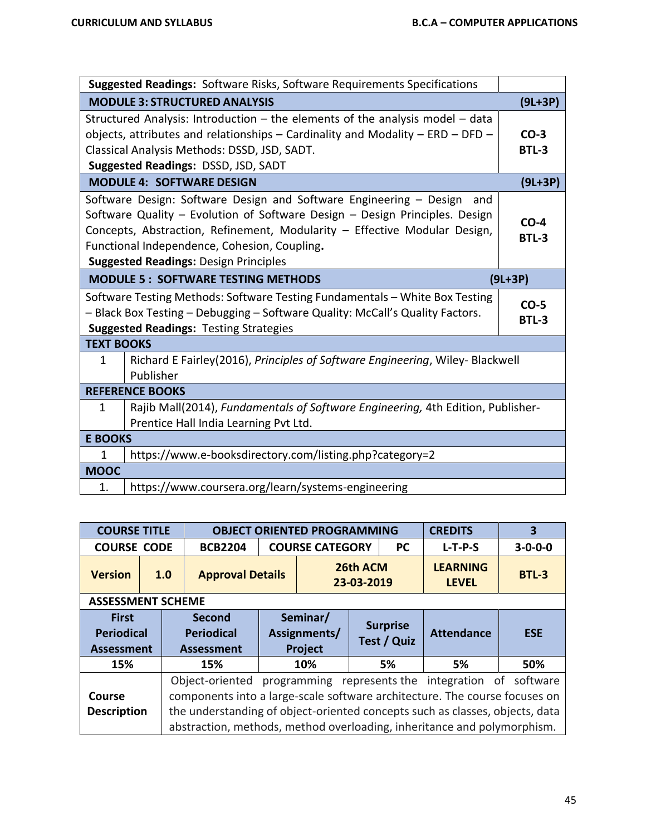|                   | <b>Suggested Readings:</b> Software Risks, Software Requirements Specifications                                                                                                                                                                                                                                                       |                        |
|-------------------|---------------------------------------------------------------------------------------------------------------------------------------------------------------------------------------------------------------------------------------------------------------------------------------------------------------------------------------|------------------------|
|                   | <b>MODULE 3: STRUCTURED ANALYSIS</b>                                                                                                                                                                                                                                                                                                  | $(9L+3P)$              |
|                   | Structured Analysis: Introduction $-$ the elements of the analysis model $-$ data<br>objects, attributes and relationships $-$ Cardinality and Modality $-$ ERD $-$ DFD $-$<br>Classical Analysis Methods: DSSD, JSD, SADT.<br>Suggested Readings: DSSD, JSD, SADT                                                                    | $CO-3$<br><b>BTL-3</b> |
|                   | <b>MODULE 4: SOFTWARE DESIGN</b>                                                                                                                                                                                                                                                                                                      | $(9L+3P)$              |
|                   | Software Design: Software Design and Software Engineering - Design<br>and<br>Software Quality - Evolution of Software Design - Design Principles. Design<br>Concepts, Abstraction, Refinement, Modularity - Effective Modular Design,<br>Functional Independence, Cohesion, Coupling.<br><b>Suggested Readings: Design Principles</b> | $CO-4$<br><b>BTL-3</b> |
|                   | <b>MODULE 5: SOFTWARE TESTING METHODS</b>                                                                                                                                                                                                                                                                                             | $(9L+3P)$              |
|                   | Software Testing Methods: Software Testing Fundamentals - White Box Testing<br>- Black Box Testing - Debugging - Software Quality: McCall's Quality Factors.<br><b>Suggested Readings: Testing Strategies</b>                                                                                                                         | $CO-5$<br><b>BTL-3</b> |
| <b>TEXT BOOKS</b> |                                                                                                                                                                                                                                                                                                                                       |                        |
| $\mathbf{1}$      | Richard E Fairley(2016), Principles of Software Engineering, Wiley- Blackwell<br>Publisher                                                                                                                                                                                                                                            |                        |
|                   | <b>REFERENCE BOOKS</b>                                                                                                                                                                                                                                                                                                                |                        |
| $\mathbf{1}$      | Rajib Mall(2014), Fundamentals of Software Engineering, 4th Edition, Publisher-<br>Prentice Hall India Learning Pvt Ltd.                                                                                                                                                                                                              |                        |
|                   |                                                                                                                                                                                                                                                                                                                                       |                        |
| <b>E BOOKS</b>    |                                                                                                                                                                                                                                                                                                                                       |                        |
| 1                 | https://www.e-booksdirectory.com/listing.php?category=2                                                                                                                                                                                                                                                                               |                        |
| <b>MOOC</b>       | https://www.coursera.org/learn/systems-engineering                                                                                                                                                                                                                                                                                    |                        |

| <b>COURSE TITLE</b>               |     | <b>OBJECT ORIENTED PROGRAMMING</b> |                                     |                |  |                              | <b>CREDITS</b>                  | 3            |
|-----------------------------------|-----|------------------------------------|-------------------------------------|----------------|--|------------------------------|---------------------------------|--------------|
| <b>COURSE CODE</b>                |     | <b>BCB2204</b>                     | <b>COURSE CATEGORY</b><br><b>PC</b> |                |  | $3 - 0 - 0 - 0$<br>$L-T-P-S$ |                                 |              |
| <b>Version</b>                    | 1.0 | <b>Approval Details</b>            | 26th ACM<br>23-03-2019              |                |  |                              | <b>LEARNING</b><br><b>LEVEL</b> | <b>BTL-3</b> |
| <b>ASSESSMENT SCHEME</b>          |     |                                    |                                     |                |  |                              |                                 |              |
| <b>First</b><br><b>Periodical</b> |     | Second                             | Seminar/<br>Assignments/            |                |  | <b>Surprise</b>              |                                 |              |
|                                   |     | <b>Periodical</b>                  |                                     |                |  | Test / Quiz                  | <b>Attendance</b>               | <b>ESE</b>   |
| <b>Assessment</b><br>15%          |     | <b>Assessment</b><br>15%           |                                     | Project<br>10% |  | 5%                           | 5%                              | 50%          |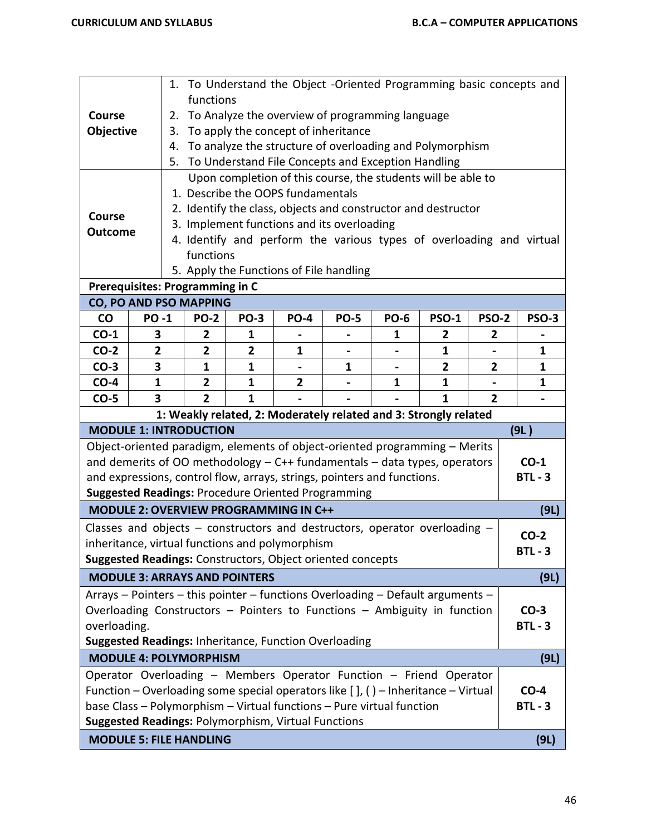| Course<br>Objective                                                                                                                                                                                                                                                                                                                                |                                                                                                                                                                                                                                                                                                                                                                                                       | 1. To Understand the Object -Oriented Programming basic concepts and<br>functions<br>To Analyze the overview of programming language<br>2.<br>To apply the concept of inheritance<br>3.<br>To analyze the structure of overloading and Polymorphism<br>4.<br>5. To Understand File Concepts and Exception Handling |             |             |                                                                  |              |              |                |                     |  |
|----------------------------------------------------------------------------------------------------------------------------------------------------------------------------------------------------------------------------------------------------------------------------------------------------------------------------------------------------|-------------------------------------------------------------------------------------------------------------------------------------------------------------------------------------------------------------------------------------------------------------------------------------------------------------------------------------------------------------------------------------------------------|--------------------------------------------------------------------------------------------------------------------------------------------------------------------------------------------------------------------------------------------------------------------------------------------------------------------|-------------|-------------|------------------------------------------------------------------|--------------|--------------|----------------|---------------------|--|
| <b>Course</b>                                                                                                                                                                                                                                                                                                                                      | Upon completion of this course, the students will be able to<br>1. Describe the OOPS fundamentals<br>2. Identify the class, objects and constructor and destructor<br>3. Implement functions and its overloading<br><b>Outcome</b><br>4. Identify and perform the various types of overloading and virtual<br>functions<br>5. Apply the Functions of File handling<br>Prerequisites: Programming in C |                                                                                                                                                                                                                                                                                                                    |             |             |                                                                  |              |              |                |                     |  |
|                                                                                                                                                                                                                                                                                                                                                    | CO, PO AND PSO MAPPING                                                                                                                                                                                                                                                                                                                                                                                |                                                                                                                                                                                                                                                                                                                    |             |             |                                                                  |              |              |                |                     |  |
| $\mathsf{co}$                                                                                                                                                                                                                                                                                                                                      | <b>PO-1</b>                                                                                                                                                                                                                                                                                                                                                                                           | <b>PO-2</b>                                                                                                                                                                                                                                                                                                        | <b>PO-3</b> | <b>PO-4</b> | <b>PO-5</b>                                                      | <b>PO-6</b>  | <b>PSO-1</b> | <b>PSO-2</b>   | <b>PSO-3</b>        |  |
| $CO-1$                                                                                                                                                                                                                                                                                                                                             | 3                                                                                                                                                                                                                                                                                                                                                                                                     | 2                                                                                                                                                                                                                                                                                                                  | 1           |             |                                                                  | 1            | 2            | 2              |                     |  |
| $CO-2$                                                                                                                                                                                                                                                                                                                                             | $\overline{2}$                                                                                                                                                                                                                                                                                                                                                                                        | $\overline{2}$                                                                                                                                                                                                                                                                                                     | 2           | 1           |                                                                  |              | 1            |                | 1                   |  |
| $CO-3$                                                                                                                                                                                                                                                                                                                                             | 3                                                                                                                                                                                                                                                                                                                                                                                                     | $\mathbf{1}$                                                                                                                                                                                                                                                                                                       | 1           |             | 1                                                                |              | $\mathbf{2}$ | 2              | $\mathbf{1}$        |  |
| $CO-4$                                                                                                                                                                                                                                                                                                                                             | $\mathbf{1}$                                                                                                                                                                                                                                                                                                                                                                                          | $\overline{2}$                                                                                                                                                                                                                                                                                                     | 1           | 2           |                                                                  | $\mathbf{1}$ | $\mathbf{1}$ |                | $\mathbf{1}$        |  |
| $CO-5$                                                                                                                                                                                                                                                                                                                                             | 3                                                                                                                                                                                                                                                                                                                                                                                                     | $\overline{2}$                                                                                                                                                                                                                                                                                                     | 1           |             |                                                                  |              | 1            | $\overline{2}$ |                     |  |
|                                                                                                                                                                                                                                                                                                                                                    |                                                                                                                                                                                                                                                                                                                                                                                                       |                                                                                                                                                                                                                                                                                                                    |             |             | 1: Weakly related, 2: Moderately related and 3: Strongly related |              |              |                |                     |  |
|                                                                                                                                                                                                                                                                                                                                                    | <b>MODULE 1: INTRODUCTION</b>                                                                                                                                                                                                                                                                                                                                                                         |                                                                                                                                                                                                                                                                                                                    |             |             |                                                                  |              |              |                | (9L)                |  |
|                                                                                                                                                                                                                                                                                                                                                    | Object-oriented paradigm, elements of object-oriented programming - Merits<br>and demerits of OO methodology $-$ C++ fundamentals $-$ data types, operators<br>and expressions, control flow, arrays, strings, pointers and functions.<br><b>Suggested Readings: Procedure Oriented Programming</b>                                                                                                   |                                                                                                                                                                                                                                                                                                                    |             |             |                                                                  |              |              |                | $CO-1$<br>$BTL - 3$ |  |
|                                                                                                                                                                                                                                                                                                                                                    | <b>MODULE 2: OVERVIEW PROGRAMMING IN C++</b>                                                                                                                                                                                                                                                                                                                                                          |                                                                                                                                                                                                                                                                                                                    |             |             |                                                                  |              |              |                | (9L)                |  |
|                                                                                                                                                                                                                                                                                                                                                    | Classes and objects $-$ constructors and destructors, operator overloading $-$<br>inheritance, virtual functions and polymorphism<br>Suggested Readings: Constructors, Object oriented concepts                                                                                                                                                                                                       |                                                                                                                                                                                                                                                                                                                    |             |             |                                                                  |              |              |                | $CO-2$<br>$BTL - 3$ |  |
|                                                                                                                                                                                                                                                                                                                                                    | <b>MODULE 3: ARRAYS AND POINTERS</b>                                                                                                                                                                                                                                                                                                                                                                  |                                                                                                                                                                                                                                                                                                                    |             |             |                                                                  |              |              |                | (9L)                |  |
|                                                                                                                                                                                                                                                                                                                                                    | Arrays - Pointers - this pointer - functions Overloading - Default arguments -<br>Overloading Constructors - Pointers to Functions - Ambiguity in function<br>$CO-3$<br>$BTL - 3$<br>overloading.<br>Suggested Readings: Inheritance, Function Overloading                                                                                                                                            |                                                                                                                                                                                                                                                                                                                    |             |             |                                                                  |              |              |                |                     |  |
|                                                                                                                                                                                                                                                                                                                                                    |                                                                                                                                                                                                                                                                                                                                                                                                       |                                                                                                                                                                                                                                                                                                                    |             |             |                                                                  |              |              |                | (9L)                |  |
| <b>MODULE 4: POLYMORPHISM</b><br>Operator Overloading - Members Operator Function - Friend Operator<br>Function – Overloading some special operators like $[]$ , () – Inheritance – Virtual<br>$CO-4$<br>base Class - Polymorphism - Virtual functions - Pure virtual function<br>$BTL - 3$<br>Suggested Readings: Polymorphism, Virtual Functions |                                                                                                                                                                                                                                                                                                                                                                                                       |                                                                                                                                                                                                                                                                                                                    |             |             |                                                                  |              |              |                |                     |  |
|                                                                                                                                                                                                                                                                                                                                                    |                                                                                                                                                                                                                                                                                                                                                                                                       |                                                                                                                                                                                                                                                                                                                    |             |             |                                                                  |              |              |                |                     |  |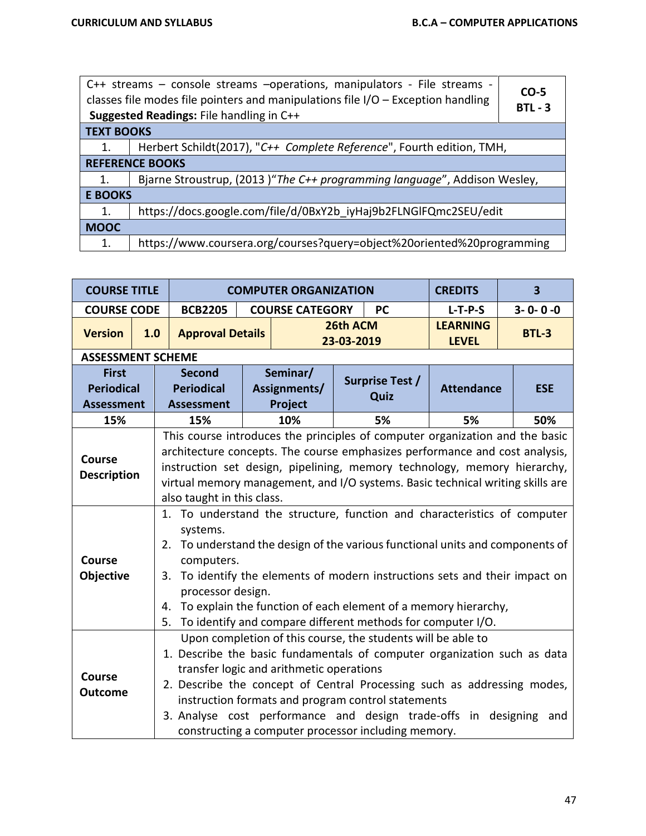| C++ streams – console streams – operations, manipulators - File streams -<br>classes file modes file pointers and manipulations file $I/O$ – Exception handling<br><b>Suggested Readings: File handling in C++</b> |                                                                           |  |  |  |  |  |  |
|--------------------------------------------------------------------------------------------------------------------------------------------------------------------------------------------------------------------|---------------------------------------------------------------------------|--|--|--|--|--|--|
| <b>TEXT BOOKS</b>                                                                                                                                                                                                  |                                                                           |  |  |  |  |  |  |
| 1.                                                                                                                                                                                                                 | Herbert Schildt(2017), "C++ Complete Reference", Fourth edition, TMH,     |  |  |  |  |  |  |
|                                                                                                                                                                                                                    | <b>REFERENCE BOOKS</b>                                                    |  |  |  |  |  |  |
| 1.                                                                                                                                                                                                                 | Bjarne Stroustrup, (2013) "The C++ programming language", Addison Wesley, |  |  |  |  |  |  |
| <b>E BOOKS</b>                                                                                                                                                                                                     |                                                                           |  |  |  |  |  |  |
| 1.                                                                                                                                                                                                                 | https://docs.google.com/file/d/0BxY2b iyHaj9b2FLNGlFQmc2SEU/edit          |  |  |  |  |  |  |
| <b>MOOC</b>                                                                                                                                                                                                        |                                                                           |  |  |  |  |  |  |
| 1.                                                                                                                                                                                                                 | https://www.coursera.org/courses?query=object%20oriented%20programming    |  |  |  |  |  |  |

| <b>COURSE TITLE</b>             |     | <b>COMPUTER ORGANIZATION</b>                                                                                                                                                                                                                                                                                                                                                                                                   |  |                        |                        |                                                                                                                                                                           | <b>CREDITS</b>                  | $\overline{\mathbf{3}}$ |  |
|---------------------------------|-----|--------------------------------------------------------------------------------------------------------------------------------------------------------------------------------------------------------------------------------------------------------------------------------------------------------------------------------------------------------------------------------------------------------------------------------|--|------------------------|------------------------|---------------------------------------------------------------------------------------------------------------------------------------------------------------------------|---------------------------------|-------------------------|--|
| <b>COURSE CODE</b>              |     | <b>BCB2205</b>                                                                                                                                                                                                                                                                                                                                                                                                                 |  | <b>COURSE CATEGORY</b> |                        | <b>PC</b>                                                                                                                                                                 | $L-T-P-S$                       | $3 - 0 - 0 - 0$         |  |
| <b>Version</b>                  | 1.0 | <b>Approval Details</b>                                                                                                                                                                                                                                                                                                                                                                                                        |  |                        | 26th ACM<br>23-03-2019 |                                                                                                                                                                           | <b>LEARNING</b><br><b>LEVEL</b> | <b>BTL-3</b>            |  |
| <b>ASSESSMENT SCHEME</b>        |     |                                                                                                                                                                                                                                                                                                                                                                                                                                |  |                        |                        |                                                                                                                                                                           |                                 |                         |  |
| <b>First</b>                    |     | <b>Second</b>                                                                                                                                                                                                                                                                                                                                                                                                                  |  | Seminar/               |                        | <b>Surprise Test /</b>                                                                                                                                                    |                                 |                         |  |
| <b>Periodical</b>               |     | <b>Periodical</b>                                                                                                                                                                                                                                                                                                                                                                                                              |  | Assignments/           |                        | Quiz                                                                                                                                                                      | <b>Attendance</b>               | <b>ESE</b>              |  |
| <b>Assessment</b>               |     | <b>Assessment</b>                                                                                                                                                                                                                                                                                                                                                                                                              |  | Project                |                        |                                                                                                                                                                           |                                 |                         |  |
| 15%                             |     | 15%                                                                                                                                                                                                                                                                                                                                                                                                                            |  | 10%                    |                        | 5%                                                                                                                                                                        | 5%                              | 50%                     |  |
| Course<br><b>Description</b>    |     | This course introduces the principles of computer organization and the basic<br>architecture concepts. The course emphasizes performance and cost analysis,<br>instruction set design, pipelining, memory technology, memory hierarchy,<br>virtual memory management, and I/O systems. Basic technical writing skills are<br>also taught in this class.                                                                        |  |                        |                        |                                                                                                                                                                           |                                 |                         |  |
| <b>Course</b><br>Objective      | 5.  | 1. To understand the structure, function and characteristics of computer<br>systems.<br>2. To understand the design of the various functional units and components of<br>computers.<br>3. To identify the elements of modern instructions sets and their impact on<br>processor design.<br>To explain the function of each element of a memory hierarchy,<br>4.<br>To identify and compare different methods for computer I/O. |  |                        |                        |                                                                                                                                                                           |                                 |                         |  |
| <b>Course</b><br><b>Outcome</b> |     | 1. Describe the basic fundamentals of computer organization such as data<br>transfer logic and arithmetic operations<br>2. Describe the concept of Central Processing such as addressing modes,<br>3. Analyse cost performance and design trade-offs in designing                                                                                                                                                              |  |                        |                        | Upon completion of this course, the students will be able to<br>instruction formats and program control statements<br>constructing a computer processor including memory. |                                 | and                     |  |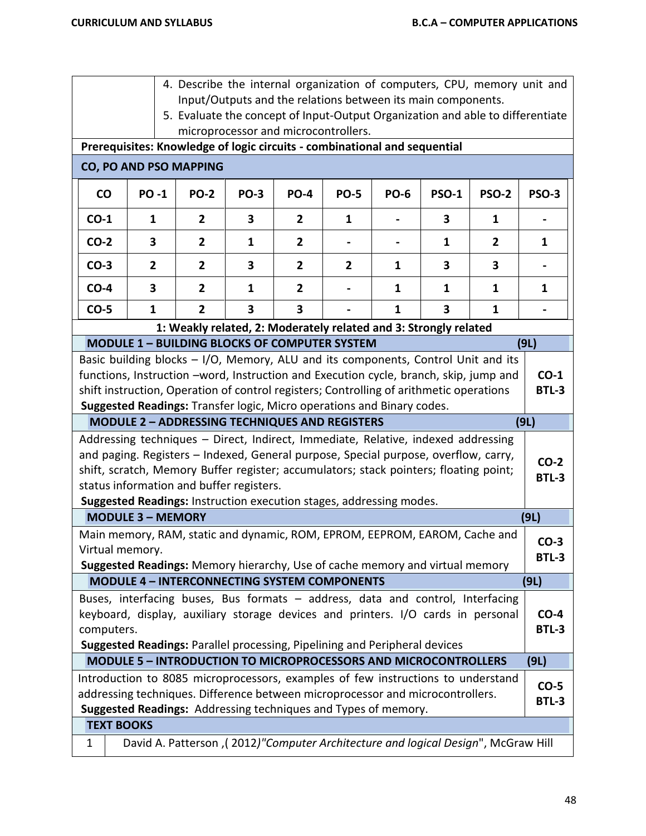- 4. Describe the internal organization of computers, CPU, memory unit and Input/Outputs and the relations between its main components.
- 5. Evaluate the concept of Input‐Output Organization and able to differentiate microprocessor and microcontrollers.

## **Prerequisites: Knowledge of logic circuits - combinational and sequential**

|  |  |  |  | CO, PO AND PSO MAPPING |
|--|--|--|--|------------------------|
|--|--|--|--|------------------------|

| <b>CO</b> | <b>PO-1</b>    | <b>PO-2</b>                                                      | <b>PO-3</b> | <b>PO-4</b>    | <b>PO-5</b> | <b>PO-6</b> | <b>PSO-1</b> | <b>PSO-2</b> | <b>PSO-3</b> |
|-----------|----------------|------------------------------------------------------------------|-------------|----------------|-------------|-------------|--------------|--------------|--------------|
| $CO-1$    |                | 2                                                                | 3           | 2              |             |             | 3            |              |              |
| $CO-2$    | 3              | $\overline{2}$                                                   | 1           | $\overline{2}$ |             |             |              | 2            |              |
| $CO-3$    | $\overline{2}$ | $\overline{2}$                                                   | 3           | $\mathbf{2}$   |             |             | 3            | 3            |              |
| $CO-4$    | 3              | 2                                                                |             |                |             |             |              |              |              |
| $CO-5$    |                | $\mathbf{2}$                                                     | 3           | 3              |             |             | 3            |              |              |
|           |                | 1: Weakly related, 2: Moderately related and 3: Strongly related |             |                |             |             |              |              |              |
|           |                | <b>MODULE 1 - BUILDING BLOCKS OF COMPUTER SYSTEM</b>             |             |                |             |             |              |              | (9L)         |

| Basic building blocks - I/O, Memory, ALU and its components, Control Unit and its<br>functions, Instruction -word, Instruction and Execution cycle, branch, skip, jump and<br>shift instruction, Operation of control registers; Controlling of arithmetic operations<br>Suggested Readings: Transfer logic, Micro operations and Binary codes.                                      | $CO-1$<br><b>BTL-3</b> |
|--------------------------------------------------------------------------------------------------------------------------------------------------------------------------------------------------------------------------------------------------------------------------------------------------------------------------------------------------------------------------------------|------------------------|
| <b>MODULE 2 - ADDRESSING TECHNIQUES AND REGISTERS</b>                                                                                                                                                                                                                                                                                                                                | (9L)                   |
| Addressing techniques - Direct, Indirect, Immediate, Relative, indexed addressing<br>and paging. Registers - Indexed, General purpose, Special purpose, overflow, carry,<br>shift, scratch, Memory Buffer register; accumulators; stack pointers; floating point;<br>status information and buffer registers.<br>Suggested Readings: Instruction execution stages, addressing modes. | $CO-2$<br><b>BTL-3</b> |
| <b>MODULE 3 - MEMORY</b>                                                                                                                                                                                                                                                                                                                                                             | (9L)                   |
| Main memory, RAM, static and dynamic, ROM, EPROM, EEPROM, EAROM, Cache and<br>Virtual memory.<br>Suggested Readings: Memory hierarchy, Use of cache memory and virtual memory                                                                                                                                                                                                        | $CO-3$<br><b>BTL-3</b> |
|                                                                                                                                                                                                                                                                                                                                                                                      |                        |
| <b>MODULE 4 - INTERCONNECTING SYSTEM COMPONENTS</b>                                                                                                                                                                                                                                                                                                                                  | (9L)                   |
| Buses, interfacing buses, Bus formats - address, data and control, Interfacing<br>keyboard, display, auxiliary storage devices and printers. I/O cards in personal<br>computers.<br><b>Suggested Readings: Parallel processing, Pipelining and Peripheral devices</b>                                                                                                                | $CO-4$<br><b>BTL-3</b> |
| <b>MODULE 5 - INTRODUCTION TO MICROPROCESSORS AND MICROCONTROLLERS</b>                                                                                                                                                                                                                                                                                                               | (9L)                   |
| Introduction to 8085 microprocessors, examples of few instructions to understand<br>addressing techniques. Difference between microprocessor and microcontrollers.<br>Suggested Readings: Addressing techniques and Types of memory.                                                                                                                                                 | $CO-5$<br><b>BTL-3</b> |
| <b>TEXT BOOKS</b>                                                                                                                                                                                                                                                                                                                                                                    |                        |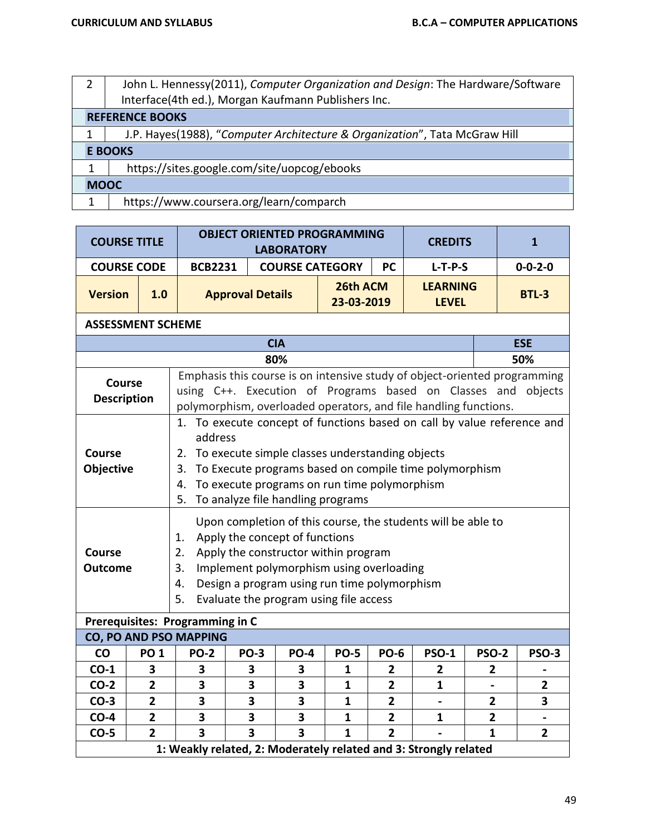| John L. Hennessy(2011), Computer Organization and Design: The Hardware/Software |  |  |  |  |  |  |
|---------------------------------------------------------------------------------|--|--|--|--|--|--|
| Interface(4th ed.), Morgan Kaufmann Publishers Inc.                             |  |  |  |  |  |  |
| <b>REFERENCE BOOKS</b>                                                          |  |  |  |  |  |  |
| J.P. Hayes(1988), "Computer Architecture & Organization", Tata McGraw Hill      |  |  |  |  |  |  |
| <b>E BOOKS</b>                                                                  |  |  |  |  |  |  |
| https://sites.google.com/site/uopcog/ebooks                                     |  |  |  |  |  |  |
| <b>MOOC</b>                                                                     |  |  |  |  |  |  |
| https://www.coursera.org/learn/comparch                                         |  |  |  |  |  |  |

| <b>COURSE TITLE</b>                 |                                                                                                                                                                                                                                                                                                                                                       |                                 |                         | <b>LABORATORY</b>       | <b>OBJECT ORIENTED PROGRAMMING</b> |                | <b>CREDITS</b>                                                                                                                                                                                                 |                |  | $\mathbf{1}$    |
|-------------------------------------|-------------------------------------------------------------------------------------------------------------------------------------------------------------------------------------------------------------------------------------------------------------------------------------------------------------------------------------------------------|---------------------------------|-------------------------|-------------------------|------------------------------------|----------------|----------------------------------------------------------------------------------------------------------------------------------------------------------------------------------------------------------------|----------------|--|-----------------|
| <b>COURSE CODE</b>                  |                                                                                                                                                                                                                                                                                                                                                       | <b>BCB2231</b>                  |                         |                         | <b>COURSE CATEGORY</b>             | <b>PC</b>      | $L-T-P-S$                                                                                                                                                                                                      |                |  | $0 - 0 - 2 - 0$ |
| <b>Version</b>                      | 1.0                                                                                                                                                                                                                                                                                                                                                   |                                 | <b>Approval Details</b> |                         | 26th ACM<br>23-03-2019             |                | <b>LEARNING</b><br><b>LEVEL</b>                                                                                                                                                                                |                |  | <b>BTL-3</b>    |
| <b>ASSESSMENT SCHEME</b>            |                                                                                                                                                                                                                                                                                                                                                       |                                 |                         |                         |                                    |                |                                                                                                                                                                                                                |                |  |                 |
|                                     | <b>CIA</b>                                                                                                                                                                                                                                                                                                                                            |                                 |                         |                         |                                    |                |                                                                                                                                                                                                                |                |  | <b>ESE</b>      |
|                                     |                                                                                                                                                                                                                                                                                                                                                       |                                 |                         | 80%                     |                                    |                |                                                                                                                                                                                                                |                |  | 50%             |
| <b>Course</b><br><b>Description</b> |                                                                                                                                                                                                                                                                                                                                                       |                                 |                         |                         |                                    |                | Emphasis this course is on intensive study of object-oriented programming<br>using C++. Execution of Programs based on Classes and objects<br>polymorphism, overloaded operators, and file handling functions. |                |  |                 |
| <b>Course</b><br>Objective          | 1. To execute concept of functions based on call by value reference and<br>address<br>To execute simple classes understanding objects<br>2.<br>To Execute programs based on compile time polymorphism<br>3.<br>To execute programs on run time polymorphism<br>4.                                                                                     |                                 |                         |                         |                                    |                |                                                                                                                                                                                                                |                |  |                 |
| <b>Course</b><br><b>Outcome</b>     | To analyze file handling programs<br>5.<br>Upon completion of this course, the students will be able to<br>Apply the concept of functions<br>1.<br>Apply the constructor within program<br>2.<br>Implement polymorphism using overloading<br>3.<br>Design a program using run time polymorphism<br>4.<br>Evaluate the program using file access<br>5. |                                 |                         |                         |                                    |                |                                                                                                                                                                                                                |                |  |                 |
|                                     |                                                                                                                                                                                                                                                                                                                                                       | Prerequisites: Programming in C |                         |                         |                                    |                |                                                                                                                                                                                                                |                |  |                 |
|                                     |                                                                                                                                                                                                                                                                                                                                                       | CO, PO AND PSO MAPPING          |                         |                         |                                    |                |                                                                                                                                                                                                                |                |  |                 |
| CO                                  | <b>PO 1</b>                                                                                                                                                                                                                                                                                                                                           | <b>PO-2</b>                     | <b>PO-3</b>             | <b>PO-4</b>             | <b>PO-5</b>                        | <b>PO-6</b>    | <b>PSO-1</b>                                                                                                                                                                                                   | <b>PSO-2</b>   |  | <b>PSO-3</b>    |
| $CO-1$                              | 3                                                                                                                                                                                                                                                                                                                                                     | 3                               | 3                       | 3                       | $\mathbf{1}$                       | $\overline{2}$ | $\overline{2}$                                                                                                                                                                                                 | $\overline{2}$ |  |                 |
| $CO-2$                              | $\overline{2}$                                                                                                                                                                                                                                                                                                                                        | 3                               | 3                       | 3                       | $\mathbf{1}$                       | $\overline{2}$ | $\mathbf{1}$                                                                                                                                                                                                   |                |  | $\overline{2}$  |
| $CO-3$                              | $\overline{2}$                                                                                                                                                                                                                                                                                                                                        | 3                               | 3                       | 3                       | $\mathbf{1}$                       | $\overline{2}$ |                                                                                                                                                                                                                | 2              |  | 3               |
| $CO-4$                              | $\mathbf{2}$                                                                                                                                                                                                                                                                                                                                          | 3                               | 3                       | 3                       | 1                                  | $\mathbf{2}$   | 1                                                                                                                                                                                                              | $\overline{2}$ |  |                 |
| $CO-5$                              | $\overline{2}$                                                                                                                                                                                                                                                                                                                                        | $\overline{\mathbf{3}}$         | $\overline{\mathbf{3}}$ | $\overline{\mathbf{3}}$ | $\mathbf{1}$                       | $\overline{2}$ | 1: Weakly related, 2: Moderately related and 3: Strongly related                                                                                                                                               | $\mathbf{1}$   |  | $\overline{2}$  |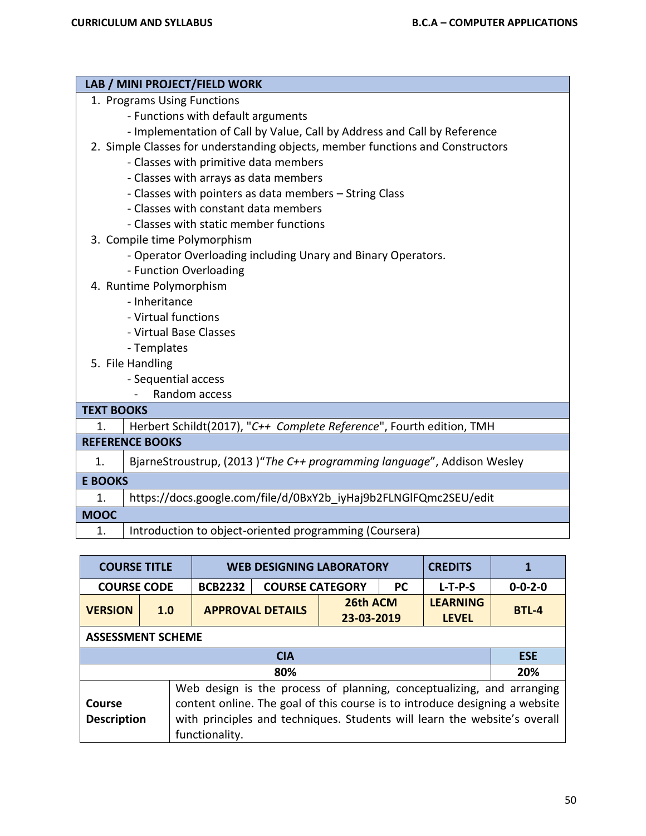|                   | LAB / MINI PROJECT/FIELD WORK                                                  |
|-------------------|--------------------------------------------------------------------------------|
|                   | 1. Programs Using Functions                                                    |
|                   | - Functions with default arguments                                             |
|                   | - Implementation of Call by Value, Call by Address and Call by Reference       |
|                   | 2. Simple Classes for understanding objects, member functions and Constructors |
|                   | - Classes with primitive data members                                          |
|                   | - Classes with arrays as data members                                          |
|                   | - Classes with pointers as data members - String Class                         |
|                   | - Classes with constant data members                                           |
|                   | - Classes with static member functions                                         |
|                   | 3. Compile time Polymorphism                                                   |
|                   | - Operator Overloading including Unary and Binary Operators.                   |
|                   | - Function Overloading                                                         |
|                   | 4. Runtime Polymorphism                                                        |
|                   | - Inheritance                                                                  |
|                   | - Virtual functions                                                            |
|                   | - Virtual Base Classes                                                         |
|                   | - Templates                                                                    |
|                   | 5. File Handling                                                               |
|                   | - Sequential access                                                            |
|                   | Random access<br>$\blacksquare$                                                |
| <b>TEXT BOOKS</b> |                                                                                |
| 1.                | Herbert Schildt(2017), "C++ Complete Reference", Fourth edition, TMH           |
|                   | <b>REFERENCE BOOKS</b>                                                         |
| 1.                | BjarneStroustrup, (2013) "The C++ programming language", Addison Wesley        |
| <b>E BOOKS</b>    |                                                                                |
| 1.                | https://docs.google.com/file/d/0BxY2b iyHaj9b2FLNGlFQmc2SEU/edit               |
| <b>MOOC</b>       |                                                                                |
| 1.                | Introduction to object-oriented programming (Coursera)                         |

|                                                                                                                                                                                                                                                                                     | <b>COURSE TITLE</b><br><b>WEB DESIGNING LABORATORY</b> |                |                                                   |  |           | <b>CREDITS</b>                  |                 |  |
|-------------------------------------------------------------------------------------------------------------------------------------------------------------------------------------------------------------------------------------------------------------------------------------|--------------------------------------------------------|----------------|---------------------------------------------------|--|-----------|---------------------------------|-----------------|--|
| <b>COURSE CODE</b>                                                                                                                                                                                                                                                                  |                                                        | <b>BCB2232</b> | <b>COURSE CATEGORY</b>                            |  | <b>PC</b> | $L-T-P-S$                       | $0 - 0 - 2 - 0$ |  |
| <b>VERSION</b>                                                                                                                                                                                                                                                                      | 1.0                                                    |                | 26th ACM<br><b>APPROVAL DETAILS</b><br>23-03-2019 |  |           | <b>LEARNING</b><br><b>LEVEL</b> | <b>BTL-4</b>    |  |
|                                                                                                                                                                                                                                                                                     | <b>ASSESSMENT SCHEME</b>                               |                |                                                   |  |           |                                 |                 |  |
|                                                                                                                                                                                                                                                                                     |                                                        |                | <b>CIA</b>                                        |  |           |                                 | <b>ESE</b>      |  |
|                                                                                                                                                                                                                                                                                     |                                                        |                | 80%                                               |  |           |                                 | 20%             |  |
| Web design is the process of planning, conceptualizing, and arranging<br>content online. The goal of this course is to introduce designing a website<br>Course<br>with principles and techniques. Students will learn the website's overall<br><b>Description</b><br>functionality. |                                                        |                |                                                   |  |           |                                 |                 |  |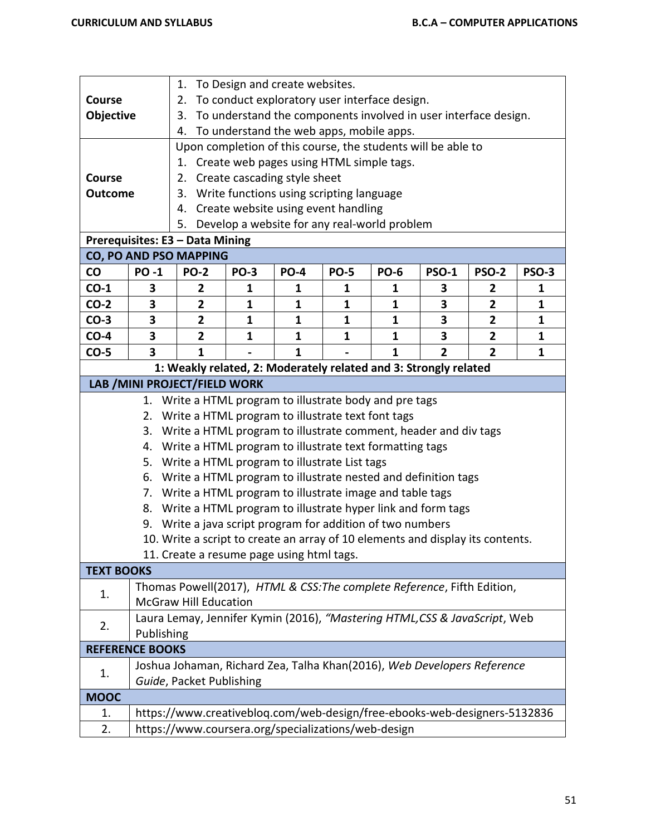|                   |                        | 1. To Design and create websites.                                                                                      |                              |             |                                                                 |              |                |                         |              |  |
|-------------------|------------------------|------------------------------------------------------------------------------------------------------------------------|------------------------------|-------------|-----------------------------------------------------------------|--------------|----------------|-------------------------|--------------|--|
| Course            |                        | 2.                                                                                                                     |                              |             | To conduct exploratory user interface design.                   |              |                |                         |              |  |
| Objective         |                        | 3.                                                                                                                     |                              |             | To understand the components involved in user interface design. |              |                |                         |              |  |
|                   |                        | 4.                                                                                                                     |                              |             | To understand the web apps, mobile apps.                        |              |                |                         |              |  |
|                   |                        | Upon completion of this course, the students will be able to                                                           |                              |             |                                                                 |              |                |                         |              |  |
|                   |                        |                                                                                                                        |                              |             | 1. Create web pages using HTML simple tags.                     |              |                |                         |              |  |
| Course            |                        | 2.                                                                                                                     | Create cascading style sheet |             |                                                                 |              |                |                         |              |  |
| <b>Outcome</b>    |                        | Write functions using scripting language<br>3.                                                                         |                              |             |                                                                 |              |                |                         |              |  |
|                   |                        | 4.                                                                                                                     |                              |             | Create website using event handling                             |              |                |                         |              |  |
|                   |                        | 5.                                                                                                                     |                              |             | Develop a website for any real-world problem                    |              |                |                         |              |  |
|                   |                        | Prerequisites: E3 - Data Mining                                                                                        |                              |             |                                                                 |              |                |                         |              |  |
|                   |                        | CO, PO AND PSO MAPPING                                                                                                 |                              |             |                                                                 |              |                |                         |              |  |
| $\mathsf{co}\,$   | <b>PO-1</b>            | <b>PO-2</b>                                                                                                            | <b>PO-3</b>                  | <b>PO-4</b> | <b>PO-5</b>                                                     | <b>PO-6</b>  | <b>PSO-1</b>   | <b>PSO-2</b>            | <b>PSO-3</b> |  |
| $CO-1$            | 3                      | $\overline{2}$                                                                                                         | 1                            | 1           | 1                                                               | 1            | 3              | $\mathbf{2}$            | 1            |  |
| $CO-2$            | 3                      | $\overline{2}$                                                                                                         | 1                            | 1           | 1                                                               | 1            | 3              | $\mathbf{2}$            | $\mathbf{1}$ |  |
| $CO-3$            | 3                      | $\overline{\mathbf{2}}$                                                                                                | 1                            | 1           | $\mathbf{1}$                                                    | 1            | 3              | $\overline{\mathbf{2}}$ | $\mathbf{1}$ |  |
| $CO-4$            | 3                      | $\overline{2}$                                                                                                         | 1                            | 1           | 1                                                               | 1            | 3              | $\overline{2}$          | 1            |  |
| $CO-5$            | 3                      | $\mathbf{1}$                                                                                                           |                              | 1           |                                                                 | $\mathbf{1}$ | $\overline{2}$ | $\overline{2}$          | 1            |  |
|                   |                        | 1: Weakly related, 2: Moderately related and 3: Strongly related                                                       |                              |             |                                                                 |              |                |                         |              |  |
|                   |                        | LAB / MINI PROJECT/FIELD WORK                                                                                          |                              |             |                                                                 |              |                |                         |              |  |
|                   | 1.                     | Write a HTML program to illustrate body and pre tags                                                                   |                              |             |                                                                 |              |                |                         |              |  |
|                   |                        | 2. Write a HTML program to illustrate text font tags                                                                   |                              |             |                                                                 |              |                |                         |              |  |
|                   | 3.                     | Write a HTML program to illustrate comment, header and div tags                                                        |                              |             |                                                                 |              |                |                         |              |  |
|                   | 4.                     | Write a HTML program to illustrate text formatting tags                                                                |                              |             |                                                                 |              |                |                         |              |  |
|                   | 5.                     | Write a HTML program to illustrate List tags                                                                           |                              |             |                                                                 |              |                |                         |              |  |
|                   | 6.                     | Write a HTML program to illustrate nested and definition tags                                                          |                              |             |                                                                 |              |                |                         |              |  |
|                   | 7.<br>8.               | Write a HTML program to illustrate image and table tags<br>Write a HTML program to illustrate hyper link and form tags |                              |             |                                                                 |              |                |                         |              |  |
|                   |                        | 9. Write a java script program for addition of two numbers                                                             |                              |             |                                                                 |              |                |                         |              |  |
|                   |                        | 10. Write a script to create an array of 10 elements and display its contents.                                         |                              |             |                                                                 |              |                |                         |              |  |
|                   |                        | 11. Create a resume page using html tags.                                                                              |                              |             |                                                                 |              |                |                         |              |  |
| <b>TEXT BOOKS</b> |                        |                                                                                                                        |                              |             |                                                                 |              |                |                         |              |  |
|                   |                        | Thomas Powell(2017), HTML & CSS: The complete Reference, Fifth Edition,                                                |                              |             |                                                                 |              |                |                         |              |  |
| 1.                |                        | <b>McGraw Hill Education</b>                                                                                           |                              |             |                                                                 |              |                |                         |              |  |
|                   |                        | Laura Lemay, Jennifer Kymin (2016), "Mastering HTML, CSS & JavaScript, Web                                             |                              |             |                                                                 |              |                |                         |              |  |
| 2.                | Publishing             |                                                                                                                        |                              |             |                                                                 |              |                |                         |              |  |
|                   | <b>REFERENCE BOOKS</b> |                                                                                                                        |                              |             |                                                                 |              |                |                         |              |  |
|                   |                        | Joshua Johaman, Richard Zea, Talha Khan(2016), Web Developers Reference                                                |                              |             |                                                                 |              |                |                         |              |  |
| 1.                |                        | Guide, Packet Publishing                                                                                               |                              |             |                                                                 |              |                |                         |              |  |
| <b>MOOC</b>       |                        |                                                                                                                        |                              |             |                                                                 |              |                |                         |              |  |
| 1.                |                        | https://www.creativebloq.com/web-design/free-ebooks-web-designers-5132836                                              |                              |             |                                                                 |              |                |                         |              |  |
| 2.                |                        | https://www.coursera.org/specializations/web-design                                                                    |                              |             |                                                                 |              |                |                         |              |  |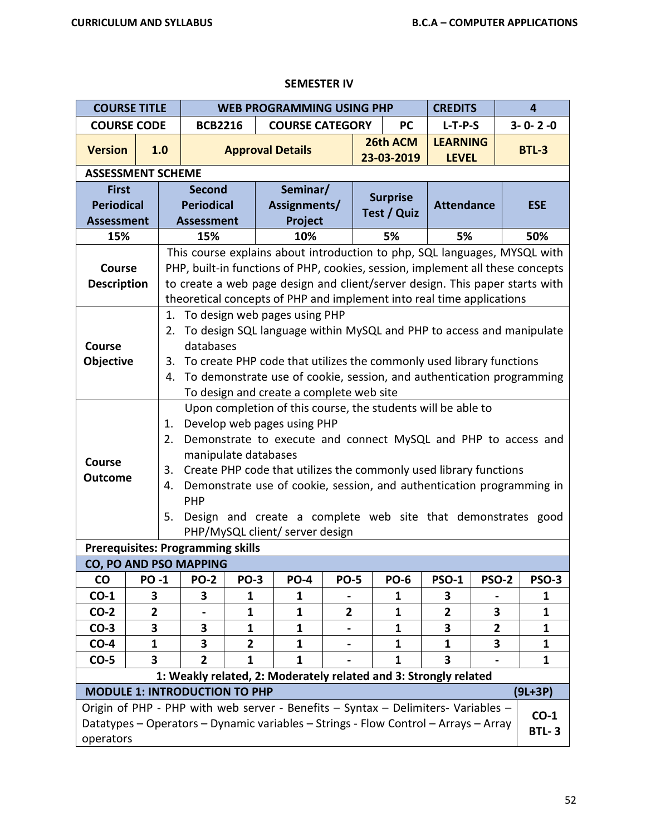| <b>COURSE TITLE</b>                                                                                       |                |                                                                      |                                                                      |                | <b>WEB PROGRAMMING USING PHP</b>                                                                    |                |  |                 | <b>CREDITS</b>    |              |        | 4               |
|-----------------------------------------------------------------------------------------------------------|----------------|----------------------------------------------------------------------|----------------------------------------------------------------------|----------------|-----------------------------------------------------------------------------------------------------|----------------|--|-----------------|-------------------|--------------|--------|-----------------|
| <b>COURSE CODE</b>                                                                                        |                |                                                                      | <b>BCB2216</b>                                                       |                | <b>COURSE CATEGORY</b>                                                                              |                |  | <b>PC</b>       | $L-T-P-S$         |              |        | $3 - 0 - 2 - 0$ |
| <b>Version</b>                                                                                            |                | 1.0                                                                  |                                                                      |                | <b>Approval Details</b>                                                                             |                |  | 26th ACM        | <b>LEARNING</b>   |              |        | <b>BTL-3</b>    |
|                                                                                                           |                |                                                                      |                                                                      |                |                                                                                                     |                |  | 23-03-2019      | <b>LEVEL</b>      |              |        |                 |
| <b>ASSESSMENT SCHEME</b>                                                                                  |                |                                                                      |                                                                      |                |                                                                                                     |                |  |                 |                   |              |        |                 |
| <b>First</b>                                                                                              |                |                                                                      | <b>Second</b>                                                        |                | Seminar/                                                                                            |                |  | <b>Surprise</b> |                   |              |        |                 |
| <b>Periodical</b>                                                                                         |                | <b>Periodical</b>                                                    |                                                                      |                | Assignments/                                                                                        |                |  | Test / Quiz     | <b>Attendance</b> |              |        | <b>ESE</b>      |
| <b>Assessment</b>                                                                                         |                |                                                                      | <b>Assessment</b>                                                    |                | Project                                                                                             |                |  |                 |                   |              |        |                 |
| 15%                                                                                                       |                |                                                                      | 15%                                                                  |                | 10%                                                                                                 |                |  | 5%              | 5%                |              |        | 50%             |
|                                                                                                           |                |                                                                      |                                                                      |                | This course explains about introduction to php, SQL languages, MYSQL with                           |                |  |                 |                   |              |        |                 |
| <b>Course</b>                                                                                             |                |                                                                      |                                                                      |                | PHP, built-in functions of PHP, cookies, session, implement all these concepts                      |                |  |                 |                   |              |        |                 |
| to create a web page design and client/server design. This paper starts with<br><b>Description</b>        |                |                                                                      |                                                                      |                |                                                                                                     |                |  |                 |                   |              |        |                 |
| theoretical concepts of PHP and implement into real time applications<br>1. To design web pages using PHP |                |                                                                      |                                                                      |                |                                                                                                     |                |  |                 |                   |              |        |                 |
|                                                                                                           |                |                                                                      | To design SQL language within MySQL and PHP to access and manipulate |                |                                                                                                     |                |  |                 |                   |              |        |                 |
|                                                                                                           |                | 2.                                                                   |                                                                      |                |                                                                                                     |                |  |                 |                   |              |        |                 |
| <b>Course</b>                                                                                             |                |                                                                      | databases                                                            |                |                                                                                                     |                |  |                 |                   |              |        |                 |
| <b>Objective</b>                                                                                          |                | 3.                                                                   |                                                                      |                | To create PHP code that utilizes the commonly used library functions                                |                |  |                 |                   |              |        |                 |
|                                                                                                           |                | 4.                                                                   |                                                                      |                | To demonstrate use of cookie, session, and authentication programming                               |                |  |                 |                   |              |        |                 |
|                                                                                                           |                |                                                                      |                                                                      |                | To design and create a complete web site                                                            |                |  |                 |                   |              |        |                 |
|                                                                                                           |                |                                                                      |                                                                      |                | Upon completion of this course, the students will be able to                                        |                |  |                 |                   |              |        |                 |
|                                                                                                           |                | 1.                                                                   |                                                                      |                | Develop web pages using PHP                                                                         |                |  |                 |                   |              |        |                 |
|                                                                                                           |                | Demonstrate to execute and connect MySQL and PHP to access and<br>2. |                                                                      |                |                                                                                                     |                |  |                 |                   |              |        |                 |
|                                                                                                           |                |                                                                      | manipulate databases                                                 |                |                                                                                                     |                |  |                 |                   |              |        |                 |
| <b>Course</b>                                                                                             |                | 3.                                                                   |                                                                      |                | Create PHP code that utilizes the commonly used library functions                                   |                |  |                 |                   |              |        |                 |
| <b>Outcome</b>                                                                                            |                | 4.                                                                   |                                                                      |                | Demonstrate use of cookie, session, and authentication programming in                               |                |  |                 |                   |              |        |                 |
|                                                                                                           |                |                                                                      | PHP                                                                  |                |                                                                                                     |                |  |                 |                   |              |        |                 |
|                                                                                                           |                | 5.                                                                   |                                                                      |                | Design and create a complete web site that demonstrates good                                        |                |  |                 |                   |              |        |                 |
|                                                                                                           |                |                                                                      |                                                                      |                | PHP/MySQL client/ server design                                                                     |                |  |                 |                   |              |        |                 |
|                                                                                                           |                |                                                                      | <b>Prerequisites: Programming skills</b>                             |                |                                                                                                     |                |  |                 |                   |              |        |                 |
|                                                                                                           |                |                                                                      | <b>CO, PO AND PSO MAPPING</b>                                        |                |                                                                                                     |                |  |                 |                   |              |        |                 |
| $\mathsf{co}\,$                                                                                           | <b>PO-1</b>    |                                                                      | <b>PO-2</b>                                                          | <b>PO-3</b>    | <b>PO-4</b>                                                                                         | <b>PO-5</b>    |  | <b>PO-6</b>     | <b>PSO-1</b>      | <b>PSO-2</b> |        | <b>PSO-3</b>    |
| $CO-1$                                                                                                    | З              |                                                                      | 3                                                                    | 1              | 1                                                                                                   |                |  | 1               | З                 |              |        | 1               |
| $CO-2$                                                                                                    | $\overline{2}$ |                                                                      |                                                                      | $\mathbf 1$    | 1                                                                                                   | $\overline{2}$ |  | 1               | 2                 | 3            |        | $\mathbf 1$     |
| $CO-3$                                                                                                    | 3              |                                                                      | 3                                                                    | 1              | 1                                                                                                   |                |  | 1               | 3                 | 2            |        | 1               |
| $CO-4$                                                                                                    | $\mathbf{1}$   |                                                                      | 3                                                                    | $\overline{2}$ | $\mathbf{1}$                                                                                        |                |  | 1               | 1                 | 3            |        | 1               |
| $CO-5$                                                                                                    | 3              |                                                                      | $\overline{2}$                                                       | 1              | 1                                                                                                   |                |  | 1               | 3                 |              |        | 1               |
|                                                                                                           |                |                                                                      |                                                                      |                | 1: Weakly related, 2: Moderately related and 3: Strongly related                                    |                |  |                 |                   |              |        |                 |
|                                                                                                           |                |                                                                      | <b>MODULE 1: INTRODUCTION TO PHP</b>                                 |                |                                                                                                     |                |  |                 |                   |              |        | $(9L+3P)$       |
|                                                                                                           |                |                                                                      |                                                                      |                | Origin of PHP - PHP with web server - Benefits - Syntax - Delimiters- Variables -                   |                |  |                 |                   |              |        |                 |
|                                                                                                           |                |                                                                      |                                                                      |                | Datatypes - Operators - Dynamic variables - Strings - Flow Control - Arrays - Array<br><b>BTL-3</b> |                |  |                 |                   |              | $CO-1$ |                 |
| operators                                                                                                 |                |                                                                      |                                                                      |                |                                                                                                     |                |  |                 |                   |              |        |                 |

## **SEMESTER IV**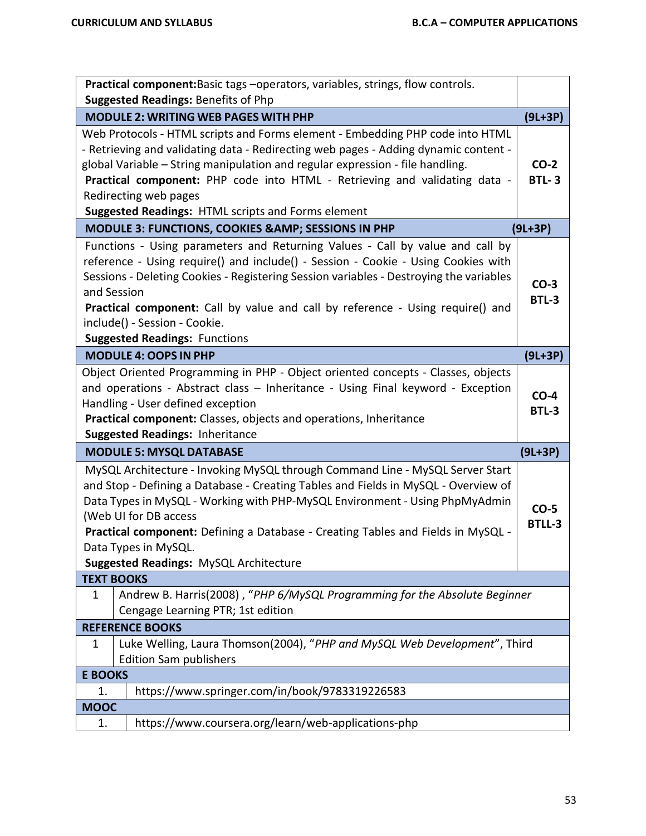|                   | Practical component: Basic tags - operators, variables, strings, flow controls.                                                                                                                                                                                                                                                                                                                                                   |                        |
|-------------------|-----------------------------------------------------------------------------------------------------------------------------------------------------------------------------------------------------------------------------------------------------------------------------------------------------------------------------------------------------------------------------------------------------------------------------------|------------------------|
|                   | Suggested Readings: Benefits of Php                                                                                                                                                                                                                                                                                                                                                                                               |                        |
|                   | <b>MODULE 2: WRITING WEB PAGES WITH PHP</b>                                                                                                                                                                                                                                                                                                                                                                                       | $(9L+3P)$              |
|                   | Web Protocols - HTML scripts and Forms element - Embedding PHP code into HTML<br>- Retrieving and validating data - Redirecting web pages - Adding dynamic content -<br>global Variable - String manipulation and regular expression - file handling.<br>Practical component: PHP code into HTML - Retrieving and validating data -<br>Redirecting web pages<br>Suggested Readings: HTML scripts and Forms element                | $CO-2$<br><b>BTL-3</b> |
|                   | MODULE 3: FUNCTIONS, COOKIES & AMP; SESSIONS IN PHP                                                                                                                                                                                                                                                                                                                                                                               | $(9L+3P)$              |
| and Session       | Functions - Using parameters and Returning Values - Call by value and call by<br>reference - Using require() and include() - Session - Cookie - Using Cookies with<br>Sessions - Deleting Cookies - Registering Session variables - Destroying the variables<br>Practical component: Call by value and call by reference - Using require() and<br>include() - Session - Cookie.<br><b>Suggested Readings: Functions</b>           | $CO-3$<br><b>BTL-3</b> |
|                   | <b>MODULE 4: OOPS IN PHP</b>                                                                                                                                                                                                                                                                                                                                                                                                      | $(9L+3P)$              |
|                   | Object Oriented Programming in PHP - Object oriented concepts - Classes, objects<br>and operations - Abstract class - Inheritance - Using Final keyword - Exception<br>Handling - User defined exception<br>Practical component: Classes, objects and operations, Inheritance<br><b>Suggested Readings: Inheritance</b>                                                                                                           | $CO-4$<br>BTL-3        |
|                   | <b>MODULE 5: MYSQL DATABASE</b>                                                                                                                                                                                                                                                                                                                                                                                                   | $(9L+3P)$              |
|                   | MySQL Architecture - Invoking MySQL through Command Line - MySQL Server Start<br>and Stop - Defining a Database - Creating Tables and Fields in MySQL - Overview of<br>Data Types in MySQL - Working with PHP-MySQL Environment - Using PhpMyAdmin<br>(Web UI for DB access<br>Practical component: Defining a Database - Creating Tables and Fields in MySQL -<br>Data Types in MySQL.<br>Suggested Readings: MySQL Architecture | $CO-5$<br>BTLL-3       |
| <b>TEXT BOOKS</b> |                                                                                                                                                                                                                                                                                                                                                                                                                                   |                        |
| 1                 | Andrew B. Harris(2008), "PHP 6/MySQL Programming for the Absolute Beginner<br>Cengage Learning PTR; 1st edition                                                                                                                                                                                                                                                                                                                   |                        |
|                   | <b>REFERENCE BOOKS</b>                                                                                                                                                                                                                                                                                                                                                                                                            |                        |
| 1                 | Luke Welling, Laura Thomson(2004), "PHP and MySQL Web Development", Third<br><b>Edition Sam publishers</b>                                                                                                                                                                                                                                                                                                                        |                        |
| <b>E BOOKS</b>    |                                                                                                                                                                                                                                                                                                                                                                                                                                   |                        |
| 1.                | https://www.springer.com/in/book/9783319226583                                                                                                                                                                                                                                                                                                                                                                                    |                        |
| <b>MOOC</b>       |                                                                                                                                                                                                                                                                                                                                                                                                                                   |                        |
| 1.                | https://www.coursera.org/learn/web-applications-php                                                                                                                                                                                                                                                                                                                                                                               |                        |
|                   |                                                                                                                                                                                                                                                                                                                                                                                                                                   |                        |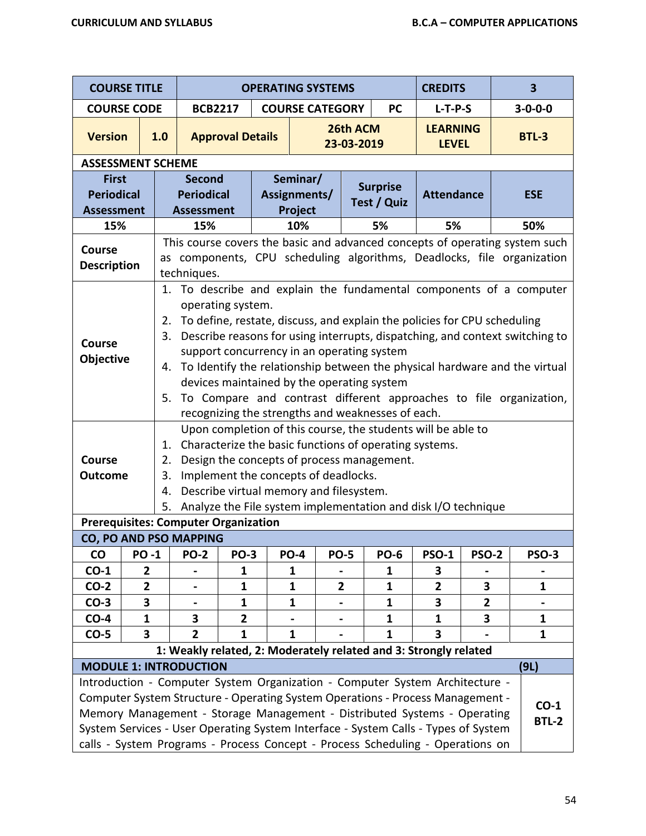| <b>COURSE TITLE</b>                 |                                                                                                                   |                            |                                                                                                                                                                                                                                                                                                                                                                                                                                                                                                                                                                             |                                                                       | <b>OPERATING SYSTEMS</b> |                        |                   |                              |                                            | <b>CREDITS</b>                                                                                                                                                                                                                                                                                                                                                                                                     |                                 | $\overline{\mathbf{3}}$                                                |
|-------------------------------------|-------------------------------------------------------------------------------------------------------------------|----------------------------|-----------------------------------------------------------------------------------------------------------------------------------------------------------------------------------------------------------------------------------------------------------------------------------------------------------------------------------------------------------------------------------------------------------------------------------------------------------------------------------------------------------------------------------------------------------------------------|-----------------------------------------------------------------------|--------------------------|------------------------|-------------------|------------------------------|--------------------------------------------|--------------------------------------------------------------------------------------------------------------------------------------------------------------------------------------------------------------------------------------------------------------------------------------------------------------------------------------------------------------------------------------------------------------------|---------------------------------|------------------------------------------------------------------------|
| <b>COURSE CODE</b>                  |                                                                                                                   |                            | <b>BCB2217</b>                                                                                                                                                                                                                                                                                                                                                                                                                                                                                                                                                              |                                                                       |                          | <b>COURSE CATEGORY</b> |                   |                              | <b>PC</b>                                  | $L-T-P-S$                                                                                                                                                                                                                                                                                                                                                                                                          |                                 | $3 - 0 - 0 - 0$                                                        |
| <b>Version</b>                      |                                                                                                                   | 1.0                        |                                                                                                                                                                                                                                                                                                                                                                                                                                                                                                                                                                             | <b>Approval Details</b>                                               |                          | 26th ACM<br>23-03-2019 |                   |                              |                                            |                                                                                                                                                                                                                                                                                                                                                                                                                    | <b>LEARNING</b><br><b>LEVEL</b> | <b>BTL-3</b>                                                           |
| <b>ASSESSMENT SCHEME</b>            |                                                                                                                   |                            |                                                                                                                                                                                                                                                                                                                                                                                                                                                                                                                                                                             |                                                                       |                          |                        |                   |                              |                                            |                                                                                                                                                                                                                                                                                                                                                                                                                    |                                 |                                                                        |
|                                     | <b>Second</b><br><b>First</b><br><b>Periodical</b><br><b>Periodical</b><br><b>Assessment</b><br><b>Assessment</b> |                            |                                                                                                                                                                                                                                                                                                                                                                                                                                                                                                                                                                             | Seminar/<br><b>Surprise</b><br>Assignments/<br>Test / Quiz<br>Project |                          |                        | <b>Attendance</b> |                              | <b>ESE</b>                                 |                                                                                                                                                                                                                                                                                                                                                                                                                    |                                 |                                                                        |
| 15%                                 |                                                                                                                   |                            | 15%<br>10%<br>5%<br>This course covers the basic and advanced concepts of operating system such                                                                                                                                                                                                                                                                                                                                                                                                                                                                             |                                                                       |                          |                        |                   |                              |                                            | 5%                                                                                                                                                                                                                                                                                                                                                                                                                 |                                 | 50%                                                                    |
| <b>Course</b><br><b>Description</b> |                                                                                                                   |                            |                                                                                                                                                                                                                                                                                                                                                                                                                                                                                                                                                                             |                                                                       |                          |                        |                   |                              |                                            |                                                                                                                                                                                                                                                                                                                                                                                                                    |                                 | as components, CPU scheduling algorithms, Deadlocks, file organization |
| Course<br>Objective                 |                                                                                                                   | 2.<br>3.<br>4.<br>5.       | techniques.<br>To describe and explain the fundamental components of a computer<br>1.<br>operating system.<br>To define, restate, discuss, and explain the policies for CPU scheduling<br>Describe reasons for using interrupts, dispatching, and context switching to<br>support concurrency in an operating system<br>To Identify the relationship between the physical hardware and the virtual<br>devices maintained by the operating system<br>To Compare and contrast different approaches to file organization,<br>recognizing the strengths and weaknesses of each. |                                                                       |                          |                        |                   |                              |                                            |                                                                                                                                                                                                                                                                                                                                                                                                                    |                                 |                                                                        |
| Course<br><b>Outcome</b>            |                                                                                                                   | 1.<br>2.<br>3.<br>4.<br>5. | Implement the concepts of deadlocks.<br>Describe virtual memory and filesystem.                                                                                                                                                                                                                                                                                                                                                                                                                                                                                             |                                                                       |                          |                        |                   |                              | Design the concepts of process management. | Upon completion of this course, the students will be able to<br>Characterize the basic functions of operating systems.<br>Analyze the File system implementation and disk I/O technique                                                                                                                                                                                                                            |                                 |                                                                        |
|                                     |                                                                                                                   |                            | <b>Prerequisites: Computer Organization</b>                                                                                                                                                                                                                                                                                                                                                                                                                                                                                                                                 |                                                                       |                          |                        |                   |                              |                                            |                                                                                                                                                                                                                                                                                                                                                                                                                    |                                 |                                                                        |
|                                     |                                                                                                                   |                            | <b>CO, PO AND PSO MAPPING</b>                                                                                                                                                                                                                                                                                                                                                                                                                                                                                                                                               |                                                                       |                          |                        |                   |                              |                                            |                                                                                                                                                                                                                                                                                                                                                                                                                    |                                 |                                                                        |
| <b>CO</b>                           | <b>PO-1</b>                                                                                                       |                            | <b>PO-2</b>                                                                                                                                                                                                                                                                                                                                                                                                                                                                                                                                                                 | <b>PO-3</b>                                                           |                          | <b>PO-4</b>            |                   | <b>PO-5</b>                  | <b>PO-6</b>                                | <b>PSO-1</b>                                                                                                                                                                                                                                                                                                                                                                                                       | <b>PSO-2</b>                    | <b>PSO-3</b>                                                           |
| $CO-1$                              | 2                                                                                                                 |                            |                                                                                                                                                                                                                                                                                                                                                                                                                                                                                                                                                                             | 1                                                                     |                          | 1                      |                   |                              | 1                                          | 3                                                                                                                                                                                                                                                                                                                                                                                                                  |                                 |                                                                        |
| $CO-2$<br>$CO-3$                    | $\mathbf{2}$<br>3                                                                                                 |                            |                                                                                                                                                                                                                                                                                                                                                                                                                                                                                                                                                                             | 1<br>$\mathbf{1}$                                                     |                          | $\mathbf{1}$<br>1      |                   | $\mathbf{2}$                 | $\mathbf{1}$<br>$\mathbf{1}$               | $\overline{2}$<br>3                                                                                                                                                                                                                                                                                                                                                                                                | 3<br>$\mathbf{2}$               | $\mathbf{1}$                                                           |
| $CO-4$                              | $\mathbf{1}$                                                                                                      |                            | 3                                                                                                                                                                                                                                                                                                                                                                                                                                                                                                                                                                           | $\overline{\mathbf{2}}$                                               |                          |                        |                   | $\qquad \qquad \blacksquare$ | $\mathbf{1}$                               | $\mathbf{1}$                                                                                                                                                                                                                                                                                                                                                                                                       | 3                               | $\mathbf{1}$                                                           |
| $CO-5$                              | $\overline{\mathbf{3}}$                                                                                           |                            | $\overline{2}$                                                                                                                                                                                                                                                                                                                                                                                                                                                                                                                                                              | $\mathbf{1}$                                                          |                          | 1                      |                   |                              | $\mathbf{1}$                               | 3                                                                                                                                                                                                                                                                                                                                                                                                                  |                                 | $\mathbf{1}$                                                           |
|                                     |                                                                                                                   |                            |                                                                                                                                                                                                                                                                                                                                                                                                                                                                                                                                                                             |                                                                       |                          |                        |                   |                              |                                            | 1: Weakly related, 2: Moderately related and 3: Strongly related                                                                                                                                                                                                                                                                                                                                                   |                                 |                                                                        |
|                                     |                                                                                                                   |                            | <b>MODULE 1: INTRODUCTION</b>                                                                                                                                                                                                                                                                                                                                                                                                                                                                                                                                               |                                                                       |                          |                        |                   |                              |                                            |                                                                                                                                                                                                                                                                                                                                                                                                                    |                                 | (9L)                                                                   |
|                                     |                                                                                                                   |                            |                                                                                                                                                                                                                                                                                                                                                                                                                                                                                                                                                                             |                                                                       |                          |                        |                   |                              |                                            | Introduction - Computer System Organization - Computer System Architecture -<br>Computer System Structure - Operating System Operations - Process Management -<br>Memory Management - Storage Management - Distributed Systems - Operating<br>System Services - User Operating System Interface - System Calls - Types of System<br>calls - System Programs - Process Concept - Process Scheduling - Operations on |                                 | $CO-1$<br><b>BTL-2</b>                                                 |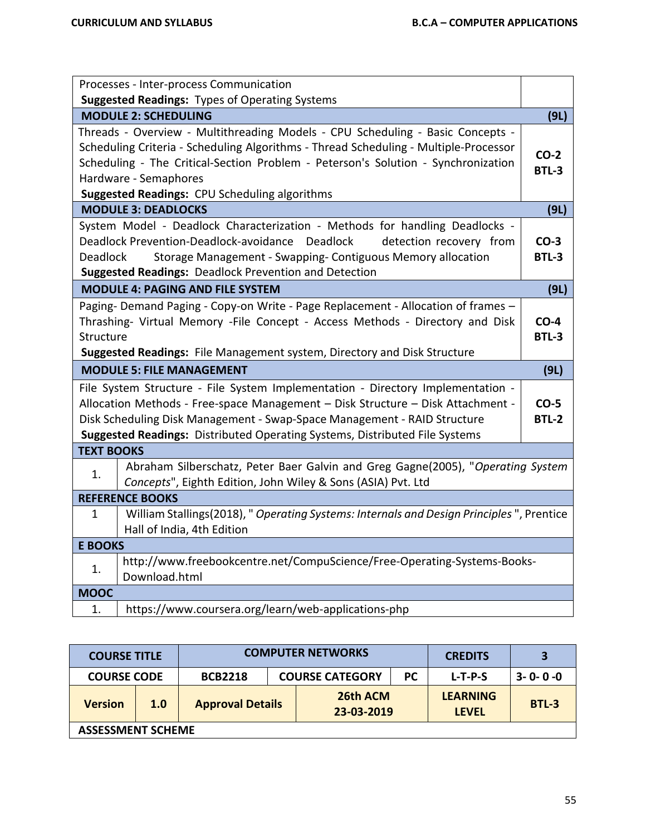| Processes - Inter-process Communication                                                                                                                                                                                                                                                                                               |                        |
|---------------------------------------------------------------------------------------------------------------------------------------------------------------------------------------------------------------------------------------------------------------------------------------------------------------------------------------|------------------------|
| <b>Suggested Readings: Types of Operating Systems</b>                                                                                                                                                                                                                                                                                 |                        |
| <b>MODULE 2: SCHEDULING</b>                                                                                                                                                                                                                                                                                                           | (9L)                   |
| Threads - Overview - Multithreading Models - CPU Scheduling - Basic Concepts -<br>Scheduling Criteria - Scheduling Algorithms - Thread Scheduling - Multiple-Processor<br>Scheduling - The Critical-Section Problem - Peterson's Solution - Synchronization<br>Hardware - Semaphores<br>Suggested Readings: CPU Scheduling algorithms | $CO-2$<br><b>BTL-3</b> |
| <b>MODULE 3: DEADLOCKS</b>                                                                                                                                                                                                                                                                                                            | (9L)                   |
| System Model - Deadlock Characterization - Methods for handling Deadlocks -<br>Deadlock Prevention-Deadlock-avoidance<br>Deadlock<br>detection recovery from<br><b>Deadlock</b><br>Storage Management - Swapping- Contiguous Memory allocation<br><b>Suggested Readings: Deadlock Prevention and Detection</b>                        | $CO-3$<br><b>BTL-3</b> |
| <b>MODULE 4: PAGING AND FILE SYSTEM</b>                                                                                                                                                                                                                                                                                               | (9L)                   |
| Paging-Demand Paging - Copy-on Write - Page Replacement - Allocation of frames -<br>Thrashing- Virtual Memory - File Concept - Access Methods - Directory and Disk<br>Structure<br>Suggested Readings: File Management system, Directory and Disk Structure                                                                           | $CO-4$<br><b>BTL-3</b> |
| <b>MODULE 5: FILE MANAGEMENT</b>                                                                                                                                                                                                                                                                                                      | (9L)                   |
| File System Structure - File System Implementation - Directory Implementation -<br>Allocation Methods - Free-space Management - Disk Structure - Disk Attachment -<br>Disk Scheduling Disk Management - Swap-Space Management - RAID Structure<br>Suggested Readings: Distributed Operating Systems, Distributed File Systems         | $CO-5$<br><b>BTL-2</b> |
| <b>TEXT BOOKS</b>                                                                                                                                                                                                                                                                                                                     |                        |
| Abraham Silberschatz, Peter Baer Galvin and Greg Gagne(2005), "Operating System<br>1.<br>Concepts", Eighth Edition, John Wiley & Sons (ASIA) Pvt. Ltd                                                                                                                                                                                 |                        |
| <b>REFERENCE BOOKS</b>                                                                                                                                                                                                                                                                                                                |                        |
| William Stallings(2018), " Operating Systems: Internals and Design Principles ", Prentice<br>1<br>Hall of India, 4th Edition                                                                                                                                                                                                          |                        |
| <b>E BOOKS</b>                                                                                                                                                                                                                                                                                                                        |                        |
| http://www.freebookcentre.net/CompuScience/Free-Operating-Systems-Books-<br>1.<br>Download.html                                                                                                                                                                                                                                       |                        |
| <b>MOOC</b>                                                                                                                                                                                                                                                                                                                           |                        |
| https://www.coursera.org/learn/web-applications-php<br>1.                                                                                                                                                                                                                                                                             |                        |

| <b>COURSE TITLE</b>                  |     |                         | <b>COMPUTER NETWORKS</b> |                        | <b>CREDITS</b> | 3                               |                 |
|--------------------------------------|-----|-------------------------|--------------------------|------------------------|----------------|---------------------------------|-----------------|
| <b>COURSE CODE</b><br><b>BCB2218</b> |     |                         |                          | <b>COURSE CATEGORY</b> | <b>PC</b>      | $L-T-P-S$                       | $3 - 0 - 0 - 0$ |
| <b>Version</b>                       | 1.0 | <b>Approval Details</b> |                          | 26th ACM<br>23-03-2019 |                | <b>LEARNING</b><br><b>LEVEL</b> | BTL-3           |
| <b>ASSESSMENT SCHEME</b>             |     |                         |                          |                        |                |                                 |                 |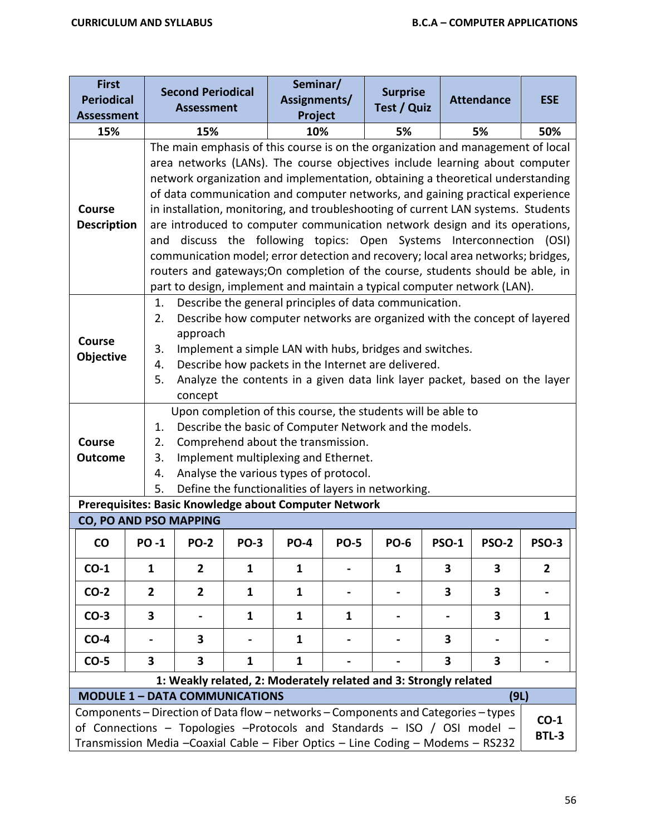| <b>First</b><br><b>Periodical</b><br><b>Assessment</b>        |                                                          | <b>Second Periodical</b><br><b>Assessment</b>                                                                                                                                                                                                                                                                                                                                                                                                                                                                                                                                                                                                                                                                                                                                                                                  |                | Seminar/<br>Assignments/<br>Project                                                                                                                                                                                                                                                                                                                                                                                                                                                                                                                                                                                                         |             | <b>Surprise</b><br>Test / Quiz |              | <b>Attendance</b>       | <b>ESE</b>             |  |  |  |
|---------------------------------------------------------------|----------------------------------------------------------|--------------------------------------------------------------------------------------------------------------------------------------------------------------------------------------------------------------------------------------------------------------------------------------------------------------------------------------------------------------------------------------------------------------------------------------------------------------------------------------------------------------------------------------------------------------------------------------------------------------------------------------------------------------------------------------------------------------------------------------------------------------------------------------------------------------------------------|----------------|---------------------------------------------------------------------------------------------------------------------------------------------------------------------------------------------------------------------------------------------------------------------------------------------------------------------------------------------------------------------------------------------------------------------------------------------------------------------------------------------------------------------------------------------------------------------------------------------------------------------------------------------|-------------|--------------------------------|--------------|-------------------------|------------------------|--|--|--|
| 15%                                                           |                                                          | 15%                                                                                                                                                                                                                                                                                                                                                                                                                                                                                                                                                                                                                                                                                                                                                                                                                            |                | 10%                                                                                                                                                                                                                                                                                                                                                                                                                                                                                                                                                                                                                                         |             | 5%                             |              | 5%                      | 50%                    |  |  |  |
| <b>Course</b><br><b>Description</b>                           | and                                                      | The main emphasis of this course is on the organization and management of local<br>area networks (LANs). The course objectives include learning about computer<br>network organization and implementation, obtaining a theoretical understanding<br>of data communication and computer networks, and gaining practical experience<br>in installation, monitoring, and troubleshooting of current LAN systems. Students<br>are introduced to computer communication network design and its operations,<br>discuss the following topics: Open Systems Interconnection<br>(OSI)<br>communication model; error detection and recovery; local area networks; bridges,<br>routers and gateways; On completion of the course, students should be able, in<br>part to design, implement and maintain a typical computer network (LAN). |                |                                                                                                                                                                                                                                                                                                                                                                                                                                                                                                                                                                                                                                             |             |                                |              |                         |                        |  |  |  |
| <b>Course</b><br>Objective<br><b>Course</b><br><b>Outcome</b> | 1.<br>2.<br>3.<br>4.<br>5.<br>1.<br>2.<br>3.<br>4.<br>5. | approach<br>concept                                                                                                                                                                                                                                                                                                                                                                                                                                                                                                                                                                                                                                                                                                                                                                                                            |                | Describe the general principles of data communication.<br>Describe how computer networks are organized with the concept of layered<br>Implement a simple LAN with hubs, bridges and switches.<br>Describe how packets in the Internet are delivered.<br>Analyze the contents in a given data link layer packet, based on the layer<br>Upon completion of this course, the students will be able to<br>Describe the basic of Computer Network and the models.<br>Comprehend about the transmission.<br>Implement multiplexing and Ethernet.<br>Analyse the various types of protocol.<br>Define the functionalities of layers in networking. |             |                                |              |                         |                        |  |  |  |
|                                                               |                                                          |                                                                                                                                                                                                                                                                                                                                                                                                                                                                                                                                                                                                                                                                                                                                                                                                                                |                | Prerequisites: Basic Knowledge about Computer Network                                                                                                                                                                                                                                                                                                                                                                                                                                                                                                                                                                                       |             |                                |              |                         |                        |  |  |  |
|                                                               |                                                          | CO, PO AND PSO MAPPING                                                                                                                                                                                                                                                                                                                                                                                                                                                                                                                                                                                                                                                                                                                                                                                                         |                |                                                                                                                                                                                                                                                                                                                                                                                                                                                                                                                                                                                                                                             |             |                                |              |                         |                        |  |  |  |
| CO                                                            | <b>PO-1</b>                                              | <b>PO-2</b>                                                                                                                                                                                                                                                                                                                                                                                                                                                                                                                                                                                                                                                                                                                                                                                                                    | <b>PO-3</b>    | <b>PO-4</b>                                                                                                                                                                                                                                                                                                                                                                                                                                                                                                                                                                                                                                 | <b>PO-5</b> | <b>PO-6</b>                    | <b>PSO-1</b> | <b>PSO-2</b>            | <b>PSO-3</b>           |  |  |  |
| $CO-1$                                                        | $\mathbf{1}$                                             | $\overline{2}$                                                                                                                                                                                                                                                                                                                                                                                                                                                                                                                                                                                                                                                                                                                                                                                                                 | $\mathbf{1}$   | 1                                                                                                                                                                                                                                                                                                                                                                                                                                                                                                                                                                                                                                           |             | $\mathbf{1}$                   | 3            | 3                       | $\overline{2}$         |  |  |  |
| $CO-2$                                                        | $\overline{2}$                                           | $\overline{2}$                                                                                                                                                                                                                                                                                                                                                                                                                                                                                                                                                                                                                                                                                                                                                                                                                 | $\mathbf{1}$   | 1                                                                                                                                                                                                                                                                                                                                                                                                                                                                                                                                                                                                                                           |             |                                | 3            | 3                       |                        |  |  |  |
| $CO-3$                                                        | 3                                                        |                                                                                                                                                                                                                                                                                                                                                                                                                                                                                                                                                                                                                                                                                                                                                                                                                                | 1              | 1                                                                                                                                                                                                                                                                                                                                                                                                                                                                                                                                                                                                                                           | 1           |                                |              | 3                       | 1                      |  |  |  |
| $CO-4$                                                        | $\blacksquare$                                           | 3                                                                                                                                                                                                                                                                                                                                                                                                                                                                                                                                                                                                                                                                                                                                                                                                                              | $\blacksquare$ | 1                                                                                                                                                                                                                                                                                                                                                                                                                                                                                                                                                                                                                                           |             |                                | 3            | $\blacksquare$          |                        |  |  |  |
| $CO-5$                                                        | $\overline{\mathbf{3}}$                                  | $\overline{\mathbf{3}}$                                                                                                                                                                                                                                                                                                                                                                                                                                                                                                                                                                                                                                                                                                                                                                                                        | $\mathbf{1}$   | $\mathbf{1}$                                                                                                                                                                                                                                                                                                                                                                                                                                                                                                                                                                                                                                |             |                                | 3            | $\overline{\mathbf{3}}$ |                        |  |  |  |
|                                                               |                                                          |                                                                                                                                                                                                                                                                                                                                                                                                                                                                                                                                                                                                                                                                                                                                                                                                                                |                | 1: Weakly related, 2: Moderately related and 3: Strongly related                                                                                                                                                                                                                                                                                                                                                                                                                                                                                                                                                                            |             |                                |              |                         |                        |  |  |  |
|                                                               |                                                          | <b>MODULE 1 - DATA COMMUNICATIONS</b>                                                                                                                                                                                                                                                                                                                                                                                                                                                                                                                                                                                                                                                                                                                                                                                          |                |                                                                                                                                                                                                                                                                                                                                                                                                                                                                                                                                                                                                                                             |             |                                |              | (9L)                    |                        |  |  |  |
|                                                               |                                                          |                                                                                                                                                                                                                                                                                                                                                                                                                                                                                                                                                                                                                                                                                                                                                                                                                                |                | Components - Direction of Data flow - networks - Components and Categories - types<br>of Connections - Topologies -Protocols and Standards - ISO / OSI model -<br>Transmission Media - Coaxial Cable - Fiber Optics - Line Coding - Modems - RS232                                                                                                                                                                                                                                                                                                                                                                                          |             |                                |              |                         | $CO-1$<br><b>BTL-3</b> |  |  |  |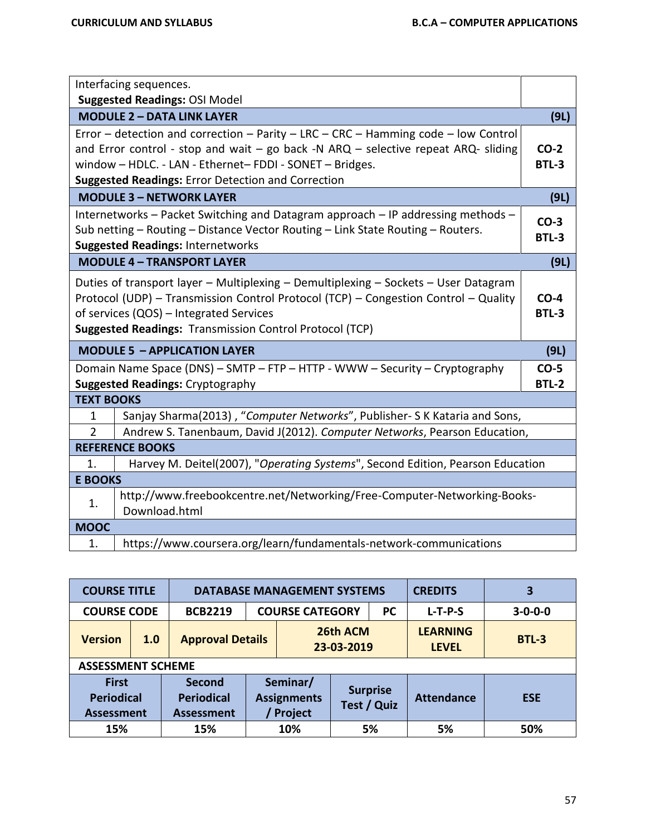|                   | Interfacing sequences.                                                                                                                                                                                                                                                                               |                        |
|-------------------|------------------------------------------------------------------------------------------------------------------------------------------------------------------------------------------------------------------------------------------------------------------------------------------------------|------------------------|
|                   | <b>Suggested Readings: OSI Model</b>                                                                                                                                                                                                                                                                 |                        |
|                   | <b>MODULE 2 - DATA LINK LAYER</b>                                                                                                                                                                                                                                                                    | (9L)                   |
|                   | Error - detection and correction - Parity - LRC - CRC - Hamming code - low Control<br>and Error control - stop and wait $-$ go back -N ARQ $-$ selective repeat ARQ- sliding<br>window - HDLC. - LAN - Ethernet-FDDI - SONET - Bridges.<br><b>Suggested Readings: Error Detection and Correction</b> | $CO-2$<br><b>BTL-3</b> |
|                   | <b>MODULE 3 - NETWORK LAYER</b>                                                                                                                                                                                                                                                                      | (9L)                   |
|                   | Internetworks - Packet Switching and Datagram approach - IP addressing methods -<br>Sub netting - Routing - Distance Vector Routing - Link State Routing - Routers.<br><b>Suggested Readings: Internetworks</b>                                                                                      | $CO-3$<br><b>BTL-3</b> |
|                   | <b>MODULE 4 - TRANSPORT LAYER</b>                                                                                                                                                                                                                                                                    | (9L)                   |
|                   | Duties of transport layer - Multiplexing - Demultiplexing - Sockets - User Datagram<br>Protocol (UDP) - Transmission Control Protocol (TCP) - Congestion Control - Quality<br>of services (QOS) - Integrated Services<br><b>Suggested Readings: Transmission Control Protocol (TCP)</b>              | $CO-4$<br><b>BTL-3</b> |
|                   | <b>MODULE 5 - APPLICATION LAYER</b>                                                                                                                                                                                                                                                                  | (9L)                   |
|                   | Domain Name Space (DNS) - SMTP - FTP - HTTP - WWW - Security - Cryptography<br><b>Suggested Readings: Cryptography</b>                                                                                                                                                                               | $CO-5$<br><b>BTL-2</b> |
| <b>TEXT BOOKS</b> |                                                                                                                                                                                                                                                                                                      |                        |
| 1                 | Sanjay Sharma(2013), "Computer Networks", Publisher- S K Kataria and Sons,                                                                                                                                                                                                                           |                        |
| $\overline{2}$    | Andrew S. Tanenbaum, David J(2012). Computer Networks, Pearson Education,                                                                                                                                                                                                                            |                        |
|                   | <b>REFERENCE BOOKS</b>                                                                                                                                                                                                                                                                               |                        |
| 1.                | Harvey M. Deitel(2007), "Operating Systems", Second Edition, Pearson Education                                                                                                                                                                                                                       |                        |
| <b>E BOOKS</b>    |                                                                                                                                                                                                                                                                                                      |                        |
| 1.                | http://www.freebookcentre.net/Networking/Free-Computer-Networking-Books-<br>Download.html                                                                                                                                                                                                            |                        |
| <b>MOOC</b>       |                                                                                                                                                                                                                                                                                                      |                        |
| 1.                | https://www.coursera.org/learn/fundamentals-network-communications                                                                                                                                                                                                                                   |                        |

| <b>COURSE TITLE</b>                                    |     | <b>DATABASE MANAGEMENT SYSTEMS</b>                      |                                     |                                           |                        |                                | <b>CREDITS</b>                  | 3               |
|--------------------------------------------------------|-----|---------------------------------------------------------|-------------------------------------|-------------------------------------------|------------------------|--------------------------------|---------------------------------|-----------------|
| <b>COURSE CODE</b>                                     |     | <b>BCB2219</b>                                          | <b>COURSE CATEGORY</b><br><b>PC</b> |                                           |                        |                                | $L-T-P-S$                       | $3 - 0 - 0 - 0$ |
| <b>Version</b>                                         | 1.0 | <b>Approval Details</b>                                 |                                     |                                           | 26th ACM<br>23-03-2019 |                                | <b>LEARNING</b><br><b>LEVEL</b> | <b>BTL-3</b>    |
| <b>ASSESSMENT SCHEME</b>                               |     |                                                         |                                     |                                           |                        |                                |                                 |                 |
| <b>First</b><br><b>Periodical</b><br><b>Assessment</b> |     | <b>Second</b><br><b>Periodical</b><br><b>Assessment</b> |                                     | Seminar/<br><b>Assignments</b><br>Project |                        | <b>Surprise</b><br>Test / Quiz | <b>Attendance</b>               | <b>ESE</b>      |
| 15%                                                    |     | 15%                                                     |                                     | 10%                                       | 5%                     |                                | 5%                              | 50%             |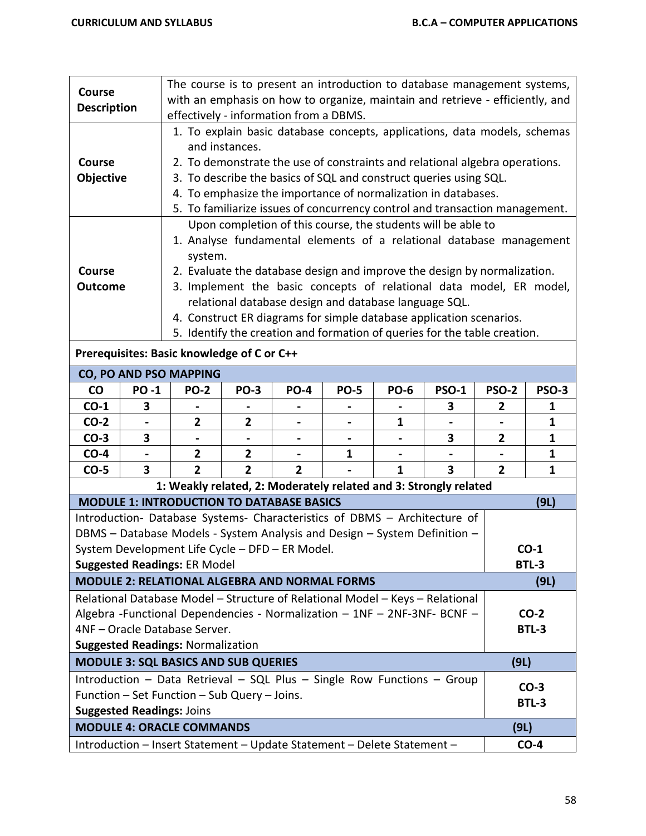| <b>Course</b>      |             | The course is to present an introduction to database management systems,                                                                    |                |                |                                                       |             |                                                                                                                                                  |              |              |  |  |
|--------------------|-------------|---------------------------------------------------------------------------------------------------------------------------------------------|----------------|----------------|-------------------------------------------------------|-------------|--------------------------------------------------------------------------------------------------------------------------------------------------|--------------|--------------|--|--|
| <b>Description</b> |             | with an emphasis on how to organize, maintain and retrieve - efficiently, and                                                               |                |                |                                                       |             |                                                                                                                                                  |              |              |  |  |
|                    |             | effectively - information from a DBMS.                                                                                                      |                |                |                                                       |             |                                                                                                                                                  |              |              |  |  |
|                    |             |                                                                                                                                             |                |                |                                                       |             | 1. To explain basic database concepts, applications, data models, schemas                                                                        |              |              |  |  |
|                    |             |                                                                                                                                             | and instances. |                |                                                       |             |                                                                                                                                                  |              |              |  |  |
| Course             |             |                                                                                                                                             |                |                |                                                       |             | 2. To demonstrate the use of constraints and relational algebra operations.                                                                      |              |              |  |  |
| Objective          |             |                                                                                                                                             |                |                |                                                       |             | 3. To describe the basics of SQL and construct queries using SQL.                                                                                |              |              |  |  |
|                    |             | 4. To emphasize the importance of normalization in databases.                                                                               |                |                |                                                       |             |                                                                                                                                                  |              |              |  |  |
|                    |             | 5. To familiarize issues of concurrency control and transaction management.<br>Upon completion of this course, the students will be able to |                |                |                                                       |             |                                                                                                                                                  |              |              |  |  |
|                    |             |                                                                                                                                             |                |                |                                                       |             |                                                                                                                                                  |              |              |  |  |
|                    |             |                                                                                                                                             |                |                |                                                       |             | 1. Analyse fundamental elements of a relational database management                                                                              |              |              |  |  |
|                    |             | system.                                                                                                                                     |                |                |                                                       |             |                                                                                                                                                  |              |              |  |  |
| <b>Course</b>      |             |                                                                                                                                             |                |                |                                                       |             | 2. Evaluate the database design and improve the design by normalization.                                                                         |              |              |  |  |
| <b>Outcome</b>     |             |                                                                                                                                             |                |                |                                                       |             | 3. Implement the basic concepts of relational data model, ER model,                                                                              |              |              |  |  |
|                    |             |                                                                                                                                             |                |                | relational database design and database language SQL. |             |                                                                                                                                                  |              |              |  |  |
|                    |             |                                                                                                                                             |                |                |                                                       |             | 4. Construct ER diagrams for simple database application scenarios.<br>5. Identify the creation and formation of queries for the table creation. |              |              |  |  |
|                    |             |                                                                                                                                             |                |                |                                                       |             |                                                                                                                                                  |              |              |  |  |
|                    |             | Prerequisites: Basic knowledge of C or C++                                                                                                  |                |                |                                                       |             |                                                                                                                                                  |              |              |  |  |
|                    |             | CO, PO AND PSO MAPPING                                                                                                                      |                |                |                                                       |             |                                                                                                                                                  |              |              |  |  |
| $\mathsf{co}$      | <b>PO-1</b> | <b>PO-2</b>                                                                                                                                 | <b>PO-3</b>    | <b>PO-4</b>    | <b>PO-5</b>                                           | <b>PO-6</b> | <b>PSO-1</b>                                                                                                                                     | <b>PSO-2</b> | <b>PSO-3</b> |  |  |
| $CO-1$             | 3           |                                                                                                                                             |                |                |                                                       |             | 3                                                                                                                                                | $\mathbf{2}$ | $\mathbf 1$  |  |  |
| $CO-2$             |             | $\overline{2}$                                                                                                                              | $\mathbf{2}$   |                |                                                       | 1           |                                                                                                                                                  |              | $\mathbf{1}$ |  |  |
| $CO-3$             | 3           |                                                                                                                                             |                |                |                                                       |             | 3                                                                                                                                                | $\mathbf{2}$ | $\mathbf 1$  |  |  |
| $CO-4$             |             | $\overline{2}$                                                                                                                              | $\overline{2}$ |                | $\mathbf{1}$                                          |             |                                                                                                                                                  |              | $\mathbf{1}$ |  |  |
| $CO-5$             | 3           | $\overline{2}$                                                                                                                              | $\overline{2}$ | $\overline{2}$ |                                                       | 1           | 3                                                                                                                                                | $\mathbf{2}$ | 1            |  |  |
|                    |             | 1: Weakly related, 2: Moderately related and 3: Strongly related                                                                            |                |                |                                                       |             |                                                                                                                                                  |              |              |  |  |
|                    |             | <b>MODULE 1: INTRODUCTION TO DATABASE BASICS</b>                                                                                            |                |                |                                                       |             |                                                                                                                                                  |              | (9L)         |  |  |
|                    |             | Introduction- Database Systems- Characteristics of DBMS - Architecture of                                                                   |                |                |                                                       |             |                                                                                                                                                  |              |              |  |  |
|                    |             | DBMS - Database Models - System Analysis and Design - System Definition -                                                                   |                |                |                                                       |             |                                                                                                                                                  |              |              |  |  |
|                    |             | System Development Life Cycle - DFD - ER Model.                                                                                             |                |                |                                                       |             |                                                                                                                                                  |              | <b>CO-1</b>  |  |  |
|                    |             | <b>Suggested Readings: ER Model</b><br><b>MODULE 2: RELATIONAL ALGEBRA AND NORMAL FORMS</b>                                                 |                |                |                                                       |             |                                                                                                                                                  |              | <b>BTL-3</b> |  |  |
|                    |             |                                                                                                                                             |                |                |                                                       |             |                                                                                                                                                  |              | (9L)         |  |  |
|                    |             | Relational Database Model - Structure of Relational Model - Keys - Relational                                                               |                |                |                                                       |             |                                                                                                                                                  |              |              |  |  |
|                    |             | Algebra - Functional Dependencies - Normalization - 1NF - 2NF-3NF- BCNF -                                                                   |                |                |                                                       |             |                                                                                                                                                  |              | $CO-2$       |  |  |
|                    |             | 4NF - Oracle Database Server.                                                                                                               |                |                |                                                       |             |                                                                                                                                                  |              | <b>BTL-3</b> |  |  |
|                    |             | <b>Suggested Readings: Normalization</b>                                                                                                    |                |                |                                                       |             |                                                                                                                                                  |              |              |  |  |
|                    |             | <b>MODULE 3: SQL BASICS AND SUB QUERIES</b>                                                                                                 |                |                |                                                       |             |                                                                                                                                                  | (9L)         |              |  |  |
|                    |             | Introduction - Data Retrieval - SQL Plus - Single Row Functions - Group                                                                     |                |                |                                                       |             |                                                                                                                                                  |              | $CO-3$       |  |  |
|                    |             | Function - Set Function - Sub Query - Joins.                                                                                                |                |                |                                                       |             |                                                                                                                                                  |              | <b>BTL-3</b> |  |  |
|                    |             | <b>Suggested Readings: Joins</b>                                                                                                            |                |                |                                                       |             |                                                                                                                                                  |              |              |  |  |
|                    |             | <b>MODULE 4: ORACLE COMMANDS</b>                                                                                                            |                |                |                                                       |             |                                                                                                                                                  | (9L)         |              |  |  |
|                    |             | Introduction - Insert Statement - Update Statement - Delete Statement -                                                                     |                |                |                                                       |             |                                                                                                                                                  |              | $CO-4$       |  |  |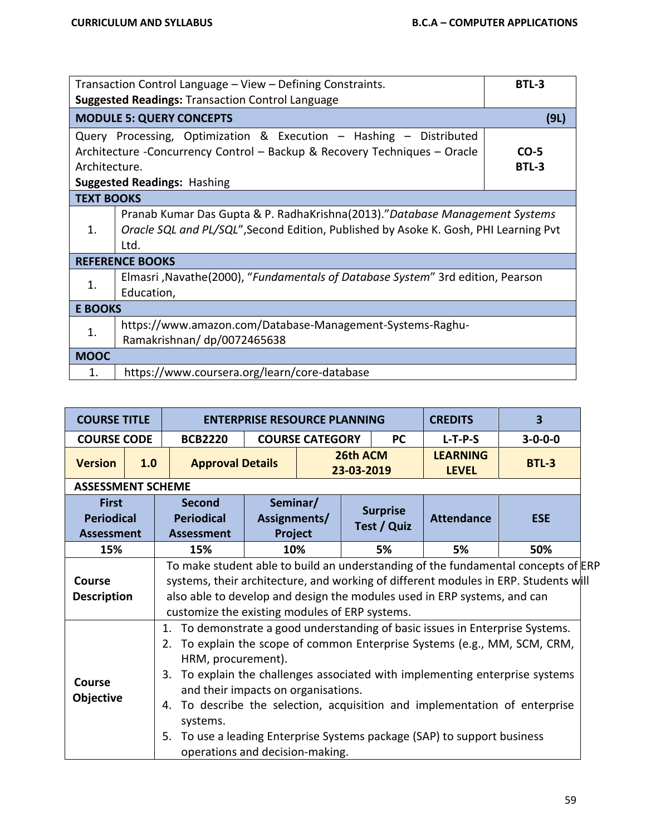|                   | Transaction Control Language – View – Defining Constraints.                                                                                                                           | BTL-3           |
|-------------------|---------------------------------------------------------------------------------------------------------------------------------------------------------------------------------------|-----------------|
|                   | <b>Suggested Readings: Transaction Control Language</b>                                                                                                                               |                 |
|                   | <b>MODULE 5: QUERY CONCEPTS</b>                                                                                                                                                       | (9L)            |
| Architecture.     | Query Processing, Optimization & Execution - Hashing - Distributed<br>Architecture -Concurrency Control - Backup & Recovery Techniques - Oracle<br><b>Suggested Readings: Hashing</b> | $CO-5$<br>BTL-3 |
| <b>TEXT BOOKS</b> |                                                                                                                                                                                       |                 |
| $\mathbf{1}$ .    | Pranab Kumar Das Gupta & P. RadhaKrishna(2013)."Database Management Systems<br>Oracle SQL and PL/SQL", Second Edition, Published by Asoke K. Gosh, PHI Learning Pvt<br>Ltd.           |                 |
|                   | <b>REFERENCE BOOKS</b>                                                                                                                                                                |                 |
| 1.                | Elmasri, Navathe(2000), "Fundamentals of Database System" 3rd edition, Pearson<br>Education,                                                                                          |                 |
| <b>E BOOKS</b>    |                                                                                                                                                                                       |                 |
| 1.                | https://www.amazon.com/Database-Management-Systems-Raghu-<br>Ramakrishnan/dp/0072465638                                                                                               |                 |
| <b>MOOC</b>       |                                                                                                                                                                                       |                 |
| 1.                | https://www.coursera.org/learn/core-database                                                                                                                                          |                 |

| <b>COURSE TITLE</b>                                    |     |                                                                                                                                                                                                                                                                                                        | 3<br><b>CREDITS</b><br><b>ENTERPRISE RESOURCE PLANNING</b> |                        |                                |           |                                                                       |                                                                                                                                                                                                                                                                                                              |  |  |  |  |  |  |                                 |              |
|--------------------------------------------------------|-----|--------------------------------------------------------------------------------------------------------------------------------------------------------------------------------------------------------------------------------------------------------------------------------------------------------|------------------------------------------------------------|------------------------|--------------------------------|-----------|-----------------------------------------------------------------------|--------------------------------------------------------------------------------------------------------------------------------------------------------------------------------------------------------------------------------------------------------------------------------------------------------------|--|--|--|--|--|--|---------------------------------|--------------|
| <b>COURSE CODE</b>                                     |     | <b>BCB2220</b>                                                                                                                                                                                                                                                                                         |                                                            | <b>COURSE CATEGORY</b> |                                | <b>PC</b> | $L-T-P-S$                                                             | $3 - 0 - 0 - 0$                                                                                                                                                                                                                                                                                              |  |  |  |  |  |  |                                 |              |
| <b>Version</b>                                         | 1.0 | <b>Approval Details</b>                                                                                                                                                                                                                                                                                |                                                            |                        | 26th ACM<br>23-03-2019         |           |                                                                       |                                                                                                                                                                                                                                                                                                              |  |  |  |  |  |  | <b>LEARNING</b><br><b>LEVEL</b> | <b>BTL-3</b> |
| <b>ASSESSMENT SCHEME</b>                               |     |                                                                                                                                                                                                                                                                                                        |                                                            |                        |                                |           |                                                                       |                                                                                                                                                                                                                                                                                                              |  |  |  |  |  |  |                                 |              |
| <b>First</b><br><b>Periodical</b><br><b>Assessment</b> |     | <b>Second</b><br><b>Periodical</b><br><b>Assessment</b>                                                                                                                                                                                                                                                | Seminar/<br>Assignments/<br>Project                        |                        | <b>Surprise</b><br>Test / Quiz |           | <b>Attendance</b>                                                     | <b>ESE</b>                                                                                                                                                                                                                                                                                                   |  |  |  |  |  |  |                                 |              |
| 15%                                                    |     | 15%                                                                                                                                                                                                                                                                                                    | 10%                                                        |                        |                                | 5%        | 50%                                                                   |                                                                                                                                                                                                                                                                                                              |  |  |  |  |  |  |                                 |              |
| Course<br><b>Description</b>                           |     | To make student able to build an understanding of the fundamental concepts of ERP<br>systems, their architecture, and working of different modules in ERP. Students will<br>also able to develop and design the modules used in ERP systems, and can<br>customize the existing modules of ERP systems. |                                                            |                        |                                |           |                                                                       |                                                                                                                                                                                                                                                                                                              |  |  |  |  |  |  |                                 |              |
| <b>Course</b><br>Objective                             |     | 1 <sub>1</sub><br>2.<br>HRM, procurement).<br>3.<br>and their impacts on organisations.<br>4.<br>systems.<br>5.<br>operations and decision-making.                                                                                                                                                     |                                                            |                        |                                |           | To use a leading Enterprise Systems package (SAP) to support business | To demonstrate a good understanding of basic issues in Enterprise Systems.<br>To explain the scope of common Enterprise Systems (e.g., MM, SCM, CRM,<br>To explain the challenges associated with implementing enterprise systems<br>To describe the selection, acquisition and implementation of enterprise |  |  |  |  |  |  |                                 |              |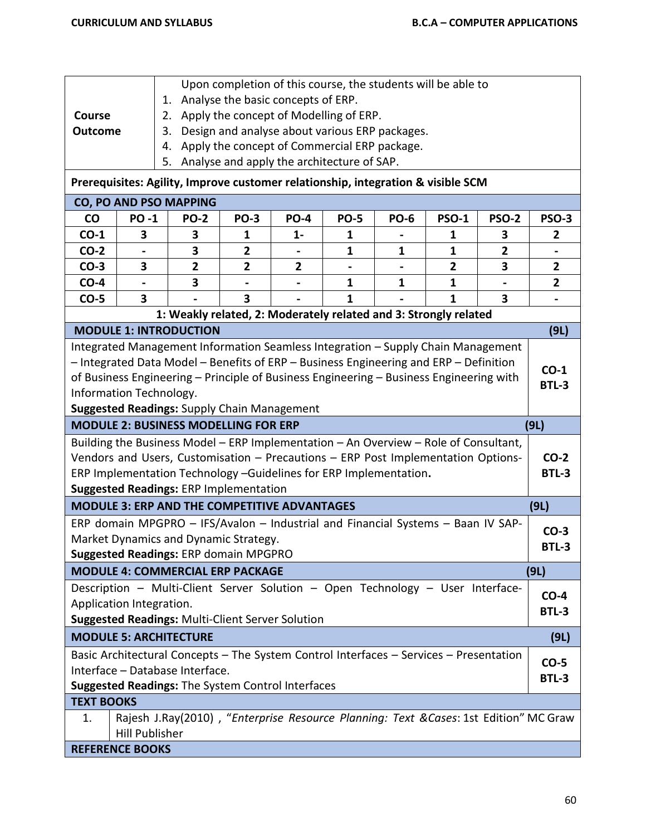|                                                    |                       |                                                                                         | Upon completion of this course, the students will be able to |              |              |              |              |                |                |
|----------------------------------------------------|-----------------------|-----------------------------------------------------------------------------------------|--------------------------------------------------------------|--------------|--------------|--------------|--------------|----------------|----------------|
|                                                    |                       | 1.                                                                                      | Analyse the basic concepts of ERP.                           |              |              |              |              |                |                |
| <b>Course</b>                                      |                       | 2.                                                                                      | Apply the concept of Modelling of ERP.                       |              |              |              |              |                |                |
| <b>Outcome</b>                                     |                       | 3.                                                                                      | Design and analyse about various ERP packages.               |              |              |              |              |                |                |
|                                                    |                       | 4.                                                                                      | Apply the concept of Commercial ERP package.                 |              |              |              |              |                |                |
|                                                    |                       | 5.                                                                                      | Analyse and apply the architecture of SAP.                   |              |              |              |              |                |                |
|                                                    |                       | Prerequisites: Agility, Improve customer relationship, integration & visible SCM        |                                                              |              |              |              |              |                |                |
|                                                    |                       | CO, PO AND PSO MAPPING                                                                  |                                                              |              |              |              |              |                |                |
| CO                                                 | <b>PO-1</b>           | <b>PO-2</b>                                                                             | <b>PO-3</b>                                                  | <b>PO-4</b>  | <b>PO-5</b>  | <b>PO-6</b>  | <b>PSO-1</b> | <b>PSO-2</b>   | PSO-3          |
| $CO-1$                                             | 3                     | 3                                                                                       | 1                                                            | $1 -$        | 1            |              | 1            | З              | 2              |
| $CO-2$                                             |                       | 3                                                                                       | 2                                                            |              | 1            | $\mathbf{1}$ | 1            | $\overline{2}$ |                |
| $CO-3$                                             | 3                     | $\mathbf{2}$                                                                            | $\overline{\mathbf{2}}$                                      | $\mathbf{2}$ |              |              | $\mathbf{2}$ | 3              | $\mathbf{2}$   |
| $CO-4$                                             |                       | 3                                                                                       |                                                              |              | $\mathbf{1}$ | $\mathbf{1}$ | $\mathbf{1}$ |                | $\overline{2}$ |
| $CO-5$                                             | 3                     |                                                                                         | 3                                                            |              | 1            |              | $\mathbf{1}$ | 3              |                |
|                                                    |                       | 1: Weakly related, 2: Moderately related and 3: Strongly related                        |                                                              |              |              |              |              |                |                |
|                                                    |                       | <b>MODULE 1: INTRODUCTION</b>                                                           |                                                              |              |              |              |              |                | (9L)           |
|                                                    |                       | Integrated Management Information Seamless Integration - Supply Chain Management        |                                                              |              |              |              |              |                |                |
|                                                    |                       | - Integrated Data Model - Benefits of ERP - Business Engineering and ERP - Definition   |                                                              |              |              |              |              |                | $CO-1$         |
|                                                    |                       | of Business Engineering - Principle of Business Engineering - Business Engineering with |                                                              |              |              |              |              |                | <b>BTL-3</b>   |
| Information Technology.                            |                       |                                                                                         |                                                              |              |              |              |              |                |                |
| <b>Suggested Readings: Supply Chain Management</b> |                       |                                                                                         |                                                              |              |              |              |              |                |                |
|                                                    |                       |                                                                                         |                                                              |              |              |              |              |                |                |
|                                                    |                       | <b>MODULE 2: BUSINESS MODELLING FOR ERP</b>                                             |                                                              |              |              |              |              |                | (9L)           |
|                                                    |                       | Building the Business Model - ERP Implementation - An Overview - Role of Consultant,    |                                                              |              |              |              |              |                |                |
|                                                    |                       | Vendors and Users, Customisation - Precautions - ERP Post Implementation Options-       |                                                              |              |              |              |              |                | $CO-2$         |
|                                                    |                       | ERP Implementation Technology -Guidelines for ERP Implementation.                       |                                                              |              |              |              |              |                | <b>BTL-3</b>   |
|                                                    |                       | <b>Suggested Readings: ERP Implementation</b>                                           |                                                              |              |              |              |              |                |                |
|                                                    |                       | <b>MODULE 3: ERP AND THE COMPETITIVE ADVANTAGES</b>                                     |                                                              |              |              |              |              |                | (9L)           |
|                                                    |                       | ERP domain MPGPRO - IFS/Avalon - Industrial and Financial Systems - Baan IV SAP-        |                                                              |              |              |              |              |                |                |
|                                                    |                       | Market Dynamics and Dynamic Strategy.                                                   |                                                              |              |              |              |              |                | $CO-3$         |
|                                                    |                       | Suggested Readings: ERP domain MPGPRO                                                   |                                                              |              |              |              |              |                | BTL-3          |
|                                                    |                       | <b>MODULE 4: COMMERCIAL ERP PACKAGE</b>                                                 |                                                              |              |              |              |              |                | (9L)           |
|                                                    |                       | Description - Multi-Client Server Solution - Open Technology - User Interface-          |                                                              |              |              |              |              |                |                |
| Application Integration.                           |                       |                                                                                         |                                                              |              |              |              |              |                | $CO-4$         |
|                                                    |                       | <b>Suggested Readings: Multi-Client Server Solution</b>                                 |                                                              |              |              |              |              |                | <b>BTL-3</b>   |
|                                                    |                       | <b>MODULE 5: ARCHITECTURE</b>                                                           |                                                              |              |              |              |              |                | (9L)           |
|                                                    |                       | Basic Architectural Concepts - The System Control Interfaces - Services - Presentation  |                                                              |              |              |              |              |                |                |
|                                                    |                       | Interface - Database Interface.                                                         |                                                              |              |              |              |              |                | $CO-5$         |
|                                                    |                       | Suggested Readings: The System Control Interfaces                                       |                                                              |              |              |              |              |                | <b>BTL-3</b>   |
| <b>TEXT BOOKS</b>                                  |                       |                                                                                         |                                                              |              |              |              |              |                |                |
| 1.                                                 |                       | Rajesh J.Ray(2010), "Enterprise Resource Planning: Text & Cases: 1st Edition" MC Graw   |                                                              |              |              |              |              |                |                |
| <b>REFERENCE BOOKS</b>                             | <b>Hill Publisher</b> |                                                                                         |                                                              |              |              |              |              |                |                |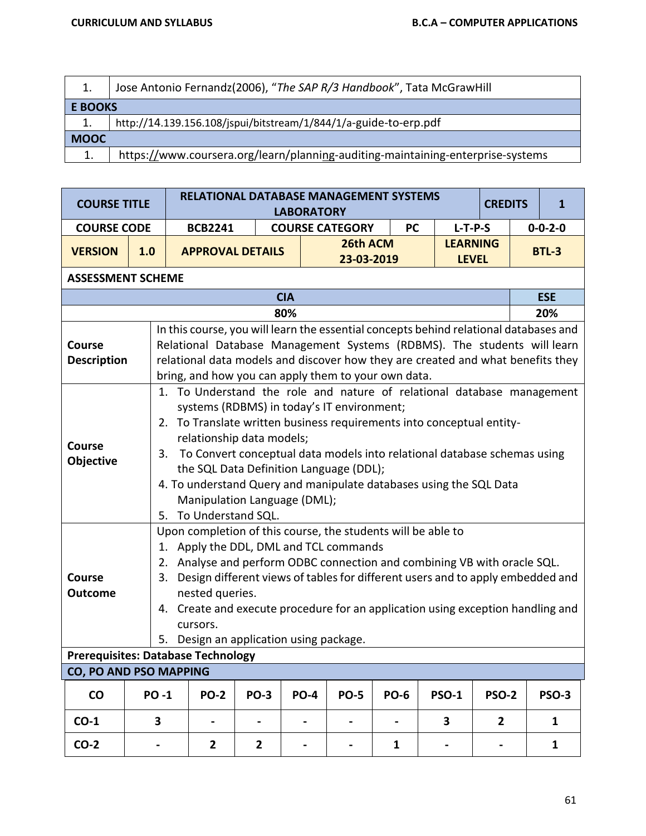|                | Jose Antonio Fernandz(2006), "The SAP R/3 Handbook", Tata McGrawHill            |  |  |  |  |  |  |  |
|----------------|---------------------------------------------------------------------------------|--|--|--|--|--|--|--|
| <b>E BOOKS</b> |                                                                                 |  |  |  |  |  |  |  |
| 1.             | http://14.139.156.108/jspui/bitstream/1/844/1/a-guide-to-erp.pdf                |  |  |  |  |  |  |  |
| <b>MOOC</b>    |                                                                                 |  |  |  |  |  |  |  |
| 1.             | https://www.coursera.org/learn/planning-auditing-maintaining-enterprise-systems |  |  |  |  |  |  |  |

| <b>COURSE TITLE</b>                                                          |                                                                                                                                                                                                                                                                                                                                                                                                                                            |                                                                                                                                                                                                                                                                                                                                                                                                                                                                                        |                | <b>RELATIONAL DATABASE MANAGEMENT SYSTEMS</b>       | <b>LABORATORY</b> |                          |                |                                                                                                                                                                                                                                                     | <b>CREDITS</b> |              | $\mathbf{1}$    |  |
|------------------------------------------------------------------------------|--------------------------------------------------------------------------------------------------------------------------------------------------------------------------------------------------------------------------------------------------------------------------------------------------------------------------------------------------------------------------------------------------------------------------------------------|----------------------------------------------------------------------------------------------------------------------------------------------------------------------------------------------------------------------------------------------------------------------------------------------------------------------------------------------------------------------------------------------------------------------------------------------------------------------------------------|----------------|-----------------------------------------------------|-------------------|--------------------------|----------------|-----------------------------------------------------------------------------------------------------------------------------------------------------------------------------------------------------------------------------------------------------|----------------|--------------|-----------------|--|
| <b>COURSE CODE</b>                                                           |                                                                                                                                                                                                                                                                                                                                                                                                                                            |                                                                                                                                                                                                                                                                                                                                                                                                                                                                                        | <b>BCB2241</b> |                                                     |                   | <b>COURSE CATEGORY</b>   | <b>PC</b>      | $L-T-P-S$                                                                                                                                                                                                                                           |                |              | $0 - 0 - 2 - 0$ |  |
| <b>VERSION</b>                                                               | 1.0                                                                                                                                                                                                                                                                                                                                                                                                                                        |                                                                                                                                                                                                                                                                                                                                                                                                                                                                                        |                | <b>APPROVAL DETAILS</b>                             |                   | 26th ACM<br>23-03-2019   |                | <b>LEARNING</b><br><b>LEVEL</b>                                                                                                                                                                                                                     |                | <b>BTL-3</b> |                 |  |
| <b>ASSESSMENT SCHEME</b>                                                     |                                                                                                                                                                                                                                                                                                                                                                                                                                            |                                                                                                                                                                                                                                                                                                                                                                                                                                                                                        |                |                                                     |                   |                          |                |                                                                                                                                                                                                                                                     |                |              |                 |  |
|                                                                              |                                                                                                                                                                                                                                                                                                                                                                                                                                            |                                                                                                                                                                                                                                                                                                                                                                                                                                                                                        |                |                                                     | <b>CIA</b>        |                          |                |                                                                                                                                                                                                                                                     |                |              | <b>ESE</b>      |  |
|                                                                              |                                                                                                                                                                                                                                                                                                                                                                                                                                            |                                                                                                                                                                                                                                                                                                                                                                                                                                                                                        |                |                                                     | 80%               |                          |                |                                                                                                                                                                                                                                                     |                |              | 20%             |  |
| <b>Course</b><br><b>Description</b>                                          |                                                                                                                                                                                                                                                                                                                                                                                                                                            |                                                                                                                                                                                                                                                                                                                                                                                                                                                                                        |                | bring, and how you can apply them to your own data. |                   |                          |                | In this course, you will learn the essential concepts behind relational databases and<br>Relational Database Management Systems (RDBMS). The students will learn<br>relational data models and discover how they are created and what benefits they |                |              |                 |  |
| <b>Course</b><br>Objective                                                   |                                                                                                                                                                                                                                                                                                                                                                                                                                            | 1. To Understand the role and nature of relational database management<br>systems (RDBMS) in today's IT environment;<br>2. To Translate written business requirements into conceptual entity-<br>relationship data models;<br>3. To Convert conceptual data models into relational database schemas using<br>the SQL Data Definition Language (DDL);<br>4. To understand Query and manipulate databases using the SQL Data<br>Manipulation Language (DML);<br>To Understand SQL.<br>5. |                |                                                     |                   |                          |                |                                                                                                                                                                                                                                                     |                |              |                 |  |
| <b>Course</b><br><b>Outcome</b><br><b>Prerequisites: Database Technology</b> | Upon completion of this course, the students will be able to<br>1. Apply the DDL, DML and TCL commands<br>Analyse and perform ODBC connection and combining VB with oracle SQL.<br>2.<br>Design different views of tables for different users and to apply embedded and<br>3.<br>nested queries.<br>4. Create and execute procedure for an application using exception handling and<br>cursors.<br>5. Design an application using package. |                                                                                                                                                                                                                                                                                                                                                                                                                                                                                        |                |                                                     |                   |                          |                |                                                                                                                                                                                                                                                     |                |              |                 |  |
| <b>CO, PO AND PSO MAPPING</b>                                                |                                                                                                                                                                                                                                                                                                                                                                                                                                            |                                                                                                                                                                                                                                                                                                                                                                                                                                                                                        |                |                                                     |                   |                          |                |                                                                                                                                                                                                                                                     |                |              |                 |  |
|                                                                              |                                                                                                                                                                                                                                                                                                                                                                                                                                            |                                                                                                                                                                                                                                                                                                                                                                                                                                                                                        |                |                                                     |                   |                          |                |                                                                                                                                                                                                                                                     |                |              |                 |  |
| CO                                                                           | <b>PO-1</b>                                                                                                                                                                                                                                                                                                                                                                                                                                |                                                                                                                                                                                                                                                                                                                                                                                                                                                                                        | <b>PO-2</b>    | <b>PO-3</b>                                         | <b>PO-4</b>       | <b>PO-5</b>              | <b>PO-6</b>    | <b>PSO-1</b>                                                                                                                                                                                                                                        | <b>PSO-2</b>   |              | <b>PSO-3</b>    |  |
| $CO-1$                                                                       | 3                                                                                                                                                                                                                                                                                                                                                                                                                                          |                                                                                                                                                                                                                                                                                                                                                                                                                                                                                        |                | $\blacksquare$                                      |                   | $\overline{\phantom{0}}$ | $\blacksquare$ | 3                                                                                                                                                                                                                                                   | $\overline{2}$ |              | $\mathbf{1}$    |  |
| $CO-2$                                                                       |                                                                                                                                                                                                                                                                                                                                                                                                                                            |                                                                                                                                                                                                                                                                                                                                                                                                                                                                                        | $\mathbf{2}$   | $\overline{2}$                                      |                   |                          | 1              |                                                                                                                                                                                                                                                     |                |              | 1               |  |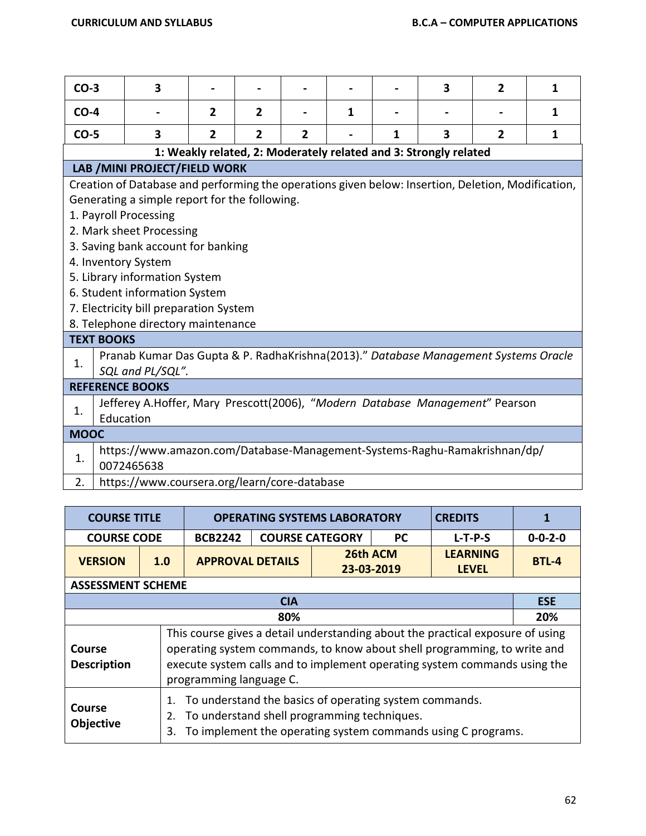| $CO-3$      |                                                                                                                                                                                                                                                                                                                                                                                                                         | 3                                                                                                       |                |                |                |   |   | 3                                                                | $\overline{2}$ | 1 |
|-------------|-------------------------------------------------------------------------------------------------------------------------------------------------------------------------------------------------------------------------------------------------------------------------------------------------------------------------------------------------------------------------------------------------------------------------|---------------------------------------------------------------------------------------------------------|----------------|----------------|----------------|---|---|------------------------------------------------------------------|----------------|---|
| $CO-4$      |                                                                                                                                                                                                                                                                                                                                                                                                                         |                                                                                                         | $\overline{2}$ | $\overline{2}$ |                | 1 |   |                                                                  |                | 1 |
| $CO-5$      |                                                                                                                                                                                                                                                                                                                                                                                                                         | 3                                                                                                       | $\overline{2}$ | $\overline{2}$ | $\overline{2}$ |   | 1 | 3                                                                | $\overline{2}$ | 1 |
|             |                                                                                                                                                                                                                                                                                                                                                                                                                         |                                                                                                         |                |                |                |   |   | 1: Weakly related, 2: Moderately related and 3: Strongly related |                |   |
|             |                                                                                                                                                                                                                                                                                                                                                                                                                         | LAB / MINI PROJECT/FIELD WORK                                                                           |                |                |                |   |   |                                                                  |                |   |
|             | Creation of Database and performing the operations given below: Insertion, Deletion, Modification,<br>Generating a simple report for the following.<br>1. Payroll Processing<br>2. Mark sheet Processing<br>3. Saving bank account for banking<br>4. Inventory System<br>5. Library information System<br>6. Student information System<br>7. Electricity bill preparation System<br>8. Telephone directory maintenance |                                                                                                         |                |                |                |   |   |                                                                  |                |   |
|             | <b>TEXT BOOKS</b>                                                                                                                                                                                                                                                                                                                                                                                                       |                                                                                                         |                |                |                |   |   |                                                                  |                |   |
| 1.          |                                                                                                                                                                                                                                                                                                                                                                                                                         | Pranab Kumar Das Gupta & P. RadhaKrishna(2013)." Database Management Systems Oracle<br>SQL and PL/SQL". |                |                |                |   |   |                                                                  |                |   |
|             |                                                                                                                                                                                                                                                                                                                                                                                                                         | <b>REFERENCE BOOKS</b>                                                                                  |                |                |                |   |   |                                                                  |                |   |
| 1.          |                                                                                                                                                                                                                                                                                                                                                                                                                         | Jefferey A.Hoffer, Mary Prescott(2006), "Modern Database Management" Pearson<br>Education               |                |                |                |   |   |                                                                  |                |   |
| <b>MOOC</b> |                                                                                                                                                                                                                                                                                                                                                                                                                         |                                                                                                         |                |                |                |   |   |                                                                  |                |   |
| 1.<br>2.    | https://www.amazon.com/Database-Management-Systems-Raghu-Ramakrishnan/dp/<br>0072465638<br>https://www.coursera.org/learn/core-database                                                                                                                                                                                                                                                                                 |                                                                                                         |                |                |                |   |   |                                                                  |                |   |

| <b>COURSE TITLE</b> |                          |                         | <b>OPERATING SYSTEMS LABORATORY</b> | <b>CREDITS</b>         | 1 |                                 |                 |  |  |  |  |
|---------------------|--------------------------|-------------------------|-------------------------------------|------------------------|---|---------------------------------|-----------------|--|--|--|--|
| <b>COURSE CODE</b>  |                          | <b>BCB2242</b>          | <b>PC</b><br><b>COURSE CATEGORY</b> |                        |   | $L-T-P-S$                       | $0 - 0 - 2 - 0$ |  |  |  |  |
| <b>VERSION</b>      | 1.0                      | <b>APPROVAL DETAILS</b> |                                     | 26th ACM<br>23-03-2019 |   | <b>LEARNING</b><br><b>LEVEL</b> | BTL-4           |  |  |  |  |
|                     | <b>ASSESSMENT SCHEME</b> |                         |                                     |                        |   |                                 |                 |  |  |  |  |

|                                     | <b>CIA</b>                                                                                                                                                                                                                                                         | <b>ESE</b> |  |  |  |  |  |  |  |
|-------------------------------------|--------------------------------------------------------------------------------------------------------------------------------------------------------------------------------------------------------------------------------------------------------------------|------------|--|--|--|--|--|--|--|
| 80%<br>20%                          |                                                                                                                                                                                                                                                                    |            |  |  |  |  |  |  |  |
| <b>Course</b><br><b>Description</b> | This course gives a detail understanding about the practical exposure of using<br>operating system commands, to know about shell programming, to write and<br>execute system calls and to implement operating system commands using the<br>programming language C. |            |  |  |  |  |  |  |  |
| Course<br><b>Objective</b>          | 1. To understand the basics of operating system commands.<br>2. To understand shell programming techniques.<br>3. To implement the operating system commands using C programs.                                                                                     |            |  |  |  |  |  |  |  |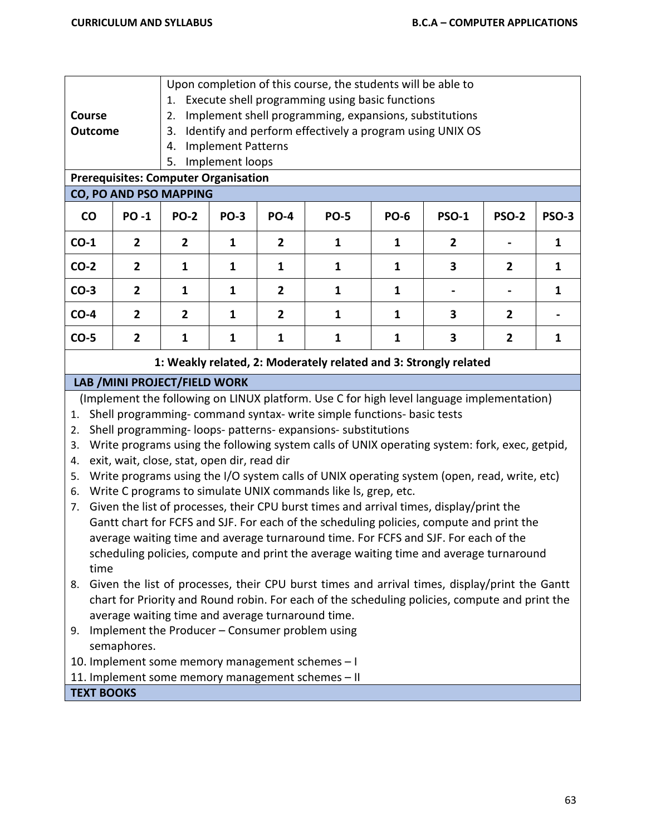| Course<br><b>Outcome</b>                                                                                                                                                                                                                                                                                                                                                                                                                                                                                                                                                                                                                                                                                                                                                                                                                                                                                                                                                                                                                                           | 1.<br>2.<br>3.<br>4.<br>5.                                       | Upon completion of this course, the students will be able to<br>Execute shell programming using basic functions<br>Implement shell programming, expansions, substitutions<br>Identify and perform effectively a program using UNIX OS<br><b>Implement Patterns</b><br>Implement loops |                |                                                                                                                                                                                                                                                                                                                                                                             |              |                |                |              |  |  |
|--------------------------------------------------------------------------------------------------------------------------------------------------------------------------------------------------------------------------------------------------------------------------------------------------------------------------------------------------------------------------------------------------------------------------------------------------------------------------------------------------------------------------------------------------------------------------------------------------------------------------------------------------------------------------------------------------------------------------------------------------------------------------------------------------------------------------------------------------------------------------------------------------------------------------------------------------------------------------------------------------------------------------------------------------------------------|------------------------------------------------------------------|---------------------------------------------------------------------------------------------------------------------------------------------------------------------------------------------------------------------------------------------------------------------------------------|----------------|-----------------------------------------------------------------------------------------------------------------------------------------------------------------------------------------------------------------------------------------------------------------------------------------------------------------------------------------------------------------------------|--------------|----------------|----------------|--------------|--|--|
| <b>Prerequisites: Computer Organisation</b>                                                                                                                                                                                                                                                                                                                                                                                                                                                                                                                                                                                                                                                                                                                                                                                                                                                                                                                                                                                                                        |                                                                  |                                                                                                                                                                                                                                                                                       |                |                                                                                                                                                                                                                                                                                                                                                                             |              |                |                |              |  |  |
| CO, PO AND PSO MAPPING                                                                                                                                                                                                                                                                                                                                                                                                                                                                                                                                                                                                                                                                                                                                                                                                                                                                                                                                                                                                                                             |                                                                  |                                                                                                                                                                                                                                                                                       |                |                                                                                                                                                                                                                                                                                                                                                                             |              |                |                |              |  |  |
| CO<br><b>PO-1</b>                                                                                                                                                                                                                                                                                                                                                                                                                                                                                                                                                                                                                                                                                                                                                                                                                                                                                                                                                                                                                                                  | <b>PO-2</b>                                                      | <b>PO-3</b>                                                                                                                                                                                                                                                                           | <b>PO-4</b>    | <b>PO-5</b>                                                                                                                                                                                                                                                                                                                                                                 | <b>PO-6</b>  | <b>PSO-1</b>   | <b>PSO-2</b>   | <b>PSO-3</b> |  |  |
| $CO-1$<br>$\overline{2}$                                                                                                                                                                                                                                                                                                                                                                                                                                                                                                                                                                                                                                                                                                                                                                                                                                                                                                                                                                                                                                           | $\overline{2}$                                                   | 1                                                                                                                                                                                                                                                                                     | $\overline{2}$ | $\mathbf{1}$                                                                                                                                                                                                                                                                                                                                                                | 1            | $\overline{2}$ |                | $\mathbf{1}$ |  |  |
| $CO-2$<br>$\overline{2}$                                                                                                                                                                                                                                                                                                                                                                                                                                                                                                                                                                                                                                                                                                                                                                                                                                                                                                                                                                                                                                           | $\mathbf{1}$                                                     | $\mathbf{1}$                                                                                                                                                                                                                                                                          | $\mathbf{1}$   | $\mathbf{1}$                                                                                                                                                                                                                                                                                                                                                                | $\mathbf{1}$ | 3              | 2              | $\mathbf{1}$ |  |  |
| $CO-3$<br>$\overline{2}$                                                                                                                                                                                                                                                                                                                                                                                                                                                                                                                                                                                                                                                                                                                                                                                                                                                                                                                                                                                                                                           | $\mathbf{1}$                                                     | 1                                                                                                                                                                                                                                                                                     | $\overline{2}$ | $\mathbf{1}$                                                                                                                                                                                                                                                                                                                                                                | $\mathbf{1}$ |                |                | $\mathbf{1}$ |  |  |
| $CO-4$<br>$\overline{2}$                                                                                                                                                                                                                                                                                                                                                                                                                                                                                                                                                                                                                                                                                                                                                                                                                                                                                                                                                                                                                                           | $\overline{2}$                                                   | 1                                                                                                                                                                                                                                                                                     | $\overline{2}$ | 1                                                                                                                                                                                                                                                                                                                                                                           | $\mathbf{1}$ | 3              | 2              |              |  |  |
| $CO-5$<br>$\overline{2}$                                                                                                                                                                                                                                                                                                                                                                                                                                                                                                                                                                                                                                                                                                                                                                                                                                                                                                                                                                                                                                           | $\mathbf{1}$                                                     | 1                                                                                                                                                                                                                                                                                     | $\mathbf{1}$   | $\mathbf{1}$                                                                                                                                                                                                                                                                                                                                                                | $\mathbf{1}$ | 3              | $\overline{2}$ | $\mathbf{1}$ |  |  |
|                                                                                                                                                                                                                                                                                                                                                                                                                                                                                                                                                                                                                                                                                                                                                                                                                                                                                                                                                                                                                                                                    | 1: Weakly related, 2: Moderately related and 3: Strongly related |                                                                                                                                                                                                                                                                                       |                |                                                                                                                                                                                                                                                                                                                                                                             |              |                |                |              |  |  |
| LAB / MINI PROJECT/FIELD WORK                                                                                                                                                                                                                                                                                                                                                                                                                                                                                                                                                                                                                                                                                                                                                                                                                                                                                                                                                                                                                                      |                                                                  |                                                                                                                                                                                                                                                                                       |                |                                                                                                                                                                                                                                                                                                                                                                             |              |                |                |              |  |  |
| (Implement the following on LINUX platform. Use C for high level language implementation)<br>Shell programming-command syntax- write simple functions- basic tests<br>1.<br>Shell programming-loops- patterns- expansions- substitutions<br>2.<br>Write programs using the following system calls of UNIX operating system: fork, exec, getpid,<br>3.<br>exit, wait, close, stat, open dir, read dir<br>4.<br>Write programs using the I/O system calls of UNIX operating system (open, read, write, etc)<br>5.<br>Write C programs to simulate UNIX commands like Is, grep, etc.<br>6.<br>Given the list of processes, their CPU burst times and arrival times, display/print the<br>7.<br>time<br>Given the list of processes, their CPU burst times and arrival times, display/print the Gantt<br>8.<br>average waiting time and average turnaround time.<br>Implement the Producer - Consumer problem using<br>9.<br>semaphores.<br>10. Implement some memory management schemes - I<br>11. Implement some memory management schemes - II<br><b>TEXT BOOKS</b> |                                                                  |                                                                                                                                                                                                                                                                                       |                | Gantt chart for FCFS and SJF. For each of the scheduling policies, compute and print the<br>average waiting time and average turnaround time. For FCFS and SJF. For each of the<br>scheduling policies, compute and print the average waiting time and average turnaround<br>chart for Priority and Round robin. For each of the scheduling policies, compute and print the |              |                |                |              |  |  |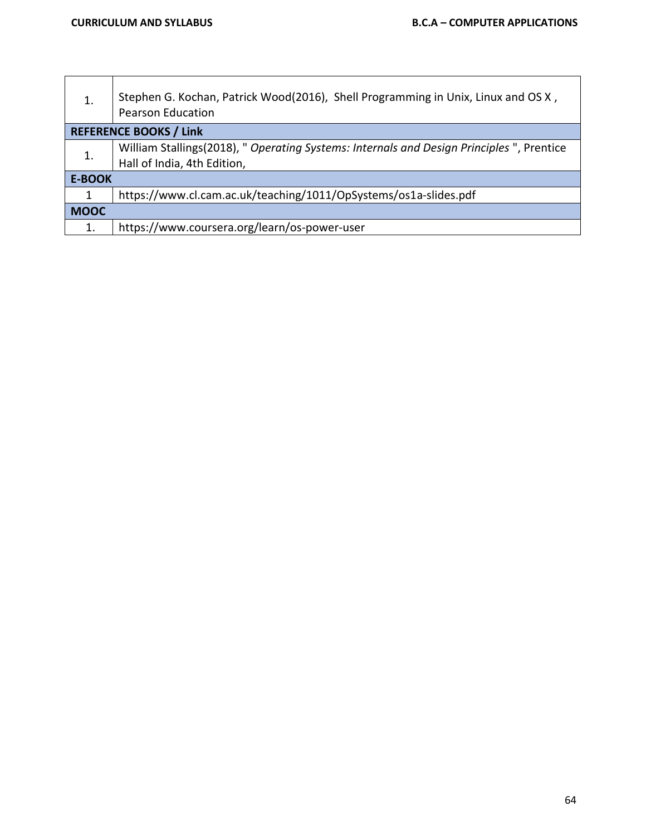| 1.            | Stephen G. Kochan, Patrick Wood(2016), Shell Programming in Unix, Linux and OS X,<br><b>Pearson Education</b> |  |  |  |  |  |  |  |  |
|---------------|---------------------------------------------------------------------------------------------------------------|--|--|--|--|--|--|--|--|
|               | <b>REFERENCE BOOKS / Link</b>                                                                                 |  |  |  |  |  |  |  |  |
| 1.            | William Stallings(2018), " Operating Systems: Internals and Design Principles ", Prentice                     |  |  |  |  |  |  |  |  |
|               | Hall of India, 4th Edition,                                                                                   |  |  |  |  |  |  |  |  |
| <b>E-BOOK</b> |                                                                                                               |  |  |  |  |  |  |  |  |
| 1             | https://www.cl.cam.ac.uk/teaching/1011/OpSystems/os1a-slides.pdf                                              |  |  |  |  |  |  |  |  |
| <b>MOOC</b>   |                                                                                                               |  |  |  |  |  |  |  |  |
| 1.            | https://www.coursera.org/learn/os-power-user                                                                  |  |  |  |  |  |  |  |  |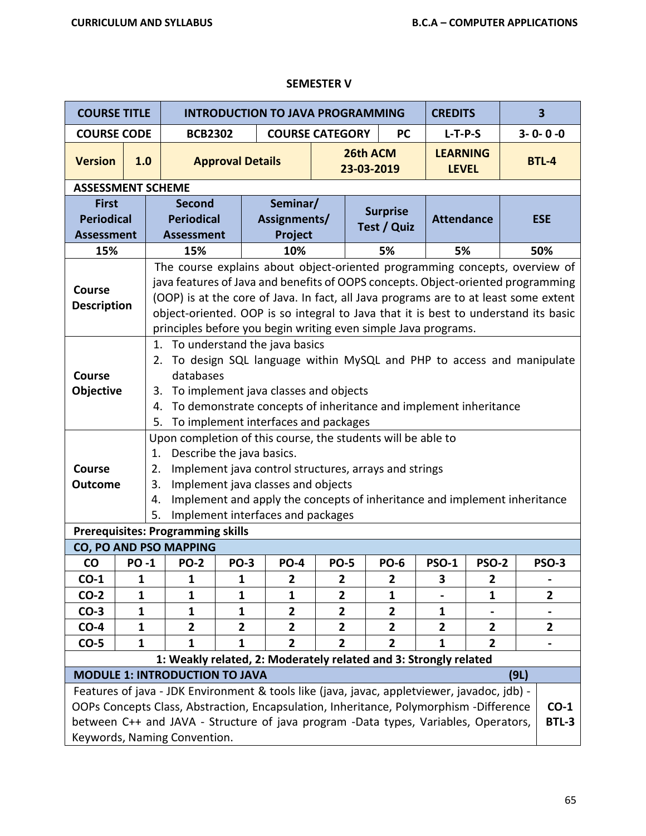## **SEMESTER V**

| <b>COURSE TITLE</b>                                    |                                                                                                                                                                                                                                                                                                                                                                                                                  |                                                                                                                                                                                                                                                                                                 |                                                         |                         | <b>INTRODUCTION TO JAVA PROGRAMMING</b>                                                                                                                                                                                                                                                                    |                |                                |                |                                 | $\overline{\mathbf{3}}$<br><b>CREDITS</b> |      |                        |
|--------------------------------------------------------|------------------------------------------------------------------------------------------------------------------------------------------------------------------------------------------------------------------------------------------------------------------------------------------------------------------------------------------------------------------------------------------------------------------|-------------------------------------------------------------------------------------------------------------------------------------------------------------------------------------------------------------------------------------------------------------------------------------------------|---------------------------------------------------------|-------------------------|------------------------------------------------------------------------------------------------------------------------------------------------------------------------------------------------------------------------------------------------------------------------------------------------------------|----------------|--------------------------------|----------------|---------------------------------|-------------------------------------------|------|------------------------|
| <b>COURSE CODE</b>                                     |                                                                                                                                                                                                                                                                                                                                                                                                                  |                                                                                                                                                                                                                                                                                                 | <b>BCB2302</b>                                          |                         | <b>COURSE CATEGORY</b>                                                                                                                                                                                                                                                                                     |                |                                | <b>PC</b>      | $L-T-P-S$                       |                                           |      | $3 - 0 - 0 - 0$        |
| <b>Version</b>                                         | 1.0                                                                                                                                                                                                                                                                                                                                                                                                              |                                                                                                                                                                                                                                                                                                 |                                                         | <b>Approval Details</b> |                                                                                                                                                                                                                                                                                                            |                | 26th ACM<br>23-03-2019         |                | <b>LEARNING</b><br><b>LEVEL</b> |                                           |      | <b>BTL-4</b>           |
| <b>ASSESSMENT SCHEME</b>                               |                                                                                                                                                                                                                                                                                                                                                                                                                  |                                                                                                                                                                                                                                                                                                 |                                                         |                         |                                                                                                                                                                                                                                                                                                            |                |                                |                |                                 |                                           |      |                        |
| <b>First</b><br><b>Periodical</b><br><b>Assessment</b> |                                                                                                                                                                                                                                                                                                                                                                                                                  |                                                                                                                                                                                                                                                                                                 | <b>Second</b><br><b>Periodical</b><br><b>Assessment</b> |                         | Seminar/<br>Assignments/<br>Project                                                                                                                                                                                                                                                                        |                | <b>Surprise</b><br>Test / Quiz |                | <b>Attendance</b>               |                                           |      | <b>ESE</b>             |
| 15%                                                    |                                                                                                                                                                                                                                                                                                                                                                                                                  |                                                                                                                                                                                                                                                                                                 | 15%                                                     |                         | 10%                                                                                                                                                                                                                                                                                                        |                |                                | 5%             | 5%                              |                                           |      | 50%                    |
| <b>Course</b><br><b>Description</b>                    | The course explains about object-oriented programming concepts, overview of<br>java features of Java and benefits of OOPS concepts. Object-oriented programming<br>(OOP) is at the core of Java. In fact, all Java programs are to at least some extent<br>object-oriented. OOP is so integral to Java that it is best to understand its basic<br>principles before you begin writing even simple Java programs. |                                                                                                                                                                                                                                                                                                 |                                                         |                         |                                                                                                                                                                                                                                                                                                            |                |                                |                |                                 |                                           |      |                        |
| <b>Course</b><br>Objective                             |                                                                                                                                                                                                                                                                                                                                                                                                                  | 1. To understand the java basics<br>2. To design SQL language within MySQL and PHP to access and manipulate<br>databases<br>To implement java classes and objects<br>3.<br>To demonstrate concepts of inheritance and implement inheritance<br>4.<br>To implement interfaces and packages<br>5. |                                                         |                         |                                                                                                                                                                                                                                                                                                            |                |                                |                |                                 |                                           |      |                        |
| <b>Course</b><br><b>Outcome</b>                        |                                                                                                                                                                                                                                                                                                                                                                                                                  | 1.<br>2.<br>3.<br>4.<br>5.                                                                                                                                                                                                                                                                      |                                                         |                         | Upon completion of this course, the students will be able to<br>Describe the java basics.<br>Implement java control structures, arrays and strings<br>Implement java classes and objects<br>Implement and apply the concepts of inheritance and implement inheritance<br>Implement interfaces and packages |                |                                |                |                                 |                                           |      |                        |
|                                                        |                                                                                                                                                                                                                                                                                                                                                                                                                  |                                                                                                                                                                                                                                                                                                 | <b>Prerequisites: Programming skills</b>                |                         |                                                                                                                                                                                                                                                                                                            |                |                                |                |                                 |                                           |      |                        |
|                                                        |                                                                                                                                                                                                                                                                                                                                                                                                                  |                                                                                                                                                                                                                                                                                                 | <b>CO, PO AND PSO MAPPING</b>                           |                         |                                                                                                                                                                                                                                                                                                            |                |                                |                |                                 |                                           |      |                        |
| $\mathsf{CO}$                                          | <b>PO-1</b>                                                                                                                                                                                                                                                                                                                                                                                                      |                                                                                                                                                                                                                                                                                                 | <b>PO-2</b>                                             | <b>PO-3</b>             | <b>PO-4</b>                                                                                                                                                                                                                                                                                                | <b>PO-5</b>    |                                | <b>PO-6</b>    | <b>PSO-1</b>                    | <b>PSO-2</b>                              |      | <b>PSO-3</b>           |
| $CO-1$                                                 | $\mathbf{1}$                                                                                                                                                                                                                                                                                                                                                                                                     |                                                                                                                                                                                                                                                                                                 | 1                                                       | 1                       | 2                                                                                                                                                                                                                                                                                                          | $\mathbf{2}$   |                                | $\mathbf{2}$   | 3                               | 2                                         |      |                        |
| $CO-2$                                                 | 1                                                                                                                                                                                                                                                                                                                                                                                                                |                                                                                                                                                                                                                                                                                                 | 1                                                       | 1                       | 1                                                                                                                                                                                                                                                                                                          | 2              |                                | 1              |                                 | 1                                         |      | $\mathbf{2}$           |
| $CO-3$                                                 | $\mathbf{1}$                                                                                                                                                                                                                                                                                                                                                                                                     |                                                                                                                                                                                                                                                                                                 | 1                                                       | 1                       | $\overline{\mathbf{2}}$                                                                                                                                                                                                                                                                                    | $\overline{2}$ |                                | $\mathbf{2}$   | $\mathbf{1}$                    |                                           |      |                        |
| $CO-4$                                                 | $\mathbf{1}$                                                                                                                                                                                                                                                                                                                                                                                                     |                                                                                                                                                                                                                                                                                                 | $\overline{2}$                                          | $\mathbf{2}$            | $\overline{\mathbf{2}}$                                                                                                                                                                                                                                                                                    | $\mathbf{2}$   |                                | $\overline{2}$ | $\overline{2}$                  | $\mathbf{2}$                              |      | $\mathbf{2}$           |
| $CO-5$                                                 | $\mathbf{1}$                                                                                                                                                                                                                                                                                                                                                                                                     |                                                                                                                                                                                                                                                                                                 | $\mathbf{1}$                                            | $\mathbf{1}$            | $\overline{2}$                                                                                                                                                                                                                                                                                             | $\overline{2}$ |                                | $\overline{2}$ | 1                               | $\overline{2}$                            |      |                        |
|                                                        |                                                                                                                                                                                                                                                                                                                                                                                                                  |                                                                                                                                                                                                                                                                                                 |                                                         |                         | 1: Weakly related, 2: Moderately related and 3: Strongly related                                                                                                                                                                                                                                           |                |                                |                |                                 |                                           |      |                        |
|                                                        |                                                                                                                                                                                                                                                                                                                                                                                                                  |                                                                                                                                                                                                                                                                                                 | <b>MODULE 1: INTRODUCTION TO JAVA</b>                   |                         |                                                                                                                                                                                                                                                                                                            |                |                                |                |                                 |                                           | (9L) |                        |
|                                                        |                                                                                                                                                                                                                                                                                                                                                                                                                  |                                                                                                                                                                                                                                                                                                 | Keywords, Naming Convention.                            |                         | Features of java - JDK Environment & tools like (java, javac, appletviewer, javadoc, jdb) -<br>OOPs Concepts Class, Abstraction, Encapsulation, Inheritance, Polymorphism -Difference<br>between C++ and JAVA - Structure of java program -Data types, Variables, Operators,                               |                |                                |                |                                 |                                           |      | $CO-1$<br><b>BTL-3</b> |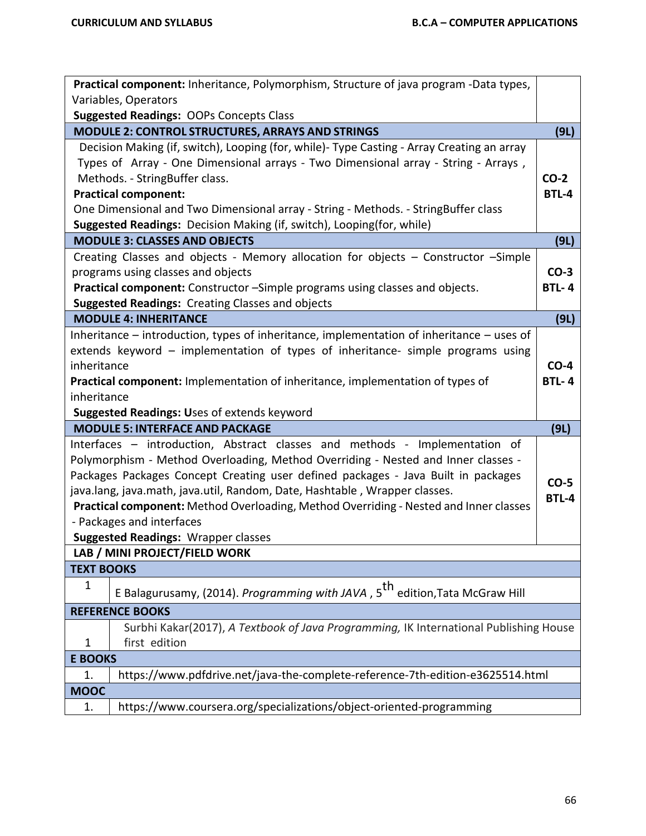|                                                         | Practical component: Inheritance, Polymorphism, Structure of java program -Data types,           |              |  |  |  |  |  |
|---------------------------------------------------------|--------------------------------------------------------------------------------------------------|--------------|--|--|--|--|--|
|                                                         | Variables, Operators                                                                             |              |  |  |  |  |  |
|                                                         | <b>Suggested Readings: OOPs Concepts Class</b>                                                   |              |  |  |  |  |  |
|                                                         | <b>MODULE 2: CONTROL STRUCTURES, ARRAYS AND STRINGS</b>                                          | (9L)         |  |  |  |  |  |
|                                                         | Decision Making (if, switch), Looping (for, while)- Type Casting - Array Creating an array       |              |  |  |  |  |  |
|                                                         | Types of Array - One Dimensional arrays - Two Dimensional array - String - Arrays,               |              |  |  |  |  |  |
|                                                         | Methods. - StringBuffer class.                                                                   | $CO-2$       |  |  |  |  |  |
|                                                         | <b>Practical component:</b>                                                                      | <b>BTL-4</b> |  |  |  |  |  |
|                                                         | One Dimensional and Two Dimensional array - String - Methods. - StringBuffer class               |              |  |  |  |  |  |
|                                                         | Suggested Readings: Decision Making (if, switch), Looping(for, while)                            |              |  |  |  |  |  |
|                                                         | <b>MODULE 3: CLASSES AND OBJECTS</b>                                                             | (9L)         |  |  |  |  |  |
|                                                         | Creating Classes and objects - Memory allocation for objects - Constructor -Simple               |              |  |  |  |  |  |
|                                                         | programs using classes and objects                                                               | $CO-3$       |  |  |  |  |  |
|                                                         | Practical component: Constructor -Simple programs using classes and objects.                     | <b>BTL-4</b> |  |  |  |  |  |
| <b>Suggested Readings: Creating Classes and objects</b> |                                                                                                  |              |  |  |  |  |  |
|                                                         | <b>MODULE 4: INHERITANCE</b>                                                                     | (9L)         |  |  |  |  |  |
|                                                         | Inheritance $-$ introduction, types of inheritance, implementation of inheritance $-$ uses of    |              |  |  |  |  |  |
|                                                         | extends keyword - implementation of types of inheritance- simple programs using                  |              |  |  |  |  |  |
| inheritance                                             |                                                                                                  |              |  |  |  |  |  |
|                                                         | Practical component: Implementation of inheritance, implementation of types of                   | <b>BTL-4</b> |  |  |  |  |  |
| inheritance                                             |                                                                                                  |              |  |  |  |  |  |
|                                                         | Suggested Readings: Uses of extends keyword                                                      |              |  |  |  |  |  |
|                                                         | <b>MODULE 5: INTERFACE AND PACKAGE</b>                                                           | (9L)         |  |  |  |  |  |
|                                                         | Interfaces - introduction, Abstract classes and methods - Implementation of                      |              |  |  |  |  |  |
|                                                         | Polymorphism - Method Overloading, Method Overriding - Nested and Inner classes -                |              |  |  |  |  |  |
|                                                         |                                                                                                  |              |  |  |  |  |  |
|                                                         | Packages Packages Concept Creating user defined packages - Java Built in packages                |              |  |  |  |  |  |
|                                                         | java.lang, java.math, java.util, Random, Date, Hashtable, Wrapper classes.                       | $CO-5$       |  |  |  |  |  |
|                                                         | Practical component: Method Overloading, Method Overriding - Nested and Inner classes            | <b>BTL-4</b> |  |  |  |  |  |
|                                                         | - Packages and interfaces                                                                        |              |  |  |  |  |  |
|                                                         | <b>Suggested Readings: Wrapper classes</b>                                                       |              |  |  |  |  |  |
|                                                         | LAB / MINI PROJECT/FIELD WORK                                                                    |              |  |  |  |  |  |
| <b>TEXT BOOKS</b>                                       |                                                                                                  |              |  |  |  |  |  |
| $\mathbf 1$                                             |                                                                                                  |              |  |  |  |  |  |
|                                                         | E Balagurusamy, (2014). <i>Programming with JAVA</i> , 5 <sup>th</sup> edition, Tata McGraw Hill |              |  |  |  |  |  |
|                                                         | <b>REFERENCE BOOKS</b>                                                                           |              |  |  |  |  |  |
|                                                         | Surbhi Kakar(2017), A Textbook of Java Programming, IK International Publishing House            |              |  |  |  |  |  |
| 1                                                       | first edition                                                                                    |              |  |  |  |  |  |
| <b>E BOOKS</b>                                          |                                                                                                  |              |  |  |  |  |  |
| 1.                                                      | https://www.pdfdrive.net/java-the-complete-reference-7th-edition-e3625514.html                   |              |  |  |  |  |  |
| <b>MOOC</b>                                             |                                                                                                  |              |  |  |  |  |  |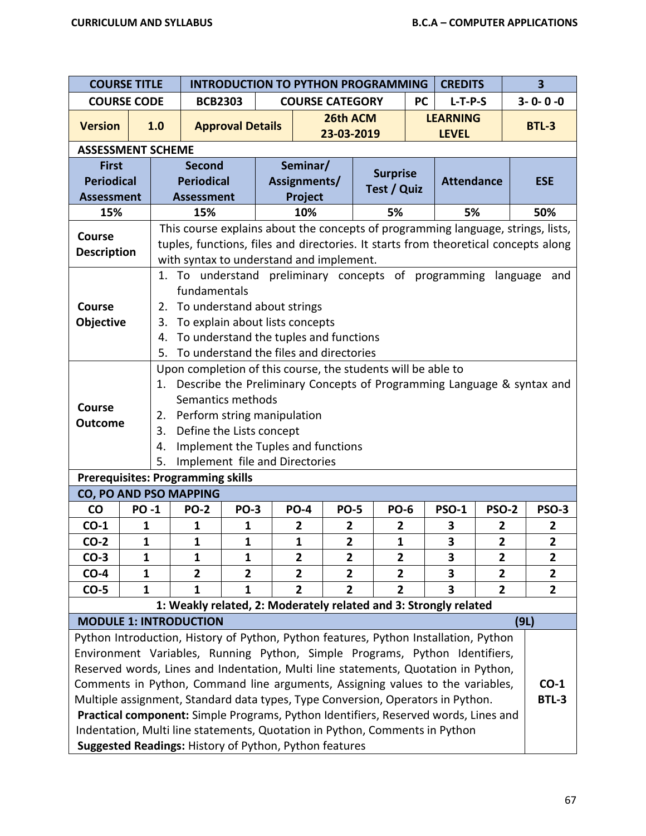| <b>COURSE TITLE</b>                                                                                                                                                                                                                                                                                                                                                                                                                                                                                                                                                                                                                                                                      |                                                                                                                                                                                                                                                                                                                              |                                                                                                                                                                                                                                             |                         |                                     | <b>INTRODUCTION TO PYTHON PROGRAMMING</b>                                                                                                                                                                           |                                  |                                  |           | <b>CREDITS</b>                  |                                |      | 3                              |
|------------------------------------------------------------------------------------------------------------------------------------------------------------------------------------------------------------------------------------------------------------------------------------------------------------------------------------------------------------------------------------------------------------------------------------------------------------------------------------------------------------------------------------------------------------------------------------------------------------------------------------------------------------------------------------------|------------------------------------------------------------------------------------------------------------------------------------------------------------------------------------------------------------------------------------------------------------------------------------------------------------------------------|---------------------------------------------------------------------------------------------------------------------------------------------------------------------------------------------------------------------------------------------|-------------------------|-------------------------------------|---------------------------------------------------------------------------------------------------------------------------------------------------------------------------------------------------------------------|----------------------------------|----------------------------------|-----------|---------------------------------|--------------------------------|------|--------------------------------|
| <b>COURSE CODE</b>                                                                                                                                                                                                                                                                                                                                                                                                                                                                                                                                                                                                                                                                       |                                                                                                                                                                                                                                                                                                                              | <b>BCB2303</b>                                                                                                                                                                                                                              |                         |                                     | <b>COURSE CATEGORY</b>                                                                                                                                                                                              |                                  |                                  | <b>PC</b> | $L-T-P-S$                       |                                |      | $3 - 0 - 0 - 0$                |
| <b>Version</b>                                                                                                                                                                                                                                                                                                                                                                                                                                                                                                                                                                                                                                                                           | 1.0                                                                                                                                                                                                                                                                                                                          |                                                                                                                                                                                                                                             | <b>Approval Details</b> |                                     |                                                                                                                                                                                                                     | 26th ACM<br>23-03-2019           |                                  |           | <b>LEARNING</b><br><b>LEVEL</b> |                                |      | <b>BTL-3</b>                   |
| <b>ASSESSMENT SCHEME</b>                                                                                                                                                                                                                                                                                                                                                                                                                                                                                                                                                                                                                                                                 |                                                                                                                                                                                                                                                                                                                              |                                                                                                                                                                                                                                             |                         |                                     |                                                                                                                                                                                                                     |                                  |                                  |           |                                 |                                |      |                                |
| <b>First</b><br><b>Periodical</b><br><b>Assessment</b>                                                                                                                                                                                                                                                                                                                                                                                                                                                                                                                                                                                                                                   |                                                                                                                                                                                                                                                                                                                              | <b>Second</b><br><b>Periodical</b><br><b>Assessment</b>                                                                                                                                                                                     |                         | Seminar/<br>Assignments/<br>Project |                                                                                                                                                                                                                     |                                  | <b>Surprise</b><br>Test / Quiz   |           | <b>Attendance</b>               |                                |      | <b>ESE</b>                     |
| 15%                                                                                                                                                                                                                                                                                                                                                                                                                                                                                                                                                                                                                                                                                      |                                                                                                                                                                                                                                                                                                                              | 15%                                                                                                                                                                                                                                         |                         |                                     | 10%                                                                                                                                                                                                                 |                                  | 5%                               |           | 5%                              |                                |      | 50%                            |
| <b>Course</b><br><b>Description</b>                                                                                                                                                                                                                                                                                                                                                                                                                                                                                                                                                                                                                                                      |                                                                                                                                                                                                                                                                                                                              |                                                                                                                                                                                                                                             |                         |                                     | This course explains about the concepts of programming language, strings, lists,<br>tuples, functions, files and directories. It starts from theoretical concepts along<br>with syntax to understand and implement. |                                  |                                  |           |                                 |                                |      |                                |
| <b>Course</b><br>Objective                                                                                                                                                                                                                                                                                                                                                                                                                                                                                                                                                                                                                                                               | 2.<br>3.<br>4.<br>5.                                                                                                                                                                                                                                                                                                         | 1. To understand preliminary concepts of programming language<br>and<br>fundamentals<br>To understand about strings<br>To explain about lists concepts<br>To understand the tuples and functions<br>To understand the files and directories |                         |                                     |                                                                                                                                                                                                                     |                                  |                                  |           |                                 |                                |      |                                |
| <b>Course</b><br><b>Outcome</b><br><b>Prerequisites: Programming skills</b>                                                                                                                                                                                                                                                                                                                                                                                                                                                                                                                                                                                                              | Upon completion of this course, the students will be able to<br>Describe the Preliminary Concepts of Programming Language & syntax and<br>1.<br>Semantics methods<br>Perform string manipulation<br>2.<br>3.<br>Define the Lists concept<br>Implement the Tuples and functions<br>4.<br>Implement file and Directories<br>5. |                                                                                                                                                                                                                                             |                         |                                     |                                                                                                                                                                                                                     |                                  |                                  |           |                                 |                                |      |                                |
| CO, PO AND PSO MAPPING                                                                                                                                                                                                                                                                                                                                                                                                                                                                                                                                                                                                                                                                   |                                                                                                                                                                                                                                                                                                                              |                                                                                                                                                                                                                                             |                         |                                     |                                                                                                                                                                                                                     |                                  |                                  |           |                                 |                                |      |                                |
| <b>CO</b>                                                                                                                                                                                                                                                                                                                                                                                                                                                                                                                                                                                                                                                                                | <b>PO-1</b>                                                                                                                                                                                                                                                                                                                  | <b>PO-2</b>                                                                                                                                                                                                                                 | <b>PO-3</b>             |                                     | <b>PO-4</b>                                                                                                                                                                                                         | <b>PO-5</b>                      | <b>PO-6</b>                      |           | <b>PSO-1</b>                    | <b>PSO-2</b>                   |      | <b>PSO-3</b>                   |
| $CO-1$                                                                                                                                                                                                                                                                                                                                                                                                                                                                                                                                                                                                                                                                                   | $\mathbf{1}$                                                                                                                                                                                                                                                                                                                 | $\mathbf{1}$                                                                                                                                                                                                                                | $\mathbf{1}$            |                                     | $\overline{2}$                                                                                                                                                                                                      | $\overline{2}$                   | $\overline{2}$                   |           | 3                               | $\overline{2}$                 |      | $\overline{2}$                 |
| $CO-2$                                                                                                                                                                                                                                                                                                                                                                                                                                                                                                                                                                                                                                                                                   | 1                                                                                                                                                                                                                                                                                                                            | 1                                                                                                                                                                                                                                           | 1                       |                                     | 1                                                                                                                                                                                                                   | $\overline{2}$                   | 1                                |           | 3                               | $\overline{2}$                 |      | $\overline{2}$                 |
| $CO-3$                                                                                                                                                                                                                                                                                                                                                                                                                                                                                                                                                                                                                                                                                   | $\mathbf{1}$                                                                                                                                                                                                                                                                                                                 | $\mathbf{1}$                                                                                                                                                                                                                                | $\mathbf{1}$            |                                     | $\overline{\mathbf{2}}$                                                                                                                                                                                             | $\overline{2}$                   | $\overline{2}$                   |           | 3                               | $\overline{\mathbf{2}}$        |      | $\mathbf{2}$                   |
| $CO-4$<br>$CO-5$                                                                                                                                                                                                                                                                                                                                                                                                                                                                                                                                                                                                                                                                         | $\mathbf{1}$<br>1                                                                                                                                                                                                                                                                                                            | $\overline{2}$<br>1                                                                                                                                                                                                                         | $\mathbf{2}$<br>1       |                                     | $\mathbf{2}$<br>$\overline{2}$                                                                                                                                                                                      | $\overline{2}$<br>$\overline{2}$ | $\overline{2}$<br>$\overline{2}$ |           | 3<br>3                          | $\mathbf{2}$<br>$\overline{2}$ |      | $\mathbf{2}$<br>$\overline{2}$ |
|                                                                                                                                                                                                                                                                                                                                                                                                                                                                                                                                                                                                                                                                                          |                                                                                                                                                                                                                                                                                                                              |                                                                                                                                                                                                                                             |                         |                                     | 1: Weakly related, 2: Moderately related and 3: Strongly related                                                                                                                                                    |                                  |                                  |           |                                 |                                |      |                                |
| <b>MODULE 1: INTRODUCTION</b>                                                                                                                                                                                                                                                                                                                                                                                                                                                                                                                                                                                                                                                            |                                                                                                                                                                                                                                                                                                                              |                                                                                                                                                                                                                                             |                         |                                     |                                                                                                                                                                                                                     |                                  |                                  |           |                                 |                                | (9L) |                                |
|                                                                                                                                                                                                                                                                                                                                                                                                                                                                                                                                                                                                                                                                                          |                                                                                                                                                                                                                                                                                                                              |                                                                                                                                                                                                                                             |                         |                                     |                                                                                                                                                                                                                     |                                  |                                  |           |                                 |                                |      |                                |
| Python Introduction, History of Python, Python features, Python Installation, Python<br>Environment Variables, Running Python, Simple Programs, Python Identifiers,<br>Reserved words, Lines and Indentation, Multi line statements, Quotation in Python,<br>Comments in Python, Command line arguments, Assigning values to the variables,<br>$CO-1$<br>Multiple assignment, Standard data types, Type Conversion, Operators in Python.<br><b>BTL-3</b><br>Practical component: Simple Programs, Python Identifiers, Reserved words, Lines and<br>Indentation, Multi line statements, Quotation in Python, Comments in Python<br>Suggested Readings: History of Python, Python features |                                                                                                                                                                                                                                                                                                                              |                                                                                                                                                                                                                                             |                         |                                     |                                                                                                                                                                                                                     |                                  |                                  |           |                                 |                                |      |                                |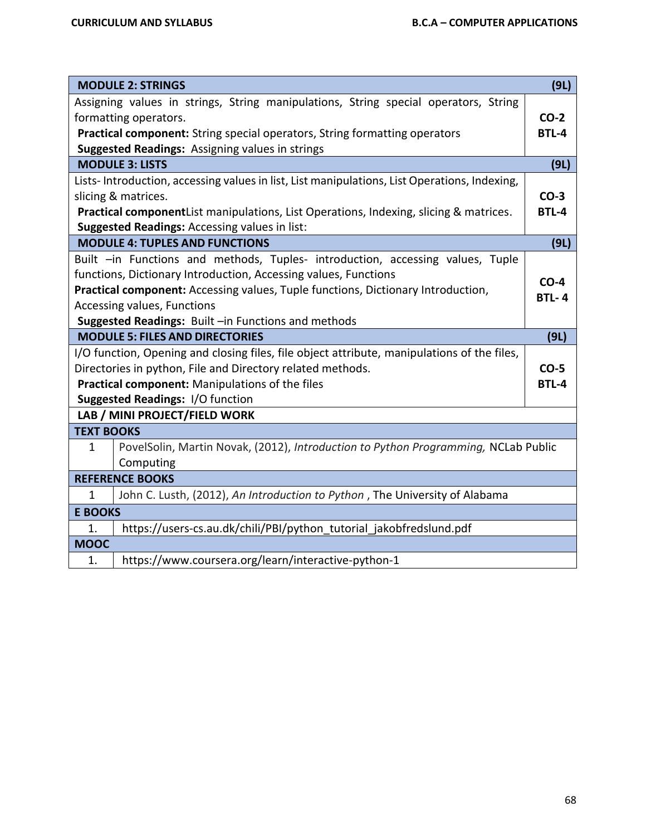|                                                                                  | <b>MODULE 2: STRINGS</b>                                                                     | (9L)         |  |  |  |
|----------------------------------------------------------------------------------|----------------------------------------------------------------------------------------------|--------------|--|--|--|
|                                                                                  | Assigning values in strings, String manipulations, String special operators, String          |              |  |  |  |
|                                                                                  | formatting operators.                                                                        | $CO-2$       |  |  |  |
|                                                                                  | Practical component: String special operators, String formatting operators                   | <b>BTL-4</b> |  |  |  |
|                                                                                  | Suggested Readings: Assigning values in strings                                              |              |  |  |  |
|                                                                                  | <b>MODULE 3: LISTS</b>                                                                       | (9L)         |  |  |  |
|                                                                                  | Lists-Introduction, accessing values in list, List manipulations, List Operations, Indexing, |              |  |  |  |
|                                                                                  | slicing & matrices.                                                                          | $CO-3$       |  |  |  |
|                                                                                  | Practical componentList manipulations, List Operations, Indexing, slicing & matrices.        | <b>BTL-4</b> |  |  |  |
|                                                                                  | <b>Suggested Readings: Accessing values in list:</b>                                         |              |  |  |  |
|                                                                                  | <b>MODULE 4: TUPLES AND FUNCTIONS</b>                                                        | (9L)         |  |  |  |
|                                                                                  | Built -in Functions and methods, Tuples- introduction, accessing values, Tuple               |              |  |  |  |
|                                                                                  | functions, Dictionary Introduction, Accessing values, Functions                              | $CO-4$       |  |  |  |
| Practical component: Accessing values, Tuple functions, Dictionary Introduction, |                                                                                              |              |  |  |  |
| Accessing values, Functions                                                      |                                                                                              |              |  |  |  |
|                                                                                  | Suggested Readings: Built -in Functions and methods                                          |              |  |  |  |
|                                                                                  | <b>MODULE 5: FILES AND DIRECTORIES</b>                                                       | (9L)         |  |  |  |
|                                                                                  | I/O function, Opening and closing files, file object attribute, manipulations of the files,  |              |  |  |  |
|                                                                                  | Directories in python, File and Directory related methods.                                   | $CO-5$       |  |  |  |
|                                                                                  | Practical component: Manipulations of the files                                              | <b>BTL-4</b> |  |  |  |
|                                                                                  | Suggested Readings: I/O function                                                             |              |  |  |  |
|                                                                                  | LAB / MINI PROJECT/FIELD WORK                                                                |              |  |  |  |
| <b>TEXT BOOKS</b>                                                                |                                                                                              |              |  |  |  |
| 1                                                                                | PovelSolin, Martin Novak, (2012), Introduction to Python Programming, NCLab Public           |              |  |  |  |
|                                                                                  | Computing                                                                                    |              |  |  |  |
|                                                                                  | <b>REFERENCE BOOKS</b>                                                                       |              |  |  |  |
| $\mathbf{1}$                                                                     | John C. Lusth, (2012), An Introduction to Python, The University of Alabama                  |              |  |  |  |
| <b>E BOOKS</b>                                                                   |                                                                                              |              |  |  |  |
| 1.                                                                               | https://users-cs.au.dk/chili/PBI/python_tutorial_jakobfredslund.pdf                          |              |  |  |  |
| <b>MOOC</b>                                                                      |                                                                                              |              |  |  |  |
| 1.                                                                               | https://www.coursera.org/learn/interactive-python-1                                          |              |  |  |  |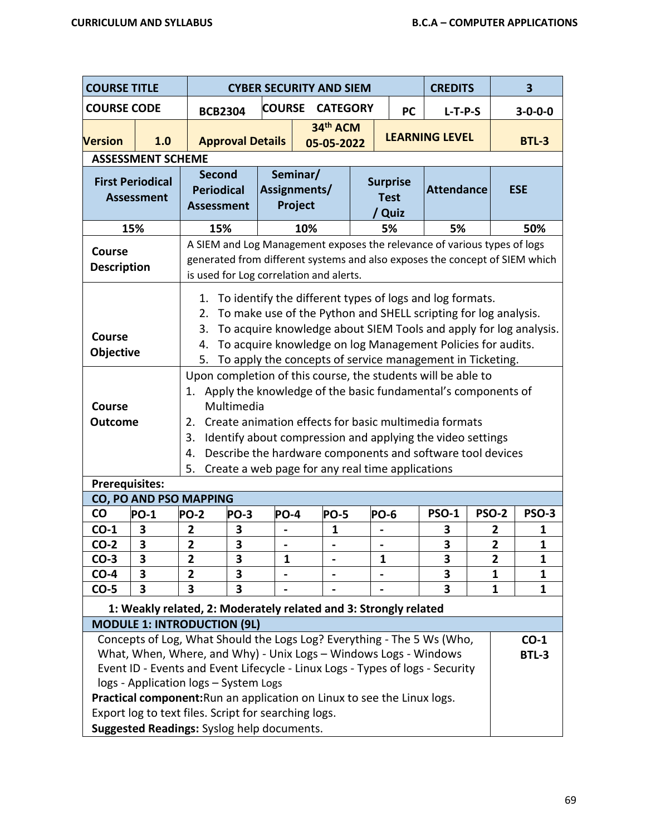| <b>COURSE TITLE</b>                                                                                                                                                                                                                                                                                                                                                                      |                         |                                                                                                                                                                                                                                                                                                                                                                                                                   |               | <b>CYBER SECURITY AND SIEM</b>      |  |                                          | <b>CREDITS</b>        |                 | $\overline{\mathbf{3}}$ |
|------------------------------------------------------------------------------------------------------------------------------------------------------------------------------------------------------------------------------------------------------------------------------------------------------------------------------------------------------------------------------------------|-------------------------|-------------------------------------------------------------------------------------------------------------------------------------------------------------------------------------------------------------------------------------------------------------------------------------------------------------------------------------------------------------------------------------------------------------------|---------------|-------------------------------------|--|------------------------------------------|-----------------------|-----------------|-------------------------|
| <b>COURSE CODE</b>                                                                                                                                                                                                                                                                                                                                                                       |                         | <b>BCB2304</b>                                                                                                                                                                                                                                                                                                                                                                                                    | <b>COURSE</b> | <b>CATEGORY</b>                     |  | <b>PC</b>                                | $L-T-P-S$             |                 | $3 - 0 - 0 - 0$         |
| <b>Version</b>                                                                                                                                                                                                                                                                                                                                                                           | 1.0                     | <b>Approval Details</b>                                                                                                                                                                                                                                                                                                                                                                                           |               | 34th ACM<br>05-05-2022              |  |                                          | <b>LEARNING LEVEL</b> |                 | <b>BTL-3</b>            |
| <b>ASSESSMENT SCHEME</b><br><b>First Periodical</b><br><b>Assessment</b>                                                                                                                                                                                                                                                                                                                 |                         | <b>Second</b><br><b>Periodical</b><br><b>Assessment</b>                                                                                                                                                                                                                                                                                                                                                           |               | Seminar/<br>Assignments/<br>Project |  | <b>Surprise</b><br><b>Test</b><br>/ Quiz | <b>Attendance</b>     |                 | <b>ESE</b>              |
| 15%                                                                                                                                                                                                                                                                                                                                                                                      |                         | 15%                                                                                                                                                                                                                                                                                                                                                                                                               |               | 10%                                 |  | 5%                                       | 5%                    |                 | 50%                     |
| <b>Course</b><br><b>Description</b>                                                                                                                                                                                                                                                                                                                                                      |                         | A SIEM and Log Management exposes the relevance of various types of logs<br>generated from different systems and also exposes the concept of SIEM which<br>is used for Log correlation and alerts.                                                                                                                                                                                                                |               |                                     |  |                                          |                       |                 |                         |
| To identify the different types of logs and log formats.<br>1.<br>To make use of the Python and SHELL scripting for log analysis.<br>2.<br>To acquire knowledge about SIEM Tools and apply for log analysis.<br>3.<br><b>Course</b><br>To acquire knowledge on log Management Policies for audits.<br>4.<br>Objective<br>To apply the concepts of service management in Ticketing.<br>5. |                         |                                                                                                                                                                                                                                                                                                                                                                                                                   |               |                                     |  |                                          |                       |                 |                         |
| <b>Course</b><br><b>Outcome</b>                                                                                                                                                                                                                                                                                                                                                          |                         | Upon completion of this course, the students will be able to<br>Apply the knowledge of the basic fundamental's components of<br>1.<br>Multimedia<br>Create animation effects for basic multimedia formats<br>2.<br>Identify about compression and applying the video settings<br>3.<br>Describe the hardware components and software tool devices<br>4.<br>Create a web page for any real time applications<br>5. |               |                                     |  |                                          |                       |                 |                         |
| <b>Prerequisites:</b>                                                                                                                                                                                                                                                                                                                                                                    |                         |                                                                                                                                                                                                                                                                                                                                                                                                                   |               |                                     |  |                                          |                       |                 |                         |
|                                                                                                                                                                                                                                                                                                                                                                                          |                         | <b>CO, PO AND PSO MAPPING</b>                                                                                                                                                                                                                                                                                                                                                                                     |               |                                     |  |                                          |                       |                 |                         |
| CO                                                                                                                                                                                                                                                                                                                                                                                       | <b>PO-1</b>             | <b>PO-2</b><br>PO-3                                                                                                                                                                                                                                                                                                                                                                                               | <b>PO-4</b>   | <b>PO-5</b>                         |  | <b>PO-6</b>                              | <b>PSO-1</b>          | <b>PSO-2</b>    | <b>PSO-3</b>            |
| $CO-1$                                                                                                                                                                                                                                                                                                                                                                                   | 3                       | 3<br>$\overline{\mathbf{2}}$                                                                                                                                                                                                                                                                                                                                                                                      |               | 1                                   |  |                                          | 3                     | 2               | 1                       |
| $CO-2$                                                                                                                                                                                                                                                                                                                                                                                   | $\overline{\mathbf{3}}$ | $\overline{\mathbf{3}}$<br>$\overline{2}$                                                                                                                                                                                                                                                                                                                                                                         |               |                                     |  |                                          | 3                     | 2               | 1                       |
| $CO-3$                                                                                                                                                                                                                                                                                                                                                                                   | $\overline{\mathbf{3}}$ | $\overline{2}$<br>3                                                                                                                                                                                                                                                                                                                                                                                               | $\mathbf{1}$  |                                     |  | $\mathbf{1}$                             | 3                     | $\overline{2}$  | $\mathbf{1}$            |
| $CO-4$                                                                                                                                                                                                                                                                                                                                                                                   | 3                       | 3<br>2                                                                                                                                                                                                                                                                                                                                                                                                            |               |                                     |  |                                          | 3                     | 1               | 1                       |
| $CO-5$                                                                                                                                                                                                                                                                                                                                                                                   | 3                       | 3<br>3                                                                                                                                                                                                                                                                                                                                                                                                            |               |                                     |  |                                          | 3                     | 1               | 1                       |
|                                                                                                                                                                                                                                                                                                                                                                                          |                         | 1: Weakly related, 2: Moderately related and 3: Strongly related                                                                                                                                                                                                                                                                                                                                                  |               |                                     |  |                                          |                       |                 |                         |
|                                                                                                                                                                                                                                                                                                                                                                                          |                         | <b>MODULE 1: INTRODUCTION (9L)</b>                                                                                                                                                                                                                                                                                                                                                                                |               |                                     |  |                                          |                       |                 |                         |
| Concepts of Log, What Should the Logs Log? Everything - The 5 Ws (Who,<br>What, When, Where, and Why) - Unix Logs - Windows Logs - Windows<br>Event ID - Events and Event Lifecycle - Linux Logs - Types of logs - Security<br>logs - Application logs - System Logs<br>Practical component: Run an application on Linux to see the Linux logs.                                          |                         |                                                                                                                                                                                                                                                                                                                                                                                                                   |               |                                     |  |                                          |                       | $CO-1$<br>BTL-3 |                         |
|                                                                                                                                                                                                                                                                                                                                                                                          |                         | Export log to text files. Script for searching logs.                                                                                                                                                                                                                                                                                                                                                              |               |                                     |  |                                          |                       |                 |                         |
|                                                                                                                                                                                                                                                                                                                                                                                          |                         | Suggested Readings: Syslog help documents.                                                                                                                                                                                                                                                                                                                                                                        |               |                                     |  |                                          |                       |                 |                         |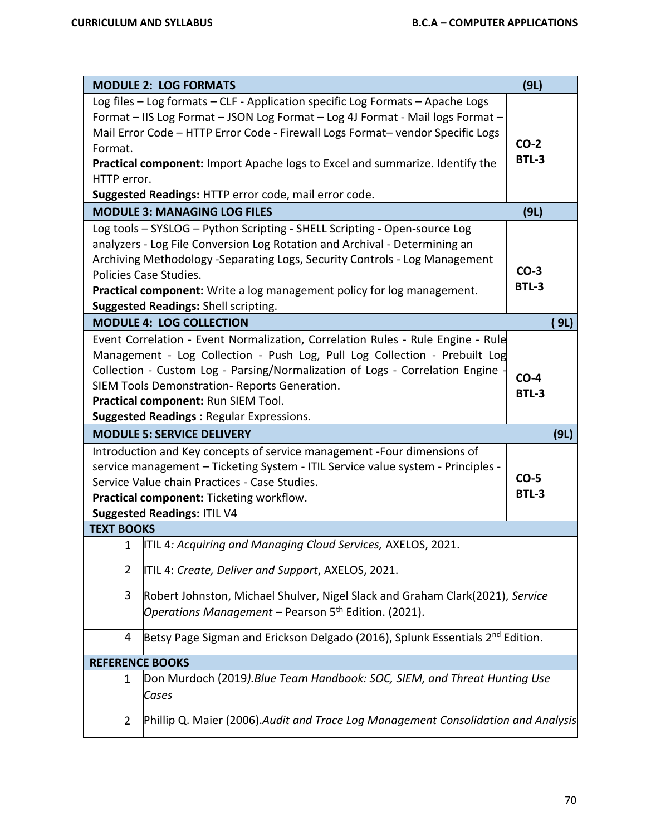|                                                                                                                                                                                                                                                                                                                                                                                         | <b>MODULE 2: LOG FORMATS</b>                                                                                                                                                                                                                                                                                                                                                             | (9L)                   |      |  |  |  |  |  |
|-----------------------------------------------------------------------------------------------------------------------------------------------------------------------------------------------------------------------------------------------------------------------------------------------------------------------------------------------------------------------------------------|------------------------------------------------------------------------------------------------------------------------------------------------------------------------------------------------------------------------------------------------------------------------------------------------------------------------------------------------------------------------------------------|------------------------|------|--|--|--|--|--|
| Format.                                                                                                                                                                                                                                                                                                                                                                                 | Log files - Log formats - CLF - Application specific Log Formats - Apache Logs<br>Format - IIS Log Format - JSON Log Format - Log 4J Format - Mail logs Format -<br>Mail Error Code - HTTP Error Code - Firewall Logs Format- vendor Specific Logs<br>Practical component: Import Apache logs to Excel and summarize. Identify the                                                       | $CO-2$<br><b>BTL-3</b> |      |  |  |  |  |  |
| HTTP error.<br>Suggested Readings: HTTP error code, mail error code.                                                                                                                                                                                                                                                                                                                    |                                                                                                                                                                                                                                                                                                                                                                                          |                        |      |  |  |  |  |  |
|                                                                                                                                                                                                                                                                                                                                                                                         | <b>MODULE 3: MANAGING LOG FILES</b>                                                                                                                                                                                                                                                                                                                                                      | (9L)                   |      |  |  |  |  |  |
|                                                                                                                                                                                                                                                                                                                                                                                         | Log tools - SYSLOG - Python Scripting - SHELL Scripting - Open-source Log<br>analyzers - Log File Conversion Log Rotation and Archival - Determining an<br>Archiving Methodology -Separating Logs, Security Controls - Log Management<br>Policies Case Studies.<br>Practical component: Write a log management policy for log management.<br><b>Suggested Readings: Shell scripting.</b> | $CO-3$<br><b>BTL-3</b> |      |  |  |  |  |  |
|                                                                                                                                                                                                                                                                                                                                                                                         | <b>MODULE 4: LOG COLLECTION</b>                                                                                                                                                                                                                                                                                                                                                          |                        | (9L) |  |  |  |  |  |
| Event Correlation - Event Normalization, Correlation Rules - Rule Engine - Rule<br>Management - Log Collection - Push Log, Pull Log Collection - Prebuilt Log<br>Collection - Custom Log - Parsing/Normalization of Logs - Correlation Engine<br>SIEM Tools Demonstration-Reports Generation.<br>Practical component: Run SIEM Tool.<br><b>Suggested Readings: Regular Expressions.</b> |                                                                                                                                                                                                                                                                                                                                                                                          |                        |      |  |  |  |  |  |
|                                                                                                                                                                                                                                                                                                                                                                                         | <b>MODULE 5: SERVICE DELIVERY</b>                                                                                                                                                                                                                                                                                                                                                        |                        | (9L) |  |  |  |  |  |
| Introduction and Key concepts of service management -Four dimensions of<br>service management - Ticketing System - ITIL Service value system - Principles -<br>Service Value chain Practices - Case Studies.<br>Practical component: Ticketing workflow.<br><b>Suggested Readings: ITIL V4</b>                                                                                          |                                                                                                                                                                                                                                                                                                                                                                                          |                        |      |  |  |  |  |  |
| <b>TEXT BOOKS</b>                                                                                                                                                                                                                                                                                                                                                                       |                                                                                                                                                                                                                                                                                                                                                                                          |                        |      |  |  |  |  |  |
| 1                                                                                                                                                                                                                                                                                                                                                                                       | ITIL 4: Acquiring and Managing Cloud Services, AXELOS, 2021                                                                                                                                                                                                                                                                                                                              |                        |      |  |  |  |  |  |
| $\overline{2}$                                                                                                                                                                                                                                                                                                                                                                          | ITIL 4: Create, Deliver and Support, AXELOS, 2021.                                                                                                                                                                                                                                                                                                                                       |                        |      |  |  |  |  |  |
| 3                                                                                                                                                                                                                                                                                                                                                                                       | Robert Johnston, Michael Shulver, Nigel Slack and Graham Clark(2021), Service                                                                                                                                                                                                                                                                                                            |                        |      |  |  |  |  |  |
|                                                                                                                                                                                                                                                                                                                                                                                         | Operations Management - Pearson 5 <sup>th</sup> Edition. (2021).                                                                                                                                                                                                                                                                                                                         |                        |      |  |  |  |  |  |
| 4                                                                                                                                                                                                                                                                                                                                                                                       | Betsy Page Sigman and Erickson Delgado (2016), Splunk Essentials 2 <sup>nd</sup> Edition.                                                                                                                                                                                                                                                                                                |                        |      |  |  |  |  |  |
| <b>REFERENCE BOOKS</b>                                                                                                                                                                                                                                                                                                                                                                  |                                                                                                                                                                                                                                                                                                                                                                                          |                        |      |  |  |  |  |  |
| 1                                                                                                                                                                                                                                                                                                                                                                                       | Don Murdoch (2019). Blue Team Handbook: SOC, SIEM, and Threat Hunting Use<br>Cases                                                                                                                                                                                                                                                                                                       |                        |      |  |  |  |  |  |
| $\overline{2}$                                                                                                                                                                                                                                                                                                                                                                          | Phillip Q. Maier (2006).Audit and Trace Log Management Consolidation and Analysis                                                                                                                                                                                                                                                                                                        |                        |      |  |  |  |  |  |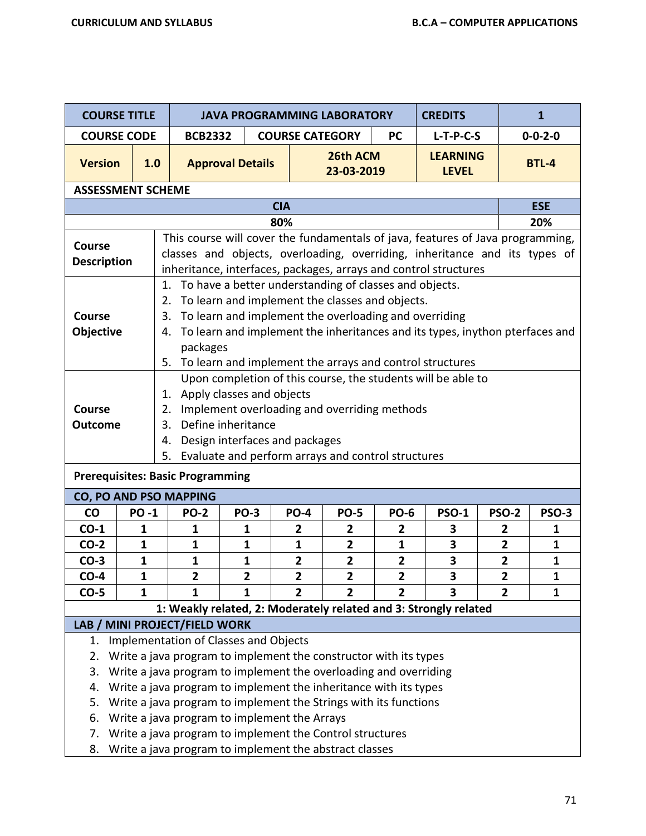| <b>COURSE TITLE</b>                                                                                                                        |                                                              | <b>JAVA PROGRAMMING LABORATORY</b>                                                               |                                     |                |                                                       |                | <b>CREDITS</b>                                                                 |                | $\mathbf{1}$    |  |  |
|--------------------------------------------------------------------------------------------------------------------------------------------|--------------------------------------------------------------|--------------------------------------------------------------------------------------------------|-------------------------------------|----------------|-------------------------------------------------------|----------------|--------------------------------------------------------------------------------|----------------|-----------------|--|--|
| <b>COURSE CODE</b>                                                                                                                         |                                                              | <b>BCB2332</b>                                                                                   | <b>COURSE CATEGORY</b><br><b>PC</b> |                |                                                       |                | $L-T-P-C-S$                                                                    |                | $0 - 0 - 2 - 0$ |  |  |
| <b>Version</b>                                                                                                                             | 1.0                                                          |                                                                                                  | <b>Approval Details</b>             |                | 26th ACM<br>23-03-2019                                |                | <b>LEARNING</b><br><b>LEVEL</b>                                                |                | <b>BTL-4</b>    |  |  |
| <b>ASSESSMENT SCHEME</b>                                                                                                                   |                                                              |                                                                                                  |                                     |                |                                                       |                |                                                                                |                |                 |  |  |
|                                                                                                                                            |                                                              |                                                                                                  |                                     | <b>CIA</b>     |                                                       |                |                                                                                |                | <b>ESE</b>      |  |  |
|                                                                                                                                            |                                                              |                                                                                                  |                                     | 80%            |                                                       |                |                                                                                |                | 20%             |  |  |
| <b>Course</b>                                                                                                                              |                                                              |                                                                                                  |                                     |                |                                                       |                | This course will cover the fundamentals of java, features of Java programming, |                |                 |  |  |
| classes and objects, overloading, overriding, inheritance and its types of<br><b>Description</b>                                           |                                                              |                                                                                                  |                                     |                |                                                       |                |                                                                                |                |                 |  |  |
|                                                                                                                                            |                                                              |                                                                                                  |                                     |                |                                                       |                | inheritance, interfaces, packages, arrays and control structures               |                |                 |  |  |
|                                                                                                                                            | To have a better understanding of classes and objects.<br>1. |                                                                                                  |                                     |                |                                                       |                |                                                                                |                |                 |  |  |
|                                                                                                                                            |                                                              | 2.                                                                                               |                                     |                | To learn and implement the classes and objects.       |                |                                                                                |                |                 |  |  |
| Course                                                                                                                                     |                                                              | 3.                                                                                               |                                     |                | To learn and implement the overloading and overriding |                |                                                                                |                |                 |  |  |
| Objective                                                                                                                                  |                                                              | 4.                                                                                               |                                     |                |                                                       |                | To learn and implement the inheritances and its types, inython pterfaces and   |                |                 |  |  |
|                                                                                                                                            |                                                              | packages                                                                                         |                                     |                |                                                       |                |                                                                                |                |                 |  |  |
|                                                                                                                                            |                                                              |                                                                                                  |                                     |                |                                                       |                | 5. To learn and implement the arrays and control structures                    |                |                 |  |  |
|                                                                                                                                            |                                                              |                                                                                                  |                                     |                |                                                       |                | Upon completion of this course, the students will be able to                   |                |                 |  |  |
|                                                                                                                                            |                                                              | Apply classes and objects<br>1.<br>Implement overloading and overriding methods                  |                                     |                |                                                       |                |                                                                                |                |                 |  |  |
| Course                                                                                                                                     |                                                              | 2.                                                                                               |                                     |                |                                                       |                |                                                                                |                |                 |  |  |
| Define inheritance<br>3.<br><b>Outcome</b>                                                                                                 |                                                              |                                                                                                  |                                     |                |                                                       |                |                                                                                |                |                 |  |  |
|                                                                                                                                            |                                                              | Design interfaces and packages<br>4.<br>Evaluate and perform arrays and control structures<br>5. |                                     |                |                                                       |                |                                                                                |                |                 |  |  |
|                                                                                                                                            |                                                              |                                                                                                  |                                     |                |                                                       |                |                                                                                |                |                 |  |  |
| <b>Prerequisites: Basic Programming</b>                                                                                                    |                                                              |                                                                                                  |                                     |                |                                                       |                |                                                                                |                |                 |  |  |
| <b>CO, PO AND PSO MAPPING</b>                                                                                                              |                                                              |                                                                                                  |                                     |                |                                                       |                |                                                                                |                |                 |  |  |
| <b>CO</b>                                                                                                                                  | <b>PO-1</b>                                                  | <b>PO-2</b>                                                                                      | <b>PO-3</b>                         | <b>PO-4</b>    | <b>PO-5</b>                                           | <b>PO-6</b>    | <b>PSO-1</b>                                                                   | <b>PSO-2</b>   | <b>PSO-3</b>    |  |  |
| $CO-1$                                                                                                                                     | 1                                                            | 1                                                                                                | $\mathbf 1$                         | 2              | $\overline{2}$                                        | $\mathbf{2}$   | 3                                                                              | 2              | 1               |  |  |
| $CO-2$                                                                                                                                     | $\mathbf{1}$                                                 | $\mathbf{1}$                                                                                     | 1                                   | $\mathbf{1}$   | $\overline{2}$                                        | $\mathbf{1}$   | 3                                                                              | $\overline{2}$ | $\mathbf{1}$    |  |  |
| $CO-3$                                                                                                                                     | $\mathbf{1}$                                                 | 1                                                                                                | $\mathbf{1}$                        | $\overline{2}$ | $\overline{2}$                                        | $\overline{2}$ | 3                                                                              | $\overline{2}$ | 1               |  |  |
| $CO-4$                                                                                                                                     | $\mathbf{1}$                                                 | 2                                                                                                | 2                                   | 2              | 2                                                     | $\mathbf{2}$   | 3                                                                              | $\mathbf{2}$   | $\mathbf{1}$    |  |  |
| $CO-5$                                                                                                                                     | 1                                                            | 1                                                                                                | 1                                   | $\mathbf{2}$   | $\mathbf{2}$                                          | $\overline{2}$ | 3                                                                              | $\overline{2}$ | 1               |  |  |
|                                                                                                                                            |                                                              | LAB / MINI PROJECT/FIELD WORK                                                                    |                                     |                |                                                       |                | 1: Weakly related, 2: Moderately related and 3: Strongly related               |                |                 |  |  |
| 1.                                                                                                                                         |                                                              | Implementation of Classes and Objects                                                            |                                     |                |                                                       |                |                                                                                |                |                 |  |  |
| 2.                                                                                                                                         |                                                              | Write a java program to implement the constructor with its types                                 |                                     |                |                                                       |                |                                                                                |                |                 |  |  |
| 3.                                                                                                                                         |                                                              |                                                                                                  |                                     |                |                                                       |                |                                                                                |                |                 |  |  |
| Write a java program to implement the overloading and overriding<br>Write a java program to implement the inheritance with its types<br>4. |                                                              |                                                                                                  |                                     |                |                                                       |                |                                                                                |                |                 |  |  |
| Write a java program to implement the Strings with its functions<br>5.                                                                     |                                                              |                                                                                                  |                                     |                |                                                       |                |                                                                                |                |                 |  |  |
| Write a java program to implement the Arrays<br>6.                                                                                         |                                                              |                                                                                                  |                                     |                |                                                       |                |                                                                                |                |                 |  |  |
| 7.                                                                                                                                         |                                                              | Write a java program to implement the Control structures                                         |                                     |                |                                                       |                |                                                                                |                |                 |  |  |
| Write a java program to implement the abstract classes<br>8.                                                                               |                                                              |                                                                                                  |                                     |                |                                                       |                |                                                                                |                |                 |  |  |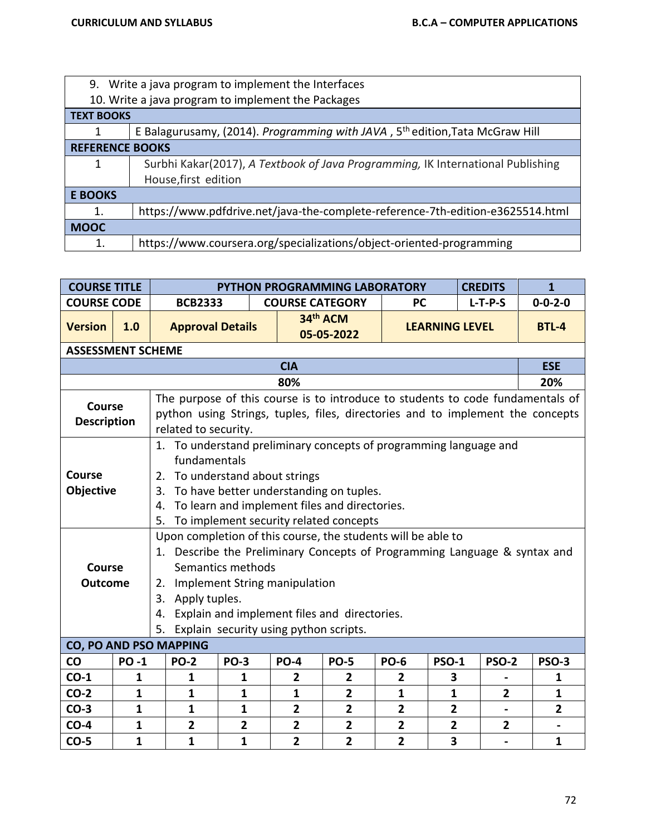| 9. Write a java program to implement the Interfaces |                                                                                          |  |  |  |  |  |  |  |
|-----------------------------------------------------|------------------------------------------------------------------------------------------|--|--|--|--|--|--|--|
|                                                     | 10. Write a java program to implement the Packages                                       |  |  |  |  |  |  |  |
| <b>TEXT BOOKS</b>                                   |                                                                                          |  |  |  |  |  |  |  |
|                                                     | E Balagurusamy, (2014). Programming with JAVA, 5 <sup>th</sup> edition, Tata McGraw Hill |  |  |  |  |  |  |  |
| <b>REFERENCE BOOKS</b>                              |                                                                                          |  |  |  |  |  |  |  |
| 1                                                   | Surbhi Kakar(2017), A Textbook of Java Programming, IK International Publishing          |  |  |  |  |  |  |  |
|                                                     | House, first edition                                                                     |  |  |  |  |  |  |  |
| <b>E BOOKS</b>                                      |                                                                                          |  |  |  |  |  |  |  |
| 1.                                                  | https://www.pdfdrive.net/java-the-complete-reference-7th-edition-e3625514.html           |  |  |  |  |  |  |  |
| <b>MOOC</b>                                         |                                                                                          |  |  |  |  |  |  |  |
| 1.                                                  | https://www.coursera.org/specializations/object-oriented-programming                     |  |  |  |  |  |  |  |

| <b>COURSE TITLE</b><br><b>CREDITS</b><br>PYTHON PROGRAMMING LABORATORY |                                                                                                                                                                                                                                                                                                                                                                |                                                                                                                                                                                          |                                                                                                                                                                                                                                                                          |                                |                                           |                                           |                                  | $\mathbf{1}$           |              |                |                         |  |
|------------------------------------------------------------------------|----------------------------------------------------------------------------------------------------------------------------------------------------------------------------------------------------------------------------------------------------------------------------------------------------------------------------------------------------------------|------------------------------------------------------------------------------------------------------------------------------------------------------------------------------------------|--------------------------------------------------------------------------------------------------------------------------------------------------------------------------------------------------------------------------------------------------------------------------|--------------------------------|-------------------------------------------|-------------------------------------------|----------------------------------|------------------------|--------------|----------------|-------------------------|--|
| <b>COURSE CODE</b>                                                     |                                                                                                                                                                                                                                                                                                                                                                |                                                                                                                                                                                          | <b>BCB2333</b>                                                                                                                                                                                                                                                           |                                | <b>COURSE CATEGORY</b>                    |                                           |                                  | $L-T-P-S$<br><b>PC</b> |              |                | $0 - 0 - 2 - 0$         |  |
| <b>Version</b>                                                         | 1.0                                                                                                                                                                                                                                                                                                                                                            |                                                                                                                                                                                          | <b>Approval Details</b>                                                                                                                                                                                                                                                  |                                |                                           | 34th ACM<br>05-05-2022                    |                                  | <b>LEARNING LEVEL</b>  |              |                | <b>BTL-4</b>            |  |
| <b>ASSESSMENT SCHEME</b>                                               |                                                                                                                                                                                                                                                                                                                                                                |                                                                                                                                                                                          |                                                                                                                                                                                                                                                                          |                                |                                           |                                           |                                  |                        |              |                |                         |  |
|                                                                        |                                                                                                                                                                                                                                                                                                                                                                |                                                                                                                                                                                          |                                                                                                                                                                                                                                                                          |                                | <b>CIA</b>                                |                                           |                                  |                        |              |                | <b>ESE</b>              |  |
| 80%                                                                    |                                                                                                                                                                                                                                                                                                                                                                |                                                                                                                                                                                          |                                                                                                                                                                                                                                                                          |                                |                                           |                                           |                                  |                        |              |                | 20%                     |  |
| <b>Course</b><br><b>Description</b>                                    |                                                                                                                                                                                                                                                                                                                                                                | The purpose of this course is to introduce to students to code fundamentals of<br>python using Strings, tuples, files, directories and to implement the concepts<br>related to security. |                                                                                                                                                                                                                                                                          |                                |                                           |                                           |                                  |                        |              |                |                         |  |
| <b>Course</b><br>Objective                                             |                                                                                                                                                                                                                                                                                                                                                                | 5.                                                                                                                                                                                       | 1. To understand preliminary concepts of programming language and<br>fundamentals<br>To understand about strings<br>2.<br>To have better understanding on tuples.<br>3.<br>To learn and implement files and directories.<br>4.<br>To implement security related concepts |                                |                                           |                                           |                                  |                        |              |                |                         |  |
|                                                                        | Upon completion of this course, the students will be able to<br>1. Describe the Preliminary Concepts of Programming Language & syntax and<br>Semantics methods<br>Course<br>Implement String manipulation<br><b>Outcome</b><br>2.<br>Apply tuples.<br>3.<br>Explain and implement files and directories.<br>4.<br>Explain security using python scripts.<br>5. |                                                                                                                                                                                          |                                                                                                                                                                                                                                                                          |                                |                                           |                                           |                                  |                        |              |                |                         |  |
| CO, PO AND PSO MAPPING                                                 |                                                                                                                                                                                                                                                                                                                                                                |                                                                                                                                                                                          |                                                                                                                                                                                                                                                                          |                                |                                           |                                           |                                  |                        |              |                |                         |  |
| CO                                                                     | <b>PO-1</b>                                                                                                                                                                                                                                                                                                                                                    |                                                                                                                                                                                          | <b>PO-2</b>                                                                                                                                                                                                                                                              | <b>PO-3</b>                    | <b>PO-4</b>                               | <b>PO-5</b>                               | <b>PO-6</b>                      | <b>PSO-1</b>           | <b>PSO-2</b> |                | <b>PSO-3</b>            |  |
| $CO-1$                                                                 | 1                                                                                                                                                                                                                                                                                                                                                              |                                                                                                                                                                                          | 1                                                                                                                                                                                                                                                                        | 1                              | $\overline{2}$                            | 2                                         | 2                                | 3                      |              |                | 1                       |  |
| $CO-2$                                                                 | 1                                                                                                                                                                                                                                                                                                                                                              |                                                                                                                                                                                          | 1                                                                                                                                                                                                                                                                        | 1                              | $\mathbf{1}$                              | $\overline{2}$                            | 1                                | 1                      |              | $\mathbf{2}$   | $\mathbf{1}$            |  |
| $CO-3$                                                                 | 1                                                                                                                                                                                                                                                                                                                                                              |                                                                                                                                                                                          | $\mathbf{1}$                                                                                                                                                                                                                                                             | $\mathbf{1}$                   | $\overline{2}$                            | $\overline{2}$                            | $\overline{\mathbf{2}}$          | $\mathbf{2}$           |              |                | $\overline{\mathbf{2}}$ |  |
| $CO-4$<br>$CO-5$                                                       | 1<br>$\mathbf{1}$                                                                                                                                                                                                                                                                                                                                              |                                                                                                                                                                                          | $\overline{2}$<br>$\mathbf{1}$                                                                                                                                                                                                                                           | $\overline{2}$<br>$\mathbf{1}$ | $\overline{\mathbf{2}}$<br>$\overline{2}$ | $\overline{2}$<br>$\overline{\mathbf{2}}$ | $\overline{2}$<br>$\overline{2}$ | $\mathbf{2}$<br>3      |              | $\overline{2}$ | $\mathbf{1}$            |  |
|                                                                        |                                                                                                                                                                                                                                                                                                                                                                |                                                                                                                                                                                          |                                                                                                                                                                                                                                                                          |                                |                                           |                                           |                                  |                        |              |                |                         |  |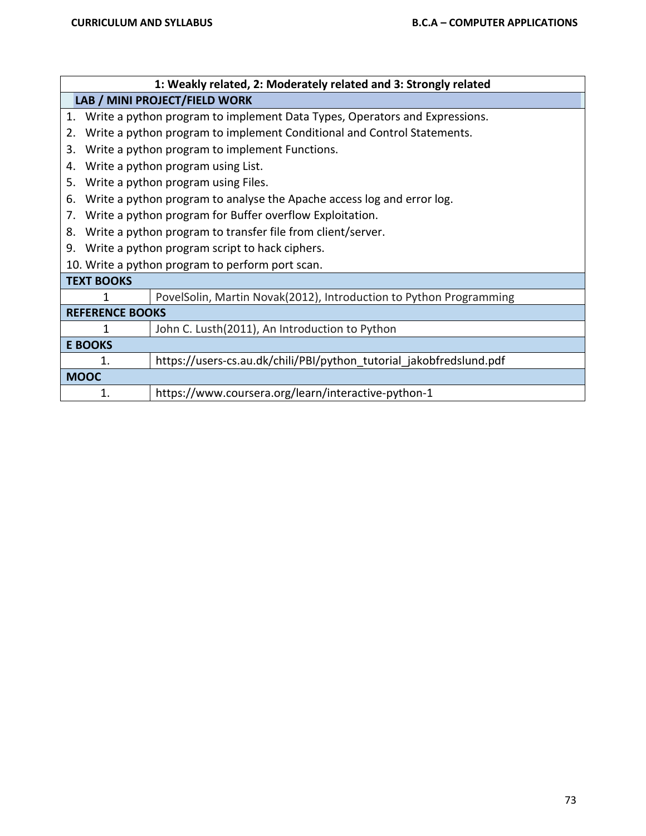|                        | 1: Weakly related, 2: Moderately related and 3: Strongly related              |  |  |  |  |  |  |  |  |
|------------------------|-------------------------------------------------------------------------------|--|--|--|--|--|--|--|--|
|                        | LAB / MINI PROJECT/FIELD WORK                                                 |  |  |  |  |  |  |  |  |
|                        | 1. Write a python program to implement Data Types, Operators and Expressions. |  |  |  |  |  |  |  |  |
| 2.                     | Write a python program to implement Conditional and Control Statements.       |  |  |  |  |  |  |  |  |
| 3.                     | Write a python program to implement Functions.                                |  |  |  |  |  |  |  |  |
| 4.                     | Write a python program using List.                                            |  |  |  |  |  |  |  |  |
| 5.                     | Write a python program using Files.                                           |  |  |  |  |  |  |  |  |
| 6.                     | Write a python program to analyse the Apache access log and error log.        |  |  |  |  |  |  |  |  |
| 7.                     | Write a python program for Buffer overflow Exploitation.                      |  |  |  |  |  |  |  |  |
| 8.                     | Write a python program to transfer file from client/server.                   |  |  |  |  |  |  |  |  |
| 9.                     | Write a python program script to hack ciphers.                                |  |  |  |  |  |  |  |  |
|                        | 10. Write a python program to perform port scan.                              |  |  |  |  |  |  |  |  |
| <b>TEXT BOOKS</b>      |                                                                               |  |  |  |  |  |  |  |  |
| 1                      | PovelSolin, Martin Novak(2012), Introduction to Python Programming            |  |  |  |  |  |  |  |  |
| <b>REFERENCE BOOKS</b> |                                                                               |  |  |  |  |  |  |  |  |
| 1                      | John C. Lusth(2011), An Introduction to Python                                |  |  |  |  |  |  |  |  |
| <b>E BOOKS</b>         |                                                                               |  |  |  |  |  |  |  |  |
| 1.                     | https://users-cs.au.dk/chili/PBI/python tutorial jakobfredslund.pdf           |  |  |  |  |  |  |  |  |
| <b>MOOC</b>            |                                                                               |  |  |  |  |  |  |  |  |
| 1.                     | https://www.coursera.org/learn/interactive-python-1                           |  |  |  |  |  |  |  |  |
|                        |                                                                               |  |  |  |  |  |  |  |  |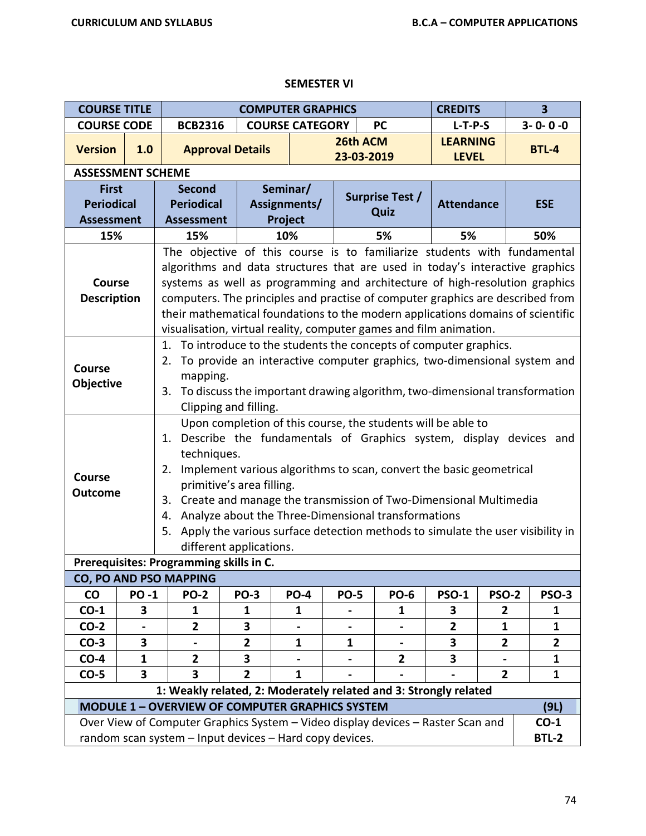## **SEMESTER VI**

| <b>COURSE TITLE</b>      |             |                                                                                                                            |                                                     | <b>COMPUTER GRAPHICS</b> |                |                                                                                | <b>CREDITS</b>    |                | $\overline{\mathbf{3}}$ |  |  |  |
|--------------------------|-------------|----------------------------------------------------------------------------------------------------------------------------|-----------------------------------------------------|--------------------------|----------------|--------------------------------------------------------------------------------|-------------------|----------------|-------------------------|--|--|--|
| <b>COURSE CODE</b>       |             | <b>BCB2316</b>                                                                                                             |                                                     | <b>COURSE CATEGORY</b>   |                | <b>PC</b>                                                                      | $L-T-P-S$         |                | $3 - 0 - 0 - 0$         |  |  |  |
| <b>Version</b>           | 1.0         |                                                                                                                            | <b>Approval Details</b>                             |                          | 26th ACM       |                                                                                | <b>LEARNING</b>   |                | <b>BTL-4</b>            |  |  |  |
|                          |             |                                                                                                                            |                                                     |                          | 23-03-2019     |                                                                                | <b>LEVEL</b>      |                |                         |  |  |  |
| <b>ASSESSMENT SCHEME</b> |             |                                                                                                                            |                                                     |                          |                |                                                                                |                   |                |                         |  |  |  |
| <b>First</b>             |             | <b>Second</b>                                                                                                              |                                                     | Seminar/                 |                | Surprise Test /                                                                |                   |                |                         |  |  |  |
| <b>Periodical</b>        |             | <b>Periodical</b>                                                                                                          |                                                     | Assignments/             |                | Quiz                                                                           | <b>Attendance</b> |                | <b>ESE</b>              |  |  |  |
| <b>Assessment</b>        |             | <b>Assessment</b>                                                                                                          |                                                     | Project                  |                |                                                                                |                   |                |                         |  |  |  |
| 15%                      |             | 15%                                                                                                                        |                                                     | 10%                      |                | 5%                                                                             | 5%                |                | 50%                     |  |  |  |
|                          |             | The objective of this course is to familiarize students with fundamental                                                   |                                                     |                          |                |                                                                                |                   |                |                         |  |  |  |
|                          |             | algorithms and data structures that are used in today's interactive graphics                                               |                                                     |                          |                |                                                                                |                   |                |                         |  |  |  |
| <b>Course</b>            |             | systems as well as programming and architecture of high-resolution graphics                                                |                                                     |                          |                |                                                                                |                   |                |                         |  |  |  |
| <b>Description</b>       |             | computers. The principles and practise of computer graphics are described from                                             |                                                     |                          |                |                                                                                |                   |                |                         |  |  |  |
|                          |             | their mathematical foundations to the modern applications domains of scientific                                            |                                                     |                          |                |                                                                                |                   |                |                         |  |  |  |
|                          |             | visualisation, virtual reality, computer games and film animation.                                                         |                                                     |                          |                |                                                                                |                   |                |                         |  |  |  |
|                          |             | 1. To introduce to the students the concepts of computer graphics.                                                         |                                                     |                          |                |                                                                                |                   |                |                         |  |  |  |
| <b>Course</b>            |             | 2.                                                                                                                         |                                                     |                          |                | To provide an interactive computer graphics, two-dimensional system and        |                   |                |                         |  |  |  |
| Objective                |             |                                                                                                                            | mapping.                                            |                          |                |                                                                                |                   |                |                         |  |  |  |
|                          |             | 3. To discuss the important drawing algorithm, two-dimensional transformation                                              |                                                     |                          |                |                                                                                |                   |                |                         |  |  |  |
|                          |             |                                                                                                                            | Clipping and filling.                               |                          |                |                                                                                |                   |                |                         |  |  |  |
|                          |             | Upon completion of this course, the students will be able to                                                               |                                                     |                          |                |                                                                                |                   |                |                         |  |  |  |
|                          |             | 1. Describe the fundamentals of Graphics system, display devices and                                                       |                                                     |                          |                |                                                                                |                   |                |                         |  |  |  |
|                          |             | techniques.                                                                                                                |                                                     |                          |                |                                                                                |                   |                |                         |  |  |  |
| <b>Course</b>            |             | Implement various algorithms to scan, convert the basic geometrical<br>2.                                                  |                                                     |                          |                |                                                                                |                   |                |                         |  |  |  |
| <b>Outcome</b>           |             | primitive's area filling.                                                                                                  |                                                     |                          |                |                                                                                |                   |                |                         |  |  |  |
|                          |             | Create and manage the transmission of Two-Dimensional Multimedia<br>3.                                                     |                                                     |                          |                |                                                                                |                   |                |                         |  |  |  |
|                          |             | 4.                                                                                                                         | Analyze about the Three-Dimensional transformations |                          |                |                                                                                |                   |                |                         |  |  |  |
|                          |             | 5.                                                                                                                         |                                                     |                          |                | Apply the various surface detection methods to simulate the user visibility in |                   |                |                         |  |  |  |
|                          |             |                                                                                                                            | different applications.                             |                          |                |                                                                                |                   |                |                         |  |  |  |
|                          |             | Prerequisites: Programming skills in C.                                                                                    |                                                     |                          |                |                                                                                |                   |                |                         |  |  |  |
|                          |             | CO, PO AND PSO MAPPING                                                                                                     |                                                     |                          |                |                                                                                |                   |                |                         |  |  |  |
| <b>CO</b>                | <b>PO-1</b> | <b>PO-2</b>                                                                                                                | <b>PO-3</b>                                         | <b>PO-4</b>              | <b>PO-5</b>    | <b>PO-6</b>                                                                    | <b>PSO-1</b>      | <b>PSO-2</b>   | <b>PSO-3</b>            |  |  |  |
| $CO-1$                   | 3           | 1                                                                                                                          | 1                                                   | 1                        |                | 1                                                                              | 3                 | $\overline{2}$ | $\mathbf{1}$            |  |  |  |
| $CO-2$                   |             | $\mathbf{2}$                                                                                                               | 3                                                   |                          | $\blacksquare$ | $\blacksquare$                                                                 | $\mathbf{2}$      | 1              | 1                       |  |  |  |
| $CO-3$                   | 3           |                                                                                                                            | $\overline{2}$                                      | $\mathbf{1}$             | 1              |                                                                                | 3                 | $\overline{2}$ | $\overline{2}$          |  |  |  |
| $CO-4$                   | 1           | $\mathbf{2}$                                                                                                               | 3                                                   |                          |                | $\mathbf{2}$                                                                   | 3                 |                | 1                       |  |  |  |
| $CO-5$                   | 3           | 3                                                                                                                          | $\overline{2}$                                      | $\mathbf 1$              |                |                                                                                |                   | $\overline{2}$ | 1                       |  |  |  |
|                          |             | 1: Weakly related, 2: Moderately related and 3: Strongly related<br><b>MODULE 1 - OVERVIEW OF COMPUTER GRAPHICS SYSTEM</b> |                                                     |                          |                |                                                                                |                   |                | (9L)                    |  |  |  |
|                          |             | Over View of Computer Graphics System - Video display devices - Raster Scan and                                            |                                                     |                          |                |                                                                                |                   |                | $CO-1$                  |  |  |  |
|                          |             | random scan system - Input devices - Hard copy devices.                                                                    |                                                     |                          |                |                                                                                |                   |                | <b>BTL-2</b>            |  |  |  |
|                          |             |                                                                                                                            |                                                     |                          |                |                                                                                |                   |                |                         |  |  |  |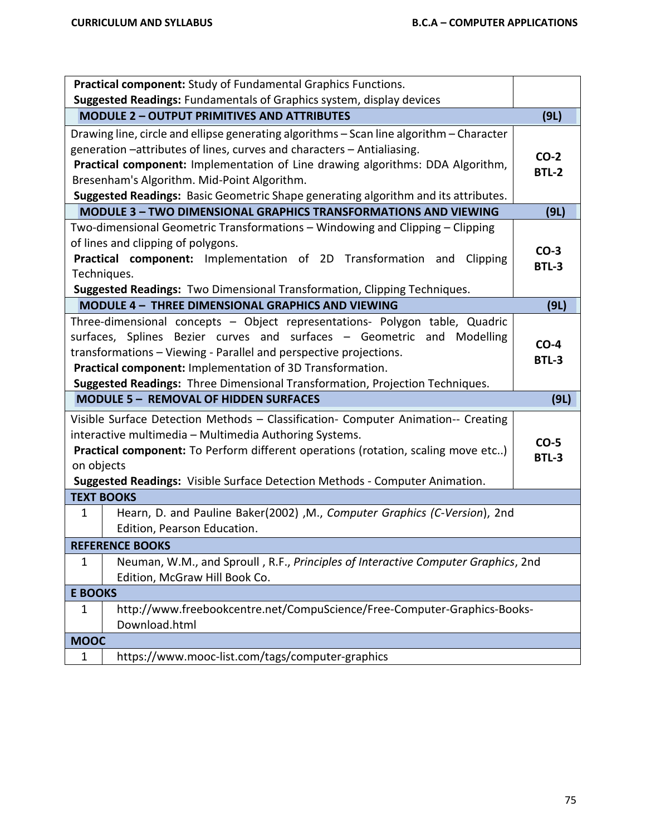| Practical component: Study of Fundamental Graphics Functions.                                    |              |
|--------------------------------------------------------------------------------------------------|--------------|
| Suggested Readings: Fundamentals of Graphics system, display devices                             |              |
| <b>MODULE 2 - OUTPUT PRIMITIVES AND ATTRIBUTES</b>                                               | (9L)         |
| Drawing line, circle and ellipse generating algorithms - Scan line algorithm - Character         |              |
| generation -attributes of lines, curves and characters - Antialiasing.                           | $CO-2$       |
| Practical component: Implementation of Line drawing algorithms: DDA Algorithm,                   | <b>BTL-2</b> |
| Bresenham's Algorithm. Mid-Point Algorithm.                                                      |              |
| Suggested Readings: Basic Geometric Shape generating algorithm and its attributes.               |              |
| <b>MODULE 3 - TWO DIMENSIONAL GRAPHICS TRANSFORMATIONS AND VIEWING</b>                           | (9L)         |
| Two-dimensional Geometric Transformations - Windowing and Clipping - Clipping                    |              |
| of lines and clipping of polygons.                                                               | $CO-3$       |
| Practical component: Implementation of 2D Transformation and<br>Clipping                         | BTL-3        |
| Techniques.                                                                                      |              |
| Suggested Readings: Two Dimensional Transformation, Clipping Techniques.                         |              |
| MODULE 4 - THREE DIMENSIONAL GRAPHICS AND VIEWING                                                | (9L)         |
| Three-dimensional concepts - Object representations- Polygon table, Quadric                      |              |
| surfaces, Splines Bezier curves and surfaces - Geometric and Modelling                           | $CO-4$       |
| transformations - Viewing - Parallel and perspective projections.                                | <b>BTL-3</b> |
| Practical component: Implementation of 3D Transformation.                                        |              |
| Suggested Readings: Three Dimensional Transformation, Projection Techniques.                     |              |
| <b>MODULE 5 - REMOVAL OF HIDDEN SURFACES</b>                                                     | (9L)         |
| Visible Surface Detection Methods - Classification- Computer Animation-- Creating                |              |
| interactive multimedia - Multimedia Authoring Systems.                                           | $CO-5$       |
| Practical component: To Perform different operations (rotation, scaling move etc)                | <b>BTL-3</b> |
| on objects                                                                                       |              |
| Suggested Readings: Visible Surface Detection Methods - Computer Animation.                      |              |
| <b>TEXT BOOKS</b>                                                                                |              |
| Hearn, D. and Pauline Baker(2002), M., Computer Graphics (C-Version), 2nd<br>$\mathbf{1}$        |              |
| Edition, Pearson Education.                                                                      |              |
|                                                                                                  |              |
| <b>REFERENCE BOOKS</b>                                                                           |              |
| Neuman, W.M., and Sproull, R.F., Principles of Interactive Computer Graphics, 2nd<br>$\mathbf 1$ |              |
| Edition, McGraw Hill Book Co.                                                                    |              |
| <b>E BOOKS</b>                                                                                   |              |
| http://www.freebookcentre.net/CompuScience/Free-Computer-Graphics-Books-<br>1                    |              |
| Download.html                                                                                    |              |
| <b>MOOC</b>                                                                                      |              |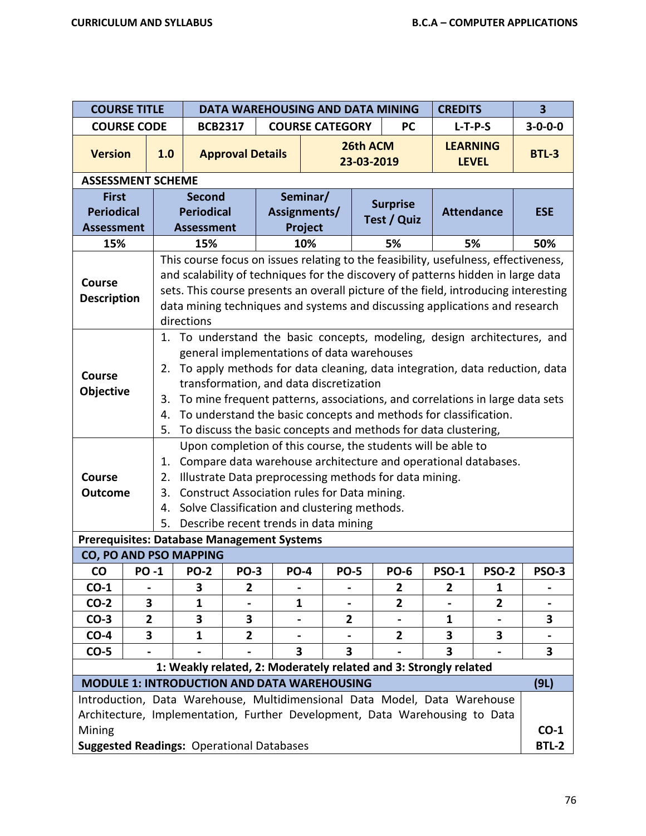|                                                            | <b>COURSE TITLE</b><br>DATA WAREHOUSING AND DATA MINING<br><b>CREDITS</b> |                                                                                                                                                                                                                                                                                                                                                                                                                                                                                               |                        |                         |  |                                                                                                                                                                                                                                                                                                                                   |                        |                 | $\overline{\mathbf{3}}$ |              |                        |  |  |
|------------------------------------------------------------|---------------------------------------------------------------------------|-----------------------------------------------------------------------------------------------------------------------------------------------------------------------------------------------------------------------------------------------------------------------------------------------------------------------------------------------------------------------------------------------------------------------------------------------------------------------------------------------|------------------------|-------------------------|--|-----------------------------------------------------------------------------------------------------------------------------------------------------------------------------------------------------------------------------------------------------------------------------------------------------------------------------------|------------------------|-----------------|-------------------------|--------------|------------------------|--|--|
| <b>COURSE CODE</b>                                         |                                                                           |                                                                                                                                                                                                                                                                                                                                                                                                                                                                                               | <b>BCB2317</b>         |                         |  | <b>COURSE CATEGORY</b><br><b>PC</b>                                                                                                                                                                                                                                                                                               |                        |                 |                         | $L-T-P-S$    | $3 - 0 - 0 - 0$        |  |  |
| <b>Version</b>                                             |                                                                           | 1.0                                                                                                                                                                                                                                                                                                                                                                                                                                                                                           |                        | <b>Approval Details</b> |  |                                                                                                                                                                                                                                                                                                                                   | 26th ACM<br>23-03-2019 |                 | <b>LEARNING</b>         | <b>LEVEL</b> | <b>BTL-3</b>           |  |  |
| <b>ASSESSMENT SCHEME</b>                                   |                                                                           |                                                                                                                                                                                                                                                                                                                                                                                                                                                                                               |                        |                         |  |                                                                                                                                                                                                                                                                                                                                   |                        |                 |                         |              |                        |  |  |
| <b>First</b>                                               |                                                                           |                                                                                                                                                                                                                                                                                                                                                                                                                                                                                               | <b>Second</b>          |                         |  | Seminar/                                                                                                                                                                                                                                                                                                                          |                        | <b>Surprise</b> |                         |              |                        |  |  |
| <b>Periodical</b>                                          |                                                                           |                                                                                                                                                                                                                                                                                                                                                                                                                                                                                               | <b>Periodical</b>      |                         |  | Assignments/                                                                                                                                                                                                                                                                                                                      |                        | Test / Quiz     | <b>Attendance</b>       |              | <b>ESE</b>             |  |  |
| <b>Assessment</b>                                          |                                                                           |                                                                                                                                                                                                                                                                                                                                                                                                                                                                                               | <b>Assessment</b>      |                         |  | Project                                                                                                                                                                                                                                                                                                                           |                        |                 |                         |              |                        |  |  |
| 15%                                                        |                                                                           |                                                                                                                                                                                                                                                                                                                                                                                                                                                                                               | 15%                    |                         |  | 10%                                                                                                                                                                                                                                                                                                                               |                        | 5%              | 5%                      |              | 50%                    |  |  |
| <b>Course</b><br><b>Description</b>                        |                                                                           | This course focus on issues relating to the feasibility, usefulness, effectiveness,<br>and scalability of techniques for the discovery of patterns hidden in large data<br>sets. This course presents an overall picture of the field, introducing interesting<br>data mining techniques and systems and discussing applications and research<br>directions                                                                                                                                   |                        |                         |  |                                                                                                                                                                                                                                                                                                                                   |                        |                 |                         |              |                        |  |  |
| <b>Course</b><br>Objective                                 |                                                                           | 1. To understand the basic concepts, modeling, design architectures, and<br>general implementations of data warehouses<br>To apply methods for data cleaning, data integration, data reduction, data<br>2.<br>transformation, and data discretization<br>To mine frequent patterns, associations, and correlations in large data sets<br>3.<br>To understand the basic concepts and methods for classification.<br>4.<br>To discuss the basic concepts and methods for data clustering,<br>5. |                        |                         |  |                                                                                                                                                                                                                                                                                                                                   |                        |                 |                         |              |                        |  |  |
| <b>Course</b><br><b>Outcome</b>                            |                                                                           | 1.<br>2.<br>3.<br>4.<br>5.                                                                                                                                                                                                                                                                                                                                                                                                                                                                    |                        |                         |  | Upon completion of this course, the students will be able to<br>Compare data warehouse architecture and operational databases.<br>Illustrate Data preprocessing methods for data mining.<br>Construct Association rules for Data mining.<br>Solve Classification and clustering methods.<br>Describe recent trends in data mining |                        |                 |                         |              |                        |  |  |
| <b>Prerequisites: Database Management Systems</b>          |                                                                           |                                                                                                                                                                                                                                                                                                                                                                                                                                                                                               | CO, PO AND PSO MAPPING |                         |  |                                                                                                                                                                                                                                                                                                                                   |                        |                 |                         |              |                        |  |  |
| <b>CO</b>                                                  | PO -1                                                                     |                                                                                                                                                                                                                                                                                                                                                                                                                                                                                               | <b>PO-2</b>            | <b>PO-3</b>             |  | PO-4<br><b>PO-5</b>                                                                                                                                                                                                                                                                                                               |                        | <b>PO-6</b>     | PSO-1                   | PSO-2        | PSO-3                  |  |  |
| $CO-1$                                                     |                                                                           |                                                                                                                                                                                                                                                                                                                                                                                                                                                                                               | 3                      | $\mathbf{2}$            |  |                                                                                                                                                                                                                                                                                                                                   |                        | $\mathbf{2}$    | 2                       | 1            |                        |  |  |
| $CO-2$                                                     | 3                                                                         |                                                                                                                                                                                                                                                                                                                                                                                                                                                                                               | 1                      |                         |  | 1                                                                                                                                                                                                                                                                                                                                 |                        | $\mathbf{2}$    |                         | $\mathbf{2}$ |                        |  |  |
| $CO-3$                                                     | $\overline{2}$                                                            |                                                                                                                                                                                                                                                                                                                                                                                                                                                                                               | 3                      | 3                       |  | $\mathbf{2}$                                                                                                                                                                                                                                                                                                                      |                        |                 | $\mathbf{1}$            |              | 3                      |  |  |
| $CO-4$                                                     | 3                                                                         |                                                                                                                                                                                                                                                                                                                                                                                                                                                                                               | 1                      | $\overline{2}$          |  |                                                                                                                                                                                                                                                                                                                                   |                        | $\mathbf{2}$    | 3                       | 3            | $\blacksquare$         |  |  |
| $CO-5$                                                     |                                                                           |                                                                                                                                                                                                                                                                                                                                                                                                                                                                                               |                        |                         |  | 3<br>3                                                                                                                                                                                                                                                                                                                            |                        |                 | 3                       |              | 3                      |  |  |
|                                                            |                                                                           |                                                                                                                                                                                                                                                                                                                                                                                                                                                                                               |                        |                         |  | 1: Weakly related, 2: Moderately related and 3: Strongly related                                                                                                                                                                                                                                                                  |                        |                 |                         |              |                        |  |  |
|                                                            |                                                                           |                                                                                                                                                                                                                                                                                                                                                                                                                                                                                               |                        |                         |  | <b>MODULE 1: INTRODUCTION AND DATA WAREHOUSING</b>                                                                                                                                                                                                                                                                                |                        |                 |                         |              | (9L)                   |  |  |
| Mining<br><b>Suggested Readings: Operational Databases</b> |                                                                           |                                                                                                                                                                                                                                                                                                                                                                                                                                                                                               |                        |                         |  | Introduction, Data Warehouse, Multidimensional Data Model, Data Warehouse<br>Architecture, Implementation, Further Development, Data Warehousing to Data                                                                                                                                                                          |                        |                 |                         |              | $CO-1$<br><b>BTL-2</b> |  |  |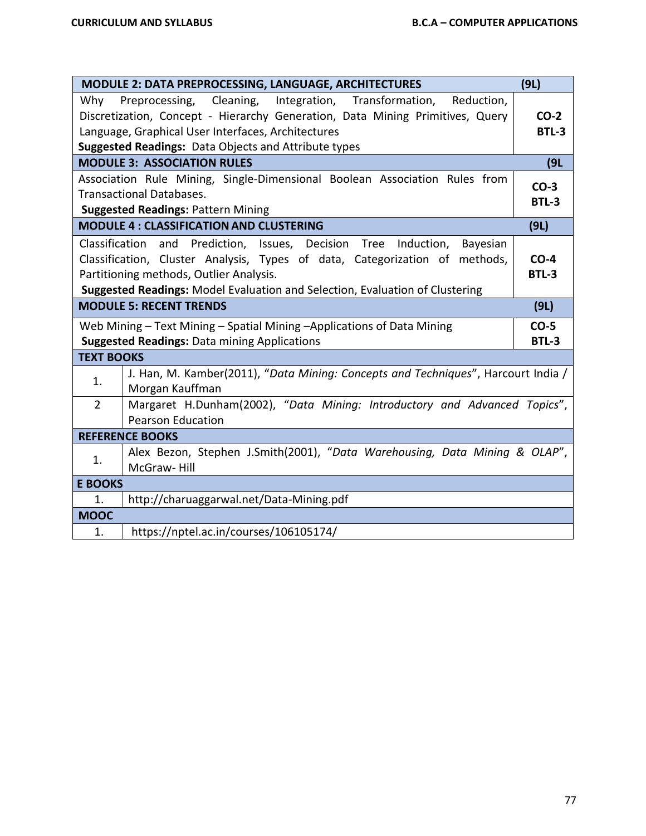|                                                                              | MODULE 2: DATA PREPROCESSING, LANGUAGE, ARCHITECTURES                                                                                                 | (9L)                   |  |  |  |  |
|------------------------------------------------------------------------------|-------------------------------------------------------------------------------------------------------------------------------------------------------|------------------------|--|--|--|--|
|                                                                              | Why Preprocessing, Cleaning, Integration, Transformation, Reduction,<br>Discretization, Concept - Hierarchy Generation, Data Mining Primitives, Query | $CO-2$                 |  |  |  |  |
|                                                                              | Language, Graphical User Interfaces, Architectures                                                                                                    | <b>BTL-3</b>           |  |  |  |  |
| Suggested Readings: Data Objects and Attribute types                         |                                                                                                                                                       |                        |  |  |  |  |
| <b>MODULE 3: ASSOCIATION RULES</b>                                           |                                                                                                                                                       |                        |  |  |  |  |
|                                                                              | Association Rule Mining, Single-Dimensional Boolean Association Rules from                                                                            | (9L)                   |  |  |  |  |
|                                                                              | <b>Transactional Databases.</b>                                                                                                                       | $CO-3$                 |  |  |  |  |
|                                                                              | <b>Suggested Readings: Pattern Mining</b>                                                                                                             | <b>BTL-3</b>           |  |  |  |  |
|                                                                              | <b>MODULE 4: CLASSIFICATION AND CLUSTERING</b>                                                                                                        | (9L)                   |  |  |  |  |
|                                                                              |                                                                                                                                                       |                        |  |  |  |  |
|                                                                              | Classification and Prediction, Issues, Decision Tree Induction,<br>Bayesian                                                                           |                        |  |  |  |  |
|                                                                              | Classification, Cluster Analysis, Types of data, Categorization of methods,                                                                           | $CO-4$<br><b>BTL-3</b> |  |  |  |  |
| Partitioning methods, Outlier Analysis.                                      |                                                                                                                                                       |                        |  |  |  |  |
| Suggested Readings: Model Evaluation and Selection, Evaluation of Clustering |                                                                                                                                                       |                        |  |  |  |  |
|                                                                              | <b>MODULE 5: RECENT TRENDS</b>                                                                                                                        | (9L)                   |  |  |  |  |
|                                                                              | Web Mining - Text Mining - Spatial Mining - Applications of Data Mining                                                                               | $CO-5$                 |  |  |  |  |
|                                                                              | <b>Suggested Readings: Data mining Applications</b>                                                                                                   | <b>BTL-3</b>           |  |  |  |  |
| <b>TEXT BOOKS</b>                                                            |                                                                                                                                                       |                        |  |  |  |  |
| 1.                                                                           | J. Han, M. Kamber(2011), "Data Mining: Concepts and Techniques", Harcourt India /                                                                     |                        |  |  |  |  |
|                                                                              | Morgan Kauffman                                                                                                                                       |                        |  |  |  |  |
| $\overline{2}$                                                               | Margaret H.Dunham(2002), "Data Mining: Introductory and Advanced Topics",                                                                             |                        |  |  |  |  |
|                                                                              | <b>Pearson Education</b>                                                                                                                              |                        |  |  |  |  |
|                                                                              | <b>REFERENCE BOOKS</b>                                                                                                                                |                        |  |  |  |  |
| 1.                                                                           | Alex Bezon, Stephen J.Smith(2001), "Data Warehousing, Data Mining & OLAP",                                                                            |                        |  |  |  |  |
|                                                                              | McGraw-Hill                                                                                                                                           |                        |  |  |  |  |
| <b>E BOOKS</b>                                                               |                                                                                                                                                       |                        |  |  |  |  |
| 1.                                                                           | http://charuaggarwal.net/Data-Mining.pdf                                                                                                              |                        |  |  |  |  |
| <b>MOOC</b>                                                                  |                                                                                                                                                       |                        |  |  |  |  |
| 1.                                                                           | https://nptel.ac.in/courses/106105174/                                                                                                                |                        |  |  |  |  |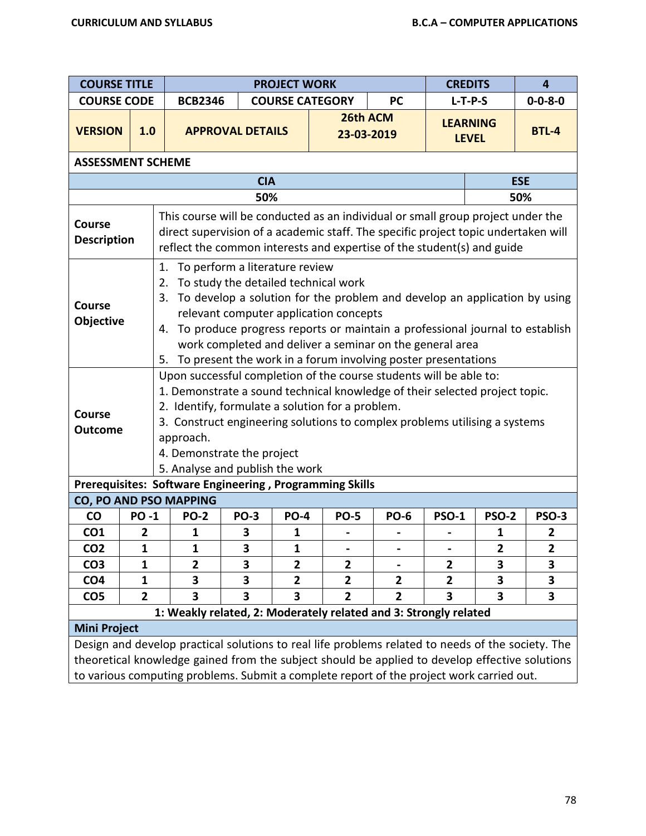| <b>COURSE TITLE</b>                                                                                                                                                                                                                                                                                                                                                                                                                                                   |              |                                                                                                                                                                                                                                                                                                                                                                   |             | <b>PROJECT WORK</b>                                                                  |                        | <b>CREDITS</b><br>$\overline{4}$ |                         |              |                         |
|-----------------------------------------------------------------------------------------------------------------------------------------------------------------------------------------------------------------------------------------------------------------------------------------------------------------------------------------------------------------------------------------------------------------------------------------------------------------------|--------------|-------------------------------------------------------------------------------------------------------------------------------------------------------------------------------------------------------------------------------------------------------------------------------------------------------------------------------------------------------------------|-------------|--------------------------------------------------------------------------------------|------------------------|----------------------------------|-------------------------|--------------|-------------------------|
| <b>COURSE CODE</b>                                                                                                                                                                                                                                                                                                                                                                                                                                                    |              | <b>BCB2346</b>                                                                                                                                                                                                                                                                                                                                                    |             |                                                                                      | <b>COURSE CATEGORY</b> | <b>PC</b>                        | $L-T-P-S$               |              | $0 - 0 - 8 - 0$         |
| <b>VERSION</b>                                                                                                                                                                                                                                                                                                                                                                                                                                                        | 1.0          |                                                                                                                                                                                                                                                                                                                                                                   |             | 26th ACM<br><b>LEARNING</b><br><b>APPROVAL DETAILS</b><br>23-03-2019<br><b>LEVEL</b> |                        |                                  |                         |              | <b>BTL-4</b>            |
| <b>ASSESSMENT SCHEME</b>                                                                                                                                                                                                                                                                                                                                                                                                                                              |              |                                                                                                                                                                                                                                                                                                                                                                   |             |                                                                                      |                        |                                  |                         |              |                         |
|                                                                                                                                                                                                                                                                                                                                                                                                                                                                       |              |                                                                                                                                                                                                                                                                                                                                                                   | <b>CIA</b>  |                                                                                      |                        |                                  |                         | <b>ESE</b>   |                         |
| 50%<br>50%                                                                                                                                                                                                                                                                                                                                                                                                                                                            |              |                                                                                                                                                                                                                                                                                                                                                                   |             |                                                                                      |                        |                                  |                         |              |                         |
| Course<br><b>Description</b>                                                                                                                                                                                                                                                                                                                                                                                                                                          |              | This course will be conducted as an individual or small group project under the<br>direct supervision of a academic staff. The specific project topic undertaken will<br>reflect the common interests and expertise of the student(s) and guide                                                                                                                   |             |                                                                                      |                        |                                  |                         |              |                         |
| To perform a literature review<br>1.<br>To study the detailed technical work<br>2.<br>To develop a solution for the problem and develop an application by using<br>3.<br><b>Course</b><br>relevant computer application concepts<br>Objective<br>To produce progress reports or maintain a professional journal to establish<br>4.<br>work completed and deliver a seminar on the general area<br>To present the work in a forum involving poster presentations<br>5. |              |                                                                                                                                                                                                                                                                                                                                                                   |             |                                                                                      |                        |                                  |                         |              |                         |
| <b>Course</b><br><b>Outcome</b>                                                                                                                                                                                                                                                                                                                                                                                                                                       |              | Upon successful completion of the course students will be able to:<br>1. Demonstrate a sound technical knowledge of their selected project topic.<br>2. Identify, formulate a solution for a problem.<br>3. Construct engineering solutions to complex problems utilising a systems<br>approach.<br>4. Demonstrate the project<br>5. Analyse and publish the work |             |                                                                                      |                        |                                  |                         |              |                         |
|                                                                                                                                                                                                                                                                                                                                                                                                                                                                       |              | Prerequisites: Software Engineering, Programming Skills                                                                                                                                                                                                                                                                                                           |             |                                                                                      |                        |                                  |                         |              |                         |
|                                                                                                                                                                                                                                                                                                                                                                                                                                                                       |              | CO, PO AND PSO MAPPING                                                                                                                                                                                                                                                                                                                                            |             |                                                                                      |                        |                                  |                         |              |                         |
| $\mathsf{co}$                                                                                                                                                                                                                                                                                                                                                                                                                                                         | <b>PO-1</b>  | <b>PO-2</b>                                                                                                                                                                                                                                                                                                                                                       | <b>PO-3</b> | <b>PO-4</b>                                                                          | <b>PO-5</b>            | <b>PO-6</b>                      | <b>PSO-1</b>            | <b>PSO-2</b> | <b>PSO-3</b>            |
| CO <sub>1</sub>                                                                                                                                                                                                                                                                                                                                                                                                                                                       | $\mathbf{2}$ | 1                                                                                                                                                                                                                                                                                                                                                                 | 3           | $\mathbf{1}$                                                                         |                        |                                  |                         | 1            | $\overline{2}$          |
| CO <sub>2</sub>                                                                                                                                                                                                                                                                                                                                                                                                                                                       | $\mathbf 1$  | 1                                                                                                                                                                                                                                                                                                                                                                 | 3           | 1                                                                                    |                        |                                  |                         | z            | $\overline{\mathbf{2}}$ |
| CO <sub>3</sub>                                                                                                                                                                                                                                                                                                                                                                                                                                                       | $\mathbf{1}$ | $\overline{2}$                                                                                                                                                                                                                                                                                                                                                    | 3           | $\overline{2}$                                                                       | $\overline{2}$         |                                  | $\overline{2}$          | 3            | 3                       |
| CO <sub>4</sub>                                                                                                                                                                                                                                                                                                                                                                                                                                                       | 1            | 3                                                                                                                                                                                                                                                                                                                                                                 | 3           | $\mathbf{2}$                                                                         | 2                      | $\mathbf{2}$                     | $\overline{\mathbf{2}}$ | 3            | 3                       |
| CO <sub>5</sub>                                                                                                                                                                                                                                                                                                                                                                                                                                                       | 2            | 3                                                                                                                                                                                                                                                                                                                                                                 | 3           | $\overline{\mathbf{3}}$                                                              | $\overline{2}$         | $\mathbf{2}$                     | 3                       | 3            | 3                       |
|                                                                                                                                                                                                                                                                                                                                                                                                                                                                       |              | 1: Weakly related, 2: Moderately related and 3: Strongly related                                                                                                                                                                                                                                                                                                  |             |                                                                                      |                        |                                  |                         |              |                         |
| <b>Mini Project</b>                                                                                                                                                                                                                                                                                                                                                                                                                                                   |              | Design and develop practical solutions to real life problems related to needs of the society. The                                                                                                                                                                                                                                                                 |             |                                                                                      |                        |                                  |                         |              |                         |
|                                                                                                                                                                                                                                                                                                                                                                                                                                                                       |              | theoretical knowledge gained from the subject should be applied to develop effective solutions                                                                                                                                                                                                                                                                    |             |                                                                                      |                        |                                  |                         |              |                         |
|                                                                                                                                                                                                                                                                                                                                                                                                                                                                       |              | to various computing problems. Submit a complete report of the project work carried out.                                                                                                                                                                                                                                                                          |             |                                                                                      |                        |                                  |                         |              |                         |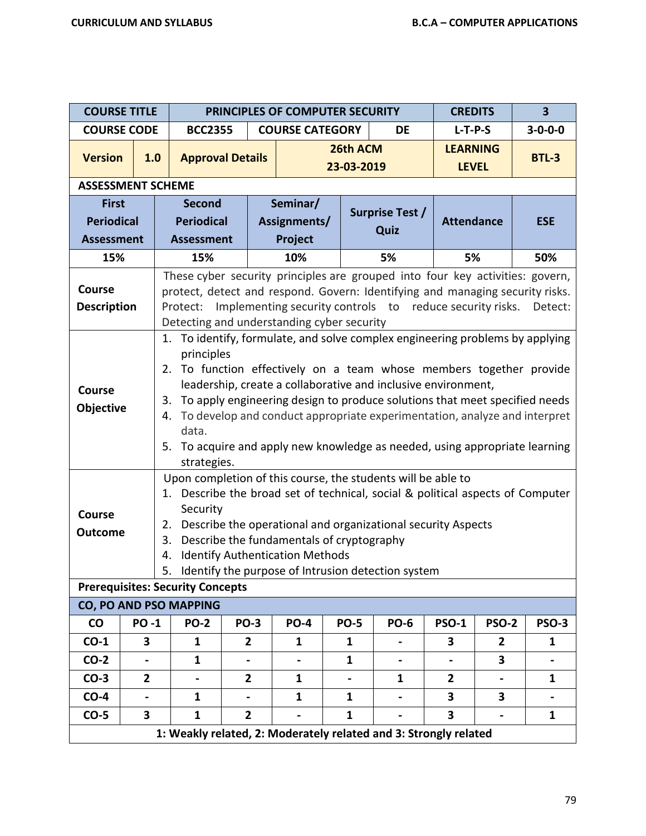| <b>COURSE TITLE</b>                 |                |                                                                                                                                                                                                                                                                                                                                                                                                                                                                                                                         |                                         |                         | PRINCIPLES OF COMPUTER SECURITY                                                     |                        |                                                                                                                                                                                                                                                                         | <b>CREDITS</b>    |                                 | 3               |
|-------------------------------------|----------------|-------------------------------------------------------------------------------------------------------------------------------------------------------------------------------------------------------------------------------------------------------------------------------------------------------------------------------------------------------------------------------------------------------------------------------------------------------------------------------------------------------------------------|-----------------------------------------|-------------------------|-------------------------------------------------------------------------------------|------------------------|-------------------------------------------------------------------------------------------------------------------------------------------------------------------------------------------------------------------------------------------------------------------------|-------------------|---------------------------------|-----------------|
| <b>COURSE CODE</b>                  |                |                                                                                                                                                                                                                                                                                                                                                                                                                                                                                                                         | <b>BCC2355</b>                          |                         | <b>COURSE CATEGORY</b>                                                              |                        | DE                                                                                                                                                                                                                                                                      | $L-T-P-S$         |                                 | $3 - 0 - 0 - 0$ |
| <b>Version</b>                      | 1.0            |                                                                                                                                                                                                                                                                                                                                                                                                                                                                                                                         |                                         | <b>Approval Details</b> |                                                                                     | 26th ACM<br>23-03-2019 |                                                                                                                                                                                                                                                                         |                   | <b>LEARNING</b><br><b>LEVEL</b> | <b>BTL-3</b>    |
| <b>ASSESSMENT SCHEME</b>            |                |                                                                                                                                                                                                                                                                                                                                                                                                                                                                                                                         |                                         |                         |                                                                                     |                        |                                                                                                                                                                                                                                                                         |                   |                                 |                 |
| <b>First</b>                        |                |                                                                                                                                                                                                                                                                                                                                                                                                                                                                                                                         | <b>Second</b>                           |                         | Seminar/                                                                            |                        | <b>Surprise Test /</b>                                                                                                                                                                                                                                                  |                   |                                 |                 |
| <b>Periodical</b>                   |                |                                                                                                                                                                                                                                                                                                                                                                                                                                                                                                                         | <b>Periodical</b>                       |                         | Assignments/                                                                        |                        | Quiz                                                                                                                                                                                                                                                                    | <b>Attendance</b> |                                 | <b>ESE</b>      |
| <b>Assessment</b>                   |                |                                                                                                                                                                                                                                                                                                                                                                                                                                                                                                                         | <b>Assessment</b>                       |                         | Project                                                                             |                        |                                                                                                                                                                                                                                                                         |                   |                                 |                 |
| 15%                                 |                |                                                                                                                                                                                                                                                                                                                                                                                                                                                                                                                         | 15%                                     |                         | 10%                                                                                 |                        | 5%                                                                                                                                                                                                                                                                      | 5%                |                                 | 50%             |
| <b>Course</b><br><b>Description</b> |                | These cyber security principles are grouped into four key activities: govern,<br>protect, detect and respond. Govern: Identifying and managing security risks.<br>Implementing security controls to reduce security risks.<br>Protect:<br>Detect:<br>Detecting and understanding cyber security                                                                                                                                                                                                                         |                                         |                         |                                                                                     |                        |                                                                                                                                                                                                                                                                         |                   |                                 |                 |
| <b>Course</b><br>Objective          |                | 1. To identify, formulate, and solve complex engineering problems by applying<br>principles<br>To function effectively on a team whose members together provide<br>2.<br>leadership, create a collaborative and inclusive environment,<br>To apply engineering design to produce solutions that meet specified needs<br>3.<br>To develop and conduct appropriate experimentation, analyze and interpret<br>4.<br>data.<br>To acquire and apply new knowledge as needed, using appropriate learning<br>5.<br>strategies. |                                         |                         |                                                                                     |                        |                                                                                                                                                                                                                                                                         |                   |                                 |                 |
| Course<br><b>Outcome</b>            |                | 2.<br>3.<br>4.                                                                                                                                                                                                                                                                                                                                                                                                                                                                                                          | Security                                |                         | Describe the fundamentals of cryptography<br><b>Identify Authentication Methods</b> |                        | Upon completion of this course, the students will be able to<br>1. Describe the broad set of technical, social & political aspects of Computer<br>Describe the operational and organizational security Aspects<br>5. Identify the purpose of Intrusion detection system |                   |                                 |                 |
|                                     |                |                                                                                                                                                                                                                                                                                                                                                                                                                                                                                                                         | <b>Prerequisites: Security Concepts</b> |                         |                                                                                     |                        |                                                                                                                                                                                                                                                                         |                   |                                 |                 |
|                                     |                |                                                                                                                                                                                                                                                                                                                                                                                                                                                                                                                         | CO, PO AND PSO MAPPING                  |                         |                                                                                     |                        |                                                                                                                                                                                                                                                                         |                   |                                 |                 |
| <b>CO</b>                           | <b>PO-1</b>    |                                                                                                                                                                                                                                                                                                                                                                                                                                                                                                                         | <b>PO-2</b>                             | <b>PO-3</b>             | <b>PO-4</b>                                                                         | <b>PO-5</b>            | <b>PO-6</b>                                                                                                                                                                                                                                                             | <b>PSO-1</b>      | <b>PSO-2</b>                    | <b>PSO-3</b>    |
| $CO-1$                              | 3              |                                                                                                                                                                                                                                                                                                                                                                                                                                                                                                                         | 1                                       | $\overline{2}$          | 1                                                                                   | 1                      |                                                                                                                                                                                                                                                                         | 3                 | $\mathbf{2}$                    | 1               |
| $CO-2$                              |                |                                                                                                                                                                                                                                                                                                                                                                                                                                                                                                                         | $\mathbf{1}$                            |                         |                                                                                     | $\mathbf{1}$           |                                                                                                                                                                                                                                                                         |                   | 3                               |                 |
| $CO-3$                              | $\overline{2}$ |                                                                                                                                                                                                                                                                                                                                                                                                                                                                                                                         |                                         | $\overline{2}$          | 1                                                                                   |                        | $\mathbf{1}$                                                                                                                                                                                                                                                            | $\mathbf{2}$      |                                 | 1               |
| $CO-4$                              |                |                                                                                                                                                                                                                                                                                                                                                                                                                                                                                                                         | $\mathbf{1}$                            |                         | $\mathbf{1}$                                                                        | $\mathbf{1}$           |                                                                                                                                                                                                                                                                         | 3                 | 3                               |                 |
| $CO-5$                              | $\mathbf{3}$   |                                                                                                                                                                                                                                                                                                                                                                                                                                                                                                                         | $\mathbf{1}$                            | $\mathbf{2}$            |                                                                                     | $\mathbf{1}$           |                                                                                                                                                                                                                                                                         | 3                 |                                 | $\mathbf{1}$    |
|                                     |                |                                                                                                                                                                                                                                                                                                                                                                                                                                                                                                                         |                                         |                         |                                                                                     |                        | 1: Weakly related, 2: Moderately related and 3: Strongly related                                                                                                                                                                                                        |                   |                                 |                 |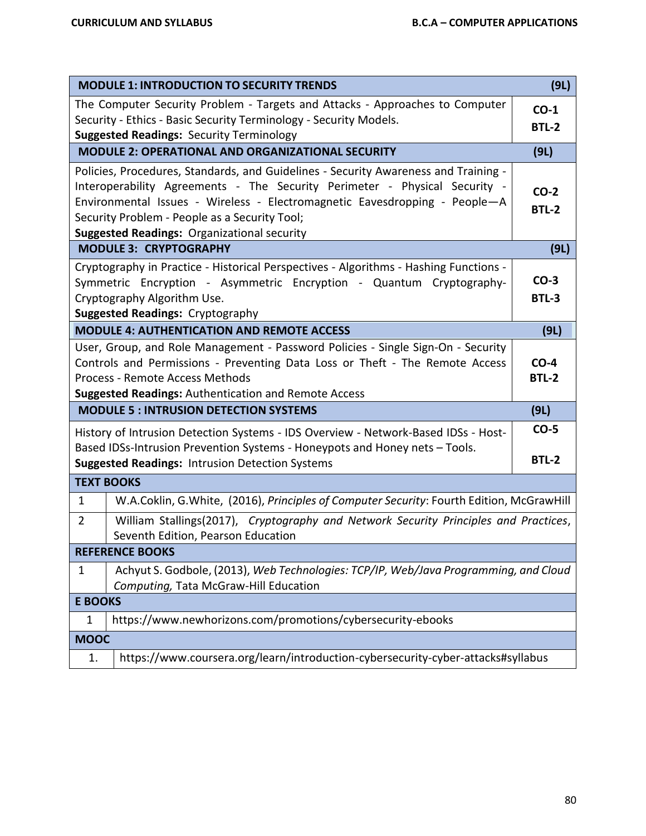|                                                                                                                                                          | <b>MODULE 1: INTRODUCTION TO SECURITY TRENDS</b>                                                            | (9L)         |  |  |  |  |  |
|----------------------------------------------------------------------------------------------------------------------------------------------------------|-------------------------------------------------------------------------------------------------------------|--------------|--|--|--|--|--|
|                                                                                                                                                          | The Computer Security Problem - Targets and Attacks - Approaches to Computer                                | $CO-1$       |  |  |  |  |  |
|                                                                                                                                                          | Security - Ethics - Basic Security Terminology - Security Models.                                           | <b>BTL-2</b> |  |  |  |  |  |
|                                                                                                                                                          | <b>Suggested Readings: Security Terminology</b><br><b>MODULE 2: OPERATIONAL AND ORGANIZATIONAL SECURITY</b> |              |  |  |  |  |  |
|                                                                                                                                                          |                                                                                                             | (9L)         |  |  |  |  |  |
|                                                                                                                                                          | Policies, Procedures, Standards, and Guidelines - Security Awareness and Training -                         |              |  |  |  |  |  |
| Interoperability Agreements - The Security Perimeter - Physical Security -<br>Environmental Issues - Wireless - Electromagnetic Eavesdropping - People-A |                                                                                                             |              |  |  |  |  |  |
|                                                                                                                                                          | Security Problem - People as a Security Tool;                                                               | <b>BTL-2</b> |  |  |  |  |  |
|                                                                                                                                                          | <b>Suggested Readings: Organizational security</b>                                                          |              |  |  |  |  |  |
|                                                                                                                                                          | <b>MODULE 3: CRYPTOGRAPHY</b>                                                                               | (9L)         |  |  |  |  |  |
|                                                                                                                                                          | Cryptography in Practice - Historical Perspectives - Algorithms - Hashing Functions -                       |              |  |  |  |  |  |
|                                                                                                                                                          | Symmetric Encryption - Asymmetric Encryption - Quantum Cryptography-                                        | $CO-3$       |  |  |  |  |  |
|                                                                                                                                                          | Cryptography Algorithm Use.                                                                                 | <b>BTL-3</b> |  |  |  |  |  |
|                                                                                                                                                          | <b>Suggested Readings: Cryptography</b>                                                                     |              |  |  |  |  |  |
|                                                                                                                                                          | <b>MODULE 4: AUTHENTICATION AND REMOTE ACCESS</b>                                                           | (9L)         |  |  |  |  |  |
|                                                                                                                                                          | User, Group, and Role Management - Password Policies - Single Sign-On - Security                            |              |  |  |  |  |  |
| Controls and Permissions - Preventing Data Loss or Theft - The Remote Access                                                                             |                                                                                                             |              |  |  |  |  |  |
|                                                                                                                                                          | Process - Remote Access Methods                                                                             | <b>BTL-2</b> |  |  |  |  |  |
|                                                                                                                                                          | Suggested Readings: Authentication and Remote Access                                                        |              |  |  |  |  |  |
|                                                                                                                                                          | <b>MODULE 5: INTRUSION DETECTION SYSTEMS</b>                                                                | (9L)         |  |  |  |  |  |
|                                                                                                                                                          | History of Intrusion Detection Systems - IDS Overview - Network-Based IDSs - Host-                          | $CO-5$       |  |  |  |  |  |
|                                                                                                                                                          | Based IDSs-Intrusion Prevention Systems - Honeypots and Honey nets - Tools.                                 |              |  |  |  |  |  |
|                                                                                                                                                          | <b>Suggested Readings: Intrusion Detection Systems</b>                                                      | <b>BTL-2</b> |  |  |  |  |  |
|                                                                                                                                                          | <b>TEXT BOOKS</b>                                                                                           |              |  |  |  |  |  |
| $\mathbf{1}$                                                                                                                                             | W.A.Coklin, G.White, (2016), Principles of Computer Security: Fourth Edition, McGrawHill                    |              |  |  |  |  |  |
| $\overline{2}$                                                                                                                                           | William Stallings(2017), Cryptography and Network Security Principles and Practices,                        |              |  |  |  |  |  |
|                                                                                                                                                          | Seventh Edition, Pearson Education                                                                          |              |  |  |  |  |  |
|                                                                                                                                                          | <b>REFERENCE BOOKS</b>                                                                                      |              |  |  |  |  |  |
| 1                                                                                                                                                        | Achyut S. Godbole, (2013), Web Technologies: TCP/IP, Web/Java Programming, and Cloud                        |              |  |  |  |  |  |
|                                                                                                                                                          | Computing, Tata McGraw-Hill Education                                                                       |              |  |  |  |  |  |
| <b>E BOOKS</b>                                                                                                                                           |                                                                                                             |              |  |  |  |  |  |
| 1                                                                                                                                                        | https://www.newhorizons.com/promotions/cybersecurity-ebooks                                                 |              |  |  |  |  |  |
| <b>MOOC</b>                                                                                                                                              |                                                                                                             |              |  |  |  |  |  |
| 1.                                                                                                                                                       | https://www.coursera.org/learn/introduction-cybersecurity-cyber-attacks#syllabus                            |              |  |  |  |  |  |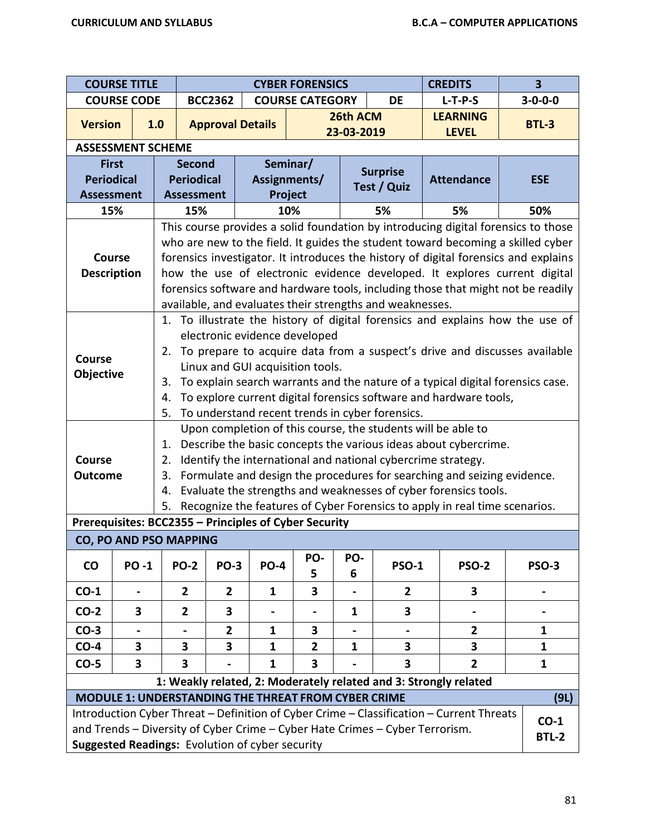|                                                                   | <b>COURSE TITLE</b><br><b>CREDITS</b><br><b>CYBER FORENSICS</b> |                                                                                                                                                                                                                                                                                                                                                                                                                                                                                                                                                                                                                                                                                                                                                                                                                                                                                                                                                                  |                         |                                     |                |                |                                                                              | 3                                                                                                                                                                                                                                                                                                                                                                                                                           |                        |  |  |
|-------------------------------------------------------------------|-----------------------------------------------------------------|------------------------------------------------------------------------------------------------------------------------------------------------------------------------------------------------------------------------------------------------------------------------------------------------------------------------------------------------------------------------------------------------------------------------------------------------------------------------------------------------------------------------------------------------------------------------------------------------------------------------------------------------------------------------------------------------------------------------------------------------------------------------------------------------------------------------------------------------------------------------------------------------------------------------------------------------------------------|-------------------------|-------------------------------------|----------------|----------------|------------------------------------------------------------------------------|-----------------------------------------------------------------------------------------------------------------------------------------------------------------------------------------------------------------------------------------------------------------------------------------------------------------------------------------------------------------------------------------------------------------------------|------------------------|--|--|
|                                                                   | <b>COURSE CODE</b>                                              |                                                                                                                                                                                                                                                                                                                                                                                                                                                                                                                                                                                                                                                                                                                                                                                                                                                                                                                                                                  | <b>BCC2362</b>          | <b>COURSE CATEGORY</b><br><b>DE</b> |                | $L-T-P-S$      | $3 - 0 - 0 - 0$                                                              |                                                                                                                                                                                                                                                                                                                                                                                                                             |                        |  |  |
| <b>Version</b>                                                    |                                                                 | 1.0                                                                                                                                                                                                                                                                                                                                                                                                                                                                                                                                                                                                                                                                                                                                                                                                                                                                                                                                                              | <b>Approval Details</b> |                                     |                | 26th ACM       |                                                                              | <b>LEARNING</b>                                                                                                                                                                                                                                                                                                                                                                                                             | <b>BTL-3</b>           |  |  |
|                                                                   | <b>ASSESSMENT SCHEME</b>                                        |                                                                                                                                                                                                                                                                                                                                                                                                                                                                                                                                                                                                                                                                                                                                                                                                                                                                                                                                                                  |                         |                                     |                | 23-03-2019     |                                                                              | <b>LEVEL</b>                                                                                                                                                                                                                                                                                                                                                                                                                |                        |  |  |
| <b>First</b>                                                      |                                                                 | <b>Second</b>                                                                                                                                                                                                                                                                                                                                                                                                                                                                                                                                                                                                                                                                                                                                                                                                                                                                                                                                                    |                         |                                     | Seminar/       |                |                                                                              |                                                                                                                                                                                                                                                                                                                                                                                                                             |                        |  |  |
| <b>Periodical</b>                                                 |                                                                 | <b>Periodical</b>                                                                                                                                                                                                                                                                                                                                                                                                                                                                                                                                                                                                                                                                                                                                                                                                                                                                                                                                                |                         | Assignments/                        |                |                | <b>Surprise</b>                                                              | <b>Attendance</b>                                                                                                                                                                                                                                                                                                                                                                                                           | <b>ESE</b>             |  |  |
| <b>Assessment</b>                                                 |                                                                 | <b>Assessment</b>                                                                                                                                                                                                                                                                                                                                                                                                                                                                                                                                                                                                                                                                                                                                                                                                                                                                                                                                                |                         | Project                             |                |                | Test / Quiz                                                                  |                                                                                                                                                                                                                                                                                                                                                                                                                             |                        |  |  |
| 15%                                                               |                                                                 | 15%                                                                                                                                                                                                                                                                                                                                                                                                                                                                                                                                                                                                                                                                                                                                                                                                                                                                                                                                                              |                         |                                     | 10%            |                | 5%                                                                           | 5%                                                                                                                                                                                                                                                                                                                                                                                                                          | 50%                    |  |  |
| <b>Course</b><br><b>Description</b><br><b>Course</b><br>Objective |                                                                 | This course provides a solid foundation by introducing digital forensics to those<br>who are new to the field. It guides the student toward becoming a skilled cyber<br>forensics investigator. It introduces the history of digital forensics and explains<br>how the use of electronic evidence developed. It explores current digital<br>forensics software and hardware tools, including those that might not be readily<br>available, and evaluates their strengths and weaknesses.<br>To illustrate the history of digital forensics and explains how the use of<br>1.<br>electronic evidence developed<br>To prepare to acquire data from a suspect's drive and discusses available<br>2.<br>Linux and GUI acquisition tools.<br>To explain search warrants and the nature of a typical digital forensics case.<br>3.<br>To explore current digital forensics software and hardware tools,<br>4.<br>5.<br>To understand recent trends in cyber forensics. |                         |                                     |                |                |                                                                              |                                                                                                                                                                                                                                                                                                                                                                                                                             |                        |  |  |
| <b>Course</b><br><b>Outcome</b>                                   |                                                                 | 1.<br>2.<br>3.<br>4.<br>5.                                                                                                                                                                                                                                                                                                                                                                                                                                                                                                                                                                                                                                                                                                                                                                                                                                                                                                                                       |                         |                                     |                |                |                                                                              | Upon completion of this course, the students will be able to<br>Describe the basic concepts the various ideas about cybercrime.<br>Identify the international and national cybercrime strategy.<br>Formulate and design the procedures for searching and seizing evidence.<br>Evaluate the strengths and weaknesses of cyber forensics tools.<br>Recognize the features of Cyber Forensics to apply in real time scenarios. |                        |  |  |
|                                                                   |                                                                 | Prerequisites: BCC2355 - Principles of Cyber Security                                                                                                                                                                                                                                                                                                                                                                                                                                                                                                                                                                                                                                                                                                                                                                                                                                                                                                            |                         |                                     |                |                |                                                                              |                                                                                                                                                                                                                                                                                                                                                                                                                             |                        |  |  |
|                                                                   |                                                                 | CO, PO AND PSO MAPPING                                                                                                                                                                                                                                                                                                                                                                                                                                                                                                                                                                                                                                                                                                                                                                                                                                                                                                                                           |                         |                                     |                |                |                                                                              |                                                                                                                                                                                                                                                                                                                                                                                                                             |                        |  |  |
| $\mathsf{co}$                                                     | <b>PO-1</b>                                                     | <b>PO-2</b>                                                                                                                                                                                                                                                                                                                                                                                                                                                                                                                                                                                                                                                                                                                                                                                                                                                                                                                                                      | <b>PO-3</b>             | <b>PO-4</b>                         | PO-<br>5       | PO-<br>6       | <b>PSO-1</b>                                                                 | <b>PSO-2</b>                                                                                                                                                                                                                                                                                                                                                                                                                | <b>PSO-3</b>           |  |  |
| $CO-1$                                                            |                                                                 | $\overline{2}$                                                                                                                                                                                                                                                                                                                                                                                                                                                                                                                                                                                                                                                                                                                                                                                                                                                                                                                                                   | $\overline{2}$          | $\mathbf{1}$                        | 3              |                | $\overline{2}$                                                               | 3                                                                                                                                                                                                                                                                                                                                                                                                                           |                        |  |  |
| $CO-2$                                                            | 3                                                               | $\overline{2}$                                                                                                                                                                                                                                                                                                                                                                                                                                                                                                                                                                                                                                                                                                                                                                                                                                                                                                                                                   | 3                       | -                                   | $\blacksquare$ | 1              | 3                                                                            |                                                                                                                                                                                                                                                                                                                                                                                                                             |                        |  |  |
| $CO-3$                                                            |                                                                 |                                                                                                                                                                                                                                                                                                                                                                                                                                                                                                                                                                                                                                                                                                                                                                                                                                                                                                                                                                  | $\overline{2}$          | $\mathbf{1}$                        | 3              | $\blacksquare$ |                                                                              | $\mathbf{2}$                                                                                                                                                                                                                                                                                                                                                                                                                | 1                      |  |  |
| $CO-4$                                                            | 3                                                               | 3                                                                                                                                                                                                                                                                                                                                                                                                                                                                                                                                                                                                                                                                                                                                                                                                                                                                                                                                                                | 3                       | $\mathbf{1}$                        | $\overline{2}$ | 1              | 3                                                                            | 3                                                                                                                                                                                                                                                                                                                                                                                                                           | $\mathbf{1}$           |  |  |
| $CO-5$                                                            | 3                                                               | 3                                                                                                                                                                                                                                                                                                                                                                                                                                                                                                                                                                                                                                                                                                                                                                                                                                                                                                                                                                |                         | $\mathbf{1}$                        | 3              |                | 3                                                                            | $\overline{2}$                                                                                                                                                                                                                                                                                                                                                                                                              | $\mathbf{1}$           |  |  |
|                                                                   |                                                                 |                                                                                                                                                                                                                                                                                                                                                                                                                                                                                                                                                                                                                                                                                                                                                                                                                                                                                                                                                                  |                         |                                     |                |                |                                                                              | 1: Weakly related, 2: Moderately related and 3: Strongly related                                                                                                                                                                                                                                                                                                                                                            |                        |  |  |
|                                                                   |                                                                 | <b>MODULE 1: UNDERSTANDING THE THREAT FROM CYBER CRIME</b>                                                                                                                                                                                                                                                                                                                                                                                                                                                                                                                                                                                                                                                                                                                                                                                                                                                                                                       |                         |                                     |                |                |                                                                              |                                                                                                                                                                                                                                                                                                                                                                                                                             | (9L)                   |  |  |
|                                                                   |                                                                 | Suggested Readings: Evolution of cyber security                                                                                                                                                                                                                                                                                                                                                                                                                                                                                                                                                                                                                                                                                                                                                                                                                                                                                                                  |                         |                                     |                |                | and Trends - Diversity of Cyber Crime - Cyber Hate Crimes - Cyber Terrorism. | Introduction Cyber Threat - Definition of Cyber Crime - Classification - Current Threats                                                                                                                                                                                                                                                                                                                                    | $CO-1$<br><b>BTL-2</b> |  |  |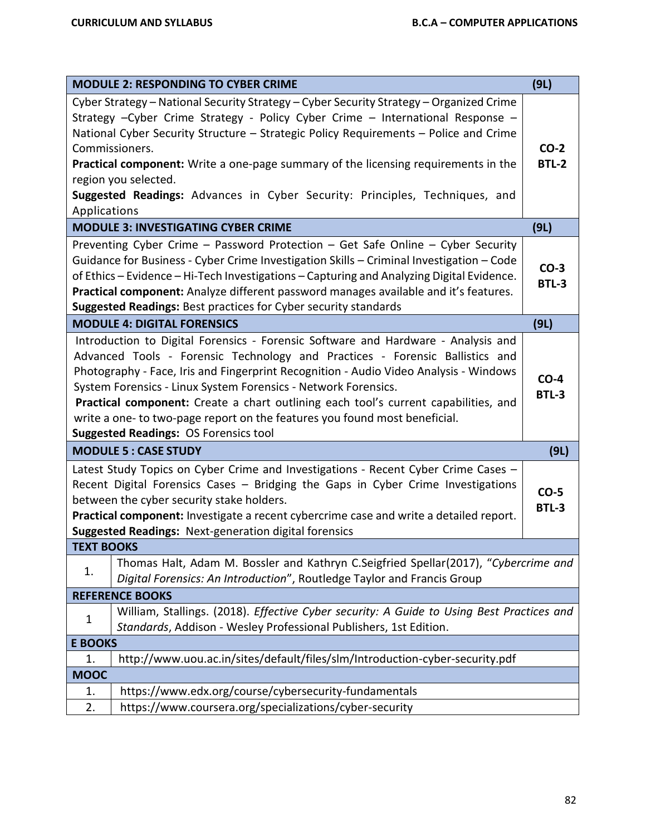|                   | <b>MODULE 2: RESPONDING TO CYBER CRIME</b>                                                                                                                                                                                                                                                                                                                                                                                                                                                                                                        | (9L)                   |
|-------------------|---------------------------------------------------------------------------------------------------------------------------------------------------------------------------------------------------------------------------------------------------------------------------------------------------------------------------------------------------------------------------------------------------------------------------------------------------------------------------------------------------------------------------------------------------|------------------------|
|                   | Cyber Strategy - National Security Strategy - Cyber Security Strategy - Organized Crime<br>Strategy - Cyber Crime Strategy - Policy Cyber Crime - International Response -<br>National Cyber Security Structure - Strategic Policy Requirements - Police and Crime<br>Commissioners.<br>Practical component: Write a one-page summary of the licensing requirements in the<br>region you selected.<br>Suggested Readings: Advances in Cyber Security: Principles, Techniques, and                                                                 | $CO-2$<br><b>BTL-2</b> |
| Applications      | <b>MODULE 3: INVESTIGATING CYBER CRIME</b>                                                                                                                                                                                                                                                                                                                                                                                                                                                                                                        | (9L)                   |
|                   | Preventing Cyber Crime - Password Protection - Get Safe Online - Cyber Security<br>Guidance for Business - Cyber Crime Investigation Skills - Criminal Investigation - Code<br>of Ethics - Evidence - Hi-Tech Investigations - Capturing and Analyzing Digital Evidence.<br>Practical component: Analyze different password manages available and it's features.<br><b>Suggested Readings: Best practices for Cyber security standards</b>                                                                                                        | $CO-3$<br><b>BTL-3</b> |
|                   | <b>MODULE 4: DIGITAL FORENSICS</b>                                                                                                                                                                                                                                                                                                                                                                                                                                                                                                                | (9L)                   |
|                   | Introduction to Digital Forensics - Forensic Software and Hardware - Analysis and<br>Advanced Tools - Forensic Technology and Practices - Forensic Ballistics and<br>Photography - Face, Iris and Fingerprint Recognition - Audio Video Analysis - Windows<br>System Forensics - Linux System Forensics - Network Forensics.<br>Practical component: Create a chart outlining each tool's current capabilities, and<br>write a one- to two-page report on the features you found most beneficial.<br><b>Suggested Readings: OS Forensics tool</b> | $CO-4$<br><b>BTL-3</b> |
|                   | <b>MODULE 5: CASE STUDY</b>                                                                                                                                                                                                                                                                                                                                                                                                                                                                                                                       | (9L)                   |
|                   | Latest Study Topics on Cyber Crime and Investigations - Recent Cyber Crime Cases -<br>Recent Digital Forensics Cases - Bridging the Gaps in Cyber Crime Investigations<br>between the cyber security stake holders.<br>Practical component: Investigate a recent cybercrime case and write a detailed report.<br>Suggested Readings: Next-generation digital forensics                                                                                                                                                                            | $CO-5$<br><b>BTL-3</b> |
| <b>TEXT BOOKS</b> |                                                                                                                                                                                                                                                                                                                                                                                                                                                                                                                                                   |                        |
| 1.                | Thomas Halt, Adam M. Bossler and Kathryn C.Seigfried Spellar(2017), "Cybercrime and<br>Digital Forensics: An Introduction", Routledge Taylor and Francis Group                                                                                                                                                                                                                                                                                                                                                                                    |                        |
|                   | <b>REFERENCE BOOKS</b>                                                                                                                                                                                                                                                                                                                                                                                                                                                                                                                            |                        |
| $\mathbf{1}$      | William, Stallings. (2018). Effective Cyber security: A Guide to Using Best Practices and<br>Standards, Addison - Wesley Professional Publishers, 1st Edition.                                                                                                                                                                                                                                                                                                                                                                                    |                        |
| <b>E BOOKS</b>    |                                                                                                                                                                                                                                                                                                                                                                                                                                                                                                                                                   |                        |
| 1.                | http://www.uou.ac.in/sites/default/files/slm/Introduction-cyber-security.pdf                                                                                                                                                                                                                                                                                                                                                                                                                                                                      |                        |
| <b>MOOC</b>       |                                                                                                                                                                                                                                                                                                                                                                                                                                                                                                                                                   |                        |
| 1.                | https://www.edx.org/course/cybersecurity-fundamentals                                                                                                                                                                                                                                                                                                                                                                                                                                                                                             |                        |
| 2.                | https://www.coursera.org/specializations/cyber-security                                                                                                                                                                                                                                                                                                                                                                                                                                                                                           |                        |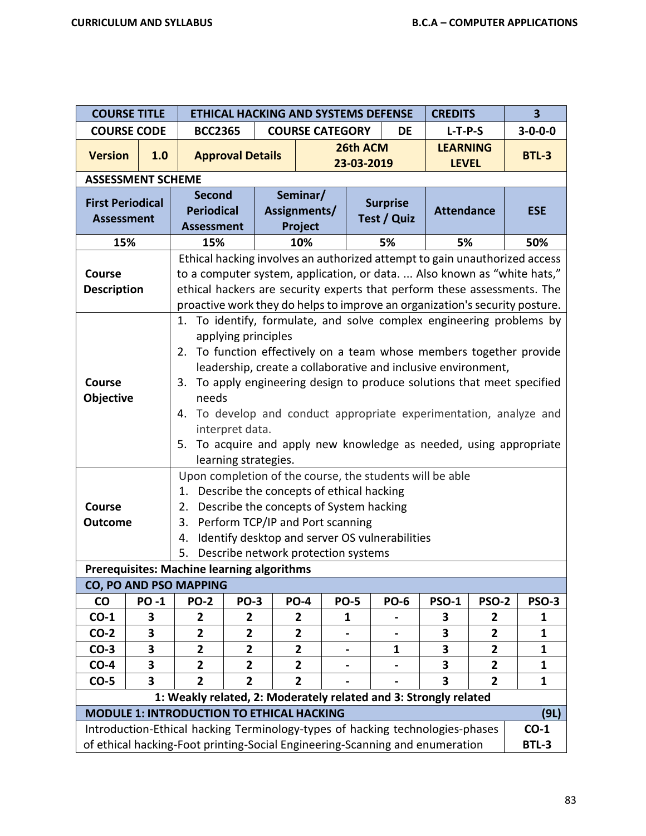|                                                               | <b>COURSE TITLE</b>      |                                                                                                                      |                         |                         |             |  |                 |                   | $\overline{\mathbf{3}}$<br><b>ETHICAL HACKING AND SYSTEMS DEFENSE</b><br><b>CREDITS</b> |                                                                      |  |  |  |  |  |
|---------------------------------------------------------------|--------------------------|----------------------------------------------------------------------------------------------------------------------|-------------------------|-------------------------|-------------|--|-----------------|-------------------|-----------------------------------------------------------------------------------------|----------------------------------------------------------------------|--|--|--|--|--|
|                                                               | <b>COURSE CODE</b>       | <b>BCC2365</b>                                                                                                       |                         | <b>COURSE CATEGORY</b>  |             |  | <b>DE</b>       | $L-T-P-S$         |                                                                                         | $3 - 0 - 0 - 0$                                                      |  |  |  |  |  |
| <b>Version</b>                                                | 1.0                      | <b>Approval Details</b>                                                                                              |                         |                         | 26th ACM    |  |                 | <b>LEARNING</b>   |                                                                                         | <b>BTL-3</b>                                                         |  |  |  |  |  |
|                                                               |                          |                                                                                                                      |                         |                         | 23-03-2019  |  |                 | <b>LEVEL</b>      |                                                                                         |                                                                      |  |  |  |  |  |
|                                                               | <b>ASSESSMENT SCHEME</b> |                                                                                                                      |                         |                         |             |  |                 |                   |                                                                                         |                                                                      |  |  |  |  |  |
| <b>First Periodical</b>                                       |                          | <b>Second</b>                                                                                                        |                         | Seminar/                |             |  | <b>Surprise</b> |                   |                                                                                         |                                                                      |  |  |  |  |  |
| <b>Assessment</b>                                             |                          | <b>Periodical</b>                                                                                                    |                         | Assignments/            |             |  | Test / Quiz     | <b>Attendance</b> |                                                                                         | <b>ESE</b>                                                           |  |  |  |  |  |
|                                                               |                          | <b>Assessment</b>                                                                                                    |                         | Project                 |             |  |                 |                   |                                                                                         |                                                                      |  |  |  |  |  |
| 15%                                                           |                          | 15%                                                                                                                  | 10%<br>5%               |                         |             |  |                 | 5%                |                                                                                         | 50%                                                                  |  |  |  |  |  |
|                                                               |                          | Ethical hacking involves an authorized attempt to gain unauthorized access                                           |                         |                         |             |  |                 |                   |                                                                                         |                                                                      |  |  |  |  |  |
| <b>Course</b>                                                 |                          | to a computer system, application, or data.  Also known as "white hats,"                                             |                         |                         |             |  |                 |                   |                                                                                         |                                                                      |  |  |  |  |  |
| <b>Description</b>                                            |                          | ethical hackers are security experts that perform these assessments. The                                             |                         |                         |             |  |                 |                   |                                                                                         |                                                                      |  |  |  |  |  |
|                                                               |                          | proactive work they do helps to improve an organization's security posture.                                          |                         |                         |             |  |                 |                   |                                                                                         |                                                                      |  |  |  |  |  |
|                                                               |                          | 1. To identify, formulate, and solve complex engineering problems by                                                 |                         |                         |             |  |                 |                   |                                                                                         |                                                                      |  |  |  |  |  |
|                                                               |                          | applying principles                                                                                                  |                         |                         |             |  |                 |                   |                                                                                         |                                                                      |  |  |  |  |  |
|                                                               |                          | 2. To function effectively on a team whose members together provide                                                  |                         |                         |             |  |                 |                   |                                                                                         |                                                                      |  |  |  |  |  |
| leadership, create a collaborative and inclusive environment, |                          |                                                                                                                      |                         |                         |             |  |                 |                   |                                                                                         |                                                                      |  |  |  |  |  |
| <b>Course</b>                                                 |                          | 3.                                                                                                                   |                         |                         |             |  |                 |                   |                                                                                         | To apply engineering design to produce solutions that meet specified |  |  |  |  |  |
| Objective                                                     |                          | needs                                                                                                                |                         |                         |             |  |                 |                   |                                                                                         |                                                                      |  |  |  |  |  |
|                                                               |                          | 4. To develop and conduct appropriate experimentation, analyze and                                                   |                         |                         |             |  |                 |                   |                                                                                         |                                                                      |  |  |  |  |  |
|                                                               |                          | interpret data.                                                                                                      |                         |                         |             |  |                 |                   |                                                                                         |                                                                      |  |  |  |  |  |
|                                                               |                          | 5. To acquire and apply new knowledge as needed, using appropriate                                                   |                         |                         |             |  |                 |                   |                                                                                         |                                                                      |  |  |  |  |  |
|                                                               |                          | learning strategies.                                                                                                 |                         |                         |             |  |                 |                   |                                                                                         |                                                                      |  |  |  |  |  |
|                                                               |                          | Upon completion of the course, the students will be able                                                             |                         |                         |             |  |                 |                   |                                                                                         |                                                                      |  |  |  |  |  |
|                                                               |                          | Describe the concepts of ethical hacking<br>1.                                                                       |                         |                         |             |  |                 |                   |                                                                                         |                                                                      |  |  |  |  |  |
| <b>Course</b>                                                 |                          | Describe the concepts of System hacking<br>2.                                                                        |                         |                         |             |  |                 |                   |                                                                                         |                                                                      |  |  |  |  |  |
| <b>Outcome</b>                                                |                          | Perform TCP/IP and Port scanning<br>3.                                                                               |                         |                         |             |  |                 |                   |                                                                                         |                                                                      |  |  |  |  |  |
|                                                               |                          | Identify desktop and server OS vulnerabilities<br>4.                                                                 |                         |                         |             |  |                 |                   |                                                                                         |                                                                      |  |  |  |  |  |
| 5.<br>Describe network protection systems                     |                          |                                                                                                                      |                         |                         |             |  |                 |                   |                                                                                         |                                                                      |  |  |  |  |  |
|                                                               |                          | <b>Prerequisites: Machine learning algorithms</b>                                                                    |                         |                         |             |  |                 |                   |                                                                                         |                                                                      |  |  |  |  |  |
|                                                               |                          | <b>CO, PO AND PSO MAPPING</b>                                                                                        |                         |                         |             |  |                 |                   |                                                                                         |                                                                      |  |  |  |  |  |
| <b>CO</b>                                                     | <b>PO-1</b>              | <b>PO-2</b>                                                                                                          | <b>PO-3</b>             | <b>PO-4</b>             | <b>PO-5</b> |  | <b>PO-6</b>     | <b>PSO-1</b>      | <b>PSO-2</b>                                                                            | <b>PSO-3</b>                                                         |  |  |  |  |  |
| $CO-1$                                                        | 3                        | $\overline{2}$                                                                                                       | $\overline{2}$          | $\mathbf{2}$            | 1           |  |                 | 3                 | 2                                                                                       | 1                                                                    |  |  |  |  |  |
| $CO-2$                                                        | 3                        | $\overline{2}$                                                                                                       | $\overline{\mathbf{2}}$ | $\overline{2}$          |             |  |                 | 3                 | $\overline{2}$                                                                          | 1                                                                    |  |  |  |  |  |
| $CO-3$                                                        | 3                        | $\overline{2}$                                                                                                       | $\overline{\mathbf{2}}$ | $\overline{\mathbf{2}}$ |             |  | $\mathbf{1}$    | 3                 | $\overline{2}$                                                                          | 1                                                                    |  |  |  |  |  |
| $CO-4$                                                        | 3                        | $\mathbf{2}$                                                                                                         | $\overline{\mathbf{2}}$ | $\overline{2}$          |             |  |                 | 3                 | $\overline{2}$                                                                          | $\mathbf{1}$                                                         |  |  |  |  |  |
| $CO-5$                                                        | $\overline{\mathbf{3}}$  | $\overline{2}$                                                                                                       | $\overline{2}$          | $\overline{2}$          |             |  |                 | 3                 | $\overline{2}$                                                                          | $\mathbf{1}$                                                         |  |  |  |  |  |
|                                                               |                          | 1: Weakly related, 2: Moderately related and 3: Strongly related<br><b>MODULE 1: INTRODUCTION TO ETHICAL HACKING</b> |                         |                         |             |  |                 |                   |                                                                                         |                                                                      |  |  |  |  |  |
|                                                               |                          |                                                                                                                      |                         |                         |             |  |                 |                   |                                                                                         | (9L)                                                                 |  |  |  |  |  |
|                                                               |                          | Introduction-Ethical hacking Terminology-types of hacking technologies-phases                                        |                         |                         |             |  |                 |                   |                                                                                         | $CO-1$                                                               |  |  |  |  |  |
|                                                               |                          | of ethical hacking-Foot printing-Social Engineering-Scanning and enumeration                                         |                         |                         |             |  |                 |                   |                                                                                         | BTL-3                                                                |  |  |  |  |  |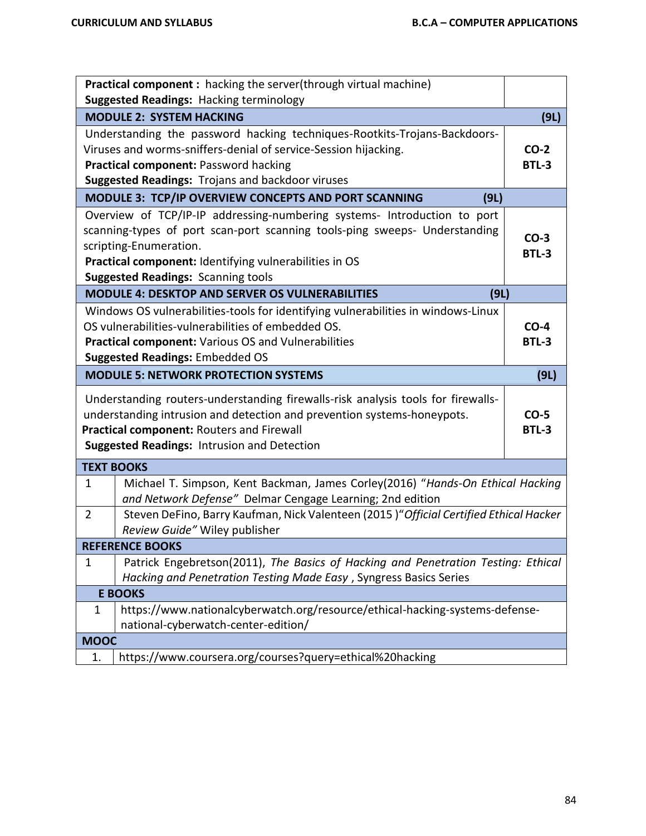|                     | Practical component : hacking the server(through virtual machine)                                                                                                                                                                                                                       |                        |
|---------------------|-----------------------------------------------------------------------------------------------------------------------------------------------------------------------------------------------------------------------------------------------------------------------------------------|------------------------|
|                     | <b>Suggested Readings: Hacking terminology</b>                                                                                                                                                                                                                                          |                        |
|                     | <b>MODULE 2: SYSTEM HACKING</b>                                                                                                                                                                                                                                                         | (9L)                   |
|                     | Understanding the password hacking techniques-Rootkits-Trojans-Backdoors-<br>Viruses and worms-sniffers-denial of service-Session hijacking.<br>Practical component: Password hacking<br>Suggested Readings: Trojans and backdoor viruses                                               | $CO-2$<br><b>BTL-3</b> |
|                     | MODULE 3: TCP/IP OVERVIEW CONCEPTS AND PORT SCANNING<br>(9L)                                                                                                                                                                                                                            |                        |
|                     | Overview of TCP/IP-IP addressing-numbering systems- Introduction to port<br>scanning-types of port scan-port scanning tools-ping sweeps- Understanding<br>scripting-Enumeration.<br>Practical component: Identifying vulnerabilities in OS<br><b>Suggested Readings: Scanning tools</b> | $CO-3$<br><b>BTL-3</b> |
|                     | <b>MODULE 4: DESKTOP AND SERVER OS VULNERABILITIES</b><br>(9L)                                                                                                                                                                                                                          |                        |
|                     | Windows OS vulnerabilities-tools for identifying vulnerabilities in windows-Linux<br>OS vulnerabilities-vulnerabilities of embedded OS.<br><b>Practical component: Various OS and Vulnerabilities</b><br><b>Suggested Readings: Embedded OS</b>                                         | $CO-4$<br><b>BTL-3</b> |
|                     | <b>MODULE 5: NETWORK PROTECTION SYSTEMS</b>                                                                                                                                                                                                                                             | (9L)                   |
|                     | Understanding routers-understanding firewalls-risk analysis tools for firewalls-                                                                                                                                                                                                        |                        |
|                     | understanding intrusion and detection and prevention systems-honeypots.<br>Practical component: Routers and Firewall<br><b>Suggested Readings: Intrusion and Detection</b>                                                                                                              | $CO-5$<br><b>BTL-3</b> |
|                     | <b>TEXT BOOKS</b>                                                                                                                                                                                                                                                                       |                        |
| 1<br>$\overline{2}$ | Michael T. Simpson, Kent Backman, James Corley(2016) "Hands-On Ethical Hacking<br>and Network Defense" Delmar Cengage Learning; 2nd edition<br>Steven DeFino, Barry Kaufman, Nick Valenteen (2015)"Official Certified Ethical Hacker                                                    |                        |
|                     | Review Guide" Wiley publisher                                                                                                                                                                                                                                                           |                        |
|                     | <b>REFERENCE BOOKS</b>                                                                                                                                                                                                                                                                  |                        |
| $\mathbf 1$         | Patrick Engebretson(2011), The Basics of Hacking and Penetration Testing: Ethical<br>Hacking and Penetration Testing Made Easy, Syngress Basics Series                                                                                                                                  |                        |
|                     | <b>E BOOKS</b>                                                                                                                                                                                                                                                                          |                        |
| 1                   | https://www.nationalcyberwatch.org/resource/ethical-hacking-systems-defense-<br>national-cyberwatch-center-edition/                                                                                                                                                                     |                        |
| <b>MOOC</b>         |                                                                                                                                                                                                                                                                                         |                        |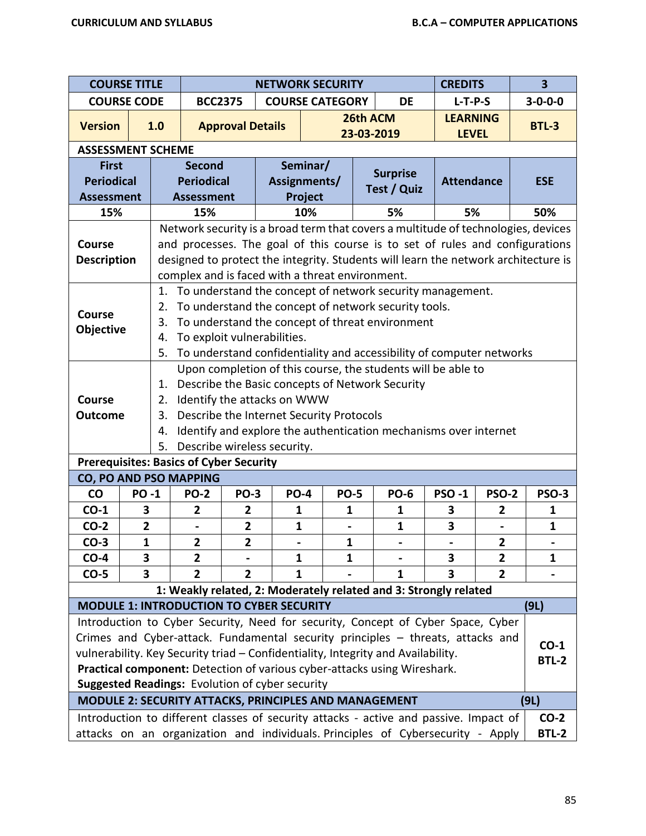| <b>COURSE TITLE</b>                             |                |                                                |                              |                                       |                                                            | <b>NETWORK SECURITY</b>                                                                                                                                                                                                                                                                                    |          |                                                                                                                                                                                                                                                                                                                                     | <b>CREDITS</b>    |                | $\overline{\mathbf{3}}$ |
|-------------------------------------------------|----------------|------------------------------------------------|------------------------------|---------------------------------------|------------------------------------------------------------|------------------------------------------------------------------------------------------------------------------------------------------------------------------------------------------------------------------------------------------------------------------------------------------------------------|----------|-------------------------------------------------------------------------------------------------------------------------------------------------------------------------------------------------------------------------------------------------------------------------------------------------------------------------------------|-------------------|----------------|-------------------------|
| <b>COURSE CODE</b>                              |                |                                                | <b>BCC2375</b>               |                                       |                                                            | <b>COURSE CATEGORY</b>                                                                                                                                                                                                                                                                                     |          | <b>DE</b>                                                                                                                                                                                                                                                                                                                           | $L-T-P-S$         |                | $3 - 0 - 0 - 0$         |
|                                                 |                |                                                |                              |                                       |                                                            |                                                                                                                                                                                                                                                                                                            | 26th ACM |                                                                                                                                                                                                                                                                                                                                     | <b>LEARNING</b>   |                |                         |
| <b>Version</b>                                  |                | 1.0                                            |                              | <b>Approval Details</b><br>23-03-2019 |                                                            |                                                                                                                                                                                                                                                                                                            |          |                                                                                                                                                                                                                                                                                                                                     | <b>LEVEL</b>      |                | <b>BTL-3</b>            |
| <b>ASSESSMENT SCHEME</b>                        |                |                                                |                              |                                       |                                                            |                                                                                                                                                                                                                                                                                                            |          |                                                                                                                                                                                                                                                                                                                                     |                   |                |                         |
| <b>First</b>                                    |                |                                                | <b>Second</b>                |                                       |                                                            | Seminar/                                                                                                                                                                                                                                                                                                   |          | <b>Surprise</b>                                                                                                                                                                                                                                                                                                                     |                   |                |                         |
| <b>Periodical</b>                               |                |                                                | <b>Periodical</b>            |                                       |                                                            | Assignments/                                                                                                                                                                                                                                                                                               |          | Test / Quiz                                                                                                                                                                                                                                                                                                                         | <b>Attendance</b> |                | <b>ESE</b>              |
| <b>Assessment</b>                               |                |                                                | <b>Assessment</b>            |                                       |                                                            | Project                                                                                                                                                                                                                                                                                                    |          |                                                                                                                                                                                                                                                                                                                                     |                   |                |                         |
| 15%                                             |                |                                                | 15%                          |                                       |                                                            | 10%                                                                                                                                                                                                                                                                                                        |          | 5%                                                                                                                                                                                                                                                                                                                                  | 5%                |                | 50%                     |
| <b>Course</b><br><b>Description</b>             |                |                                                |                              |                                       |                                                            | Network security is a broad term that covers a multitude of technologies, devices<br>and processes. The goal of this course is to set of rules and configurations<br>designed to protect the integrity. Students will learn the network architecture is<br>complex and is faced with a threat environment. |          |                                                                                                                                                                                                                                                                                                                                     |                   |                |                         |
| Course<br><b>Objective</b>                      |                | 2.<br>3.<br>4.<br>5.                           |                              |                                       | To exploit vulnerabilities.                                |                                                                                                                                                                                                                                                                                                            |          | 1. To understand the concept of network security management.<br>To understand the concept of network security tools.<br>To understand the concept of threat environment<br>To understand confidentiality and accessibility of computer networks                                                                                     |                   |                |                         |
| <b>Course</b><br><b>Outcome</b>                 |                | 1.<br>2.<br>3.<br>4.<br>5.                     |                              |                                       | Identify the attacks on WWW<br>Describe wireless security. | Describe the Basic concepts of Network Security<br>Describe the Internet Security Protocols                                                                                                                                                                                                                |          | Upon completion of this course, the students will be able to<br>Identify and explore the authentication mechanisms over internet                                                                                                                                                                                                    |                   |                |                         |
|                                                 |                | <b>Prerequisites: Basics of Cyber Security</b> |                              |                                       |                                                            |                                                                                                                                                                                                                                                                                                            |          |                                                                                                                                                                                                                                                                                                                                     |                   |                |                         |
| CO, PO AND PSO MAPPING                          |                |                                                |                              |                                       |                                                            |                                                                                                                                                                                                                                                                                                            |          |                                                                                                                                                                                                                                                                                                                                     |                   |                |                         |
| <b>CO</b>                                       | <b>PO-1</b>    |                                                | <b>PO-2</b>                  | <b>PO-3</b>                           |                                                            | <b>PO-5</b><br><b>PO-4</b>                                                                                                                                                                                                                                                                                 |          | <b>PO-6</b>                                                                                                                                                                                                                                                                                                                         | <b>PSO-1</b>      | <b>PSO-2</b>   | <b>PSO-3</b>            |
| $CO-1$                                          | 3              |                                                | $\overline{2}$               | $\overline{2}$                        | $\mathbf{1}$                                               | $\mathbf{1}$                                                                                                                                                                                                                                                                                               |          | $\mathbf{1}$                                                                                                                                                                                                                                                                                                                        | 3                 | $\overline{2}$ | $\mathbf{1}$            |
| $CO-2$                                          | $\overline{2}$ |                                                | $\qquad \qquad \blacksquare$ | $\mathbf{2}$                          |                                                            | $\mathbf{1}$<br>$\qquad \qquad \blacksquare$                                                                                                                                                                                                                                                               |          | $\mathbf{1}$                                                                                                                                                                                                                                                                                                                        | 3                 | $\blacksquare$ | $\mathbf{1}$            |
| $CO-3$                                          | $\mathbf{1}$   |                                                | $\mathbf{2}$                 | $\overline{\mathbf{2}}$               |                                                            | 1                                                                                                                                                                                                                                                                                                          |          |                                                                                                                                                                                                                                                                                                                                     |                   | $\mathbf{2}$   |                         |
| $CO-4$                                          | 3              |                                                | $\overline{2}$               |                                       |                                                            | $\mathbf{1}$<br>1                                                                                                                                                                                                                                                                                          |          |                                                                                                                                                                                                                                                                                                                                     | 3                 | $\mathbf{2}$   | 1                       |
| $CO-5$                                          | 3              |                                                | 2                            | 2                                     |                                                            | 1                                                                                                                                                                                                                                                                                                          |          | 1                                                                                                                                                                                                                                                                                                                                   | 3                 | $\mathbf{2}$   |                         |
|                                                 |                |                                                |                              |                                       |                                                            |                                                                                                                                                                                                                                                                                                            |          | 1: Weakly related, 2: Moderately related and 3: Strongly related                                                                                                                                                                                                                                                                    |                   |                |                         |
| <b>MODULE 1: INTRODUCTION TO CYBER SECURITY</b> |                |                                                |                              |                                       |                                                            |                                                                                                                                                                                                                                                                                                            |          |                                                                                                                                                                                                                                                                                                                                     |                   |                | (9L)                    |
| Suggested Readings: Evolution of cyber security |                |                                                |                              |                                       |                                                            |                                                                                                                                                                                                                                                                                                            |          | Introduction to Cyber Security, Need for security, Concept of Cyber Space, Cyber<br>Crimes and Cyber-attack. Fundamental security principles - threats, attacks and<br>vulnerability. Key Security triad - Confidentiality, Integrity and Availability.<br>Practical component: Detection of various cyber-attacks using Wireshark. |                   |                | $CO-1$<br><b>BTL-2</b>  |
|                                                 |                |                                                |                              |                                       |                                                            | MODULE 2: SECURITY ATTACKS, PRINCIPLES AND MANAGEMENT                                                                                                                                                                                                                                                      |          |                                                                                                                                                                                                                                                                                                                                     |                   |                | (9L)                    |
|                                                 |                |                                                |                              |                                       |                                                            |                                                                                                                                                                                                                                                                                                            |          | Introduction to different classes of security attacks - active and passive. Impact of                                                                                                                                                                                                                                               |                   |                | $CO-2$                  |
|                                                 |                |                                                |                              |                                       |                                                            |                                                                                                                                                                                                                                                                                                            |          | attacks on an organization and individuals. Principles of Cybersecurity - Apply                                                                                                                                                                                                                                                     |                   |                | <b>BTL-2</b>            |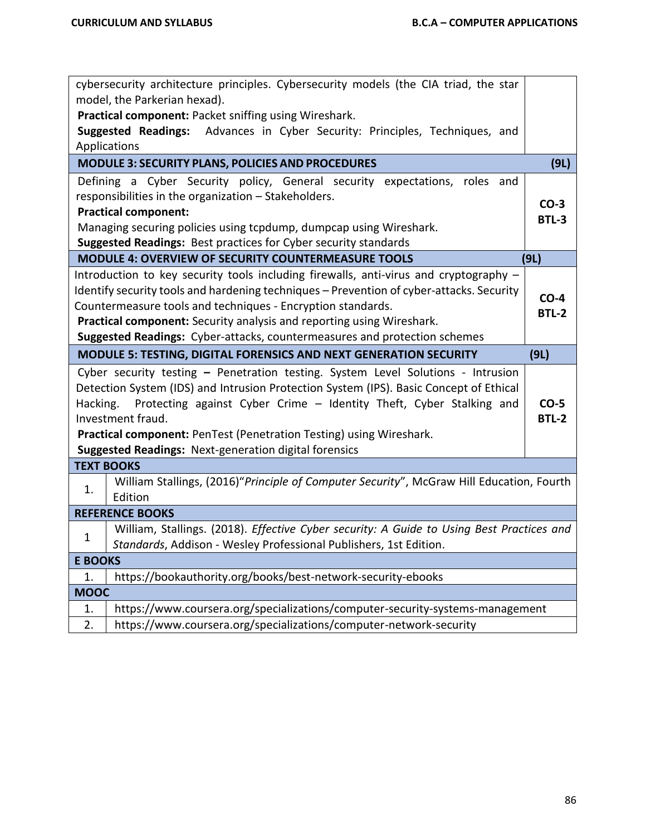|                | cybersecurity architecture principles. Cybersecurity models (the CIA triad, the star      |              |
|----------------|-------------------------------------------------------------------------------------------|--------------|
|                | model, the Parkerian hexad).                                                              |              |
|                | Practical component: Packet sniffing using Wireshark.                                     |              |
|                | Suggested Readings: Advances in Cyber Security: Principles, Techniques, and               |              |
|                | Applications                                                                              |              |
|                | MODULE 3: SECURITY PLANS, POLICIES AND PROCEDURES                                         | (9L)         |
|                | Defining a Cyber Security policy, General security expectations, roles and                |              |
|                | responsibilities in the organization - Stakeholders.                                      | $CO-3$       |
|                | <b>Practical component:</b>                                                               | <b>BTL-3</b> |
|                | Managing securing policies using tcpdump, dumpcap using Wireshark.                        |              |
|                | <b>Suggested Readings: Best practices for Cyber security standards</b>                    |              |
|                | <b>MODULE 4: OVERVIEW OF SECURITY COUNTERMEASURE TOOLS</b>                                | (9L)         |
|                | Introduction to key security tools including firewalls, anti-virus and cryptography -     |              |
|                | Identify security tools and hardening techniques - Prevention of cyber-attacks. Security  | $CO-4$       |
|                | Countermeasure tools and techniques - Encryption standards.                               | <b>BTL-2</b> |
|                | Practical component: Security analysis and reporting using Wireshark.                     |              |
|                | Suggested Readings: Cyber-attacks, countermeasures and protection schemes                 |              |
|                | MODULE 5: TESTING, DIGITAL FORENSICS AND NEXT GENERATION SECURITY                         | (9L)         |
|                | Cyber security testing - Penetration testing. System Level Solutions - Intrusion          |              |
|                |                                                                                           |              |
|                | Detection System (IDS) and Intrusion Protection System (IPS). Basic Concept of Ethical    |              |
| Hacking.       | Protecting against Cyber Crime - Identity Theft, Cyber Stalking and                       | $CO-5$       |
|                | Investment fraud.                                                                         | <b>BTL-2</b> |
|                | Practical component: PenTest (Penetration Testing) using Wireshark.                       |              |
|                | <b>Suggested Readings: Next-generation digital forensics</b>                              |              |
|                | <b>TEXT BOOKS</b>                                                                         |              |
|                | William Stallings, (2016)"Principle of Computer Security", McGraw Hill Education, Fourth  |              |
| 1.             | Edition                                                                                   |              |
|                | <b>REFERENCE BOOKS</b>                                                                    |              |
|                | William, Stallings. (2018). Effective Cyber security: A Guide to Using Best Practices and |              |
| $\mathbf 1$    | Standards, Addison - Wesley Professional Publishers, 1st Edition.                         |              |
| <b>E BOOKS</b> |                                                                                           |              |
| 1.             | https://bookauthority.org/books/best-network-security-ebooks                              |              |
| <b>MOOC</b>    |                                                                                           |              |
| 1.             | https://www.coursera.org/specializations/computer-security-systems-management             |              |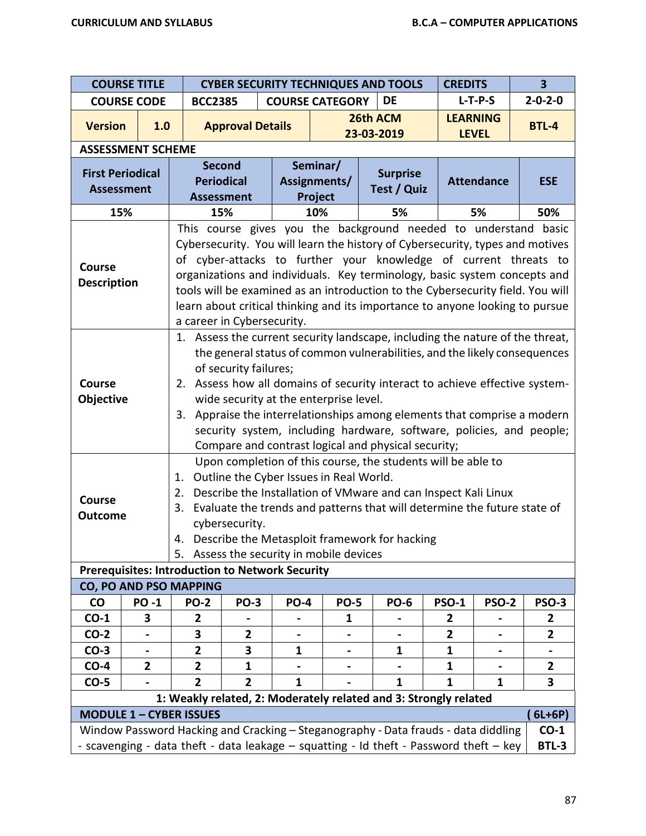|                         | <b>COURSE TITLE</b>      |                                                                                                                                                   | <b>CYBER SECURITY TECHNIQUES AND TOOLS</b>                   |             |                |  |                                                                                        | <b>CREDITS</b> |                                                                          | $\overline{\mathbf{3}}$                                              |  |
|-------------------------|--------------------------|---------------------------------------------------------------------------------------------------------------------------------------------------|--------------------------------------------------------------|-------------|----------------|--|----------------------------------------------------------------------------------------|----------------|--------------------------------------------------------------------------|----------------------------------------------------------------------|--|
|                         | <b>COURSE CODE</b>       |                                                                                                                                                   | <b>COURSE CATEGORY</b><br>DE<br><b>BCC2385</b>               |             |                |  |                                                                                        |                | $L-T-P-S$                                                                | $2 - 0 - 2 - 0$                                                      |  |
| <b>Version</b>          | 1.0                      |                                                                                                                                                   | <b>Approval Details</b>                                      |             |                |  | 26th ACM                                                                               |                | <b>LEARNING</b>                                                          | <b>BTL-4</b>                                                         |  |
|                         |                          |                                                                                                                                                   |                                                              |             |                |  | 23-03-2019                                                                             |                | <b>LEVEL</b>                                                             |                                                                      |  |
|                         | <b>ASSESSMENT SCHEME</b> |                                                                                                                                                   |                                                              |             |                |  |                                                                                        |                |                                                                          |                                                                      |  |
| <b>First Periodical</b> |                          | <b>Periodical</b>                                                                                                                                 | <b>Second</b>                                                |             | Seminar/       |  | <b>Surprise</b>                                                                        |                |                                                                          |                                                                      |  |
| <b>Assessment</b>       |                          |                                                                                                                                                   |                                                              |             | Assignments/   |  | Test / Quiz                                                                            |                | <b>Attendance</b>                                                        | <b>ESE</b>                                                           |  |
| 15%                     |                          | <b>Assessment</b>                                                                                                                                 | 15%                                                          |             | Project<br>10% |  | 5%                                                                                     |                | 5%                                                                       | 50%                                                                  |  |
|                         |                          |                                                                                                                                                   |                                                              |             |                |  |                                                                                        |                |                                                                          |                                                                      |  |
|                         |                          | This course gives you the background needed to understand basic                                                                                   |                                                              |             |                |  |                                                                                        |                |                                                                          |                                                                      |  |
|                         |                          | Cybersecurity. You will learn the history of Cybersecurity, types and motives<br>of cyber-attacks to further your knowledge of current threats to |                                                              |             |                |  |                                                                                        |                |                                                                          |                                                                      |  |
| <b>Course</b>           |                          |                                                                                                                                                   |                                                              |             |                |  | organizations and individuals. Key terminology, basic system concepts and              |                |                                                                          |                                                                      |  |
| <b>Description</b>      |                          |                                                                                                                                                   |                                                              |             |                |  | tools will be examined as an introduction to the Cybersecurity field. You will         |                |                                                                          |                                                                      |  |
|                         |                          |                                                                                                                                                   |                                                              |             |                |  |                                                                                        |                |                                                                          |                                                                      |  |
|                         |                          | learn about critical thinking and its importance to anyone looking to pursue<br>a career in Cybersecurity.                                        |                                                              |             |                |  |                                                                                        |                |                                                                          |                                                                      |  |
|                         |                          | 1. Assess the current security landscape, including the nature of the threat,                                                                     |                                                              |             |                |  |                                                                                        |                |                                                                          |                                                                      |  |
|                         |                          | the general status of common vulnerabilities, and the likely consequences                                                                         |                                                              |             |                |  |                                                                                        |                |                                                                          |                                                                      |  |
|                         |                          |                                                                                                                                                   | of security failures;                                        |             |                |  |                                                                                        |                |                                                                          |                                                                      |  |
| <b>Course</b>           |                          | 2.                                                                                                                                                |                                                              |             |                |  | Assess how all domains of security interact to achieve effective system-               |                |                                                                          |                                                                      |  |
| Objective               |                          |                                                                                                                                                   | wide security at the enterprise level.                       |             |                |  |                                                                                        |                |                                                                          |                                                                      |  |
|                         |                          |                                                                                                                                                   |                                                              |             |                |  |                                                                                        |                | 3. Appraise the interrelationships among elements that comprise a modern |                                                                      |  |
|                         |                          |                                                                                                                                                   |                                                              |             |                |  |                                                                                        |                |                                                                          | security system, including hardware, software, policies, and people; |  |
|                         |                          |                                                                                                                                                   |                                                              |             |                |  | Compare and contrast logical and physical security;                                    |                |                                                                          |                                                                      |  |
|                         |                          |                                                                                                                                                   | Upon completion of this course, the students will be able to |             |                |  |                                                                                        |                |                                                                          |                                                                      |  |
|                         |                          | Outline the Cyber Issues in Real World.<br>1.                                                                                                     |                                                              |             |                |  |                                                                                        |                |                                                                          |                                                                      |  |
| <b>Course</b>           |                          | Describe the Installation of VMware and can Inspect Kali Linux<br>2.                                                                              |                                                              |             |                |  |                                                                                        |                |                                                                          |                                                                      |  |
| <b>Outcome</b>          |                          | 3.                                                                                                                                                |                                                              |             |                |  | Evaluate the trends and patterns that will determine the future state of               |                |                                                                          |                                                                      |  |
|                         |                          |                                                                                                                                                   | cybersecurity.                                               |             |                |  |                                                                                        |                |                                                                          |                                                                      |  |
|                         |                          | 4.                                                                                                                                                |                                                              |             |                |  | Describe the Metasploit framework for hacking                                          |                |                                                                          |                                                                      |  |
|                         |                          |                                                                                                                                                   | 5. Assess the security in mobile devices                     |             |                |  |                                                                                        |                |                                                                          |                                                                      |  |
|                         |                          | <b>Prerequisites: Introduction to Network Security</b>                                                                                            |                                                              |             |                |  |                                                                                        |                |                                                                          |                                                                      |  |
|                         |                          | CO, PO AND PSO MAPPING                                                                                                                            |                                                              |             |                |  |                                                                                        |                |                                                                          |                                                                      |  |
| $\mathsf{co}\,$         | <b>PO-1</b>              | <b>PO-2</b>                                                                                                                                       | <b>PO-3</b>                                                  | <b>PO-4</b> | <b>PO-5</b>    |  | <b>PO-6</b>                                                                            | <b>PSO-1</b>   | <b>PSO-2</b>                                                             | <b>PSO-3</b>                                                         |  |
| $CO-1$                  | 3                        | 2                                                                                                                                                 |                                                              |             | 1              |  |                                                                                        | 2              |                                                                          | 2                                                                    |  |
| $CO-2$                  |                          | 3                                                                                                                                                 | 2                                                            |             |                |  |                                                                                        | $\overline{2}$ |                                                                          | $\overline{2}$                                                       |  |
| $CO-3$                  |                          | $\overline{2}$                                                                                                                                    | 3                                                            | 1           | -              |  | 1                                                                                      | $\mathbf{1}$   |                                                                          |                                                                      |  |
| $CO-4$                  | $\overline{2}$           | $\overline{\mathbf{2}}$                                                                                                                           | 1                                                            |             |                |  |                                                                                        | $\mathbf{1}$   |                                                                          | $\overline{2}$                                                       |  |
| $CO-5$                  |                          | $\overline{2}$                                                                                                                                    | $\mathbf{2}$                                                 | 1           |                |  | 1                                                                                      | 1              | 1                                                                        | 3                                                                    |  |
|                         |                          | <b>MODULE 1 - CYBER ISSUES</b>                                                                                                                    |                                                              |             |                |  | 1: Weakly related, 2: Moderately related and 3: Strongly related                       |                |                                                                          |                                                                      |  |
|                         |                          |                                                                                                                                                   |                                                              |             |                |  | Window Password Hacking and Cracking - Steganography - Data frauds - data diddling     |                |                                                                          | $6L+6P)$<br>$CO-1$                                                   |  |
|                         |                          |                                                                                                                                                   |                                                              |             |                |  | - scavenging - data theft - data leakage - squatting - Id theft - Password theft - key |                |                                                                          | BTL-3                                                                |  |
|                         |                          |                                                                                                                                                   |                                                              |             |                |  |                                                                                        |                |                                                                          |                                                                      |  |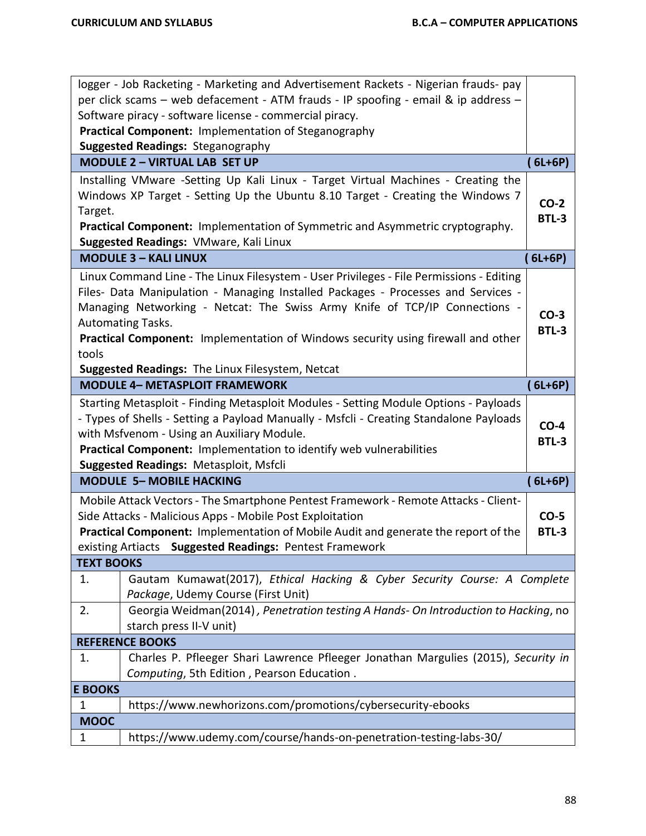|                   | logger - Job Racketing - Marketing and Advertisement Rackets - Nigerian frauds- pay      |              |
|-------------------|------------------------------------------------------------------------------------------|--------------|
|                   | per click scams - web defacement - ATM frauds - IP spoofing - email & ip address -       |              |
|                   | Software piracy - software license - commercial piracy.                                  |              |
|                   | Practical Component: Implementation of Steganography                                     |              |
|                   | <b>Suggested Readings: Steganography</b>                                                 |              |
|                   | <b>MODULE 2 - VIRTUAL LAB SET UP</b>                                                     | $(6L+6P)$    |
|                   | Installing VMware -Setting Up Kali Linux - Target Virtual Machines - Creating the        |              |
|                   | Windows XP Target - Setting Up the Ubuntu 8.10 Target - Creating the Windows 7           | $CO-2$       |
| Target.           |                                                                                          | <b>BTL-3</b> |
|                   | Practical Component: Implementation of Symmetric and Asymmetric cryptography.            |              |
|                   | Suggested Readings: VMware, Kali Linux                                                   |              |
|                   | <b>MODULE 3 - KALI LINUX</b>                                                             | $6L+6P$      |
|                   | Linux Command Line - The Linux Filesystem - User Privileges - File Permissions - Editing |              |
|                   | Files- Data Manipulation - Managing Installed Packages - Processes and Services -        |              |
|                   | Managing Networking - Netcat: The Swiss Army Knife of TCP/IP Connections -               | $CO-3$       |
|                   | Automating Tasks.                                                                        | <b>BTL-3</b> |
|                   | Practical Component: Implementation of Windows security using firewall and other         |              |
| tools             |                                                                                          |              |
|                   | Suggested Readings: The Linux Filesystem, Netcat                                         |              |
|                   | <b>MODULE 4- METASPLOIT FRAMEWORK</b>                                                    | $(6L+6P)$    |
|                   | Starting Metasploit - Finding Metasploit Modules - Setting Module Options - Payloads     |              |
|                   | - Types of Shells - Setting a Payload Manually - Msfcli - Creating Standalone Payloads   | $CO-4$       |
|                   | with Msfvenom - Using an Auxiliary Module.                                               | <b>BTL-3</b> |
|                   | Practical Component: Implementation to identify web vulnerabilities                      |              |
|                   | <b>Suggested Readings: Metasploit, Msfcli</b>                                            |              |
|                   | <b>MODULE 5- MOBILE HACKING</b>                                                          | (6L+6P)      |
|                   | Mobile Attack Vectors - The Smartphone Pentest Framework - Remote Attacks - Client-      |              |
|                   | Side Attacks - Malicious Apps - Mobile Post Exploitation                                 | $CO-5$       |
|                   | Practical Component: Implementation of Mobile Audit and generate the report of the       | <b>BTL-3</b> |
|                   | existing Artiacts Suggested Readings: Pentest Framework                                  |              |
| <b>TEXT BOOKS</b> |                                                                                          |              |
| 1.                | Gautam Kumawat(2017), Ethical Hacking & Cyber Security Course: A Complete                |              |
|                   | Package, Udemy Course (First Unit)                                                       |              |
| 2.                | Georgia Weidman(2014), Penetration testing A Hands- On Introduction to Hacking, no       |              |
|                   | starch press II-V unit)                                                                  |              |
|                   | <b>REFERENCE BOOKS</b>                                                                   |              |
| 1.                | Charles P. Pfleeger Shari Lawrence Pfleeger Jonathan Margulies (2015), Security in       |              |
|                   | Computing, 5th Edition, Pearson Education.                                               |              |
| <b>E BOOKS</b>    |                                                                                          |              |
| 1                 | https://www.newhorizons.com/promotions/cybersecurity-ebooks                              |              |
| <b>MOOC</b>       |                                                                                          |              |
| $\mathbf{1}$      | https://www.udemy.com/course/hands-on-penetration-testing-labs-30/                       |              |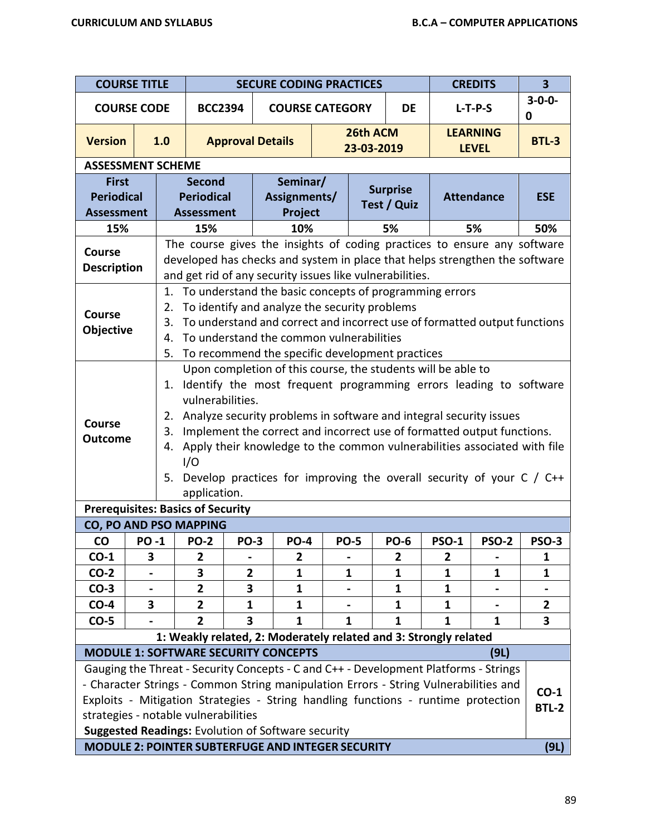| <b>COURSE TITLE</b>                                    |              |                                                           |                                                         |                                                                                      | <b>SECURE CODING PRACTICES</b>                                                                                                                                                                                                                                                                                                                                                                                                           |  |              |                                |                | <b>CREDITS</b>    | $\overline{\mathbf{3}}$ |
|--------------------------------------------------------|--------------|-----------------------------------------------------------|---------------------------------------------------------|--------------------------------------------------------------------------------------|------------------------------------------------------------------------------------------------------------------------------------------------------------------------------------------------------------------------------------------------------------------------------------------------------------------------------------------------------------------------------------------------------------------------------------------|--|--------------|--------------------------------|----------------|-------------------|-------------------------|
| <b>COURSE CODE</b>                                     |              |                                                           | <b>BCC2394</b>                                          |                                                                                      | <b>COURSE CATEGORY</b>                                                                                                                                                                                                                                                                                                                                                                                                                   |  |              | DE                             |                | $L-T-P-S$         | $3 - 0 - 0 -$<br>0      |
| <b>Version</b>                                         |              | 1.0                                                       |                                                         | 26th ACM<br><b>LEARNING</b><br><b>Approval Details</b><br>23-03-2019<br><b>LEVEL</b> |                                                                                                                                                                                                                                                                                                                                                                                                                                          |  |              |                                |                |                   | <b>BTL-3</b>            |
| <b>ASSESSMENT SCHEME</b>                               |              |                                                           |                                                         |                                                                                      |                                                                                                                                                                                                                                                                                                                                                                                                                                          |  |              |                                |                |                   |                         |
| <b>First</b><br><b>Periodical</b><br><b>Assessment</b> |              |                                                           | <b>Second</b><br><b>Periodical</b><br><b>Assessment</b> |                                                                                      | Seminar/<br>Assignments/<br>Project                                                                                                                                                                                                                                                                                                                                                                                                      |  |              | <b>Surprise</b><br>Test / Quiz |                | <b>Attendance</b> | <b>ESE</b>              |
| 15%                                                    |              |                                                           | 15%                                                     |                                                                                      | 10%                                                                                                                                                                                                                                                                                                                                                                                                                                      |  |              | 5%                             |                | 5%                | 50%                     |
| <b>Course</b><br><b>Description</b>                    |              |                                                           |                                                         |                                                                                      | The course gives the insights of coding practices to ensure any software<br>developed has checks and system in place that helps strengthen the software<br>and get rid of any security issues like vulnerabilities.                                                                                                                                                                                                                      |  |              |                                |                |                   |                         |
| <b>Course</b><br>Objective                             |              | 1.<br>2.<br>3.<br>4.<br>5.                                |                                                         |                                                                                      | To understand the basic concepts of programming errors<br>To identify and analyze the security problems<br>To understand and correct and incorrect use of formatted output functions<br>To understand the common vulnerabilities<br>To recommend the specific development practices                                                                                                                                                      |  |              |                                |                |                   |                         |
| Course<br><b>Outcome</b>                               |              | 1.<br>2.<br>3.<br>4.<br>5.                                | vulnerabilities.<br>1/O<br>application.                 |                                                                                      | Upon completion of this course, the students will be able to<br>Identify the most frequent programming errors leading to software<br>Analyze security problems in software and integral security issues<br>Implement the correct and incorrect use of formatted output functions.<br>Apply their knowledge to the common vulnerabilities associated with file<br>Develop practices for improving the overall security of your $C / C$ ++ |  |              |                                |                |                   |                         |
|                                                        |              | <b>Prerequisites: Basics of Security</b>                  |                                                         |                                                                                      |                                                                                                                                                                                                                                                                                                                                                                                                                                          |  |              |                                |                |                   |                         |
| CO, PO AND PSO MAPPING                                 |              |                                                           |                                                         |                                                                                      |                                                                                                                                                                                                                                                                                                                                                                                                                                          |  |              |                                |                |                   |                         |
| <b>CO</b>                                              | <b>PO -1</b> |                                                           | <b>PO-2</b>                                             | <b>PO-3</b>                                                                          | <b>PO-4</b>                                                                                                                                                                                                                                                                                                                                                                                                                              |  | PO-5         | <b>PO-6</b>                    | PSO-1          | PSO-2             | PSO-3                   |
| $CO-1$                                                 | 3            |                                                           | $\overline{2}$                                          |                                                                                      | $\overline{2}$                                                                                                                                                                                                                                                                                                                                                                                                                           |  |              | $\mathbf{2}$                   | $\overline{2}$ |                   | 1                       |
| $CO-2$                                                 |              |                                                           | 3                                                       | $\overline{2}$                                                                       | 1                                                                                                                                                                                                                                                                                                                                                                                                                                        |  | 1            | 1                              | $\mathbf{1}$   | 1                 | 1                       |
| $CO-3$                                                 |              |                                                           | $\overline{\mathbf{2}}$                                 | 3                                                                                    | 1                                                                                                                                                                                                                                                                                                                                                                                                                                        |  |              | 1                              | $\mathbf{1}$   |                   |                         |
| $CO-4$                                                 | 3            |                                                           | $\overline{2}$                                          | 1                                                                                    | 1                                                                                                                                                                                                                                                                                                                                                                                                                                        |  |              | 1                              | $\mathbf{1}$   |                   | $\overline{2}$          |
| $CO-5$                                                 |              |                                                           | $\overline{2}$                                          | 3                                                                                    | 1                                                                                                                                                                                                                                                                                                                                                                                                                                        |  | $\mathbf{1}$ | $\mathbf{1}$                   | $\mathbf{1}$   | $\mathbf{1}$      | 3                       |
|                                                        |              |                                                           |                                                         |                                                                                      | 1: Weakly related, 2: Moderately related and 3: Strongly related                                                                                                                                                                                                                                                                                                                                                                         |  |              |                                |                |                   |                         |
|                                                        |              |                                                           |                                                         |                                                                                      | <b>MODULE 1: SOFTWARE SECURITY CONCEPTS</b>                                                                                                                                                                                                                                                                                                                                                                                              |  |              |                                |                | (9L)              |                         |
| strategies - notable vulnerabilities                   |              |                                                           |                                                         |                                                                                      | Gauging the Threat - Security Concepts - C and C++ - Development Platforms - Strings<br>- Character Strings - Common String manipulation Errors - String Vulnerabilities and<br>Exploits - Mitigation Strategies - String handling functions - runtime protection<br>Suggested Readings: Evolution of Software security                                                                                                                  |  |              |                                |                |                   | $CO-1$<br><b>BTL-2</b>  |
|                                                        |              | MODULE 2: POINTER SUBTERFUGE AND INTEGER SECURITY<br>(9L) |                                                         |                                                                                      |                                                                                                                                                                                                                                                                                                                                                                                                                                          |  |              |                                |                |                   |                         |